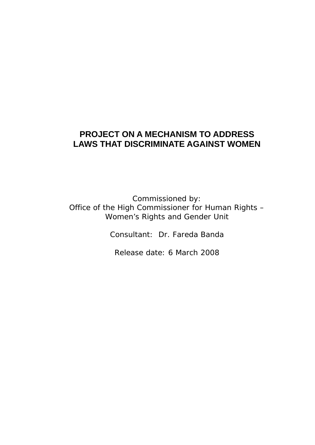# **PROJECT ON A MECHANISM TO ADDRESS LAWS THAT DISCRIMINATE AGAINST WOMEN**

Commissioned by: Office of the High Commissioner for Human Rights – Women's Rights and Gender Unit

Consultant: Dr. Fareda Banda

Release date: 6 March 2008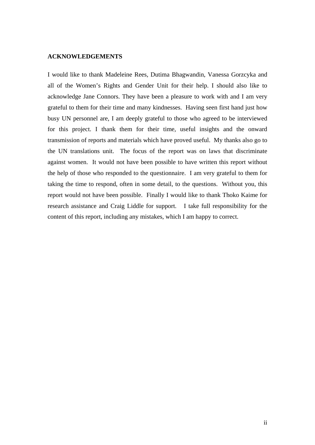#### **ACKNOWLEDGEMENTS**

I would like to thank Madeleine Rees, Dutima Bhagwandin, Vanessa Gorzcyka and all of the Women's Rights and Gender Unit for their help. I should also like to acknowledge Jane Connors. They have been a pleasure to work with and I am very grateful to them for their time and many kindnesses. Having seen first hand just how busy UN personnel are, I am deeply grateful to those who agreed to be interviewed for this project. I thank them for their time, useful insights and the onward transmission of reports and materials which have proved useful. My thanks also go to the UN translations unit. The focus of the report was on laws that discriminate against women. It would not have been possible to have written this report without the help of those who responded to the questionnaire. I am very grateful to them for taking the time to respond, often in some detail, to the questions. Without you, this report would not have been possible. Finally I would like to thank Thoko Kaime for research assistance and Craig Liddle for support. I take full responsibility for the content of this report, including any mistakes, which I am happy to correct.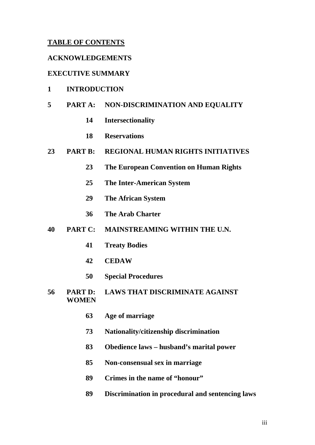## **TABLE OF CONTENTS**

### **ACKNOWLEDGEMENTS**

## **EXECUTIVE SUMMARY**

### **1 INTRODUCTION**

## **5 PART A: NON-DISCRIMINATION AND EQUALITY**

- **14 Intersectionality**
- **18 Reservations**

## **23 PART B: REGIONAL HUMAN RIGHTS INITIATIVES**

- **23 The European Convention on Human Rights**
- **25 The Inter-American System**
- **29 The African System**
- **36 The Arab Charter**

## **40 PART C: MAINSTREAMING WITHIN THE U.N.**

- **41 Treaty Bodies**
- **42 CEDAW**
- **50 Special Procedures**
- **56 PART D: LAWS THAT DISCRIMINATE AGAINST WOMEN** 
	- **63 Age of marriage**
	- **73 Nationality/citizenship discrimination**
	- **83 Obedience laws husband's marital power**
	- **85 Non-consensual sex in marriage**
	- **89 Crimes in the name of "honour"**
	- **89 Discrimination in procedural and sentencing laws**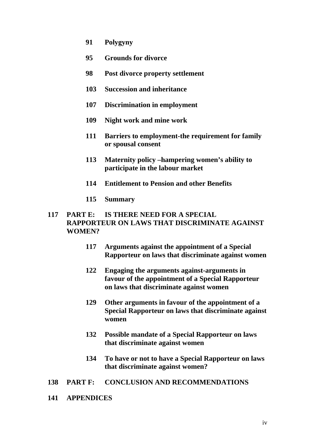- **91 Polygyny**
- **95 Grounds for divorce**
- **98 Post divorce property settlement**
- **103 Succession and inheritance**
- **107 Discrimination in employment**
- **109 Night work and mine work**
- **111 Barriers to employment-the requirement for family or spousal consent**
- **113 Maternity policy –hampering women's ability to participate in the labour market**
- **114 Entitlement to Pension and other Benefits**
- **115 Summary**

## **117 PART E: IS THERE NEED FOR A SPECIAL RAPPORTEUR ON LAWS THAT DISCRIMINATE AGAINST WOMEN?**

- **117 Arguments against the appointment of a Special Rapporteur on laws that discriminate against women**
- **122 Engaging the arguments against-arguments in favour of the appointment of a Special Rapporteur on laws that discriminate against women**
- **129 Other arguments in favour of the appointment of a Special Rapporteur on laws that discriminate against women**
- **132 Possible mandate of a Special Rapporteur on laws that discriminate against women**
- **134 To have or not to have a Special Rapporteur on laws that discriminate against women?**
- **138 PART F: CONCLUSION AND RECOMMENDATIONS**
- **141 APPENDICES**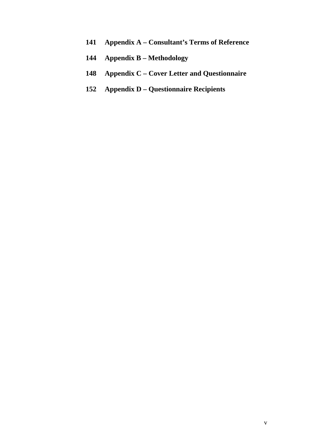- **141 Appendix A Consultant's Terms of Reference**
- **144 Appendix B Methodology**
- **148 Appendix C Cover Letter and Questionnaire**
- **152 Appendix D Questionnaire Recipients**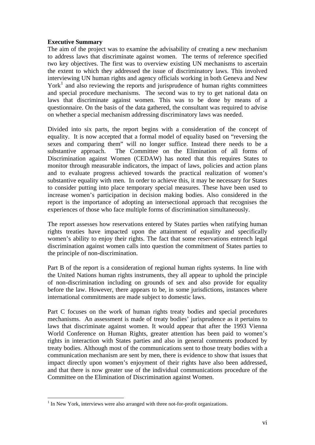### **Executive Summary**

The aim of the project was to examine the advisability of creating a new mechanism to address laws that discriminate against women. The terms of reference specified two key objectives. The first was to overview existing UN mechanisms to ascertain the extent to which they addressed the issue of discriminatory laws. This involved interviewing UN human rights and agency officials working in both Geneva and New York<sup>1</sup> and also reviewing the reports and jurisprudence of human rights committees and special procedure mechanisms. The second was to try to get national data on laws that discriminate against women. This was to be done by means of a questionnaire. On the basis of the data gathered, the consultant was required to advise on whether a special mechanism addressing discriminatory laws was needed.

Divided into six parts, the report begins with a consideration of the concept of equality. It is now accepted that a formal model of equality based on "reversing the sexes and comparing them" will no longer suffice. Instead there needs to be a substantive approach. The Committee on the Elimination of all forms of Discrimination against Women (CEDAW) has noted that this requires States to monitor through measurable indicators, the impact of laws, policies and action plans and to evaluate progress achieved towards the practical realization of women's substantive equality with men. In order to achieve this, it may be necessary for States to consider putting into place temporary special measures. These have been used to increase women's participation in decision making bodies. Also considered in the report is the importance of adopting an intersectional approach that recognises the experiences of those who face multiple forms of discrimination simultaneously.

The report assesses how reservations entered by States parties when ratifying human rights treaties have impacted upon the attainment of equality and specifically women's ability to enjoy their rights. The fact that some reservations entrench legal discrimination against women calls into question the commitment of States parties to the principle of non-discrimination.

Part B of the report is a consideration of regional human rights systems. In line with the United Nations human rights instruments, they all appear to uphold the principle of non-discrimination including on grounds of sex and also provide for equality before the law. However, there appears to be, in some jurisdictions, instances where international commitments are made subject to domestic laws.

Part C focuses on the work of human rights treaty bodies and special procedures mechanisms. An assessment is made of treaty bodies' jurisprudence as it pertains to laws that discriminate against women. It would appear that after the 1993 Vienna World Conference on Human Rights, greater attention has been paid to women's rights in interaction with States parties and also in general comments produced by treaty bodies. Although most of the communications sent to those treaty bodies with a communication mechanism are sent by men, there is evidence to show that issues that impact directly upon women's enjoyment of their rights have also been addressed, and that there is now greater use of the individual communications procedure of the Committee on the Elimination of Discrimination against Women.

<sup>&</sup>lt;sup>1</sup> In New York, interviews were also arranged with three not-for-profit organizations.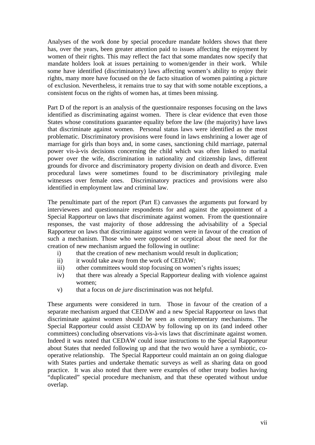Analyses of the work done by special procedure mandate holders shows that there has, over the years, been greater attention paid to issues affecting the enjoyment by women of their rights. This may reflect the fact that some mandates now specify that mandate holders look at issues pertaining to women/gender in their work. While some have identified (discriminatory) laws affecting women's ability to enjoy their rights, many more have focused on the de facto situation of women painting a picture of exclusion. Nevertheless, it remains true to say that with some notable exceptions, a consistent focus on the rights of women has, at times been missing.

Part D of the report is an analysis of the questionnaire responses focusing on the laws identified as discriminating against women. There is clear evidence that even those States whose constitutions guarantee equality before the law (the majority) have laws that discriminate against women. Personal status laws were identified as the most problematic. Discriminatory provisions were found in laws enshrining a lower age of marriage for girls than boys and, in some cases, sanctioning child marriage, paternal power vis-à-vis decisions concerning the child which was often linked to marital power over the wife, discrimination in nationality and citizenship laws, different grounds for divorce and discriminatory property division on death and divorce. Even procedural laws were sometimes found to be discriminatory privileging male witnesses over female ones. Discriminatory practices and provisions were also identified in employment law and criminal law.

The penultimate part of the report (Part E) canvasses the arguments put forward by interviewees and questionnaire respondents for and against the appointment of a Special Rapporteur on laws that discriminate against women. From the questionnaire responses, the vast majority of those addressing the advisability of a Special Rapporteur on laws that discriminate against women were in favour of the creation of such a mechanism. Those who were opposed or sceptical about the need for the creation of new mechanism argued the following in outline:

- i) that the creation of new mechanism would result in duplication;
- ii) it would take away from the work of CEDAW;
- iii) other committees would stop focusing on women's rights issues;
- iv) that there was already a Special Rapporteur dealing with violence against women;
- v) that a focus on *de jure* discrimination was not helpful.

These arguments were considered in turn. Those in favour of the creation of a separate mechanism argued that CEDAW and a new Special Rapporteur on laws that discriminate against women should be seen as complementary mechanisms. The Special Rapporteur could assist CEDAW by following up on its (and indeed other committees) concluding observations vis-à-vis laws that discriminate against women. Indeed it was noted that CEDAW could issue instructions to the Special Rapporteur about States that needed following up and that the two would have a symbiotic, cooperative relationship. The Special Rapporteur could maintain an on going dialogue with States parties and undertake thematic surveys as well as sharing data on good practice. It was also noted that there were examples of other treaty bodies having "duplicated" special procedure mechanism, and that these operated without undue overlap.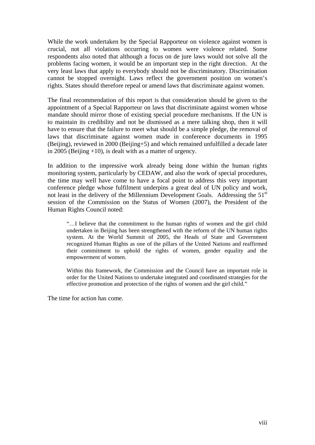While the work undertaken by the Special Rapporteur on violence against women is crucial, not all violations occurring to women were violence related. Some respondents also noted that although a focus on de jure laws would not solve all the problems facing women, it would be an important step in the right direction. At the very least laws that apply to everybody should not be discriminatory. Discrimination cannot be stopped overnight. Laws reflect the government position on women's rights. States should therefore repeal or amend laws that discriminate against women.

The final recommendation of this report is that consideration should be given to the appointment of a Special Rapporteur on laws that discriminate against women whose mandate should mirror those of existing special procedure mechanisms. If the UN is to maintain its credibility and not be dismissed as a mere talking shop, then it will have to ensure that the failure to meet what should be a simple pledge, the removal of laws that discriminate against women made in conference documents in 1995 (Beijing), reviewed in 2000 (Beijing+5) and which remained unfulfilled a decade later in 2005 (Beijing  $+10$ ), is dealt with as a matter of urgency.

In addition to the impressive work already being done within the human rights monitoring system, particularly by CEDAW, and also the work of special procedures, the time may well have come to have a focal point to address this very important conference pledge whose fulfilment underpins a great deal of UN policy and work, not least in the delivery of the Millennium Development Goals. Addressing the  $51<sup>st</sup>$ session of the Commission on the Status of Women (2007), the President of the Human Rights Council noted:

"…I believe that the commitment to the human rights of women and the girl child undertaken in Beijing has been strengthened with the reform of the UN human rights system. At the World Summit of 2005, the Heads of State and Government recognized Human Rights as one of the pillars of the United Nations and reaffirmed their commitment to uphold the rights of women, gender equality and the empowerment of women.

Within this framework, the Commission and the Council have an important role in order for the United Nations to undertake integrated and coordinated strategies for the effective promotion and protection of the rights of women and the girl child."

The time for action has come.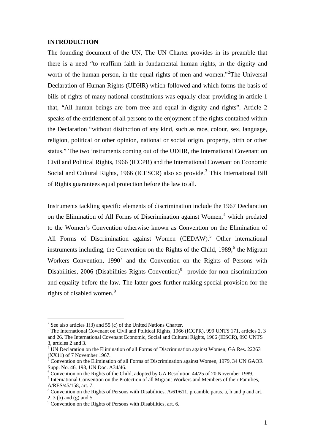#### **INTRODUCTION**

The founding document of the UN, The UN Charter provides in its preamble that there is a need "to reaffirm faith in fundamental human rights, in the dignity and worth of the human person, in the equal rights of men and women."<sup>2</sup>The Universal Declaration of Human Rights (UDHR) which followed and which forms the basis of bills of rights of many national constitutions was equally clear providing in article 1 that, "All human beings are born free and equal in dignity and rights". Article 2 speaks of the entitlement of all persons to the enjoyment of the rights contained within the Declaration "without distinction of any kind, such as race, colour, sex, language, religion, political or other opinion, national or social origin, property, birth or other status." The two instruments coming out of the UDHR, the International Covenant on Civil and Political Rights, 1966 (ICCPR) and the International Covenant on Economic Social and Cultural Rights, 1966 (ICESCR) also so provide.<sup>3</sup> This International Bill of Rights guarantees equal protection before the law to all.

Instruments tackling specific elements of discrimination include the 1967 Declaration on the Elimination of All Forms of Discrimination against Women,<sup>4</sup> which predated to the Women's Convention otherwise known as Convention on the Elimination of All Forms of Discrimination against Women (CEDAW).<sup>5</sup> Other international instruments including, the Convention on the Rights of the Child,  $1989$ ,  $6$  the Migrant Workers Convention,  $1990<sup>7</sup>$  and the Convention on the Rights of Persons with Disabilities, 2006 (Disabilities Rights Convention) $8$  provide for non-discrimination and equality before the law. The latter goes further making special provision for the rights of disabled women.<sup>9</sup>

 $\frac{2}{3}$  See also articles 1(3) and 55 (c) of the United Nations Charter.

<sup>&</sup>lt;sup>3</sup> The International Covenant on Civil and Political Rights, 1966 (ICCPR), 999 UNTS 171, articles 2, 3 and 26. The International Covenant Economic, Social and Cultural Rights, 1966 (IESCR), 993 UNTS 3, articles 2 and 3.

<sup>&</sup>lt;sup>4</sup> UN Declaration on the Elimination of all Forms of Discrimination against Women, GA Res. 22263  $(XX11)$  of 7 November 1967.<br><sup>5</sup> Convention on the Elimination of all Forms of Discrimination against Women, 1979, 34 UN GAOR

Supp. No. 46, 193, UN Doc. A34/46.

 $6$  Convention on the Rights of the Child, adopted by GA Resolution 44/25 of 20 November 1989.

<sup>&</sup>lt;sup>7</sup> International Convention on the Protection of all Migrant Workers and Members of their Families, A/RES/45/158, art. 7.

 $8$  Convention on the Rights of Persons with Disabilities,  $A/61/611$ , preamble paras. a, h and p and art. 2, 3 (b) and (g) and 5.

<sup>&</sup>lt;sup>9</sup> Convention on the Rights of Persons with Disabilities, art. 6.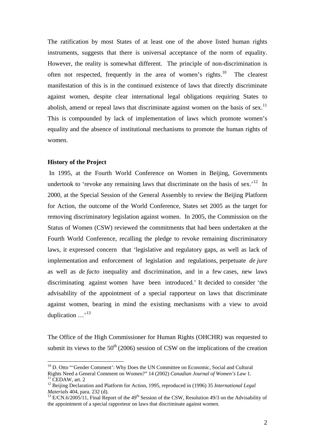The ratification by most States of at least one of the above listed human rights instruments, suggests that there is universal acceptance of the norm of equality. However, the reality is somewhat different. The principle of non-discrimination is often not respected, frequently in the area of women's rights.<sup>10</sup> The clearest manifestation of this is in the continued existence of laws that directly discriminate against women, despite clear international legal obligations requiring States to abolish, amend or repeal laws that discriminate against women on the basis of sex.<sup>11</sup> This is compounded by lack of implementation of laws which promote women's equality and the absence of institutional mechanisms to promote the human rights of women.

#### **History of the Project**

1

 In 1995, at the Fourth World Conference on Women in Beijing, Governments undertook to 'revoke any remaining laws that discriminate on the basis of sex.'<sup>12</sup> In 2000, at the Special Session of the General Assembly to review the Beijing Platform for Action, the outcome of the World Conference, States set 2005 as the target for removing discriminatory legislation against women. In 2005, the Commission on the Status of Women (CSW) reviewed the commitments that had been undertaken at the Fourth World Conference, recalling the pledge to revoke remaining discriminatory laws, it expressed concern that 'legislative and regulatory gaps, as well as lack of implementation and enforcement of legislation and regulations, perpetuate *de jure* as well as *de facto* inequality and discrimination, and in a few cases, new laws discriminating against women have been introduced.' It decided to consider 'the advisability of the appointment of a special rapporteur on laws that discriminate against women, bearing in mind the existing mechanisms with a view to avoid duplication ...'<sup>13</sup>

The Office of the High Commissioner for Human Rights (OHCHR) was requested to submit its views to the  $50<sup>th</sup>$  (2006) session of CSW on the implications of the creation

<sup>&</sup>lt;sup>10</sup> D. Otto "'Gender Comment': Why Does the UN Committee on Economic, Social and Cultural Rights Need a General Comment on Women?" 14 (2002) *Canadian Journal of Women's Law* 1. 11 CEDAW, art. 2

<sup>&</sup>lt;sup>12</sup> Beijing Declaration and Platform for Action, 1995, reproduced in (1996) 35 *International Legal Materials* 404, para, 232 (d).

<sup>&</sup>lt;sup>13</sup> E/CN.6/2005/11, Final Report of the 49<sup>th</sup> Session of the CSW, Resolution 49/3 on the Advisability of the appointment of a special rapporteur on laws that discriminate against women.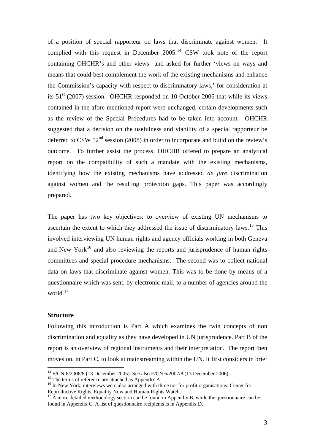of a position of special rapporteur on laws that discriminate against women. It complied with this request in December  $2005<sup>14</sup>$  CSW took note of the report containing OHCHR's and other views and asked for further 'views on ways and means that could best complement the work of the existing mechanisms and enhance the Commission's capacity with respect to discriminatory laws,' for consideration at its  $51<sup>st</sup>$  (2007) session. OHCHR responded on 10 October 2006 that while its views contained in the afore-mentioned report were unchanged, certain developments such as the review of the Special Procedures had to be taken into account. OHCHR suggested that a decision on the usefulness and viability of a special rapporteur be deferred to CSW  $52<sup>nd</sup>$  session (2008) in order to incorporate and build on the review's outcome. To further assist the process, OHCHR offered to prepare an analytical report on the compatibility of such a mandate with the existing mechanisms, identifying how the existing mechanisms have addressed *de jure* discrimination against women and the resulting protection gaps. This paper was accordingly prepared.

The paper has two key objectives: to overview of existing UN mechanisms to ascertain the extent to which they addressed the issue of discriminatory laws.15 This involved interviewing UN human rights and agency officials working in both Geneva and New York<sup>16</sup> and also reviewing the reports and jurisprudence of human rights committees and special procedure mechanisms. The second was to collect national data on laws that discriminate against women. This was to be done by means of a questionnaire which was sent, by electronic mail, to a number of agencies around the world.<sup>17</sup>

#### **Structure**

1

Following this introduction is Part A which examines the twin concepts of non discrimination and equality as they have developed in UN jurisprudence. Part B of the report is an overview of regional instruments and their interpretation. The report then moves on, in Part C, to look at mainstreaming within the UN. It first considers in brief

<sup>&</sup>lt;sup>14</sup> E/CN.6/2006/8 (13 December 2005). See also E/CN.6/2007/8 (13 December 2006). <sup>15</sup> The terms of reference are attached as Appendix A.

<sup>&</sup>lt;sup>16</sup> In New York, interviews were also arranged with three not for profit organisations: Center for Reproductive Rights, Equality Now and Human Rights Watch.

 $17 \text{ Å}$  more detailed methodology section can be found in Appendix B, while the questionnaire can be found in Appendix C. A list of questionnaire recipients is in Appendix D.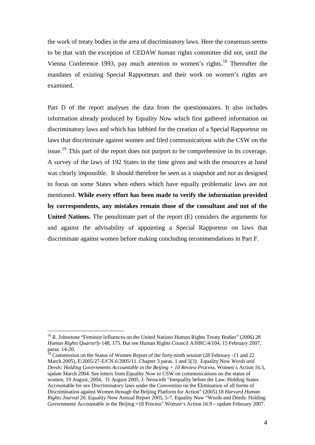the work of treaty bodies in the area of discriminatory laws. Here the consensus seems to be that with the exception of CEDAW human rights committee did not, until the Vienna Conference 1993, pay much attention to women's rights.<sup>18</sup> Thereafter the mandates of existing Special Rapporteurs and their work on women's rights are examined.

Part D of the report analyses the data from the questionnaires. It also includes information already produced by Equality Now which first gathered information on discriminatory laws and which has lobbied for the creation of a Special Rapporteur on laws that discriminate against women and filed communications with the CSW on the issue.<sup>19</sup> This part of the report does not purport to be comprehensive in its coverage. A survey of the laws of 192 States in the time given and with the resources at hand was clearly impossible. It should therefore be seen as a snapshot and not as designed to focus on some States when others which have equally problematic laws are not mentioned. **While every effort has been made to verify the information provided by correspondents, any mistakes remain those of the consultant and not of the United Nations.** The penultimate part of the report (E) considers the arguments for and against the advisability of appointing a Special Rapporteur on laws that discriminate against women before making concluding recommendations in Part F.

<sup>&</sup>lt;sup>18</sup> R. Johnstone "Feminist Influences on the United Nations Human Rights Treaty Bodies" (2006) 28 *Human Rights Quarterly* 148, 175. But see Human Rights Council A/HRC/4/104, 15 February 2007, paras. 14-20.

<sup>19</sup> Commission on the Status of Women Report of the forty-ninth session (28 February -11 and 22 March 2005), E/2005/27-E/CN.6/2005/11. Chapter 3 paras. 1 and 5(3). Equality Now *Words and Deeds: Holding Governments Accountable in the Beijing + 10 Review Process,* Women's Action 16.5, update March 2004. See letters from Equality Now to CSW on communications on the status of women, 19 August, 2004, 31 August 2005. J. Neuwirth "Inequality before the Law: Holding States Accountable for sex Discriminatory laws under the Convention on the Elimination of all forms of Discrimination against Women through the Beijing Platform for Action" (2005) 18 *Harvard Human Rights Journal* 20. Equality Now Annual Report 2005, 5-7. Equality Now "Words and Deeds: Holding Governments Accountable in the Beijing +10 Process" Women's Action 16.9 – update February 2007.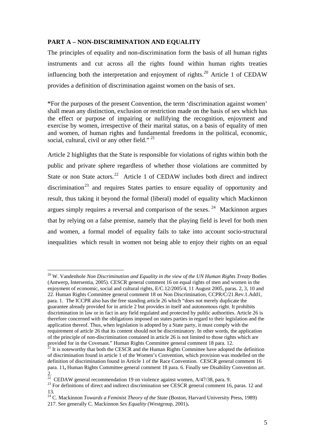### **PART A – NON-DISCRIMINATION AND EQUALITY**

The principles of equality and non-discrimination form the basis of all human rights instruments and cut across all the rights found within human rights treaties influencing both the interpretation and enjoyment of rights.<sup>20</sup> Article 1 of CEDAW provides a definition of discrimination against women on the basis of sex.

**"**For the purposes of the present Convention, the term 'discrimination against women' shall mean any distinction, exclusion or restriction made on the basis of sex which has the effect or purpose of impairing or nullifying the recognition, enjoyment and exercise by women, irrespective of their marital status, on a basis of equality of men and women, of human rights and fundamental freedoms in the political, economic, social, cultural, civil or any other field."<sup>21</sup>

Article 2 highlights that the State is responsible for violations of rights within both the public and private sphere regardless of whether those violations are committed by State or non State actors.<sup>22</sup> Article 1 of CEDAW includes both direct and indirect discrimination<sup>23</sup> and requires States parties to ensure equality of opportunity and result, thus taking it beyond the formal (liberal) model of equality which Mackinnon argues simply requires a reversal and comparison of the sexes.  $24$  Mackinnon argues that by relying on a false premise, namely that the playing field is level for both men and women, a formal model of equality fails to take into account socio-structural inequalities which result in women not being able to enjoy their rights on an equal

<sup>20</sup> W. Vandenhole *Non Discrimination and Equality in the view of the UN Human Rights Treaty* Bodies (Antwerp, Intersentia, 2005). CESCR general comment 16 on equal rights of men and women in the enjoyment of economic, social and cultural rights, E/C.12/2005/4, 11 August 2005, paras. 2, 3, 10 and 22. Human Rights Committee general comment 18 on Non Discrimination, CCPR/C/21.Rev.1.Add1, para. 1. The ICCPR also has the free standing article 26 which "does not merely duplicate the guarantee already provided for in article 2 but provides in itself and autonomous right. It prohibits discrimination in law or in fact in any field regulated and protected by public authorities. Article 26 is therefore concerned with the obligations imposed on states parties in regard to their legislation and the application thereof. Thus, when legislation is adopted by a State party, it must comply with the requirement of article 26 that its content should not be discriminatory. In other words, the application of the principle of non-discrimination contained in article 26 is not limited to those rights which are provided for in the Covenant." Human Rights Committee general comment 18 para. 12.

 $21$  It is noteworthy that both the CESCR and the Human Rights Committee have adopted the definition of discrimination found in article 1 of the Women's Convention, which provision was modelled on the definition of discrimination found in Article 1 of the Race Convention. CESCR general comment 16 para. 11**,** Human Rights Committee general comment 18 para. 6. Finally see Disability Convention art. 2.

<sup>&</sup>lt;sup>22</sup> CEDAW general recommendation 19 on violence against women,  $A/47/38$ , para. 9.<br><sup>23</sup> For definitions of direct and indirect discrimination see CESCR general comment 16, paras. 12 and 13.

<sup>&</sup>lt;sup>24</sup> C. Mackinnon *Towards a Feminist Theory of the State* (Boston, Harvard University Press, 1989)

<sup>217.</sup> See generally C. Mackinnon *Sex Equality* (Westgroup, 2001)**.**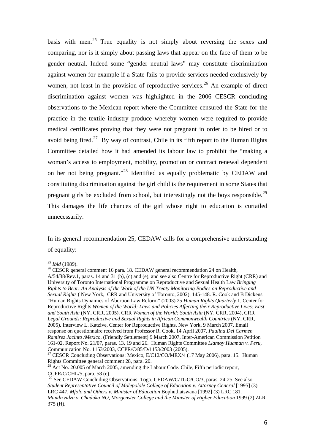basis with men.<sup>25</sup> True equality is not simply about reversing the sexes and comparing, nor is it simply about passing laws that appear on the face of them to be gender neutral. Indeed some "gender neutral laws" may constitute discrimination against women for example if a State fails to provide services needed exclusively by women, not least in the provision of reproductive services.<sup>26</sup> An example of direct discrimination against women was highlighted in the 2006 CESCR concluding observations to the Mexican report where the Committee censured the State for the practice in the textile industry produce whereby women were required to provide medical certificates proving that they were not pregnant in order to be hired or to avoid being fired.<sup>27</sup> By way of contrast, Chile in its fifth report to the Human Rights Committee detailed how it had amended its labour law to prohibit the "making a woman's access to employment, mobility, promotion or contract renewal dependent on her not being pregnant."28 Identified as equally problematic by CEDAW and constituting discrimination against the girl child is the requirement in some States that pregnant girls be excluded from school, but interestingly not the boys responsible.<sup>29</sup> This damages the life chances of the girl whose right to education is curtailed unnecessarily.

In its general recommendation 25, CEDAW calls for a comprehensive understanding of equality:

 $25$  *Ibid* (1989).

<sup>&</sup>lt;sup>26</sup> CESCR general comment 16 para. 18. CEDAW general recommendation 24 on Health, A/54/38/Rev.1, paras. 14 and 31 (b), (c) and (e), and see also Centre for Reproductive Right (CRR) and University of Toronto International Programme on Reproductive and Sexual Health Law *Bringing Rights to Bear: An Analysis of the Work of the UN Treaty Monitoring Bodies on Reproductive and Sexual Rights* ( New York, CRR and University of Toronto, 2002), 145-148. R. Cook and B Dickens "Human Rights Dynamics of Abortion Law Reform" (2003) 25 *Human Rights Quarterly* 1. Center for Reproductive Rights *Women of the World: Laws and Policies Affecting their Reproductive Lives: East and South Asia* (NY, CRR, 2005). CRR *Women of the World: South Asia* (NY, CRR, 2004), CRR *Legal Grounds: Reproductive and Sexual Rights in African Commonwealth Countries* (NY, CRR, 2005). Interview L. Katzive, Center for Reproductive Rights, New York, 9 March 2007. Email response on questionnaire received from Professor R. Cook, 14 April 2007. *Paulina Del Carmen Ramirez Jacinto /Mexico*, (Friendly Settlement) 9 March 2007, Inter-American Commission Petition 161-02, Report No. 21/07, paras. 13, 19 and 26. Human Rights Committee *Llantoy Huaman v. Peru,*  Communication No. 1153/2003, CCPR/C/85/D/1153/2003 (2005).

<sup>&</sup>lt;sup>27</sup> CESCR Concluding Observations: Mexico, E/C12/CO/MEX/4 (17 May 2006), para. 15. Human Rights Committee general comment 28, para. 20.

 $^{28}$  Act No. 20.005 of March 2005, amending the Labour Code. Chile, Fifth periodic report, CCPR/C/CHL/5, para. 58 (e).

<sup>&</sup>lt;sup>29</sup> See CEDAW Concluding Observations: Togo, CEDAW/C/TGO/CO/3, paras. 24-25. See also *Student Representative Council of Molepolole College of Education v. Attorney General* [1995] (3) LRC 447. *Mfolo and Others v. Minister of Education* Bophuthatswana [1992] (3) LRC 181. *Mandizvidza v. Chaduka NO, Morgenster College and the Minister of Higher Education* 1999 (2) ZLR 375 (H)**.**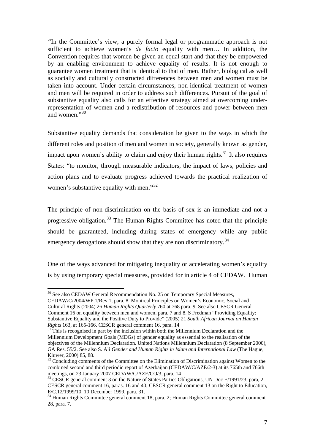*"*In the Committee's view, a purely formal legal or programmatic approach is not sufficient to achieve women's *de facto* equality with men… In addition, the Convention requires that women be given an equal start and that they be empowered by an enabling environment to achieve equality of results. It is not enough to guarantee women treatment that is identical to that of men. Rather, biological as well as socially and culturally constructed differences between men and women must be taken into account. Under certain circumstances, non-identical treatment of women and men will be required in order to address such differences. Pursuit of the goal of substantive equality also calls for an effective strategy aimed at overcoming underrepresentation of women and a redistribution of resources and power between men and women."30

Substantive equality demands that consideration be given to the ways in which the different roles and position of men and women in society, generally known as gender, impact upon women's ability to claim and enjoy their human rights.<sup>31</sup> It also requires States: "to monitor, through measurable indicators, the impact of laws, policies and action plans and to evaluate progress achieved towards the practical realization of women's substantive equality with men**."**<sup>32</sup>

The principle of non-discrimination on the basis of sex is an immediate and not a progressive obligation.<sup>33</sup> The Human Rights Committee has noted that the principle should be guaranteed, including during states of emergency while any public emergency derogations should show that they are non discriminatory.<sup>34</sup>

One of the ways advanced for mitigating inequality or accelerating women's equality is by using temporary special measures, provided for in article 4 of CEDAW. Human

<sup>&</sup>lt;sup>30</sup> See also CEDAW General Recommendation No. 25 on Temporary Special Measures,

CEDAW/C/2004/WP.1/Rev.1, para. 8. Montreal Principles on Women's Economic, Social and Cultural Rights (2004) 26 *Human Rights Quarterly* 760 at 768 para. 9. See also CESCR General Comment 16 on equality between men and women, para. 7 and 8. S Fredman "Providing Equality: Substantive Equality and the Positive Duty to Provide" (2005) 21 *South African Journal on Human* 

*Rights* 163, at 165-166. CESCR general comment 16, para. 14<br><sup>31</sup> This is recognised in part by the inclusion within both the Millennium Declaration and the Millennium Development Goals (MDGs) of gender equality as essential to the realisation of the objectives of the Millennium Declaration. United Nations Millennium Declaration (8 September 2000), GA Res. 55/2. See also S. Ali *Gender and Human Rights in Islam and International Law* (The Hague, Kluwer, 2000) 85, 88.

<sup>&</sup>lt;sup>32</sup> Concluding comments of the Committee on the Elimination of Discrimination against Women to the combined second and third periodic report of Azerbaijan (CEDAW/C/AZE/2-3) at its 765th and 766th meetings, on 23 January 2007 CEDAW/C/AZE/CO/3, para. 14

<sup>&</sup>lt;sup>33</sup> CESCR general comment 3 on the Nature of States Parties Obligations, UN Doc E/1991/23, para, 2. CESCR general comment 16, paras. 16 and 40; CESCR general comment 13 on the Right to Education, E/C.12/1999/10, 10 December 1999, para. 31.

<sup>&</sup>lt;sup>34</sup> Human Rights Committee general comment 18, para. 2; Human Rights Committee general comment 28, para. 7.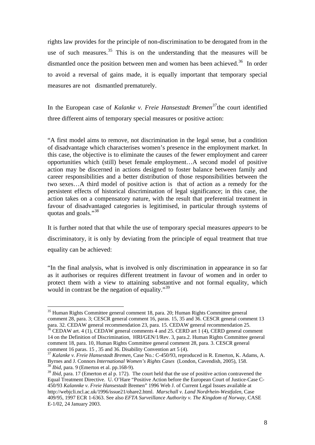rights law provides for the principle of non-discrimination to be derogated from in the use of such measures.<sup>35</sup> This is on the understanding that the measures will be dismantled once the position between men and women has been achieved.<sup>36</sup> In order to avoid a reversal of gains made, it is equally important that temporary special measures are not dismantled prematurely.

In the European case of *Kalanke v. Freie Hansestadt Bremen<sup>37</sup>*the court identified three different aims of temporary special measures or positive action:

"A first model aims to remove, not discrimination in the legal sense, but a condition of disadvantage which characterises women's presence in the employment market. In this case, the objective is to eliminate the causes of the fewer employment and career opportunities which (still) beset female employment…A second model of positive action may be discerned in actions designed to foster balance between family and career responsibilities and a better distribution of those responsibilities between the two sexes…A third model of positive action is that of action as a remedy for the persistent effects of historical discrimination of legal significance; in this case, the action takes on a compensatory nature, with the result that preferential treatment in favour of disadvantaged categories is legitimised, in particular through systems of quotas and goals."<sup>38</sup>

It is further noted that that while the use of temporary special measures *appears* to be discriminatory, it is only by deviating from the principle of equal treatment that true equality can be achieved:

"In the final analysis, what is involved is only discrimination in appearance in so far as it authorises or requires different treatment in favour of women and in order to protect them with a view to attaining substantive and not formal equality, which would in contrast be the negation of equality."<sup>39</sup>

<sup>&</sup>lt;sup>35</sup> Human Rights Committee general comment 18, para. 20; Human Rights Committee general comment 28, para. 3; CESCR general comment 16, paras. 15, 35 and 36. CESCR general comment 13 para. 32. CEDAW general recommendation 23, para. 15. CEDAW general recommendation 25.

<sup>&</sup>lt;sup>36</sup> CEDAW art. 4 (1), CEDAW general comments 4 and 25. CERD art 1 (4), CERD general comment 14 on the Definition of Discrimination, HRI/GEN/1/Rev. 3, para.2. Human Rights Committee general comment 18, para. 10, Human Rights Committee general comment 28, para. 3. CESCR general

comment 16 paras. 15 , 35 and 36. Disability Convention art 5 (4). 37 *Kalanke v. Freie Hansestadt Bremen,* Case No.: C-450/93, reproduced in R. Emerton, K. Adams, A. Byrnes and J. Connors *International Women's Rights Cases* (London, Cavendish, 2005), 158. 38 *Ibid,* para. 9 (Emerton et al. pp.168-9).

<sup>&</sup>lt;sup>39</sup> *Ibid*, para. 17 (Emerton et al p. 172). The court held that the use of positive action contravened the Equal Treatment Directive. U. O'Hare "Positive Action before the European Court of Justice-Case C-450/93 *Kalannke v. Freie Hansestadt* Bremen" 1996 Web J. of Current Legal Issues available at http://webjcli.ncl.ac.uk/1996/issue21/ohare2.html. *Marschall v. Land Nordrhein-Westfalen,* Case 409/95, 1997 ECR 1-6363. See also *EFTA Surveillance Authority v. The Kingdom of Norway,* CASE E-1/02, 24 January 2003.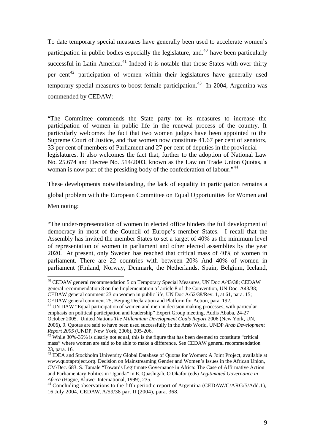To date temporary special measures have generally been used to accelerate women's participation in public bodies especially the legislature, and.<sup>40</sup> have been particularly successful in Latin America. $41$  Indeed it is notable that those States with over thirty per cent<sup>42</sup> participation of women within their legislatures have generally used temporary special measures to boost female participation.<sup>43</sup> In 2004, Argentina was commended by CEDAW:

"The Committee commends the State party for its measures to increase the participation of women in public life in the renewal process of the country. It particularly welcomes the fact that two women judges have been appointed to the Supreme Court of Justice, and that women now constitute 41.67 per cent of senators, 33 per cent of members of Parliament and 27 per cent of deputies in the provincial legislatures. It also welcomes the fact that, further to the adoption of National Law No. 25.674 and Decree No. 514/2003, known as the Law on Trade Union Quotas, a woman is now part of the presiding body of the confederation of labour."<sup>44</sup>

These developments notwithstanding, the lack of equality in participation remains a global problem with the European Committee on Equal Opportunities for Women and

Men noting:

1

"The under-representation of women in elected office hinders the full development of democracy in most of the Council of Europe's member States. I recall that the Assembly has invited the member States to set a target of 40% as the minimum level of representation of women in parliament and other elected assemblies by the year 2020. At present, only Sweden has reached that critical mass of 40% of women in parliament. There are 22 countries with between 20% And 40% of women in parliament (Finland, Norway, Denmark, the Netherlands, Spain, Belgium, Iceland,

<sup>&</sup>lt;sup>40</sup> CEDAW general recommendation 5 on Temporary Special Measures, UN Doc A/43/38; CEDAW general recommendation 8 on the Implementation of article 8 of the Convention, UN Doc. A43/38; CEDAW general comment 23 on women in public life, UN Doc A/52/38/Rev. 1, at 61, para. 15; CEDAW general comment 25, Beijing Declaration and Platform for Action, para. 192.

 $41$  UN DAW "Equal participation of women and men in decision making processes, with particular emphasis on political participation and leadership" Expert Group meeting, Addis Ababa, 24-27 October 2005. United Nations *The Millennium Development Goals Report* 2006 (New York, UN, 2006), 9. Quotas are said to have been used successfully in the Arab World. UNDP *Arab Development Report 2005* (UNDP, New York, 2006), 205-206**.** 42 While 30%-35% is clearly not equal, this is the figure that has been deemed to constitute "critical

mass" where women are said to be able to make a difference. See CEDAW general recommendation 23, para. 16.

<sup>&</sup>lt;sup>43</sup> IDEA and Stockholm University Global Database of Quotas for Women: A Joint Project, available at www.quotaproject.org. Decision on Mainstreaming Gender and Women's Issues in the African Union, CM/Dec. 683. S. Tamale "Towards Legitimate Governance in Africa: The Case of Affirmative Action and Parliamentary Politics in Uganda" in E. Quashigah, O Okafor (eds) *Legitimated Governance in* 

<sup>&</sup>lt;sup>44</sup> Concluding observations to the fifth periodic report of Argentina (CEDAW/C/ARG/5/Add.1), 16 July 2004, CEDAW, A/59/38 part II (2004), para. 368.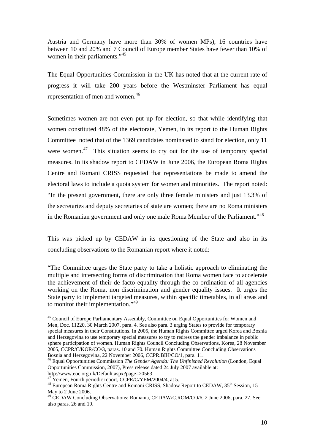Austria and Germany have more than 30% of women MPs), 16 countries have between 10 and 20% and 7 Council of Europe member States have fewer than 10% of women in their parliaments."<sup>45</sup>

The Equal Opportunities Commission in the UK has noted that at the current rate of progress it will take 200 years before the Westminster Parliament has equal representation of men and women.<sup>46</sup>

Sometimes women are not even put up for election, so that while identifying that women constituted 48% of the electorate, Yemen, in its report to the Human Rights Committee noted that of the 1369 candidates nominated to stand for election, only **11** were women.<sup>47</sup> This situation seems to cry out for the use of temporary special measures. In its shadow report to CEDAW in June 2006, the European Roma Rights Centre and Romani CRISS requested that representations be made to amend the electoral laws to include a quota system for women and minorities. The report noted: "In the present government, there are only three female ministers and just 13.3% of the secretaries and deputy secretaries of state are women; there are no Roma ministers in the Romanian government and only one male Roma Member of the Parliament."<sup>48</sup>

This was picked up by CEDAW in its questioning of the State and also in its concluding observations to the Romanian report where it noted:

"The Committee urges the State party to take a holistic approach to eliminating the multiple and intersecting forms of discrimination that Roma women face to accelerate the achievement of their de facto equality through the co-ordination of all agencies working on the Roma, non discrimination and gender equality issues. It urges the State party to implement targeted measures, within specific timetables, in all areas and to monitor their implementation."<sup>49</sup>

http://www.eoc.org.uk/Default.aspx?page=20563

<sup>&</sup>lt;sup>45</sup> Council of Europe Parliamentary Assembly, Committee on Equal Opportunities for Women and Men, Doc. 11220, 30 March 2007, para. 4. See also para. 3 urging States to provide for temporary special measures in their Constitutions. In 2005, the Human Rights Committee urged Korea and Bosnia and Herzegovina to use temporary special measures to try to redress the gender imbalance in public sphere participation of women. Human Rights Council Concluding Observations, Korea, 28 November 2005, CCPR/C/KOR/CO/3, paras. 10 and 70. Human Rights Committee Concluding Observations Bosnia and Herzegovina, 22 November 2006, CCPR.BIH/CO/1, para. 11.

<sup>46</sup> Equal Opportunities Commission *The Gender Agenda: The Unfinished Revolution* (London, Equal Opportunities Commission, 2007), Press release dated 24 July 2007 available at:

 $^{47}$  Yemen, Fourth periodic report, CCPR/C/YEM/2004/4, at 5.

<sup>&</sup>lt;sup>48</sup> European Roma Rights Centre and Romani CRISS, Shadow Report to CEDAW, 35<sup>th</sup> Session, 15 May to 2 June 2006.

<sup>49</sup> CEDAW Concluding Observations: Romania, CEDAW/C.ROM/CO/6, 2 June 2006, para. 27. See also paras. 26 and 19.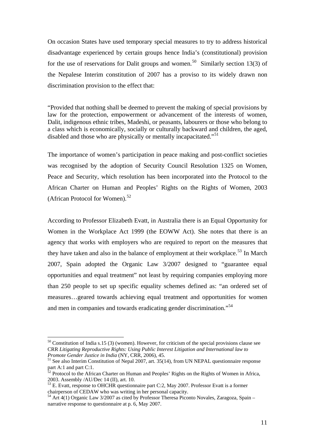On occasion States have used temporary special measures to try to address historical disadvantage experienced by certain groups hence India's (constitutional) provision for the use of reservations for Dalit groups and women.<sup>50</sup> Similarly section 13(3) of the Nepalese Interim constitution of 2007 has a proviso to its widely drawn non discrimination provision to the effect that:

"Provided that nothing shall be deemed to prevent the making of special provisions by law for the protection, empowerment or advancement of the interests of women, Dalit, indigenous ethnic tribes, Madeshi, or peasants, labourers or those who belong to a class which is economically, socially or culturally backward and children, the aged, disabled and those who are physically or mentally incapacitated."<sup>51</sup>

The importance of women's participation in peace making and post-conflict societies was recognised by the adoption of Security Council Resolution 1325 on Women, Peace and Security, which resolution has been incorporated into the Protocol to the African Charter on Human and Peoples' Rights on the Rights of Women, 2003 (African Protocol for Women).<sup>52</sup>

According to Professor Elizabeth Evatt, in Australia there is an Equal Opportunity for Women in the Workplace Act 1999 (the EOWW Act). She notes that there is an agency that works with employers who are required to report on the measures that they have taken and also in the balance of employment at their workplace.<sup>53</sup> In March 2007, Spain adopted the Organic Law 3/2007 designed to "guarantee equal opportunities and equal treatment" not least by requiring companies employing more than 250 people to set up specific equality schemes defined as: "an ordered set of measures…geared towards achieving equal treatment and opportunities for women and men in companies and towards eradicating gender discrimination."<sup>54</sup>

<u>.</u>

 $50$  Constitution of India s.15 (3) (women). However, for criticism of the special provisions clause see CRR *Litigating Reproductive Rights: Using Public Interest Litigation and International law to* 

<sup>&</sup>lt;sup>51</sup> See also Interim Constitution of Nepal 2007, art. 35(14), from UN NEPAL questionnaire response part A:1 and part C:1.

 $52$  Protocol to the African Charter on Human and Peoples' Rights on the Rights of Women in Africa, 2003. Assembly /AU/Dec 14 (II), art. 10.

<sup>&</sup>lt;sup>53</sup> E. Evatt, response to OHCHR questionnaire part C:2, May 2007. Professor Evatt is a former chairperson of CEDAW who was writing in her personal capacity.

<sup>&</sup>lt;sup>54</sup> Art 4(1) Organic Law 3/2007 as cited by Professor Theresa Piconto Novales, Zaragoza, Spain – narrative response to questionnaire at p. 6, May 2007.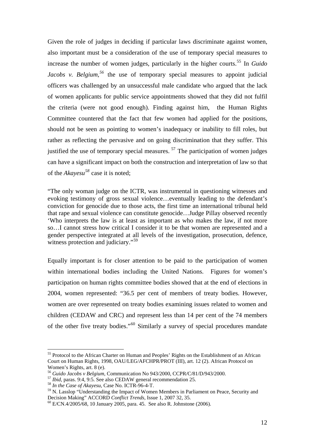Given the role of judges in deciding if particular laws discriminate against women, also important must be a consideration of the use of temporary special measures to increase the number of women judges, particularly in the higher courts.55 In *Guido Jacobs v. Belgium*,<sup>56</sup> the use of temporary special measures to appoint judicial officers was challenged by an unsuccessful male candidate who argued that the lack of women applicants for public service appointments showed that they did not fulfil the criteria (were not good enough). Finding against him, the Human Rights Committee countered that the fact that few women had applied for the positions, should not be seen as pointing to women's inadequacy or inability to fill roles, but rather as reflecting the pervasive and on going discrimination that they suffer. This justified the use of temporary special measures.  $57$  The participation of women judges can have a significant impact on both the construction and interpretation of law so that of the *Akayesu<sup>58</sup>* case it is noted;

"The only woman judge on the ICTR, was instrumental in questioning witnesses and evoking testimony of gross sexual violence…eventually leading to the defendant's conviction for genocide due to those acts, the first time an international tribunal held that rape and sexual violence can constitute genocide…Judge Pillay observed recently 'Who interprets the law is at least as important as who makes the law, if not more so…I cannot stress how critical I consider it to be that women are represented and a gender perspective integrated at all levels of the investigation, prosecution, defence, witness protection and judiciary."<sup>59</sup>

Equally important is for closer attention to be paid to the participation of women within international bodies including the United Nations. Figures for women's participation on human rights committee bodies showed that at the end of elections in 2004, women represented: "36.5 per cent of members of treaty bodies. However, women are over represented on treaty bodies examining issues related to women and children (CEDAW and CRC) and represent less than 14 per cent of the 74 members of the other five treaty bodies."60 Similarly a survey of special procedures mandate

<sup>&</sup>lt;sup>55</sup> Protocol to the African Charter on Human and Peoples' Rights on the Establishment of an African Court on Human Rights, 1998, OAU/LEG/AFCHPR/PROT (III), art. 12 (2). African Protocol on Women's Rights, art. 8 (e).

<sup>56</sup> *Guido Jacobs v Belgium,* Communication No 943/2000, CCPR/C/81/D/943/2000. 57 *Ibid,* paras. 9:4, 9:5. See also CEDAW general recommendation 25. <sup>58</sup> *In the Case of Akayesu,* Case No. ICTR-96-4-T.

 $^{59}$  N. Lasslop "Understanding the Impact of Women Members in Parliament on Peace, Security and Decision Making" ACCORD *Conflict Trends*, Issue 1, 2007 32, 35.

<sup>&</sup>lt;sup>60</sup> E/CN.4/2005/68, 10 January 2005, para. 45. See also R. Johnstone (2006).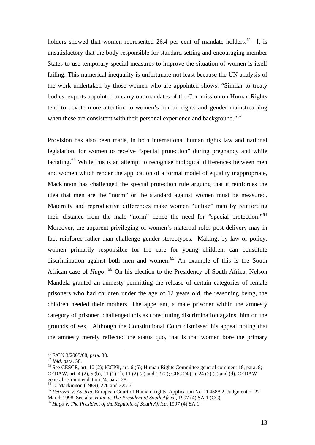holders showed that women represented 26.4 per cent of mandate holders.<sup>61</sup> It is unsatisfactory that the body responsible for standard setting and encouraging member States to use temporary special measures to improve the situation of women is itself failing. This numerical inequality is unfortunate not least because the UN analysis of the work undertaken by those women who are appointed shows: "Similar to treaty bodies, experts appointed to carry out mandates of the Commission on Human Rights tend to devote more attention to women's human rights and gender mainstreaming when these are consistent with their personal experience and background."<sup>62</sup>

Provision has also been made, in both international human rights law and national legislation, for women to receive "special protection" during pregnancy and while lactating.<sup>63</sup> While this is an attempt to recognise biological differences between men and women which render the application of a formal model of equality inappropriate, Mackinnon has challenged the special protection rule arguing that it reinforces the idea that men are the "norm" or the standard against women must be measured. Maternity and reproductive differences make women "unlike" men by reinforcing their distance from the male "norm" hence the need for "special protection."<sup>64</sup> Moreover, the apparent privileging of women's maternal roles post delivery may in fact reinforce rather than challenge gender stereotypes. Making, by law or policy, women primarily responsible for the care for young children, can constitute discrimination against both men and women.<sup>65</sup> An example of this is the South African case of *Hugo.* 66 On his election to the Presidency of South Africa, Nelson Mandela granted an amnesty permitting the release of certain categories of female prisoners who had children under the age of 12 years old, the reasoning being, the children needed their mothers. The appellant, a male prisoner within the amnesty category of prisoner, challenged this as constituting discrimination against him on the grounds of sex. Although the Constitutional Court dismissed his appeal noting that the amnesty merely reflected the status quo, that is that women bore the primary

 $^{61}$  E/CN.3/2005/68, para. 38.<br> $^{62}$  *Ibid.* para. 58.

<sup>&</sup>lt;sup>63</sup> See CESCR, art. 10 (2); ICCPR, art. 6 (5); Human Rights Committee general comment 18, para. 8; CEDAW, art. 4 (2), 5 (b), 11 (1) (f), 11 (2) (a) and 12 (2); CRC 24 (1), 24 (2) (a) and (d). CEDAW general recommendation 24, para. 28.

 $64^{\circ}$  C. Mackinnon (1989), 220 and 225-6.

<sup>&</sup>lt;sup>65</sup> *Petrovic v. Austria, European Court of Human Rights, Application No. 20458/92, Judgment of 27* March 1998. See also *Hugo v. The President of South Africa*. 1997 (4) SA 1 (CC).

<sup>&</sup>lt;sup>66</sup> Hugo v. The President of the Republic of South Africa, 1997 (4) SA 1.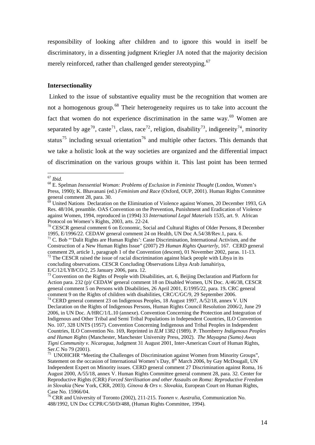responsibility of looking after children and to ignore this would in itself be discriminatory, in a dissenting judgment Kriegler JA noted that the majority decision merely reinforced, rather than challenged gender stereotyping.<sup>67</sup>

### **Intersectionality**

 Linked to the issue of substantive equality must be the recognition that women are not a homogenous group.<sup>68</sup> Their heterogeneity requires us to take into account the fact that women do not experience discrimination in the same way.<sup>69</sup> Women are separated by age<sup>70</sup>, caste<sup>71</sup>, class, race<sup>72</sup>, religion, disability<sup>73</sup>, indigeneity<sup>74</sup>, minority status<sup>75</sup> including sexual orientation<sup>76</sup> and multiple other factors. This demands that we take a holistic look at the way societies are organized and the differential impact of discrimination on the various groups within it. This last point has been termed

Construction of a New Human Rights Issue" (2007) 29 *Human Rights Quarterly,* 167. CERD general comment 29, article 1, paragraph 1 of the Convention (descent), 01 November 2002, paras. 11-13.  $\frac{72}{12}$  The CESCR raised the issue of racial discrimination against black people with Libya in its concluding observations. CESCR Concluding Observations Libya Arab Jamahiriya,

E/C/12/LYB/CO/2, 25 January 2006, para. 12.

<sup>73</sup> Convention on the Rights of People with Disabilities, art. 6, Beijing Declaration and Platform for Action para. 232 (p)/ CEDAW general comment 18 on Disabled Women, UN Doc. A/46/38, CESCR general comment 5 on Persons with Disabilities, 26 April 2001, E/1995/22, para. 19**.** CRC general comment 9 on the Rights of children with disabilities, CRC/C/GC/9, 29 September 2006.  $74$  CERD general comment 23 on Indigenous Peoples, 18 August 1997, A/52/18, annex V. UN

Declaration on the Rights of Indigenous Persons, Human Rights Council Resolution 2006/2, June 29 2006, in UN Doc. A/HRC/1/L.10 (annexe). Convention Concerning the Protection and Integration of Indigenous and Other Tribal and Semi Tribal Populations in Independent Countries, ILO Convention No. 107, 328 UNTS (1957). Convention Concerning Indigenous and Tribal Peoples in Independent Countries, ILO Convention No. 169, Reprinted in *ILM* 1382 (1989). P. Thornberry *Indigenous Peoples and Human Rights* (Manchester, Manchester University Press, 2002). *The Mayagna (Sumo) Awas Tigni Community v. Nicaragua,* Judgment 31 August 2001, Inter-American Court of Human Rights, Ser.C No 79 (2001).

<sup>75</sup> UNOHCHR "Meeting the Challenges of Discrimination against Women from Minority Groups", Statement on the occasion of International Women's Day, 8<sup>th</sup> March 2006, by Gay McDougall, UN Independent Expert on Minority issues. CERD general comment 27 Discrimination against Roma, 16 August 2000, A/55/18, annex V. Human Rights Committee general comment 28, para. 32. Center for Reproductive Rights (CRR) *Forced Sterilisation and other Assaults on Roma: Reproductive Freedom in Slovakia* (New York, CRR, 2003). *Ginova & Ors v. Slovakia,* European Court on Human Rights, Case No. 15966/04.

76 CRR and University of Toronto (2002), 211-215. *Toonen v. Australia,* Communication No. 488/1992, UN Doc CCPR/C/50/D/488, (Human Rights Committee, 1994).

 $67$  Ibid.

<sup>&</sup>lt;sup>68</sup> E. Spelman *Inessential Woman: Problems of Exclusion in Feminist Thought* (London, Women's Press, 1990); K. Bhavanani (ed.) *Feminism and Race* (Oxford, OUP, 2001). Human Rights Committee general comment 28, para. 30.

 $\delta^9$  United Nations Declaration on the Elimination of Violence against Women, 20 December 1993, GA Res. 48/104, preamble. OAS Convention on the Prevention, Punishment and Eradication of Violence against Women, 1994, reproduced in (1994) 33 *International Legal Materials* 1535, art. 9. African Protocol on Women's Rights, 2003, arts. 22-24.

<sup>&</sup>lt;sup>70</sup> CESCR general comment 6 on Economic, Social and Cultural Rights of Older Persons, 8 December 1995, E/1996/22. CEDAW general comment 24 on Health, UN Doc A.54/38/Rev.1, para. 6. 71 C. Bob "'Dalit Rights are Human Rights': Caste Discrimination, International Activism, and the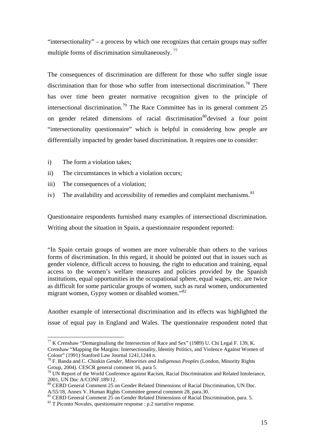"intersectionality" – a process by which one recognizes that certain groups may suffer multiple forms of discrimination simultaneously.<sup>77</sup>

The consequences of discrimination are different for those who suffer single issue discrimination than for those who suffer from intersectional discrimination.<sup>78</sup> There has over time been greater normative recognition given to the principle of intersectional discrimination.<sup>79</sup> The Race Committee has in its general comment 25 on gender related dimensions of racial discrimination<sup>80</sup>devised a four point "intersectionality questionnaire" which is helpful in considering how people are differentially impacted by gender based discrimination. It requires one to consider:

i) The form a violation takes;

<u>.</u>

- ii) The circumstances in which a violation occurs;
- iii) The consequences of a violation;
- iv) The availability and accessibility of remedies and complaint mechanisms.<sup>81</sup>

Questionnaire respondents furnished many examples of intersectional discrimination. Writing about the situation in Spain, a questionnaire respondent reported:

"In Spain certain groups of women are more vulnerable than others to the various forms of discrimination. In this regard, it should be pointed out that in issues such as gender violence, difficult access to housing, the right to education and training, equal access to the women's welfare measures and policies provided by the Spanish institutions, equal opportunities in the occupational sphere, equal wages, etc. are twice as difficult for some particular groups of women, such as rural women, undocumented migrant women, Gypsy women or disabled women."<sup>82</sup>

Another example of intersectional discrimination and its effects was highlighted the issue of equal pay in England and Wales. The questionnaire respondent noted that

 $^{77}$  K Crenshaw "Demarginalisng the Intersection of Race and Sex" (1989) U. Chi Legal F. 139, K. Crenshaw "Mapping the Margins: Intersectionality, Identity Politics, and Violence Against Women of Colour" (1991) Stanford Law Journal 1241,1244 n.

<sup>78</sup> F. Banda and C. Chinkin *Gender, Minorities and Indigenous Peoples* (London, Minority Rights Group, 2004). CESCR general comment 16, para 5.<br><sup>79</sup> UN Report of the World Conference against Racism, Racial Discrimination and Related Intolerance,

<sup>2001,</sup> UN Doc A/CONF.189/12.

<sup>&</sup>lt;sup>80</sup> CERD General Comment 25 on Gender Related Dimensions of Racial Discrimination, UN Doc. A/55/18, Annex V. Human Rights Committee general comment 28, para.30.

<sup>&</sup>lt;sup>81</sup> CERD General Comment 25 on Gender Related Dimensions of Racial Discrimination, para. 5.

 $82$  T. Piconto Novales, questionnaire response : p.2 narrative response.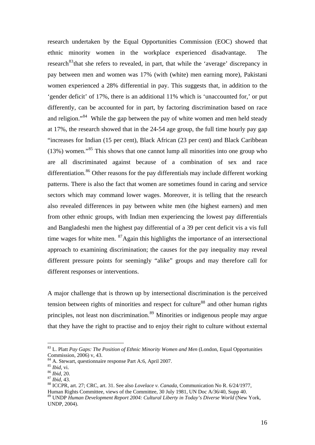research undertaken by the Equal Opportunities Commission (EOC) showed that ethnic minority women in the workplace experienced disadvantage. The research<sup>83</sup>that she refers to revealed, in part, that while the 'average' discrepancy in pay between men and women was 17% (with (white) men earning more), Pakistani women experienced a 28% differential in pay. This suggests that, in addition to the 'gender deficit' of 17%, there is an additional 11% which is 'unaccounted for,' or put differently, can be accounted for in part, by factoring discrimination based on race and religion."<sup>84</sup> While the gap between the pay of white women and men held steady at 17%, the research showed that in the 24-54 age group, the full time hourly pay gap "increases for Indian (15 per cent), Black African (23 per cent) and Black Caribbean  $(13%)$  women."<sup>85</sup> This shows that one cannot lump all minorities into one group who are all discriminated against because of a combination of sex and race differentiation.<sup>86</sup> Other reasons for the pay differentials may include different working patterns. There is also the fact that women are sometimes found in caring and service sectors which may command lower wages. Moreover, it is telling that the research also revealed differences in pay between white men (the highest earners) and men from other ethnic groups, with Indian men experiencing the lowest pay differentials and Bangladeshi men the highest pay differential of a 39 per cent deficit vis a vis full time wages for white men. <sup>87</sup>Again this highlights the importance of an intersectional approach to examining discrimination; the causes for the pay inequality may reveal different pressure points for seemingly "alike" groups and may therefore call for different responses or interventions.

A major challenge that is thrown up by intersectional discrimination is the perceived tension between rights of minorities and respect for culture<sup>88</sup> and other human rights principles, not least non discrimination.<sup>89</sup> Minorities or indigenous people may argue that they have the right to practise and to enjoy their right to culture without external

<sup>83</sup> L. Platt *Pay Gaps: The Position of Ethnic Minority Women and Men* (London, Equal Opportunities Commission, 2006) v, 43.

 $84$  A. Stewart, questionnaire response Part A:6, April 2007.<br>  $85$  *Ibid*, vi.

<sup>86</sup> *Ibid*, 20.<br><sup>87</sup> *Ibid*, 43.<br><sup>87</sup> *Ibid*, 43.<br><sup>88</sup> ICCPR, art. 27; CRC, art. 31. See also *Lovelace v. Canada*, Communication No R. 6/24/1977, Human Rights Committee, views of the Committee, 30 July 1981, UN Doc A/36/40, Supp 40. 89 UNDP *Human Development Report 2004: Cultural Liberty in Today's Diverse World* (New York, UNDP, 2004).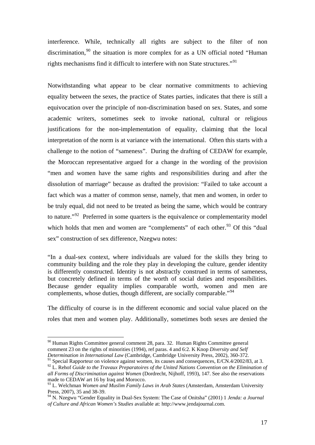interference. While, technically all rights are subject to the filter of non discrimination, $90$  the situation is more complex for as a UN official noted "Human" rights mechanisms find it difficult to interfere with non State structures."<sup>91</sup>

Notwithstanding what appear to be clear normative commitments to achieving equality between the sexes, the practice of States parties, indicates that there is still a equivocation over the principle of non-discrimination based on sex. States, and some academic writers, sometimes seek to invoke national, cultural or religious justifications for the non-implementation of equality, claiming that the local interpretation of the norm is at variance with the international. Often this starts with a challenge to the notion of "sameness". During the drafting of CEDAW for example, the Moroccan representative argued for a change in the wording of the provision "men and women have the same rights and responsibilities during and after the dissolution of marriage" because as drafted the provision: "Failed to take account a fact which was a matter of common sense, namely, that men and women, in order to be truly equal, did not need to be treated as being the same, which would be contrary to nature."<sup>92</sup> Preferred in some quarters is the equivalence or complementarity model which holds that men and women are "complements" of each other.<sup>93</sup> Of this "dual" sex" construction of sex difference, Nzegwu notes:

"In a dual-sex context, where individuals are valued for the skills they bring to community building and the role they play in developing the culture, gender identity is differently constructed. Identity is not abstractly construed in terms of sameness, but concretely defined in terms of the worth of social duties and responsibilities. Because gender equality implies comparable worth, women and men are complements, whose duties, though different, are socially comparable."<sup>94</sup>

The difficulty of course is in the different economic and social value placed on the roles that men and women play. Additionally, sometimes both sexes are denied the

<u>.</u>

 $90$  Human Rights Committee general comment 28, para. 32. Human Rights Committee general comment 23 on the rights of minorities (1994), ref paras. 4 and 6:2. K Knop *Diversity and Self Determination in International Law* (Cambridge, Cambridge University Press, 2002), 360-372.

 $91$  Special Rapporteur on violence against women, its causes and consequences, E/CN.4/2002/83, at 3. <sup>92</sup> L. Rehof *Guide to the Travaux Preparatoires of the United Nations Convention on the Elimination of all Forms of Discrimination against Women* (Dordrecht, Nijhoff, 1993), 147. See also the reservations made to CEDAW art 16 by Iraq and Morocco.

<sup>&</sup>lt;sup>93</sup> L. Welchman *Women and Muslim Family Laws in Arab States* (Amsterdam, Amsterdam University Press, 2007), 35 and 38-39.

<sup>94</sup> N. Nzegwu "Gender Equality in Dual-Sex System: The Case of Onitsha" (2001) 1 *Jenda: a Journal of Culture and African Women's Studies* available at: http://www.jendajournal.com.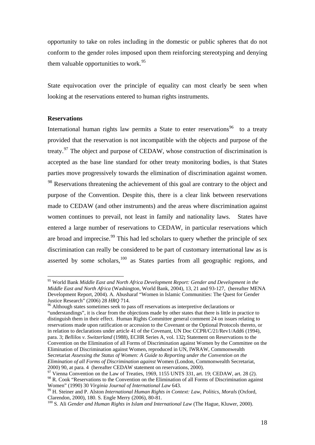opportunity to take on roles including in the domestic or public spheres that do not conform to the gender roles imposed upon them reinforcing stereotyping and denying them valuable opportunities to work.<sup>95</sup>

State equivocation over the principle of equality can most clearly be seen when looking at the reservations entered to human rights instruments.

### **Reservations**

1

International human rights law permits a State to enter reservations<sup>96</sup> to a treaty provided that the reservation is not incompatible with the objects and purpose of the treaty.<sup>97</sup> The object and purpose of CEDAW, whose construction of discrimination is accepted as the base line standard for other treaty monitoring bodies, is that States parties move progressively towards the elimination of discrimination against women. <sup>98</sup> Reservations threatening the achievement of this goal are contrary to the object and purpose of the Convention. Despite this, there is a clear link between reservations made to CEDAW (and other instruments) and the areas where discrimination against women continues to prevail, not least in family and nationality laws. States have entered a large number of reservations to CEDAW, in particular reservations which are broad and imprecise.<sup>99</sup> This had led scholars to query whether the principle of sex discrimination can really be considered to be part of customary international law as is asserted by some scholars, $100$  as States parties from all geographic regions, and

<sup>95</sup> World Bank *Middle East and North Africa Development Report: Gender and Development in the Middle East and North Africa* (Washington, World Bank, 2004), 13, 21 and 93-127, (hereafter MENA Development Report, 2004). A. Abusharaf "Women in Islamic Communities: The Quest for Gender Justice Research" (2006) 28 HRQ 714.

<sup>&</sup>lt;sup>96</sup> Although states sometimes seek to pass off reservations as interpretive declarations or "understandings", it is clear from the objections made by other states that there is little in practice to distinguish them in their effect. Human Rights Committee general comment 24 on issues relating to reservations made upon ratification or accession to the Covenant or the Optional Protocols thereto, or in relation to declarations under article 41 of the Covenant, UN Doc CCPR/C/21/Rev1/Add6 (1994), para. 3; *Bellilos v. Switzerland* (1988), ECHR Series A, vol. 132**;** Statement on Reservations to the Convention on the Elimination of all Forms of Discrimination against Women by the Committee on the Elimination of Discrimination against Women, reproduced in UN, IWRAW, Commonwealth Secretariat *Assessing the Status of Women: A Guide to Reporting under the Convention on the Elimination of all Forms of Discrimination against* Women (London, Commonwealth Secretariat, 2000) 90, at para. 4 (hereafter CEDAW statement on reservations, 2000). 97 Vienna Convention on the Law of Treaties, 1969, 1155 UNTS 331, art. 19; CEDAW, art. 28 (2).

<sup>&</sup>lt;sup>98</sup> R. Cook "Reservations to the Convention on the Elimination of all Forms of Discrimination against Women" (1990) 30 *Virginia Journal of International Law* 643.<br><sup>99</sup> H. Steiner and P. Alston *International Human Rights in Context: Law, Politics, Morals* (Oxford,

Clarendon, 2000), 180. S. Engle Merry (2006), 80-81.

<sup>100</sup> S. Ali *Gender and Human Rights in Islam and International Law* (The Hague, Kluwer, 2000).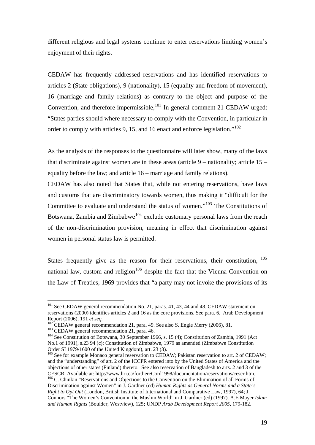different religious and legal systems continue to enter reservations limiting women's enjoyment of their rights.

CEDAW has frequently addressed reservations and has identified reservations to articles 2 (State obligations), 9 (nationality), 15 (equality and freedom of movement), 16 (marriage and family relations) as contrary to the object and purpose of the Convention, and therefore impermissible, $101$  In general comment 21 CEDAW urged: "States parties should where necessary to comply with the Convention, in particular in order to comply with articles 9, 15, and 16 enact and enforce legislation."<sup>102</sup>

As the analysis of the responses to the questionnaire will later show, many of the laws that discriminate against women are in these areas (article  $9$  – nationality; article  $15$  – equality before the law; and article 16 – marriage and family relations).

CEDAW has also noted that States that, while not entering reservations, have laws and customs that are discriminatory towards women, thus making it "difficult for the Committee to evaluate and understand the status of women."103 The Constitutions of Botswana, Zambia and Zimbabwe<sup>104</sup> exclude customary personal laws from the reach of the non-discrimination provision, meaning in effect that discrimination against women in personal status law is permitted.

States frequently give as the reason for their reservations, their constitution, 105 national law, custom and religion<sup>106</sup> despite the fact that the Vienna Convention on the Law of Treaties, 1969 provides that "a party may not invoke the provisions of its

<u>.</u>

<sup>&</sup>lt;sup>101</sup> See CEDAW general recommendation No. 21, paras. 41, 43, 44 and 48. CEDAW statement on reservations (2000) identifies articles 2 and 16 as the core provisions. See para. 6,Arab Development Report (2006), 191 *et seq.*<br><sup>102</sup> CEDAW general recommendation 21, para. 49. See also S. Engle Merry (2006), 81.<br><sup>103</sup> CEDAW general recommendation 21, para. 46.<br><sup>103</sup> See Constitution of Botswana, 30 September 1966, s.

No.1 of 1991), s.23 94 (c); Constitution of Zimbabwe, 1979 as amended (Zimbabwe Constitution Order SI 1979/1600 of the United Kingdom), art. 23 (3).

<sup>&</sup>lt;sup>105</sup> See for example Monaco general reservation to CEDAW; Pakistan reservation to art. 2 of CEDAW; and the "understanding" of art. 2 of the ICCPR entered into by the United States of America and the objections of other states (Finland) thereto. See also reservation of Bangladesh to arts. 2 and 3 of the

 $106$  C. Chinkin "Reservations and Objections to the Convention on the Elimination of all Forms of Discrimination against Women" in J. Gardner (ed) *Human Rights as General Norms and a State's Right to Opt Out* (London, British Institute of International and Comparative Law, 1997), 64; J. Connors "The Women's Convention in the Muslim World" in J. Gardner (ed) (1997). A.E Mayer *Islam and Human Rights* (Boulder, Westview), 125**;** UNDP *Arab Development Report 2005,* 179-182.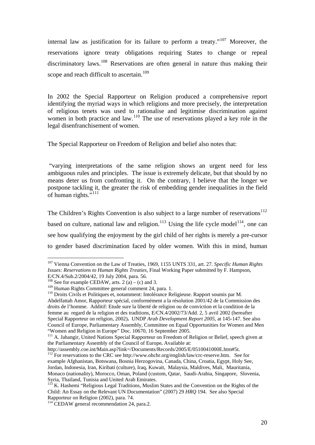internal law as justification for its failure to perform a treaty."107 Moreover, the reservations ignore treaty obligations requiring States to change or repeal discriminatory laws.<sup>108</sup> Reservations are often general in nature thus making their scope and reach difficult to ascertain.<sup>109</sup>

In 2002 the Special Rapporteur on Religion produced a comprehensive report identifying the myriad ways in which religions and more precisely, the interpretation of religious tenets was used to rationalise and legitimise discrimination against women in both practice and law.<sup>110</sup> The use of reservations played a key role in the legal disenfranchisement of women.

The Special Rapporteur on Freedom of Religion and belief also notes that:

 "varying interpretations of the same religion shows an urgent need for less ambiguous rules and principles. The issue is extremely delicate, but that should by no means deter us from confronting it. On the contrary, I believe that the longer we postpone tackling it, the greater the risk of embedding gender inequalities in the field of human rights."<sup>5111</sup>

The Children's Rights Convention is also subject to a large number of reservations<sup>112</sup> based on culture, national law and religion.<sup>113</sup> Using the life cycle model<sup>114</sup>, one can see how qualifying the enjoyment by the girl child of her rights is merely a pre-cursor to gender based discrimination faced by older women. With this in mind, human

<sup>1</sup> 107 Vienna Convention on the Law of Treaties, 1969, 1155 UNTS 331, art. 27. *Specific Human Rights Issues: Reservations to Human Rights Treaties,* Final Working Paper submitted by F. Hampson, E/CN.4/Sub.2/2004/42, 19 July 2004, para. 56.

<sup>&</sup>lt;sup>108</sup> See for example CEDAW, arts. 2 (a) – (c) and 3.<br><sup>109</sup> Human Rights Committee general comment 24, para. 1.

<sup>&</sup>lt;sup>110</sup> Droits Civils et Politiques et, notamment: Intolérance Religieuse. Rapport soumis par M. Abdelfattah Amor, Rapporteur spécial, conformément a la résolution 2001/42 de la Commission des droits de l'homme. Additif: Etude sure la liberté de religion ou de conviction et la condition de la femme au regard de la religion et des traditions, E/CN.4/2002/73/Add. 2, 5 avril 2002 (hereafter Special Rapporteur on religion, 2002)**.** UNDP *Arab Development Report 2005,* at 145-147. See also Council of Europe, Parliamentary Assembly, Committee on Equal Opportunities for Women and Men "Women and Religion in Europe" Doc. 10670, 16 September 2005.

<sup>&</sup>lt;sup>111</sup> A. Jahangir, United Nations Special Rapporteur on Freedom of Religion or Belief, speech given at the Parliamentary Assembly of the Council of Europe**.** Available at:

http://assembly.coe.int/Main.asp?link=/Documents/Records/2005/E/0510041000E.htm#5t.

 $^{112}$  For reservations to the CRC see http://www.ohchr.org/english/law/crc-reserve.htm. See for example Afghanistan, Botswana, Bosnia Herzogovina, Canada, China, Croatia, Egypt, Holy See, Jordan, Indonesia, Iran, Kiribati (culture), Iraq, Kuwait, Malaysia, Maldives, Mali, Mauritania, Monaco (nationality), Morocco, Oman, Poland (custom, Qatar, Saudi-Arabia, Singapore, Slovenia, Syria, Thailand, Tunisia and United Arab Emirates.

 $113$  K. Hashemi "Religious Legal Traditions, Muslim States and the Convention on the Rights of the Child: An Essay on the Relevant UN Documentation" (2007) 29 *HRQ* 194. See also Special Rapporteur on Religion (2002), para. 74.

<sup>&</sup>lt;sup>114</sup> CEDAW general recommendation 24, para.2.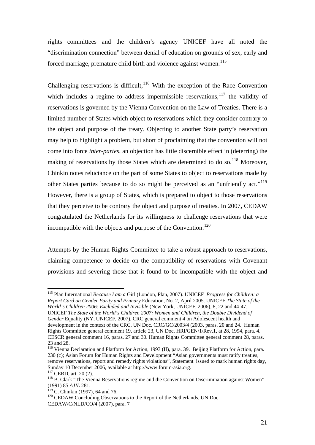rights committees and the children's agency UNICEF have all noted the "discrimination connection" between denial of education on grounds of sex, early and forced marriage, premature child birth and violence against women.<sup>115</sup>

Challenging reservations is difficult, $116$  With the exception of the Race Convention which includes a regime to address impermissible reservations.<sup>117</sup> the validity of reservations is governed by the Vienna Convention on the Law of Treaties. There is a limited number of States which object to reservations which they consider contrary to the object and purpose of the treaty. Objecting to another State party's reservation may help to highlight a problem, but short of proclaiming that the convention will not come into force *inter-partes*, an objection has little discernible effect in (deterring) the making of reservations by those States which are determined to do so.<sup>118</sup> Moreover, Chinkin notes reluctance on the part of some States to object to reservations made by other States parties because to do so might be perceived as an "unfriendly act."<sup>119</sup> However, there is a group of States, which is prepared to object to those reservations that they perceive to be contrary the object and purpose of treaties. In 2007**,** CEDAW congratulated the Netherlands for its willingness to challenge reservations that were incompatible with the objects and purpose of the Convention.<sup>120</sup>

Attempts by the Human Rights Committee to take a robust approach to reservations, claiming competence to decide on the compatibility of reservations with Covenant provisions and severing those that it found to be incompatible with the object and

115 Plan International *Because I am a* Girl (London, Plan, 2007). UNICEF *Progress for Children: a Report Card on Gender Parity and Primary* Education, No. 2, April 2005. UNICEF *The State of the World's Children 2006: Excluded and Invisible* (New York, UNICEF, 2006), 8, 22 and 44-47. UNICEF *The State of the World's Children 2007: Women and Children, the Double Dividend of Gender* Equality (NY, UNICEF, 2007). CRC general comment 4 on Adolescent health and development in the context of the CRC, UN Doc. CRC/GC/2003/4 (2003, paras. 20 and 24. Human Rights Committee general comment 19, article 23, UN Doc. HRI/GEN/1/Rev.1, at 28, 1994, para. 4. CESCR general comment 16, paras. 27 and 30. Human Rights Committee general comment 28, paras. 23 and 28.

116 Vienna Declaration and Platform for Action, 1993 (II), para. 39.Beijing Platform for Action, para. 230 (c); Asian Forum for Human Rights and Development "Asian governments must ratify treaties, remove reservations, report and remedy rights violations", Statement issued to mark human rights day, Sunday 10 December 2006, available at http://www.forum-asia.org.<br><sup>117</sup> CERD, art. 20 (2).

 $118$  B. Clark "The Vienna Reservations regime and the Convention on Discrimination against Women" (1991) 85 *AJIL* 281.

<sup>&</sup>lt;sup>120</sup> CEDAW Concluding Observations to the Report of the Netherlands, UN Doc. CEDAW/C/NLD/CO/4 (2007), para. 7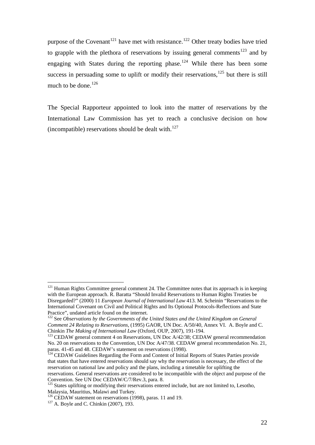purpose of the Covenant<sup>121</sup> have met with resistance.<sup>122</sup> Other treaty bodies have tried to grapple with the plethora of reservations by issuing general comments<sup>123</sup> and by engaging with States during the reporting phase.<sup>124</sup> While there has been some success in persuading some to uplift or modify their reservations, $125$  but there is still much to be done. $126$ 

The Special Rapporteur appointed to look into the matter of reservations by the International Law Commission has yet to reach a conclusive decision on how (incompatible) reservations should be dealt with. $127$ 

<u>.</u>

 $121$  Human Rights Committee general comment 24. The Committee notes that its approach is in keeping with the European approach. R. Baratta "Should Invalid Reservations to Human Rights Treaties be Disregarded?" (2000) 11 *European Journal of International Law* 413. M. Scheinin "Reservations to the International Covenant on Civil and Political Rights and Its Optional Protocols-Reflections and State Practice", undated article found on the internet.

<sup>&</sup>lt;sup>122</sup> See *Observations by the Governments of the United States and the United Kingdom on General Comment 24 Relating to Reservations,* (1995) GAOR, UN Doc. A/50/40, Annex VI.A. Boyle and C. Chinkin *The Making of International Law* (Oxford, OUP, 2007), 191-194.<br><sup>123</sup> CEDAW general comment 4 on Reservations, UN Doc A/42/38; CEDAW general recommendation

No. 20 on reservations to the Convention, UN Doc A/47/38. CEDAW general recommendation No. 21, paras. 41-45 and 48. CEDAW's statement on reservations (1998).

<sup>&</sup>lt;sup>124</sup> CEDAW Guidelines Regarding the Form and Content of Initial Reports of States Parties provide that states that have entered reservations should say why the reservation is necessary, the effect of the reservation on national law and policy and the plans, including a timetable for uplifting the reservations. General reservations are considered to be incompatible with the object and purpose of the Convention. See UN Doc CEDAW/C/7/Rev.3, para. 8.

<sup>&</sup>lt;sup>125</sup> States uplifting or modifying their reservations entered include, but are not limited to, Lesotho, Malaysia, Mauritius, Malawi and Turkey.

<sup>&</sup>lt;sup>126</sup> CEDAW statement on reservations (1998), paras. 11 and 19. <sup>127</sup> A. Boyle and C. Chinkin (2007), 193.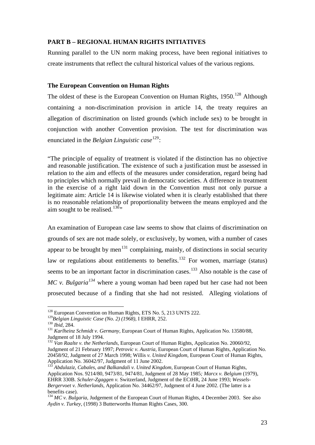### **PART B – REGIONAL HUMAN RIGHTS INITIATIVES**

Running parallel to the UN norm making process, have been regional initiatives to create instruments that reflect the cultural historical values of the various regions.

#### **The European Convention on Human Rights**

The oldest of these is the European Convention on Human Rights,  $1950$ .<sup>128</sup> Although containing a non-discrimination provision in article 14, the treaty requires an allegation of discrimination on listed grounds (which include sex) to be brought in conjunction with another Convention provision. The test for discrimination was enunciated in the *Belgian Linguistic case*<sup>129</sup>:

"The principle of equality of treatment is violated if the distinction has no objective and reasonable justification. The existence of such a justification must be assessed in relation to the aim and effects of the measures under consideration, regard being had to principles which normally prevail in democratic societies. A difference in treatment in the exercise of a right laid down in the Convention must not only pursue a legitimate aim: Article 14 is likewise violated when it is clearly established that there is no reasonable relationship of proportionality between the means employed and the aim sought to be realised.<sup>130</sup>",

An examination of European case law seems to show that claims of discrimination on grounds of sex are not made solely, or exclusively, by women, with a number of cases appear to be brought by men<sup>131</sup> complaining, mainly, of distinctions in social security law or regulations about entitlements to benefits.<sup>132</sup> For women, marriage (status) seems to be an important factor in discrimination cases.<sup>133</sup> Also notable is the case of *MC v. Bulgaria*<sup>134</sup> where a young woman had been raped but her case had not been prosecuted because of a finding that she had not resisted. Alleging violations of

<sup>&</sup>lt;sup>128</sup> European Convention on Human Rights, ETS No. 5, 213 UNTS 222.<br><sup>129</sup>Belgian Linguistic Case (No. 2) (1968), I EHRR, 252.

<sup>130</sup> *Ibid, 284.*<br><sup>130</sup> *Ibid, 284. Case (No. 6)* (*No. 6) Ibid, 284.* 131 *Karlheinz Schmidt v. Germany, European Court of Human Rights, Application No. 13580/88,* Judgment of 18 July 1994.

<sup>132</sup> *Van Raalte v. the Netherlands,* European Court of Human Rights, Application No. 20060/92, Judgment of 21 February 1997; *Petrovic v. Austria,* European Court of Human Rights, Application No. 20458/92, Judgment of 27 March 1998; Willis *v. United Kingdom,* European Court of Human Rights, Application No. 36042/97, Judgment of 11 June 2002.

<sup>&</sup>lt;sup>133</sup> Abdulaziz, Cabales, and Balkandali v. United Kingdom, European Court of Human Rights, Application Nos. 9214/80, 9473/81, 9474/81, Judgment of 28 May 1985*; Marcx v. Belgium* (1979), EHRR 330B. *Schuler-Zgaggen v.* Switzerland, Judgment of the ECtHR, 24 June 1993; *Wessels-Bergervoet v. Netherlands,* Application No. 34462/97, Judgment of 4 June 2002. (The latter is a benefits case).

<sup>&</sup>lt;sup>134</sup> *MC v. Bulgaria, Judgement of the European Court of Human Rights, 4 December 2003. See also Aydin v. Turkey,* (1998) 3 Butterworths Human Rights Cases, 300.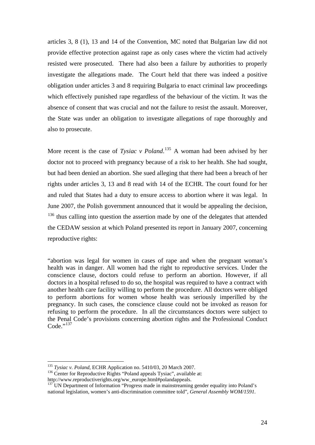articles 3, 8 (1), 13 and 14 of the Convention, MC noted that Bulgarian law did not provide effective protection against rape as only cases where the victim had actively resisted were prosecuted. There had also been a failure by authorities to properly investigate the allegations made. The Court held that there was indeed a positive obligation under articles 3 and 8 requiring Bulgaria to enact criminal law proceedings which effectively punished rape regardless of the behaviour of the victim. It was the absence of consent that was crucial and not the failure to resist the assault. Moreover, the State was under an obligation to investigate allegations of rape thoroughly and also to prosecute.

More recent is the case of *Tysiac v Poland*.<sup>135</sup> A woman had been advised by her doctor not to proceed with pregnancy because of a risk to her health. She had sought, but had been denied an abortion. She sued alleging that there had been a breach of her rights under articles 3, 13 and 8 read with 14 of the ECHR. The court found for her and ruled that States had a duty to ensure access to abortion where it was legal. In June 2007, the Polish government announced that it would be appealing the decision, <sup>136</sup> thus calling into question the assertion made by one of the delegates that attended the CEDAW session at which Poland presented its report in January 2007, concerning reproductive rights:

"abortion was legal for women in cases of rape and when the pregnant woman's health was in danger. All women had the right to reproductive services. Under the conscience clause, doctors could refuse to perform an abortion. However, if all doctors in a hospital refused to do so, the hospital was required to have a contract with another health care facility willing to perform the procedure. All doctors were obliged to perform abortions for women whose health was seriously imperilled by the pregnancy. In such cases, the conscience clause could not be invoked as reason for refusing to perform the procedure. In all the circumstances doctors were subject to the Penal Code's provisions concerning abortion rights and the Professional Conduct  $Code.$ <sup>''137</sup>

<sup>&</sup>lt;sup>135</sup> Tysiac v. Poland, ECHR Application no. 5410/03, 20 March 2007.

<sup>&</sup>lt;sup>136</sup> Center for Reproductive Rights "Poland appeals Tysiac", available at:<br>http://www.reproductiverights.org/ww\_europe.html#polandappeals.

 $\frac{137}{137}$  UN Department of Information "Progress made in mainstreaming gender equality into Poland's national legislation, women's anti-discrimination committee told", *General Assembly WOM/1591.*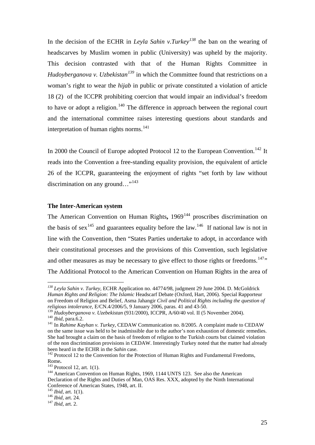In the decision of the ECHR in *Leyla Sahin v.Turkey<sup>138</sup>* the ban on the wearing of headscarves by Muslim women in public (University) was upheld by the majority. This decision contrasted with that of the Human Rights Committee in *Hudoyberganova v. Uzbekistan*<sup>139</sup> in which the Committee found that restrictions on a woman's right to wear the *hijab* in public or private constituted a violation of article 18 (2) of the ICCPR prohibiting coercion that would impair an individual's freedom to have or adopt a religion.<sup>140</sup> The difference in approach between the regional court and the international committee raises interesting questions about standards and interpretation of human rights norms.<sup>141</sup>

In 2000 the Council of Europe adopted Protocol 12 to the European Convention.<sup>142</sup> It reads into the Convention a free-standing equality provision, the equivalent of article 26 of the ICCPR, guaranteeing the enjoyment of rights "set forth by law without discrimination on any ground..."<sup>143</sup>

#### **The Inter-American system**

The American Convention on Human Rights, 1969<sup>144</sup> proscribes discrimination on the basis of sex<sup>145</sup> and guarantees equality before the law.<sup>146</sup> If national law is not in line with the Convention, then "States Parties undertake to adopt, in accordance with their constitutional processes and the provisions of this Convention, such legislative and other measures as may be necessary to give effect to those rights or freedoms.<sup>147</sup>" The Additional Protocol to the American Convention on Human Rights in the area of

<u>.</u>

*<sup>138</sup> Leyla Sahin v. Turkey,* ECHR Application no. 44774/98, judgment 29 June 2004. D. McGoldrick *Human Rights and Religion: The Islamic* Headscarf Debate (Oxford, Hart, 2006). Special Rapporteur on Freedom of Religion and Belief, Asma Jahangir *Civil and Political Rights including the question of religious intolerance,* E/CN.4/2006/5, 9 January 2006, paras. 41 and 43-50.

<sup>&</sup>lt;sup>140</sup> *Ibid, para.6.2.*<br><sup>141</sup> In *Rahime Kayhan v. Turkey,* CEDAW Communication no. 8/2005. A complaint made to CEDAW on the same issue was held to be inadmissible due to the author's non exhaustion of domestic remedies. She had brought a claim on the basis of freedom of religion to the Turkish courts but claimed violation of the non discrimination provisions in CEDAW. Interestingly Turkey noted that the matter had already

been heard in the ECHR in the *Sahin* case.<br><sup>142</sup> Protocol 12 to the Convention for the Protection of Human Rights and Fundamental Freedoms,<br>Rome.

<sup>&</sup>lt;sup>143</sup> Protocol 12, art. 1(1). <sup>144</sup> American Convention on Human Rights, 1969, 1144 UNTS 123. See also the American Declaration of the Rights and Duties of Man, OAS Res. XXX, adopted by the Ninth International Conference of American States, 1948, art. II. 145 *Ibid,* art. 1(1). 146 *Ibid,* art. 24. <sup>147</sup> *Ibid,* art. 2.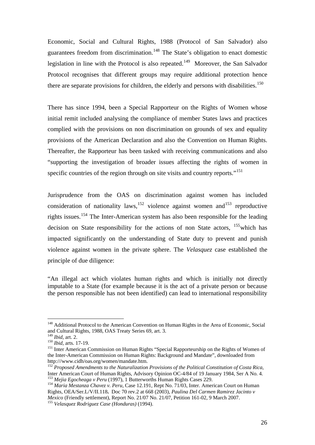Economic, Social and Cultural Rights, 1988 (Protocol of San Salvador) also guarantees freedom from discrimination.<sup>148</sup> The State's obligation to enact domestic legislation in line with the Protocol is also repeated.<sup>149</sup> Moreover, the San Salvador Protocol recognises that different groups may require additional protection hence there are separate provisions for children, the elderly and persons with disabilities.<sup>150</sup>

There has since 1994, been a Special Rapporteur on the Rights of Women whose initial remit included analysing the compliance of member States laws and practices complied with the provisions on non discrimination on grounds of sex and equality provisions of the American Declaration and also the Convention on Human Rights. Thereafter, the Rapporteur has been tasked with receiving communications and also "supporting the investigation of broader issues affecting the rights of women in specific countries of the region through on site visits and country reports."<sup>151</sup>

Jurisprudence from the OAS on discrimination against women has included consideration of nationality laws,<sup>152</sup> violence against women and<sup>153</sup> reproductive rights issues.154 The Inter-American system has also been responsible for the leading decision on State responsibility for the actions of non State actors,  $155$  which has impacted significantly on the understanding of State duty to prevent and punish violence against women in the private sphere. The *Velasquez* case established the principle of due diligence:

"An illegal act which violates human rights and which is initially not directly imputable to a State (for example because it is the act of a private person or because the person responsible has not been identified) can lead to international responsibility

<u>.</u>

<sup>&</sup>lt;sup>148</sup> Additional Protocol to the American Convention on Human Rights in the Area of Economic, Social and Cultural Rights, 1988, OAS Treaty Series 69, art. 3.

<sup>150</sup> *Ibid,* art. 2.<br><sup>150</sup> *Ibid,* arts. 17-19.<br><sup>151</sup> Inter American Commission on Human Rights "Special Rapporteurship on the Rights of Women of the Inter-American Commission on Human Rights: Background and Mandate", downloaded from http:///www.cidh/oas.org/women/mandate.htm.

<sup>152</sup> *Proposed Amendments to the Naturalization Provisions of the Political Constitution of Costa Rica*, Inter American Court of Human Rights, Advisory Opinion OC-4/84 of 19 January 1984, Ser A No. 4.<br><sup>153</sup> Meija Egocheaga v Peru (1997). 1 Butterworths Human Rights Cases 229.

<sup>&</sup>lt;sup>154</sup> *Maria Mestanza Chavez v. Peru, Case 12.191*, Rept No. 71/03, Inter. American Court on Human Rights, OEA/Ser.L/V/II.118**.** Doc 70 rev.2 at 668 (2003), *Paulina Del Carmen Ramirez Jacinto v Mexico* (Friendly settlement), Report No. 21/07 No. 21/07, Petition 161-02, 9 March 2007. 155 *Velasquez Rodriguez Case (Honduras)* (1994).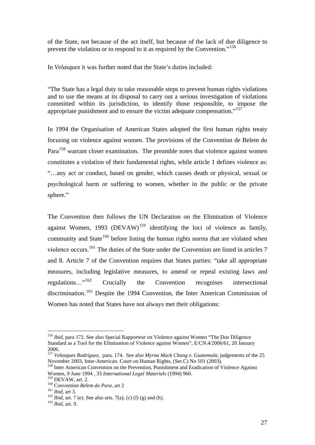of the State, not because of the act itself, but because of the lack of due diligence to prevent the violation or to respond to it as required by the Convention."<sup>156</sup>

In *Velasquez* it was further noted that the State's duties included:

"The State has a legal duty to take reasonable steps to prevent human rights violations and to use the means at its disposal to carry out a serious investigation of violations committed within its jurisdiction, to identify those responsible, to impose the appropriate punishment and to ensure the victim adequate compensation."<sup>157</sup>

In 1994 the Organisation of American States adopted the first human rights treaty focusing on violence against women. The provisions of the Convention de Belem do Para<sup>158</sup> warrant closer examination. The preamble notes that violence against women constitutes a violation of their fundamental rights, while article 1 defines violence as: "…any act or conduct, based on gender, which causes death or physical, sexual or psychological harm or suffering to women, whether in the public or the private sphere."

The Convention then follows the UN Declaration on the Elimination of Violence against Women, 1993 (DEVAW)<sup>159</sup> identifying the loci of violence as family, community and State<sup>160</sup> before listing the human rights norms that are violated when violence occurs.161 The duties of the State under the Convention are listed in articles 7 and 8. Article 7 of the Convention requires that States parties: "take all appropriate measures, including legislative measures, to amend or repeal existing laws and regulations…"162 Crucially the Convention recognises intersectional discrimination.<sup>163</sup> Despite the 1994 Convention, the Inter American Commission of Women has noted that States have not always met their obligations:

<sup>&</sup>lt;sup>156</sup> *Ibid*, para 172. See also Special Rapporteur on Violence against Women "The Due Diligence" Standard as a Tool for the Elimination of Violence against Women", E/CN.4/2006/61, 20 January 2006.

<sup>157</sup> *Velasquez Rodriguez,* para. 174. See also *Myrna Mack Chang v. Guatemala,* judgements of the 25 November 2003, Inter-American. Court on Human Rights, (Ser.C) No 101 (2003).

<sup>&</sup>lt;sup>158</sup> Inter American Convention on the Prevention, Punishment and Eradication of Violence Against Women, 9 June 1994 , 33 *International Legal Materials* (1994) 960.

<sup>&</sup>lt;sup>160</sup> Convention *Belem do Para*, art 2<br><sup>161</sup> *Ibid*, art 3.<br><sup>162</sup> *Ibid*, art. 7 (e). See also arts. 7(a), (c) (f) (g) and (h).<br><sup>163</sup> *Ibid*, art. 9.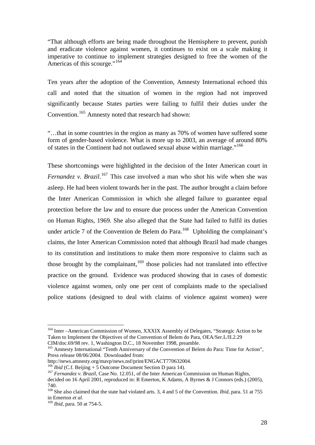"That although efforts are being made throughout the Hemisphere to prevent, punish and eradicate violence against women, it continues to exist on a scale making it imperative to continue to implement strategies designed to free the women of the Americas of this scourge."<sup>164</sup>

Ten years after the adoption of the Convention, Amnesty International echoed this call and noted that the situation of women in the region had not improved significantly because States parties were failing to fulfil their duties under the Convention.<sup>165</sup> Amnesty noted that research had shown:

"…that in some countries in the region as many as 70% of women have suffered some form of gender-based violence. What is more up to 2003, an average of around 80% of states in the Continent had not outlawed sexual abuse within marriage."166

These shortcomings were highlighted in the decision of the Inter American court in *Fernandez v. Brazil*. 167 This case involved a man who shot his wife when she was asleep. He had been violent towards her in the past. The author brought a claim before the Inter American Commission in which she alleged failure to guarantee equal protection before the law and to ensure due process under the American Convention on Human Rights, 1969*.* She also alleged that the State had failed to fulfil its duties under article 7 of the Convention de Belem do Para.<sup>168</sup> Upholding the complainant's claims, the Inter American Commission noted that although Brazil had made changes to its constitution and institutions to make them more responsive to claims such as those brought by the complainant, $169$  those policies had not translated into effective practice on the ground. Evidence was produced showing that in cases of domestic violence against women, only one per cent of complaints made to the specialised police stations (designed to deal with claims of violence against women) were

<sup>&</sup>lt;sup>164</sup> Inter –American Commission of Women, XXXIX Assembly of Delegates, "Strategic Action to be Taken to Implement the Objectives of the Convention of Belem do Para, OEA/Ser.L/II.2.29 CIM/doc.69/98 rev. 1, Washington D.C., 18 November 1998, preamble.

<sup>&</sup>lt;sup>165</sup> Amnesty International "Tenth Anniversary of the Convention of Belem do Para: Time for Action", Press release 08/06/2004. Downloaded from:

http://news.amnesty.org/mavp/news.nsf/print/ENGACT770632004.<br><sup>166</sup> *Ibid* (C.f. Beijing + 5 Outcome Document Section D para 14).

<sup>&</sup>lt;sup>167</sup> *Fernandez v. Brazil*, Case No. 12.051, of the Inter American Commission on Human Rights,

decided on 16 April 2001, reproduced in: R Emerton, K Adams, A Byrnes & J Connors (eds.) (2005), 740.

<sup>&</sup>lt;sup>168</sup> She also claimed that the state had violated arts. 3, 4 and 5 of the Convention. *Ibid*, para. 51 at 755 in Emerton *et al*. 169 *Ibid,* para. 50 at 754-5.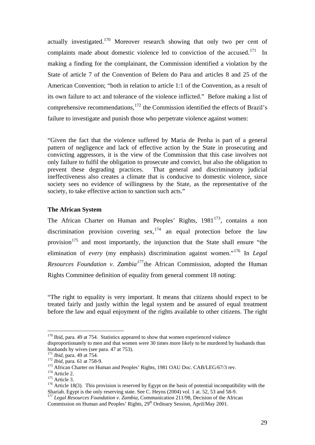actually investigated.170 Moreover research showing that only two per cent of complaints made about domestic violence led to conviction of the accused.<sup>171</sup> In making a finding for the complainant, the Commission identified a violation by the State of article 7 of the Convention of Belem do Para and articles 8 and 25 of the American Convention; "both in relation to article 1:1 of the Convention, as a result of its own failure to act and tolerance of the violence inflicted." Before making a list of comprehensive recommendations,  $^{172}$  the Commission identified the effects of Brazil's failure to investigate and punish those who perpetrate violence against women:

"Given the fact that the violence suffered by Maria de Penha is part of a general pattern of negligence and lack of effective action by the State in prosecuting and convicting aggressors, it is the view of the Commission that this case involves not only failure to fulfil the obligation to prosecute and convict, but also the obligation to prevent these degrading practices. That general and discriminatory judicial ineffectiveness also creates a climate that is conducive to domestic violence, since society sees no evidence of willingness by the State, as the representative of the society, to take effective action to sanction such acts."

## **The African System**

The African Charter on Human and Peoples' Rights, 1981<sup>173</sup>, contains a non discrimination provision covering sex,  $174$  an equal protection before the law provision<sup>175</sup> and most importantly, the injunction that the State shall ensure "the elimination of *every* (my emphasis) discrimination against women."<sup>176</sup> In *Legal Resources Foundation v. Zambia<sup>177</sup>*the African Commission, adopted the Human Rights Committee definition of equality from general comment 18 noting:

"The right to equality is very important. It means that citizens should expect to be treated fairly and justly within the legal system and be assured of equal treatment before the law and equal enjoyment of the rights available to other citizens. The right

 $170$  Ibid, para. 49 at 754. Statistics appeared to show that women experienced violence

disproportionately to men and that women were 30 times more likely to be murdered by husbands than husbands by wives (see para. 47 at 753).<br><sup>171</sup> Ibid, para. 49 at 754.

<sup>&</sup>lt;sup>172</sup> *Ibid*, para. 61 at 758-9.<br><sup>173</sup> African Charter on Human and Peoples' Rights, 1981 OAU Doc. CAB/LEG/67/3 rev.<br><sup>174</sup> Article 2.<br><sup>174</sup> Article 3.<br><sup>176</sup> Article 18(3). This provision is reserved by Egypt on the basis Shariah. Egypt is the only reserving state. See C. Heyns (2004) vol. 1 at. 52, 53 and 58-9.

<sup>177</sup> *Legal Resources Foundation v. Zambia,* Communication 211/98, Decision of the African

Commission on Human and Peoples' Rights, 29<sup>th</sup> Ordinary Session, April/May 2001.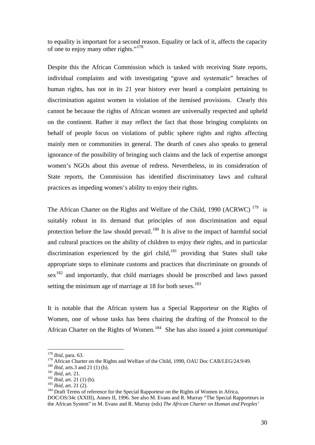to equality is important for a second reason. Equality or lack of it, affects the capacity of one to enjoy many other rights."<sup>178</sup>

Despite this the African Commission which is tasked with receiving State reports, individual complaints and with investigating "grave and systematic" breaches of human rights, has not in its 21 year history ever heard a complaint pertaining to discrimination against women in violation of the itemised provisions. Clearly this cannot be because the rights of African women are universally respected and upheld on the continent. Rather it may reflect the fact that those bringing complaints on behalf of people focus on violations of public sphere rights and rights affecting mainly men or communities in general. The dearth of cases also speaks to general ignorance of the possibility of bringing such claims and the lack of expertise amongst women's NGOs about this avenue of redress. Nevertheless, in its consideration of State reports, the Commission has identified discriminatory laws and cultural practices as impeding women's ability to enjoy their rights.

The African Charter on the Rights and Welfare of the Child, 1990 (ACRWC)  $^{179}$  is suitably robust in its demand that principles of non discrimination and equal protection before the law should prevail.<sup>180</sup> It is alive to the impact of harmful social and cultural practices on the ability of children to enjoy their rights, and in particular discrimination experienced by the girl child, $181$  providing that States shall take appropriate steps to eliminate customs and practices that discriminate on grounds of  $sex<sup>182</sup>$  and importantly, that child marriages should be proscribed and laws passed setting the minimum age of marriage at 18 for both sexes.<sup>183</sup>

It is notable that the African system has a Special Rapporteur on the Rights of Women, one of whose tasks has been chairing the drafting of the Protocol to the African Charter on the Rights of Women.184 She has also issued a joint *communiqué*

<sup>178</sup> *Ibid,* para. 63.

<sup>&</sup>lt;sup>179</sup> African Charter on the Rights and Welfare of the Child, 1990, OAU Doc CAB/LEG/24.9/49.<br><sup>180</sup> *Ibid*, arts.3 and 21 (1) (b).<br><sup>181</sup> *Ibid*, art. 21.<br><sup>182</sup> *Ibid*, art. 21 (1) (b).<br><sup>182</sup> *Ibid*, art. 21 (2).<br><sup>182</sup> *Ibi* 

DOC/OS/34c (XXIII), Annex II, 1996. See also M. Evans and R. Murray "The Special Rapporteurs in the African System" in M. Evans and R. Murray (eds) *The African Charter on Human and Peoples'*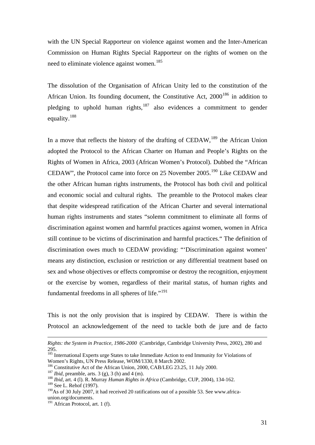with the UN Special Rapporteur on violence against women and the Inter-American Commission on Human Rights Special Rapporteur on the rights of women on the need to eliminate violence against women.<sup>185</sup>

The dissolution of the Organisation of African Unity led to the constitution of the African Union. Its founding document, the Constitutive Act,  $2000^{186}$  in addition to pledging to uphold human rights, $187$  also evidences a commitment to gender equality.<sup>188</sup>

In a move that reflects the history of the drafting of  $\mathrm{CEDAW}^{189}$  the African Union adopted the Protocol to the African Charter on Human and People's Rights on the Rights of Women in Africa, 2003 (African Women's Protocol). Dubbed the "African CEDAW", the Protocol came into force on 25 November 2005.<sup>190</sup> Like CEDAW and the other African human rights instruments, the Protocol has both civil and political and economic social and cultural rights. The preamble to the Protocol makes clear that despite widespread ratification of the African Charter and several international human rights instruments and states "solemn commitment to eliminate all forms of discrimination against women and harmful practices against women, women in Africa still continue to be victims of discrimination and harmful practices." The definition of discrimination owes much to CEDAW providing: "'Discrimination against women' means any distinction, exclusion or restriction or any differential treatment based on sex and whose objectives or effects compromise or destroy the recognition, enjoyment or the exercise by women, regardless of their marital status, of human rights and fundamental freedoms in all spheres of life."<sup>191</sup>

This is not the only provision that is inspired by CEDAW. There is within the Protocol an acknowledgement of the need to tackle both de jure and de facto

<u>.</u>

*Rights: the System in Practice, 1986-2000* (Cambridge, Cambridge University Press, 2002), 280 and 295.185 International Experts urge States to take Immediate Action to end Immunity for Violations of

Women's Rights, UN Press Release, WOM/1330, 8 March 2002.

<sup>&</sup>lt;sup>186</sup> Constitutive Act of the African Union, 2000, CAB/LEG 23.25, 11 July 2000.<br><sup>187</sup> *Ibid*, preamble, arts. 3 (g), 3 (h) and 4 (m).<br><sup>188</sup> *Ibid*, art. 4 (l). R. Murray *Human Rights in Africa* (Cambridge, CUP, 2004), 13

<sup>&</sup>lt;sup>189</sup> See L. Rehof (1997).

 $190\text{As}$  of 30 July 2007, it had received 20 ratifications out of a possible 53. See www.africaunion.org/documents.

 $191$  African Protocol, art. 1 (f).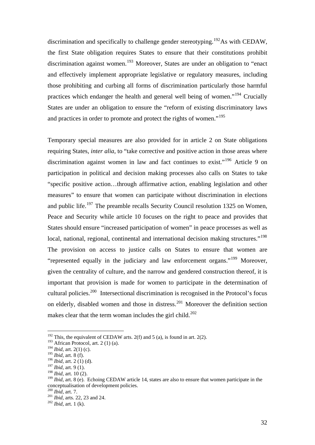discrimination and specifically to challenge gender stereotyping.<sup>192</sup>As with CEDAW, the first State obligation requires States to ensure that their constitutions prohibit discrimination against women.<sup>193</sup> Moreover, States are under an obligation to "enact" and effectively implement appropriate legislative or regulatory measures, including those prohibiting and curbing all forms of discrimination particularly those harmful practices which endanger the health and general well being of women."194 Crucially States are under an obligation to ensure the "reform of existing discriminatory laws and practices in order to promote and protect the rights of women."<sup>195</sup>

Temporary special measures are also provided for in article 2 on State obligations requiring States, *inter alia*, to "take corrective and positive action in those areas where discrimination against women in law and fact continues to exist."<sup>196</sup> Article 9 on participation in political and decision making processes also calls on States to take "specific positive action…through affirmative action, enabling legislation and other measures" to ensure that women can participate without discrimination in elections and public life.<sup>197</sup> The preamble recalls Security Council resolution 1325 on Women, Peace and Security while article 10 focuses on the right to peace and provides that States should ensure "increased participation of women" in peace processes as well as local, national, regional, continental and international decision making structures."<sup>198</sup> The provision on access to justice calls on States to ensure that women are "represented equally in the judiciary and law enforcement organs."<sup>199</sup> Moreover. given the centrality of culture, and the narrow and gendered construction thereof, it is important that provision is made for women to participate in the determination of cultural policies.200 Intersectional discrimination is recognised in the Protocol's focus on elderly, disabled women and those in distress.<sup>201</sup> Moreover the definition section makes clear that the term woman includes the girl child.<sup>202</sup>

<sup>&</sup>lt;sup>192</sup> This, the equivalent of CEDAW arts. 2(f) and 5 (a), is found in art. 2(2).

 $193$  African Protocol, art. 2 (1) (a).

<sup>194</sup> *Ibid,* art. 2(1) (c).

<sup>195</sup> *Ibid,* art. 8 (f).

<sup>196</sup> *Ibid,* art. 2 (1) (d).

<sup>197</sup> *Ibid,* art. 9 (1).

<sup>198</sup> *Ibid,* art. 10 (2).

<sup>&</sup>lt;sup>199</sup> *Ibid*, art. 8 (e). Echoing CEDAW article 14, states are also to ensure that women participate in the conceptualisation of development policies.<br> $^{200}$  *Ibid.* art. 7.

<sup>201</sup> *Ibid,* arts. 22, 23 and 24.<br><sup>202</sup> *Ibid,* art. 1 (k).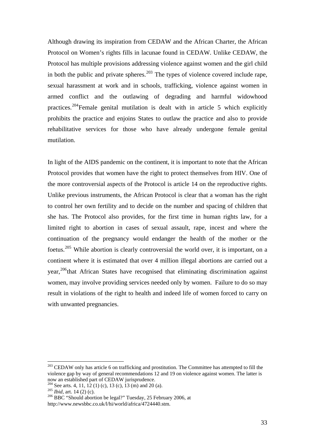Although drawing its inspiration from CEDAW and the African Charter, the African Protocol on Women's rights fills in lacunae found in CEDAW. Unlike CEDAW, the Protocol has multiple provisions addressing violence against women and the girl child in both the public and private spheres.<sup>203</sup> The types of violence covered include rape, sexual harassment at work and in schools, trafficking, violence against women in armed conflict and the outlawing of degrading and harmful widowhood practices.<sup>204</sup>Female genital mutilation is dealt with in article 5 which explicitly prohibits the practice and enjoins States to outlaw the practice and also to provide rehabilitative services for those who have already undergone female genital mutilation.

In light of the AIDS pandemic on the continent, it is important to note that the African Protocol provides that women have the right to protect themselves from HIV. One of the more controversial aspects of the Protocol is article 14 on the reproductive rights. Unlike previous instruments, the African Protocol is clear that a woman has the right to control her own fertility and to decide on the number and spacing of children that she has. The Protocol also provides, for the first time in human rights law, for a limited right to abortion in cases of sexual assault, rape, incest and where the continuation of the pregnancy would endanger the health of the mother or the foetus.<sup>205</sup> While abortion is clearly controversial the world over, it is important, on a continent where it is estimated that over 4 million illegal abortions are carried out a year,<sup>206</sup>that African States have recognised that eliminating discrimination against women, may involve providing services needed only by women. Failure to do so may result in violations of the right to health and indeed life of women forced to carry on with unwanted pregnancies.

<sup>&</sup>lt;sup>203</sup> CEDAW only has article 6 on trafficking and prostitution. The Committee has attempted to fill the violence gap by way of general recommendations 12 and 19 on violence against women. The latter is now an established part of CEDAW jurisprudence.

<sup>&</sup>lt;sup>204</sup> See arts. 4, 11, 12 (1) (c), 13 (c), 13 (m) and 20 (a).<br><sup>205</sup> *Ibid*, art. 14 (2) (c).<br><sup>206</sup> BBC "Should abortion be legal?" Tuesday, 25 February 2006, at

http://www.newsbbc.co.uk/l/hi/world/africa/4724440.stm.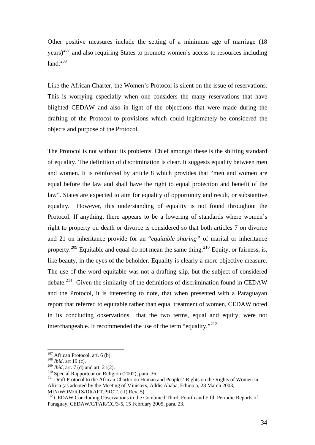Other positive measures include the setting of a minimum age of marriage (18  $years)$ <sup>207</sup> and also requiring States to promote women's access to resources including  $land.<sup>208</sup>$ 

Like the African Charter, the Women's Protocol is silent on the issue of reservations. This is worrying especially when one considers the many reservations that have blighted CEDAW and also in light of the objections that were made during the drafting of the Protocol to provisions which could legitimately be considered the objects and purpose of the Protocol.

The Protocol is not without its problems. Chief amongst these is the shifting standard of equality. The definition of discrimination is clear. It suggests equality between men and women. It is reinforced by article 8 which provides that "men and women are equal before the law and shall have the right to equal protection and benefit of the law". States are expected to aim for equality of opportunity and result, or substantive equality. However, this understanding of equality is not found throughout the Protocol. If anything, there appears to be a lowering of standards where women's right to property on death or divorce is considered so that both articles 7 on divorce and 21 on inheritance provide for an "*equitable sharing"* of marital or inheritance property.<sup>209</sup> Equitable and equal do not mean the same thing.<sup>210</sup> Equity, or fairness, is, like beauty, in the eyes of the beholder. Equality is clearly a more objective measure. The use of the word equitable was not a drafting slip, but the subject of considered debate.<sup>211</sup> Given the similarity of the definitions of discrimination found in CEDAW and the Protocol, it is interesting to note, that when presented with a Paraguayan report that referred to equitable rather than equal treatment of women, CEDAW noted in its concluding observations that the two terms, equal and equity, were not interchangeable. It recommended the use of the term "equality."<sup>212</sup>

<sup>207</sup> African Protocol, art. 6 (b). 208 *Ibid,* art 19 (c).

<sup>208</sup> *Ibid,* art. 7 (d) and art. 21(2).<br><sup>209</sup> *Ibid,* art. 7 (d) and art. 21(2).<br><sup>210</sup> Special Rapporteur on Religion (2002), para. 36.<br><sup>211</sup> Draft Protocol to the African Charter on Human and Peoples' Rights on the Rights Africa (as adopted by the Meeting of Ministers, Addis Ababa, Ethiopia, 28 March 2003, MIN/WOM/RTS/DRAFT.PROT. (II) Rev. 5).

<sup>212</sup> CEDAW Concluding Observations to the Combined Third, Fourth and Fifth Periodic Reports of Paraguay, CEDAW/C/PAR/CC/3-5, 15 February 2005, para. 23.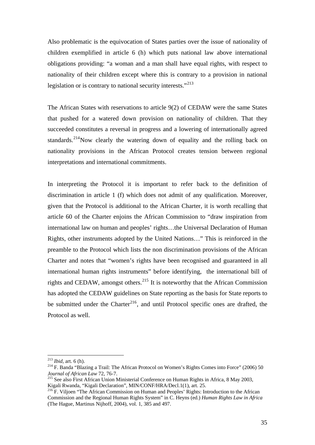Also problematic is the equivocation of States parties over the issue of nationality of children exemplified in article 6 (h) which puts national law above international obligations providing: "a woman and a man shall have equal rights, with respect to nationality of their children except where this is contrary to a provision in national legislation or is contrary to national security interests."<sup>213</sup>

The African States with reservations to article 9(2) of CEDAW were the same States that pushed for a watered down provision on nationality of children. That they succeeded constitutes a reversal in progress and a lowering of internationally agreed standards.<sup>214</sup>Now clearly the watering down of equality and the rolling back on nationality provisions in the African Protocol creates tension between regional interpretations and international commitments.

In interpreting the Protocol it is important to refer back to the definition of discrimination in article 1 (f) which does not admit of any qualification. Moreover, given that the Protocol is additional to the African Charter, it is worth recalling that article 60 of the Charter enjoins the African Commission to "draw inspiration from international law on human and peoples' rights…the Universal Declaration of Human Rights, other instruments adopted by the United Nations…" This is reinforced in the preamble to the Protocol which lists the non discrimination provisions of the African Charter and notes that "women's rights have been recognised and guaranteed in all international human rights instruments" before identifying, the international bill of rights and CEDAW, amongst others.<sup>215</sup> It is noteworthy that the African Commission has adopted the CEDAW guidelines on State reporting as the basis for State reports to be submitted under the Charter<sup>216</sup>, and until Protocol specific ones are drafted, the Protocol as well.

 $^{213}$  *Ibid.* art. 6 (h).

<sup>&</sup>lt;sup>214</sup> F. Banda "Blazing a Trail: The African Protocol on Women's Rights Comes into Force" (2006) 50

*Journal of African Law 72, 76-7.*<br><sup>215</sup> See also First African Union Ministerial Conference on Human Rights in Africa, 8 May 2003, Kigali Rwanda, "Kigali Declaration", MIN/CONF/HRA/Decl.1(1), art. 25.

<sup>216</sup> F. Viljoen "The African Commission on Human and Peoples' Rights: Introduction to the African Commission and the Regional Human Rights System" in C. Heyns (ed.) *Human Rights Law in Africa* (The Hague, Martinus Nijhoff, 2004), vol. 1, 385 and 497.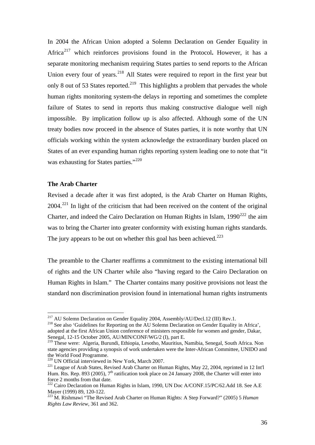In 2004 the African Union adopted a Solemn Declaration on Gender Equality in Africa217 which reinforces provisions found in the Protocol**.** However, it has a separate monitoring mechanism requiring States parties to send reports to the African Union every four of years.<sup>218</sup> All States were required to report in the first year but only 8 out of 53 States reported.<sup>219</sup> This highlights a problem that pervades the whole human rights monitoring system-the delays in reporting and sometimes the complete failure of States to send in reports thus making constructive dialogue well nigh impossible. By implication follow up is also affected. Although some of the UN treaty bodies now proceed in the absence of States parties, it is note worthy that UN officials working within the system acknowledge the extraordinary burden placed on States of an ever expanding human rights reporting system leading one to note that "it was exhausting for States parties."<sup>220</sup>

### **The Arab Charter**

Revised a decade after it was first adopted, is the Arab Charter on Human Rights,  $2004.<sup>221</sup>$  In light of the criticism that had been received on the content of the original Charter, and indeed the Cairo Declaration on Human Rights in Islam,  $1990^{222}$  the aim was to bring the Charter into greater conformity with existing human rights standards. The jury appears to be out on whether this goal has been achieved.<sup>223</sup>

The preamble to the Charter reaffirms a commitment to the existing international bill of rights and the UN Charter while also "having regard to the Cairo Declaration on Human Rights in Islam." The Charter contains many positive provisions not least the standard non discrimination provision found in international human rights instruments

<sup>&</sup>lt;sup>217</sup> AU Solemn Declaration on Gender Equality 2004, Assembly/AU/Decl.12 (III) Rev.1.

<sup>&</sup>lt;sup>218</sup> See also 'Guidelines for Reporting on the AU Solemn Declaration on Gender Equality in Africa', adopted at the first African Union conference of ministers responsible for women and gender, Dakar, Senegal, 12-15 October 2005, AU/MIN/CONF/WG/2 (I), part E.

<sup>&</sup>lt;sup>219</sup> These were: Algeria, Burundi, Ethiopia, Lesotho, Mauritius, Namibia, Senegal, South Africa. Non state agencies providing a synopsis of work undertaken were the Inter-African Committee, UNIDO and the World Food Programme.<br><sup>220</sup> UN Official interviewed in New York, March 2007.

 $221$  League of Arab States, Revised Arab Charter on Human Rights, May 22, 2004, reprinted in 12 Int'l Hum. Rts. Rep. 893 (2005), 7<sup>th</sup> ratification took place on 24 January 2008, the Charter will enter into force 2 months from that date.

<sup>&</sup>lt;sup>222</sup> Cairo Declaration on Human Rights in Islam, 1990, UN Doc A/CONF.15/PC/62.Add 18. See A.E Mayer (1999) 89, 120-122.

<sup>223</sup> M. Rishmawi "The Revised Arab Charter on Human Rights: A Step Forward?" (2005) 5 *Human Rights Law Review,* 361 and 362.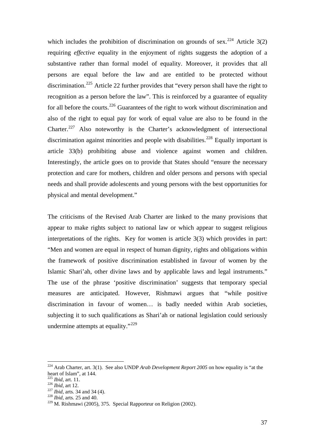which includes the prohibition of discrimination on grounds of sex.<sup>224</sup> Article 3(2) requiring *effective* equality in the enjoyment of rights suggests the adoption of a substantive rather than formal model of equality. Moreover, it provides that all persons are equal before the law and are entitled to be protected without discrimination.<sup>225</sup> Article 22 further provides that "every person shall have the right to recognition as a person before the law". This is reinforced by a guarantee of equality for all before the courts.<sup>226</sup> Guarantees of the right to work without discrimination and also of the right to equal pay for work of equal value are also to be found in the Charter.227 Also noteworthy is the Charter's acknowledgment of intersectional discrimination against minorities and people with disabilities.<sup>228</sup> Equally important is article 33(b) prohibiting abuse and violence against women and children. Interestingly, the article goes on to provide that States should "ensure the necessary protection and care for mothers, children and older persons and persons with special needs and shall provide adolescents and young persons with the best opportunities for physical and mental development."

The criticisms of the Revised Arab Charter are linked to the many provisions that appear to make rights subject to national law or which appear to suggest religious interpretations of the rights. Key for women is article 3(3) which provides in part: "Men and women are equal in respect of human dignity, rights and obligations within the framework of positive discrimination established in favour of women by the Islamic Shari'ah, other divine laws and by applicable laws and legal instruments." The use of the phrase 'positive discrimination' suggests that temporary special measures are anticipated. However, Rishmawi argues that "while positive discrimination in favour of women… is badly needed within Arab societies, subjecting it to such qualifications as Shari'ah or national legislation could seriously undermine attempts at equality."<sup>229</sup>

<sup>224</sup> Arab Charter, art. 3(1). See also UNDP *Arab Development Report 2005* on how equality is "at the heart of Islam", at 144.<br> $^{225}$  *Ibid*, art. 11.

<sup>226</sup> *Ibid,* art 12.<br><sup>227</sup> *Ibid,* arts. 34 and 34 (4).<br><sup>228</sup> *Ibid,* arts. 25 and 40.

<sup>229</sup> M. Rishmawi (2005), 375. Special Rapporteur on Religion (2002).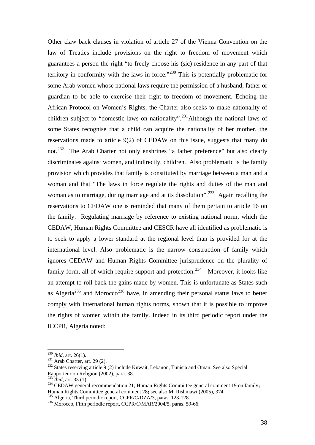Other claw back clauses in violation of article 27 of the Vienna Convention on the law of Treaties include provisions on the right to freedom of movement which guarantees a person the right "to freely choose his (sic) residence in any part of that territory in conformity with the laws in force."<sup>230</sup> This is potentially problematic for some Arab women whose national laws require the permission of a husband, father or guardian to be able to exercise their right to freedom of movement. Echoing the African Protocol on Women's Rights, the Charter also seeks to make nationality of children subject to "domestic laws on nationality".<sup>231</sup>Although the national laws of some States recognise that a child can acquire the nationality of her mother, the reservations made to article 9(2) of CEDAW on this issue, suggests that many do not.<sup>232</sup> The Arab Charter not only enshrines "a father preference" but also clearly discriminates against women, and indirectly, children. Also problematic is the family provision which provides that family is constituted by marriage between a man and a woman and that "The laws in force regulate the rights and duties of the man and woman as to marriage, during marriage and at its dissolution".<sup>233</sup> Again recalling the reservations to CEDAW one is reminded that many of them pertain to article 16 on the family. Regulating marriage by reference to existing national norm, which the CEDAW, Human Rights Committee and CESCR have all identified as problematic is to seek to apply a lower standard at the regional level than is provided for at the international level. Also problematic is the narrow construction of family which ignores CEDAW and Human Rights Committee jurisprudence on the plurality of family form, all of which require support and protection.<sup>234</sup> Moreover, it looks like an attempt to roll back the gains made by women. This is unfortunate as States such as Algeria<sup>235</sup> and Morocco<sup>236</sup> have, in amending their personal status laws to better comply with international human rights norms, shown that it is possible to improve the rights of women within the family. Indeed in its third periodic report under the ICCPR, Algeria noted:

 $^{230}$  *Ibid, art.* 26(1).

<sup>230</sup> *Ibid,* art. 26(1). 231 Arab Charter, art. 29 (2). 232 States reserving article 9 (2) include Kuwait, Lebanon, Tunisia and Oman. See also Special Rapporteur on Religion (2002), para. 38.<br><sup>233</sup> Ibid. art. 33 (1).

<sup>&</sup>lt;sup>234</sup> CEDAW general recommendation 21; Human Rights Committee general comment 19 on family; Human Rights Committee general comment 28; see also M. Rishmawi (2005), 374.

<sup>&</sup>lt;sup>235</sup> Algeria, Third periodic report, CCPR/C/DZA/3, paras. 123-128.<br><sup>236</sup> Morocco, Fifth periodic report, CCPR/C/MAR/2004/5, paras. 59-66.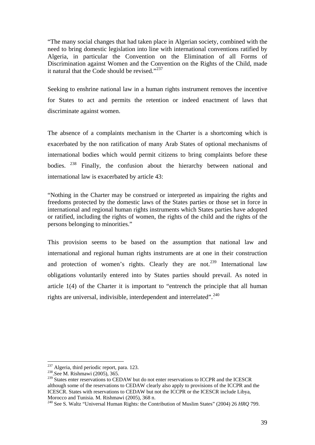"The many social changes that had taken place in Algerian society, combined with the need to bring domestic legislation into line with international conventions ratified by Algeria, in particular the Convention on the Elimination of all Forms of Discrimination against Women and the Convention on the Rights of the Child, made it natural that the Code should be revised."<sup>237</sup>

Seeking to enshrine national law in a human rights instrument removes the incentive for States to act and permits the retention or indeed enactment of laws that discriminate against women.

The absence of a complaints mechanism in the Charter is a shortcoming which is exacerbated by the non ratification of many Arab States of optional mechanisms of international bodies which would permit citizens to bring complaints before these bodies. <sup>238</sup> Finally, the confusion about the hierarchy between national and international law is exacerbated by article 43:

"Nothing in the Charter may be construed or interpreted as impairing the rights and freedoms protected by the domestic laws of the States parties or those set in force in international and regional human rights instruments which States parties have adopted or ratified, including the rights of women, the rights of the child and the rights of the persons belonging to minorities."

This provision seems to be based on the assumption that national law and international and regional human rights instruments are at one in their construction and protection of women's rights. Clearly they are not.<sup>239</sup> International law obligations voluntarily entered into by States parties should prevail. As noted in article 1(4) of the Charter it is important to "entrench the principle that all human rights are universal, indivisible, interdependent and interrelated".<sup>240</sup>

<sup>&</sup>lt;sup>237</sup> Algeria, third periodic report, para. 123.<br><sup>238</sup>.See M. Rishmawi (2005), 365.

<sup>238.</sup> See M. Rishmawi (2005), 365.<br>
<sup>239</sup> States enter reservations to CEDAW but do not enter reservations to ICCPR and the ICESCR although some of the reservations to CEDAW clearly also apply to provisions of the ICCPR and the ICESCR. States with reservations to CEDAW but not the ICCPR or the ICESCR include Libya, Morocco and Tunisia. M. Rishmawi (2005), 368 n.<br><sup>240</sup> See S. Waltz "Universal Human Rights: the Contribution of Muslim States" (2004) 26 *HRQ* 799.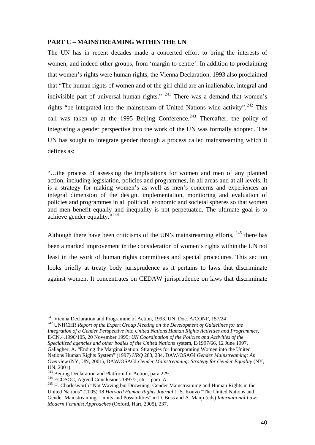## **PART C – MAINSTREAMING WITHIN THE UN**

The UN has in recent decades made a concerted effort to bring the interests of women, and indeed other groups, from 'margin to centre'. In addition to proclaiming that women's rights were human rights, the Vienna Declaration, 1993 also proclaimed that "The human rights of women and of the girl-child are an inalienable, integral and indivisible part of universal human rights."  $241$  There was a demand that women's rights "be integrated into the mainstream of United Nations wide activity".<sup>242</sup> This call was taken up at the 1995 Beijing Conference.<sup>243</sup> Thereafter, the policy of integrating a gender perspective into the work of the UN was formally adopted. The UN has sought to integrate gender through a process called mainstreaming which it defines as:

"…the process of assessing the implications for women and men of any planned action, including legislation, policies and programmes, in all areas and at all levels. It is a strategy for making women's as well as men's concerns and experiences an integral dimension of the design, implementation, monitoring and evaluation of policies and programmes in all political, economic and societal spheres so that women and men benefit equally and inequality is not perpetuated. The ultimate goal is to achieve gender equality."<sup>244</sup>

Although there have been criticisms of the UN's mainstreaming efforts,  $^{245}$  there has been a marked improvement in the consideration of women's rights within the UN not least in the work of human rights committees and special procedures. This section looks briefly at treaty body jurisprudence as it pertains to laws that discriminate against women. It concentrates on CEDAW jurisprudence on laws that discriminate

<sup>&</sup>lt;sup>241</sup> Vienna Declaration and Programme of Action, 1993, UN. Doc. A/CONF, 157/24 .<br><sup>242</sup> UNHCHR *Report of the Expert Group Meeting on the Development of Guidelines for the* 

*Integration of a Gender Perspective into United Nations Human Rights Activities and Programmes,* E/CN.4.1996/105, 20 November 1995; *UN Coordination of the Policies and Activities of the Specialized agencies and other bodies of the United Nations* system, E/1997/66, 12 June 1997. Gallagher, A. "Ending the Marginalization: Strategies for Incorporating Women into the United Nations Human Rights System" (1997) *HRQ* 283, 284. DAW/OSAGI *Gender Mainstreaming: An Overview* (NY, UN, 2001), DAW/OSAGI *Gender Mainstreaming: Strategy for Gender Equality* (NY, UN, 2001).<br><sup>243</sup> Beijing Declaration and Platform for Action, para.229.

<sup>244</sup> BCOSOC, Agreed Conclusions 1997/2, ch.1, para. A.<br><sup>245</sup> H. Charlesworth "Not Waving but Drowning: Gender Mainstreaming and Human Rights in the United Nations" (2005) 18 *Harvard Human Rights Journal* 1. S. Kouvo "The United Nations and Gender Mainstreaming: Limits and Possibilities" in D. Buss and A. Manji (eds) *International Law: Modern Feminist Approaches* (Oxford, Hart, 2005), 237.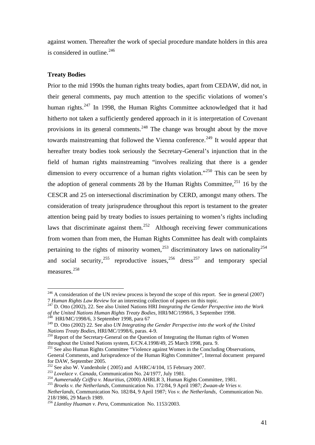against women. Thereafter the work of special procedure mandate holders in this area is considered in outline. $^{246}$ 

# **Treaty Bodies**

1

Prior to the mid 1990s the human rights treaty bodies, apart from CEDAW, did not, in their general comments, pay much attention to the specific violations of women's human rights. $247$  In 1998, the Human Rights Committee acknowledged that it had hitherto not taken a sufficiently gendered approach in it is interpretation of Covenant provisions in its general comments.<sup>248</sup> The change was brought about by the move towards mainstreaming that followed the Vienna conference.<sup>249</sup> It would appear that hereafter treaty bodies took seriously the Secretary-General's injunction that in the field of human rights mainstreaming "involves realizing that there is a gender dimension to every occurrence of a human rights violation."<sup>250</sup> This can be seen by the adoption of general comments 28 by the Human Rights Committee,  $251$  16 by the CESCR and 25 on intersectional discrimination by CERD, amongst many others. The consideration of treaty jurisprudence throughout this report is testament to the greater attention being paid by treaty bodies to issues pertaining to women's rights including laws that discriminate against them.<sup>252</sup> Although receiving fewer communications from women than from men, the Human Rights Committee has dealt with complaints pertaining to the rights of minority women,<sup>253</sup> discriminatory laws on nationality<sup>254</sup> and social security,<sup>255</sup> reproductive issues,<sup>256</sup> dress<sup>257</sup> and temporary special measures.<sup>258</sup>

 $^{246}$  A consideration of the UN review process is beyond the scope of this report. See in general (2007) <sup>7</sup>*Human Rights Law Review* for an interesting collection of papers on this topic. 247 D. Otto (2002), 22. See also United Nations HRI *Integrating the Gender Perspective into the Work* 

*of the United Nations Human Rights Treaty Bodies,* HRI/MC/1998/6, 3 September 1998. 248 HRI/MC/1998/6, 3 September 1998, para 67

<sup>249</sup> D. Otto (2002) 22. See also *UN Integrating the Gender Perspective into the work of the United* 

*Nations Treaty Bodies, HRI/MC/1998/6, paras. 4-9.* <sup>250</sup> Report of the Secretary-General on the Question of Integrating the Human rights of Women throughout the United Nations system, E/CN.4.1998/49, 25 March 1998, para. 9.

<sup>&</sup>lt;sup>251</sup> See also Human Rights Committee "Violence against Women in the Concluding Observations,

General Comments, and Jurisprudence of the Human Rights Committee", Internal document prepared for DAW, September 2005.<br><sup>252</sup> See also W. Vandenhole (2005) and A/HRC/4/104, 15 February 2007.

<sup>&</sup>lt;sup>253</sup> Lovelace v. Canada, Communication No. 24/1977, July 1981.<br><sup>254</sup> Aumeeruddy Cziffra v. Mauritius, (2000) AHRLR 3, Human Rights Committee, 1981.<br><sup>255</sup> Broeks v. the Netherlands, Communication No. 172/84, 9 April 1987;

*Netherlands*, Communication No. 182/84, 9 April 1987; *Vos v. the Netherlands,* Communication No. 218/1986, 29 March 1989.

<sup>256</sup> *Llantloy Huaman v. Peru,* Communication No. 1153/2003.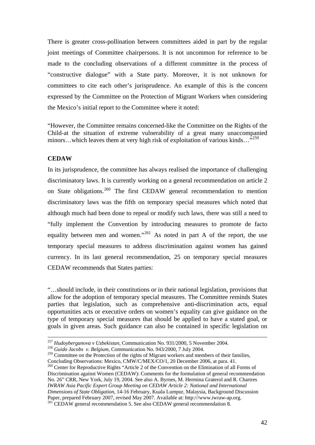There is greater cross-pollination between committees aided in part by the regular joint meetings of Committee chairpersons. It is not uncommon for reference to be made to the concluding observations of a different committee in the process of "constructive dialogue" with a State party. Moreover, it is not unknown for committees to cite each other's jurisprudence. An example of this is the concern expressed by the Committee on the Protection of Migrant Workers when considering the Mexico's initial report to the Committee where it noted:

"However, the Committee remains concerned-like the Committee on the Rights of the Child-at the situation of extreme vulnerability of a great many unaccompanied minors...which leaves them at very high risk of exploitation of various kinds..."<sup>259</sup>

## **CEDAW**

In its jurisprudence, the committee has always realised the importance of challenging discriminatory laws. It is currently working on a general recommendation on article 2 on State obligations.<sup>260</sup> The first CEDAW general recommendation to mention discriminatory laws was the fifth on temporary special measures which noted that although much had been done to repeal or modify such laws, there was still a need to "fully implement the Convention by introducing measures to promote de facto equality between men and women."<sup>261</sup> As noted in part A of the report, the use temporary special measures to address discrimination against women has gained currency. In its last general recommendation, 25 on temporary special measures CEDAW recommends that States parties:

"…should include, in their constitutions or in their national legislation, provisions that allow for the adoption of temporary special measures. The Committee reminds States parties that legislation, such as comprehensive anti-discrimination acts, equal opportunities acts or executive orders on women's equality can give guidance on the type of temporary special measures that should be applied to have a stated goal, or goals in given areas. Such guidance can also be contained in specific legislation on

<sup>257</sup> *Hudoyberganova v Uzbekistan,* Communication No. 931/2000, 5 November 2004. 258 *Guido Jacobs v. Belgium,* Communication No. 943/2000, 7 July 2004.

<sup>&</sup>lt;sup>259</sup> Committee on the Protection of the rights of Migrant workers and members of their families, Concluding Observations: Mexico, CMW/C/MEX/CO/1, 20 December 2006, at para. 41.

 $\frac{260}{260}$  Center for Reproductive Rights "Article 2 of the Convention on the Elimination of all Forms of Discrimination against Women (CEDAW): Comments for the formulation of general recommendation No. 26" CRR, New York, July 19, 2004. See also A. Byrnes, M. Hermina Graterol and R. Chartres *IWRAW Asia Pacific Expert Group Meeting on CEDAW Article 2: National and International Dimensions of State Obligation,* 14-16 February, Kuala Lumpur, Malaysia, Background Discussion  $^{261}$ CEDAW general recommendation 5. See also CEDAW general recommendation 8.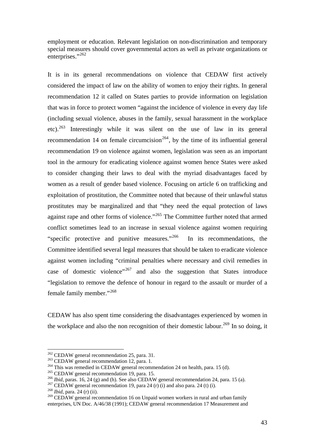employment or education. Relevant legislation on non-discrimination and temporary special measures should cover governmental actors as well as private organizations or enterprises."<sup>262</sup>

It is in its general recommendations on violence that CEDAW first actively considered the impact of law on the ability of women to enjoy their rights. In general recommendation 12 it called on States parties to provide information on legislation that was in force to protect women "against the incidence of violence in every day life (including sexual violence, abuses in the family, sexual harassment in the workplace etc).263 Interestingly while it was silent on the use of law in its general recommendation 14 on female circumcision<sup>264</sup>, by the time of its influential general recommendation 19 on violence against women, legislation was seen as an important tool in the armoury for eradicating violence against women hence States were asked to consider changing their laws to deal with the myriad disadvantages faced by women as a result of gender based violence. Focusing on article 6 on trafficking and exploitation of prostitution, the Committee noted that because of their unlawful status prostitutes may be marginalized and that "they need the equal protection of laws against rape and other forms of violence."265 The Committee further noted that armed conflict sometimes lead to an increase in sexual violence against women requiring "specific protective and punitive measures."<sup>266</sup> In its recommendations, the Committee identified several legal measures that should be taken to eradicate violence against women including "criminal penalties where necessary and civil remedies in case of domestic violence"<sup>267</sup> and also the suggestion that States introduce "legislation to remove the defence of honour in regard to the assault or murder of a female family member."<sup>268</sup>

CEDAW has also spent time considering the disadvantages experienced by women in the workplace and also the non recognition of their domestic labour.<sup>269</sup> In so doing, it

<sup>&</sup>lt;sup>262</sup> CEDAW general recommendation 25, para. 31.<br><sup>263</sup> CEDAW general recommendation 12, para. 1.<br><sup>264</sup> This was remedied in CEDAW general recommendation 24 on health, para. 15 (d).<br><sup>265</sup> CEDAW general recommendation 19, p

<sup>&</sup>lt;sup>269</sup> CEDAW general recommendation 16 on Unpaid women workers in rural and urban family enterprises, UN Doc. A/46/38 (1991); CEDAW general recommendation 17 Measurement and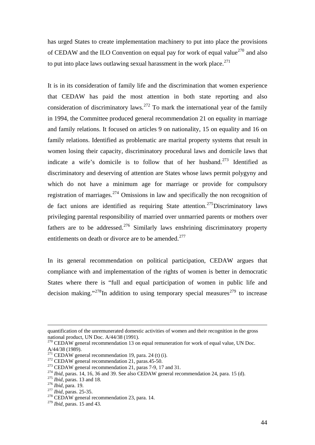has urged States to create implementation machinery to put into place the provisions of CEDAW and the ILO Convention on equal pay for work of equal value<sup>270</sup> and also to put into place laws outlawing sexual harassment in the work place.<sup>271</sup>

It is in its consideration of family life and the discrimination that women experience that CEDAW has paid the most attention in both state reporting and also consideration of discriminatory laws.272 To mark the international year of the family in 1994, the Committee produced general recommendation 21 on equality in marriage and family relations. It focused on articles 9 on nationality, 15 on equality and 16 on family relations. Identified as problematic are marital property systems that result in women losing their capacity, discriminatory procedural laws and domicile laws that indicate a wife's domicile is to follow that of her husband.<sup>273</sup> Identified as discriminatory and deserving of attention are States whose laws permit polygyny and which do not have a minimum age for marriage or provide for compulsory registration of marriages.<sup>274</sup> Omissions in law and specifically the non recognition of de fact unions are identified as requiring State attention.<sup>275</sup>Discriminatory laws privileging parental responsibility of married over unmarried parents or mothers over fathers are to be addressed.<sup>276</sup> Similarly laws enshrining discriminatory property entitlements on death or divorce are to be amended.<sup>277</sup>

In its general recommendation on political participation, CEDAW argues that compliance with and implementation of the rights of women is better in democratic States where there is "full and equal participation of women in public life and decision making."<sup>278</sup>In addition to using temporary special measures<sup>279</sup> to increase

quantification of the unremunerated domestic activities of women and their recognition in the gross national product, UN Doc. A/44/38 (1991).

 $^{270}$  CEDAW general recommendation 13 on equal remuneration for work of equal value, UN Doc. A/44/38 (1989).<br><sup>271</sup> CEDAW general recommendation 19, para. 24 (t) (i).

<sup>&</sup>lt;sup>272</sup> CEDAW general recommendation 21, paras.45-50.<br><sup>273</sup> CEDAW general recommendation 21, paras 7-9, 17 and 31.<br><sup>274</sup> Ibid, paras. 14, 16, 36 and 39. See also CEDAW general recommendation 24, para. 15 (d).<br><sup>275</sup> Ibid, pa

<sup>279</sup> *Ibid,* paras. 15 and 43.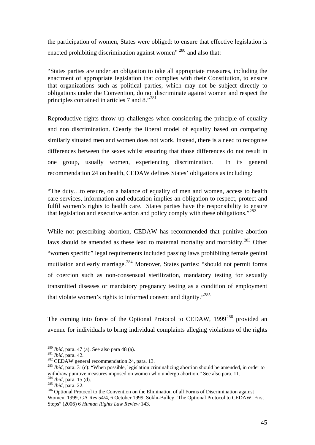the participation of women, States were obliged: to ensure that effective legislation is enacted prohibiting discrimination against women<sup>" 280</sup> and also that:

"States parties are under an obligation to take all appropriate measures, including the enactment of appropriate legislation that complies with their Constitution, to ensure that organizations such as political parties, which may not be subject directly to obligations under the Convention, do not discriminate against women and respect the principles contained in articles 7 and 8."<sup>281</sup>

Reproductive rights throw up challenges when considering the principle of equality and non discrimination. Clearly the liberal model of equality based on comparing similarly situated men and women does not work. Instead, there is a need to recognise differences between the sexes whilst ensuring that those differences do not result in one group, usually women, experiencing discrimination. In its general recommendation 24 on health, CEDAW defines States' obligations as including:

"The duty…to ensure, on a balance of equality of men and women, access to health care services, information and education implies an obligation to respect, protect and fulfil women's rights to health care. States parties have the responsibility to ensure that legislation and executive action and policy comply with these obligations."<sup>282</sup>

While not prescribing abortion, CEDAW has recommended that punitive abortion laws should be amended as these lead to maternal mortality and morbidity.<sup>283</sup> Other "women specific" legal requirements included passing laws prohibiting female genital mutilation and early marriage.<sup>284</sup> Moreover, States parties: "should not permit forms of coercion such as non-consensual sterilization, mandatory testing for sexually transmitted diseases or mandatory pregnancy testing as a condition of employment that violate women's rights to informed consent and dignity."<sup>285</sup>

The coming into force of the Optional Protocol to CEDAW,  $1999^{286}$  provided an avenue for individuals to bring individual complaints alleging violations of the rights

<sup>&</sup>lt;sup>280</sup> *Ibid*, para. 47 (a). See also para 48 (a).<br><sup>281</sup> *Ibid*, para. 42.<br><sup>282</sup> CEDAW general recommendation 24, para. 13.<br><sup>282</sup> *Ibid*, para. 31(c): "When possible, legislation criminalizing abortion should be amended, i withdraw punitive measures imposed on women who undergo abortion." See also para. 11.<br><sup>284</sup> *Ibid*, para. 15 (d).<br><sup>285</sup> *Ibid*, para. 22.<br><sup>286</sup> Optional Protocol to the Convention on the Elimination of all Forms of Discrim

Women, 1999, GA Res 54/4, 6 October 1999. Sokhi-Bulley "The Optional Protocol to CEDAW: First Steps" (2006) 6 *Human Rights Law Review* 143.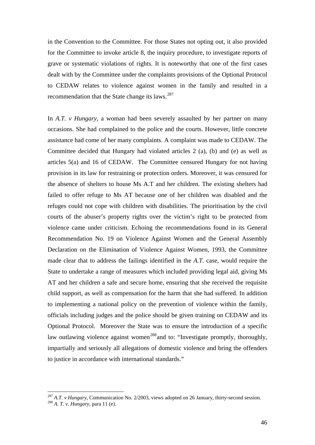in the Convention to the Committee. For those States not opting out, it also provided for the Committee to invoke article 8, the inquiry procedure, to investigate reports of grave or systematic violations of rights. It is noteworthy that one of the first cases dealt with by the Committee under the complaints provisions of the Optional Protocol to CEDAW relates to violence against women in the family and resulted in a recommendation that the State change its laws.<sup>287</sup>

In *A.T. v Hungary*, a woman had been severely assaulted by her partner on many occasions. She had complained to the police and the courts. However, little concrete assistance had come of her many complaints. A complaint was made to CEDAW. The Committee decided that Hungary had violated articles 2 (a), (b) and (e) as well as articles 5(a) and 16 of CEDAW. The Committee censured Hungary for not having provision in its law for restraining or protection orders. Moreover, it was censured for the absence of shelters to house Ms A.T and her children. The existing shelters had failed to offer refuge to Ms AT because one of her children was disabled and the refuges could not cope with children with disabilities. The prioritisation by the civil courts of the abuser's property rights over the victim's right to be protected from violence came under criticism. Echoing the recommendations found in its General Recommendation No. 19 on Violence Against Women and the General Assembly Declaration on the Elimination of Violence Against Women, 1993, the Committee made clear that to address the failings identified in the *A.T.* case, would require the State to undertake a range of measures which included providing legal aid, giving Ms AT and her children a safe and secure home, ensuring that she received the requisite child support, as well as compensation for the harm that she had suffered. In addition to implementing a national policy on the prevention of violence within the family, officials including judges and the police should be given training on CEDAW and its Optional Protocol. Moreover the State was to ensure the introduction of a specific law outlawing violence against women<sup>288</sup> and to: "Investigate promptly, thoroughly, impartially and seriously all allegations of domestic violence and bring the offenders to justice in accordance with international standards."

<u>.</u>

<sup>&</sup>lt;sup>287</sup> *A.T. v Hungary,* Communication No. 2/2003, views adopted on 26 January, thirty-second session. <sup>288</sup> *A. T. v. Hungary,* para 11 (e).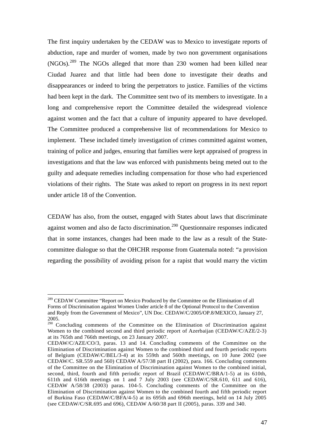The first inquiry undertaken by the CEDAW was to Mexico to investigate reports of abduction, rape and murder of women, made by two non government organisations (NGOs).289 The NGOs alleged that more than 230 women had been killed near Ciudad Juarez and that little had been done to investigate their deaths and disappearances or indeed to bring the perpetrators to justice. Families of the victims had been kept in the dark. The Committee sent two of its members to investigate. In a long and comprehensive report the Committee detailed the widespread violence against women and the fact that a culture of impunity appeared to have developed. The Committee produced a comprehensive list of recommendations for Mexico to implement. These included timely investigation of crimes committed against women, training of police and judges, ensuring that families were kept appraised of progress in investigations and that the law was enforced with punishments being meted out to the guilty and adequate remedies including compensation for those who had experienced violations of their rights. The State was asked to report on progress in its next report under article 18 of the Convention.

CEDAW has also, from the outset, engaged with States about laws that discriminate against women and also de facto discrimination.290 Questionnaire responses indicated that in some instances, changes had been made to the law as a result of the Statecommittee dialogue so that the OHCHR response from Guatemala noted: "a provision regarding the possibility of avoiding prison for a rapist that would marry the victim

<sup>&</sup>lt;sup>289</sup> CEDAW Committee "Report on Mexico Produced by the Committee on the Elimination of all Forms of Discrimination against Women Under article 8 of the Optional Protocol to the Convention and Reply from the Government of Mexico", UN Doc. CEDAW/C/2005/OP.8/MEXICO, January 27, 2005.

<sup>&</sup>lt;sup>290</sup> Concluding comments of the Committee on the Elimination of Discrimination against Women to the combined second and third periodic report of Azerbaijan (CEDAW/C/AZE/2-3) at its 765th and 766th meetings, on 23 January 2007.

CEDAW/C/AZE/CO/3, paras. 13 and 14. Concluding comments of the Committee on the Elimination of Discrimination against Women to the combined third and fourth periodic reports of Belgium (CEDAW/C/BEL/3-4) at its 559th and 560th meetings, on 10 June 2002 (see CEDAW/C. SR.559 and 560) CEDAW A/57/38 part II (2002), para. 166. Concluding comments of the Committee on the Elimination of Discrimination against Women to the combined initial, second, third, fourth and fifth periodic report of Brazil (CEDAW/C/BRA/1-5) at its 610th, 611th and 616th meetings on 1 and 7 July 2003 (see CEDAW/C/SR.610, 611 and 616), CEDAW A/58/38 (2003) paras. 104-5. Concluding comments of the Committee on the Elimination of Discrimination against Women to the combined fourth and fifth periodic report of Burkina Faso (CEDAW/C/BFA/4-5) at its 695th and 696th meetings, held on 14 July 2005 (see CEDAW/C/SR.695 and 696), CEDAW A/60/38 part II (2005), paras. 339 and 340.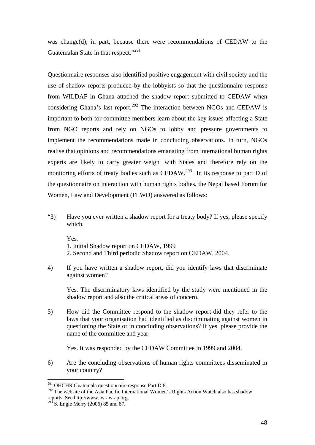was change(d), in part, because there were recommendations of CEDAW to the Guatemalan State in that respect."<sup>291</sup>

Questionnaire responses also identified positive engagement with civil society and the use of shadow reports produced by the lobbyists so that the questionnaire response from WILDAF in Ghana attached the shadow report submitted to CEDAW when considering Ghana's last report.<sup>292</sup> The interaction between NGOs and CEDAW is important to both for committee members learn about the key issues affecting a State from NGO reports and rely on NGOs to lobby and pressure governments to implement the recommendations made in concluding observations. In turn, NGOs realise that opinions and recommendations emanating from international human rights experts are likely to carry greater weight with States and therefore rely on the monitoring efforts of treaty bodies such as CEDAW.<sup>293</sup> In its response to part D of the questionnaire on interaction with human rights bodies, the Nepal based Forum for Women, Law and Development (FLWD) answered as follows:

"3) Have you ever written a shadow report for a treaty body? If yes, please specify which.

Yes.

- 1. Initial Shadow report on CEDAW, 1999
- 2. Second and Third periodic Shadow report on CEDAW, 2004.
- 4) If you have written a shadow report, did you identify laws that discriminate against women?

 Yes. The discriminatory laws identified by the study were mentioned in the shadow report and also the critical areas of concern.

5) How did the Committee respond to the shadow report-did they refer to the laws that your organisation had identified as discriminating against women in questioning the State or in concluding observations? If yes, please provide the name of the committee and year.

Yes. It was responded by the CEDAW Committee in 1999 and 2004.

6) Are the concluding observations of human rights committees disseminated in your country?

<sup>&</sup>lt;sup>291</sup> OHCHR Guatemala questionnaire response Part D:8.

<sup>&</sup>lt;sup>292</sup> The website of the Asia Pacific International Women's Rights Action Watch also has shadow reports. See http://www.iwraw-ap.org.

 $^{293}$  S. Engle Merry (2006) 85 and 87.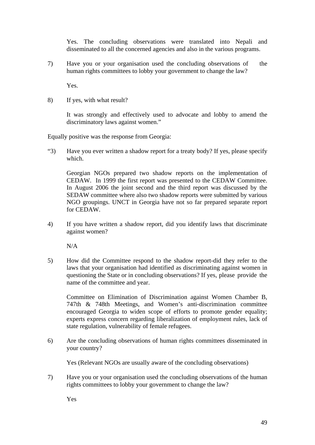Yes. The concluding observations were translated into Nepali and disseminated to all the concerned agencies and also in the various programs.

7) Have you or your organisation used the concluding observations of the human rights committees to lobby your government to change the law?

Yes.

8) If yes, with what result?

It was strongly and effectively used to advocate and lobby to amend the discriminatory laws against women."

Equally positive was the response from Georgia:

"3) Have you ever written a shadow report for a treaty body? If yes, please specify which.

Georgian NGOs prepared two shadow reports on the implementation of CEDAW. In 1999 the first report was presented to the CEDAW Committee. In August 2006 the joint second and the third report was discussed by the SEDAW committee where also two shadow reports were submitted by various NGO groupings. UNCT in Georgia have not so far prepared separate report for CEDAW.

4) If you have written a shadow report, did you identify laws that discriminate against women?

N/A

5) How did the Committee respond to the shadow report-did they refer to the laws that your organisation had identified as discriminating against women in questioning the State or in concluding observations? If yes, please provide the name of the committee and year.

Committee on Elimination of Discrimination against Women Chamber B, 747th & 748th Meetings, and Women's anti-discrimination committee encouraged Georgia to widen scope of efforts to promote gender equality; experts express concern regarding liberalization of employment rules, lack of state regulation, vulnerability of female refugees.

6) Are the concluding observations of human rights committees disseminated in your country?

Yes (Relevant NGOs are usually aware of the concluding observations)

7) Have you or your organisation used the concluding observations of the human rights committees to lobby your government to change the law?

Yes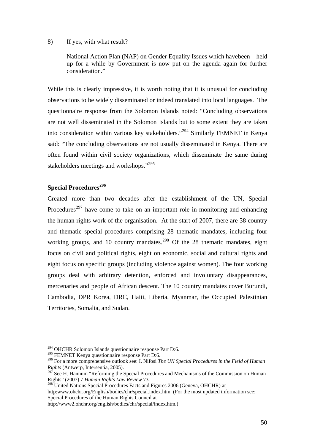#### 8) If yes, with what result?

National Action Plan (NAP) on Gender Equality Issues which have been held up for a while by Government is now put on the agenda again for further consideration."

While this is clearly impressive, it is worth noting that it is unusual for concluding observations to be widely disseminated or indeed translated into local languages. The questionnaire response from the Solomon Islands noted: "Concluding observations are not well disseminated in the Solomon Islands but to some extent they are taken into consideration within various key stakeholders."294 Similarly FEMNET in Kenya said: "The concluding observations are not usually disseminated in Kenya. There are often found within civil society organizations, which disseminate the same during stakeholders meetings and workshops."<sup>295</sup>

# **Special Procedures<sup>296</sup>**

Created more than two decades after the establishment of the UN, Special Procedures<sup>297</sup> have come to take on an important role in monitoring and enhancing the human rights work of the organisation. At the start of 2007, there are 38 country and thematic special procedures comprising 28 thematic mandates, including four working groups, and 10 country mandates.<sup>298</sup> Of the 28 thematic mandates, eight focus on civil and political rights, eight on economic, social and cultural rights and eight focus on specific groups (including violence against women). The four working groups deal with arbitrary detention, enforced and involuntary disappearances, mercenaries and people of African descent. The 10 country mandates cover Burundi, Cambodia, DPR Korea, DRC, Haiti, Liberia, Myanmar, the Occupied Palestinian Territories, Somalia, and Sudan.

1

http:www.ohchr.org/English/bodies/chr/special.index.htm. (For the most updated information see: Special Procedures of the Human Rights Council at

<sup>&</sup>lt;sup>294</sup> OHCHR Solomon Islands questionnaire response Part D:6.

 $295$  FEMNET Kenya questionnaire response Part D:6.

<sup>296</sup> For a more comprehensive outlook see: I. Nifosi *The UN Special Procedures in the Field of Human Rights* (Antwerp, Intersentia, 2005).

 $\widetilde{Z}$  See H. Hannum "Reforming the Special Procedures and Mechanisms of the Commission on Human Rights" (2007) 7 *Human Rights Law Review* 73.

<sup>&</sup>lt;sup>298</sup> United Nations Special Procedures Facts and Figures 2006 (Geneva, OHCHR) at

http://www2.ohchr.org/english/bodies/chr/special/index.htm.)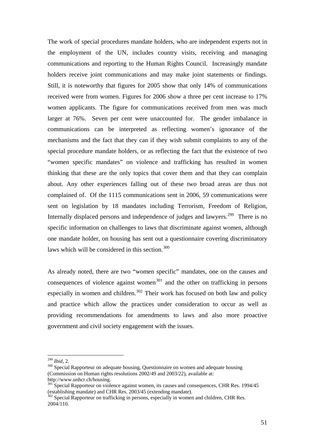The work of special procedures mandate holders, who are independent experts not in the employment of the UN, includes country visits, receiving and managing communications and reporting to the Human Rights Council. Increasingly mandate holders receive joint communications and may make joint statements or findings. Still, it is noteworthy that figures for 2005 show that only 14% of communications received were from women. Figures for 2006 show a three per cent increase to 17% women applicants. The figure for communications received from men was much larger at 76%. Seven per cent were unaccounted for. The gender imbalance in communications can be interpreted as reflecting women's ignorance of the mechanisms and the fact that they can if they wish submit complaints to any of the special procedure mandate holders, or as reflecting the fact that the existence of two "women specific mandates" on violence and trafficking has resulted in women thinking that these are the only topics that cover them and that they can complain about. Any other experiences falling out of these two broad areas are thus not complained of. Of the 1115 communications sent in 2006, 59 communications were sent on legislation by 18 mandates including Terrorism, Freedom of Religion, Internally displaced persons and independence of judges and lawyers.<sup>299</sup> There is no specific information on challenges to laws that discriminate against women, although one mandate holder, on housing has sent out a questionnaire covering discriminatory laws which will be considered in this section.<sup>300</sup>

As already noted, there are two "women specific" mandates, one on the causes and consequences of violence against women<sup>301</sup> and the other on trafficking in persons especially in women and children. $302$  Their work has focused on both law and policy and practice which allow the practices under consideration to occur as well as providing recommendations for amendments to laws and also more proactive government and civil society engagement with the issues.

 $^{299}$  *Ihid.* 2.

<sup>&</sup>lt;sup>300</sup> Special Rapporteur on adequate housing, Questionnaire on women and adequate housing (Commission on Human rights resolutions 2002/49 and 2003/22), available at: http://www.unhcr.ch/housing.

<sup>&</sup>lt;sup>301</sup> Special Rapporteur on violence against women, its causes and consequences, CHR Res. 1994/45 (establishing mandate) and CHR Res. 2003/45 (extending mandate).

 $302$  Special Rapporteur on trafficking in persons, especially in women and children, CHR Res. 2004/110.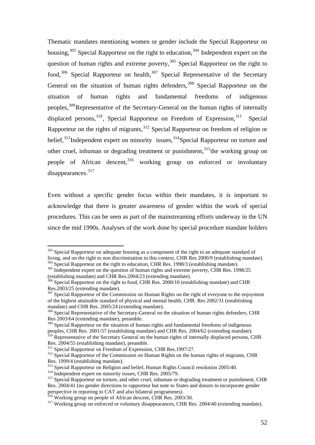Thematic mandates mentioning women or gender include the Special Rapporteur on housing,  $303$  Special Rapporteur on the right to education,  $304$  Independent expert on the question of human rights and extreme poverty,<sup>305</sup> Special Rapporteur on the right to food,<sup>306</sup> Special Rapporteur on health,  $307$  Special Representative of the Secretary General on the situation of human rights defenders,  $308$  Special Rapporteur on the situation of human rights and fundamental freedoms of indigenous peoples,309Representative of the Secretary-General on the human rights of internally displaced persons,<sup>310</sup>, Special Rapporteur on Freedom of Expression,<sup>311</sup> Special Rapporteur on the rights of migrants,<sup>312</sup> Special Rapporteur on freedom of religion or belief,<sup>313</sup>Independent expert on minority issues,<sup>314</sup>Special Rapporteur on torture and other cruel, inhuman or degrading treatment or punishment,<sup>315</sup>the working group on people of African descent,<sup>316</sup> working group on enforced or involuntary disappearances.<sup>317</sup>

Even without a specific gender focus within their mandates, it is important to acknowledge that there is greater awareness of gender within the work of special procedures. This can be seen as part of the mainstreaming efforts underway in the UN since the mid 1990s. Analyses of the work done by special procedure mandate holders

(establishing mandate) and CHR Res.2004/23 (extending mandate).

<u>.</u>

<sup>&</sup>lt;sup>303</sup> Special Rapporteur on adequate housing as a component of the right to an adequate standard of living, and on the right to non discrimination in this context, CHR Res 2000/9 (establishing mandate).

<sup>&</sup>lt;sup>304</sup> Special Rapporteur on the right to education, CHR Res. 1998/3 (establishing mandate).<br><sup>305</sup> Independent expert on the question of human rights and extreme poverty, CHR Res. 1998/25

<sup>&</sup>lt;sup>306</sup> Special Rapporteur on the right to food, CHR Res. 2000/10 (establishing mandate) and CHR Res.2003/25 (extending mandate).

<sup>&</sup>lt;sup>307</sup> Special Rapporteur of the Commission on Human Rights on the right of everyone to the enjoyment of the highest attainable standard of physical and mental health, CHR. Res 2002/31 (establishing mandate) and CHR Res. 2005/24 (extending mandate).

<sup>&</sup>lt;sup>308</sup> Special Representative of the Secretary-General on the situation of human rights defenders, CHR Res 2003/64 (extending mandate), preamble.

<sup>&</sup>lt;sup>309</sup> Special Rapporteur on the situation of human rights and fundamental freedoms of indigenous peoples, CHR Res. 2001/57 (establishing mandate) and CHR Res. 2004/62 (extending mandate).

 $310$  Representative of the Secretary General on the human rights of internally displaced persons, CHR Res. 2004/55 (establishing mandate), preamble.<br>
<sup>311</sup> Special Rapporteur on Freedom of Expression, CHR Res. 1997/27.

 $312$  Special Rapporteur of the Commission on Human Rights on the human rights of migrants, CHR Res. 1999/4 (establishing mandate).<br>
<sup>313</sup> Special Rapporteur on Religion and belief, Human Rights Council resolution 2005/40.

<sup>&</sup>lt;sup>314</sup> Independent expert on minority issues, CHR Res. 2005/79.<br><sup>315</sup> Special Rapporteur on torture, and other cruel, inhuman or degrading treatment or punishment, CHR Res. 2004/41 (no gender directions to rapporteur but note to States and donors to incorporate gender perspective in reporting to CAT and also bilateral programmes).<br><sup>316</sup> Working group on people of African descent, CHR Res. 2003/30.

 $317$  Working group on enforced or voluntary disappearances, CHR Res. 2004/40 (extending mandate).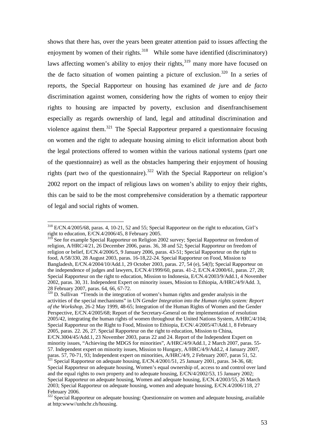shows that there has, over the years been greater attention paid to issues affecting the enjoyment by women of their rights.<sup>318</sup> While some have identified (discriminatory) laws affecting women's ability to enjoy their rights, $319$  many more have focused on the de facto situation of women painting a picture of exclusion.<sup>320</sup> In a series of reports, the Special Rapporteur on housing has examined *de jur*e and *de facto* discrimination against women, considering how the rights of women to enjoy their rights to housing are impacted by poverty, exclusion and disenfranchisement especially as regards ownership of land, legal and attitudinal discrimination and violence against them.321 The Special Rapporteur prepared a questionnaire focusing on women and the right to adequate housing aiming to elicit information about both the legal protections offered to women within the various national systems (part one of the questionnaire) as well as the obstacles hampering their enjoyment of housing rights (part two of the questionnaire).<sup>322</sup> With the Special Rapporteur on religion's 2002 report on the impact of religious laws on women's ability to enjoy their rights, this can be said to be the most comprehensive consideration by a thematic rapporteur of legal and social rights of women.

1

 $320$  D. Sullivan "Trends in the integration of women's human rights and gender analysis in the activities of the special mechanisms" in UN *Gender Integration into the Human rights system: Report of the Workshop,* 26-2 May 1999, 48-65; Integration of the Human Rights of Women and the Gender Perspective, E/CN.4/2005/68; Report of the Secretary-General on the implementation of resolution 2005/42, integrating the human rights of women throughout the United Nations System, A/HRC/4/104; Special Rapporteur on the Right to Food, Mission to Ethiopia, E/CN/.4/2005/47/Add.1, 8 February 2005, paras. 22. 26, 27. Special Rapporteur on the right to education, Mission to China, E/CN.3004/45/Add.1, 23 November 2003, paras 22 and 24. Report of the Independent Expert on minority issues, "Achieving the MDGS for minorities", A/HRC/4/9/Add.1, 2 March 2007, paras. 55- 57. Independent expert on minority issues, Mission to Hungary, A/HRC/4/9/Add.2, 4 January 2007, paras. 57, 70-71, 93; Independent expert on minorities, A/HRC/4/9, 2 February 2007, paras 51, 52.

<sup>318</sup> E/CN.4/2005/68, paras. 4, 10-21, 52 and 55; Special Rapporteur on the right to education, Girl's right to education, E/CN.4/2006/45, 8 February 2005.

<sup>&</sup>lt;sup>319</sup> See for example Special Rapporteur on Religion 2002 survey; Special Rapporteur on freedom of religion, A/HRC/4/21, 26 December 2006, paras. 36, 38 and 52; Special Rapporteur on freedom of religion or belief, E/CN.4/2006/5, 9 January 2006, paras. 43-51; Special Rapporteur on the right to food, A/58/330, 28 August 2003, paras. 16-18,22-24. Special Rapporteur on Food, Mission to Bangladesh, E/CN.4/2004/10/Add.1, 29 October 2003, paras. 27, 54 (e), 54(f); Special Rapporteur on the independence of judges and lawyers, E/CN.4/1999/60, paras. 41-2, E/CN.4/2000/61, paras. 27, 28; Special Rapporteur on the right to education, Mission to Indonesia, E/CN.4/2003/9/Add.1, 4 November 2002, paras. 30, 31. Independent Expert on minority issues, Mission to Ethiopia, A/HRC/4/9/Add. 3, 28 February 2007, paras. 64, 66, 67-72.

 $321$  Special Rapporteur on adequate housing, E/CN.4/2001/51, 25 January 2001, paras. 34-36, 68; Special Rapporteur on adequate housing, Women's equal ownership of, access to and control over land and the equal rights to own property and to adequate housing, E/CN/4/2002/53, 15 January 2002; Special Rapporteur on adequate housing, Women and adequate housing, E/CN.4/2003/55, 26 March 2003; Special Rapporteur on adequate housing, women and adequate housing, E/CN.4/2006/118, 27 February 2006.

<sup>&</sup>lt;sup>322</sup> Special Rapporteur on adequate housing: Questionnaire on women and adequate housing, available at http:www//unhchr.ch/housing.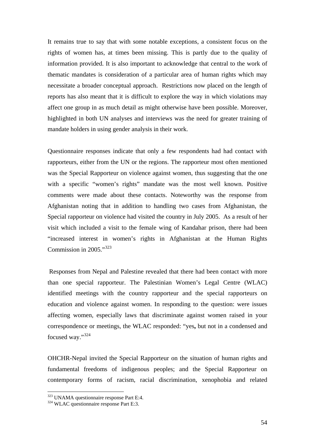It remains true to say that with some notable exceptions, a consistent focus on the rights of women has, at times been missing. This is partly due to the quality of information provided. It is also important to acknowledge that central to the work of thematic mandates is consideration of a particular area of human rights which may necessitate a broader conceptual approach. Restrictions now placed on the length of reports has also meant that it is difficult to explore the way in which violations may affect one group in as much detail as might otherwise have been possible. Moreover, highlighted in both UN analyses and interviews was the need for greater training of mandate holders in using gender analysis in their work.

Questionnaire responses indicate that only a few respondents had had contact with rapporteurs, either from the UN or the regions. The rapporteur most often mentioned was the Special Rapporteur on violence against women, thus suggesting that the one with a specific "women's rights" mandate was the most well known. Positive comments were made about these contacts. Noteworthy was the response from Afghanistan noting that in addition to handling two cases from Afghanistan, the Special rapporteur on violence had visited the country in July 2005. As a result of her visit which included a visit to the female wing of Kandahar prison, there had been "increased interest in women's rights in Afghanistan at the Human Rights Commission in 2005."<sup>323</sup>

 Responses from Nepal and Palestine revealed that there had been contact with more than one special rapporteur. The Palestinian Women's Legal Centre (WLAC) identified meetings with the country rapporteur and the special rapporteurs on education and violence against women. In responding to the question: were issues affecting women, especially laws that discriminate against women raised in your correspondence or meetings, the WLAC responded: "yes**,** but not in a condensed and focused way."324

OHCHR-Nepal invited the Special Rapporteur on the situation of human rights and fundamental freedoms of indigenous peoples; and the Special Rapporteur on contemporary forms of racism, racial discrimination, xenophobia and related

<sup>323</sup> UNAMA questionnaire response Part E:4.

<sup>&</sup>lt;sup>324</sup> WLAC questionnaire response Part E:3.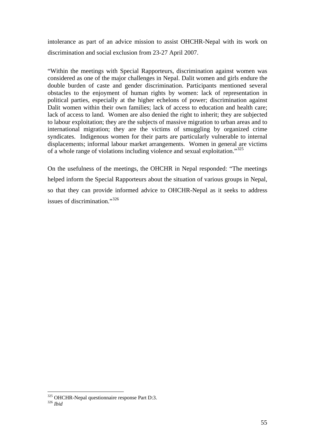intolerance as part of an advice mission to assist OHCHR-Nepal with its work on discrimination and social exclusion from 23-27 April 2007.

"Within the meetings with Special Rapporteurs, discrimination against women was considered as one of the major challenges in Nepal. Dalit women and girls endure the double burden of caste and gender discrimination. Participants mentioned several obstacles to the enjoyment of human rights by women: lack of representation in political parties, especially at the higher echelons of power; discrimination against Dalit women within their own families; lack of access to education and health care; lack of access to land. Women are also denied the right to inherit; they are subjected to labour exploitation; they are the subjects of massive migration to urban areas and to international migration; they are the victims of smuggling by organized crime syndicates. Indigenous women for their parts are particularly vulnerable to internal displacements; informal labour market arrangements. Women in general are victims of a whole range of violations including violence and sexual exploitation."325

On the usefulness of the meetings, the OHCHR in Nepal responded: "The meetings helped inform the Special Rapporteurs about the situation of various groups in Nepal, so that they can provide informed advice to OHCHR-Nepal as it seeks to address issues of discrimination."<sup>326</sup>

<u>.</u>

<sup>325</sup> OHCHR-Nepal questionnaire response Part D:3. 326 *Ibid*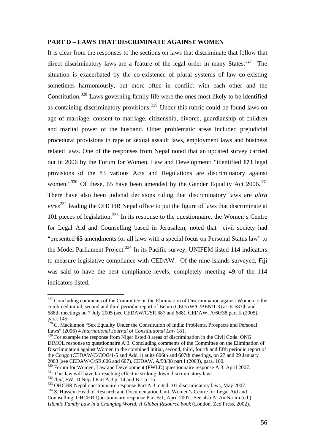#### **PART D – LAWS THAT DISCRIMINATE AGAINST WOMEN**

It is clear from the responses to the sections on laws that discriminate that follow that direct discriminatory laws are a feature of the legal order in many States. $327$  The situation is exacerbated by the co-existence of plural systems of law co-existing sometimes harmoniously, but more often in conflict with each other and the Constitution.328 Laws governing family life were the ones most likely to be identified as containing discriminatory provisions.329 Under this rubric could be found laws on age of marriage, consent to marriage, citizenship, divorce, guardianship of children and marital power of the husband. Other problematic areas included prejudicial procedural provisions in rape or sexual assault laws, employment laws and business related laws. One of the responses from Nepal noted that an updated survey carried out in 2006 by the Forum for Women, Law and Development: "identified **173** legal provisions of the 83 various Acts and Regulations are discriminatory against women."<sup>330</sup> Of these, 65 have been amended by the Gender Equality Act 2006.<sup>331</sup> There have also been judicial decisions ruling that discriminatory laws are *ultra vires*<sup>332</sup> leading the OHCHR Nepal office to put the figure of laws that discriminate at 101 pieces of legislation. $333$  In its response to the questionnaire, the Women's Centre for Legal Aid and Counselling based in Jerusalem, noted that civil society had "presented **65** amendments for all laws with a special focus on Personal Status law" to the Model Parliament Project.<sup>334</sup> In its Pacific survey, UNIFEM listed 114 indicators to measure legislative compliance with CEDAW. Of the nine islands surveyed, Fiji was said to have the best compliance levels, completely meeting 49 of the 114 indicators listed.

 $327$  Concluding comments of the Committee on the Elimination of Discrimination against Women to the combined initial, second and third periodic report of Benin (CEDAW/C/BEN/1-3) at its 687th and 688th meetings on 7 July 2005 (see CEDAW/C/SR.687 and 688), CEDAW, A/60/38 part II (2005), para. 145.

<sup>&</sup>lt;sup>328</sup> C. Mackinnon "Sex Equality Under the Constitution of India: Problems, Prospects and Personal Laws" (2006) 4 *International Journal of Constitutional Law* 181. Laws" (2006) 4 *International Journal of Constitutional Law* 181.<br><sup>329</sup> For example the response from Niger listed 8 areas of discrimination in the Civil Code. ONG

DIMOL response to questionnaire A:3. Concluding comments of the Committee on the Elimination of Discrimination against Women to the combined initial, second, third, fourth and fifth periodic report of the Congo (CEDAW/C/COG/1-5 and Add.1) at its 606th and 607th meetings, on 27 and 29 January 2003 (see CEDAW/C/SR.606 and 607), CEDAW, A/58/38 part I (2003), para. 160.

<sup>&</sup>lt;sup>330</sup> Forum for Women, Law and Development (FWLD) questionnaire response A:3, April 2007.<br><sup>331</sup> This law will have far reaching effect in striking down discriminatory laws.<br><sup>332</sup> *Ibid*, FWLD Nepal Part A:3 p. 14 and B:1 Counselling, OHCHR Questionnaire response Part B:1, April 2007. See also A. An Na'im (ed.) *Islamic Family Law in a Changing World: A Global Resource book* (London, Zed Press, 2002).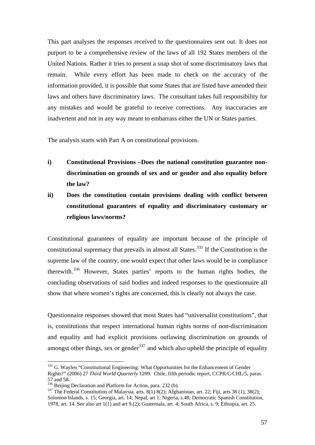This part analyses the responses received to the questionnaires sent out. It does not purport to be a comprehensive review of the laws of all 192 States members of the United Nations. Rather it tries to present a snap shot of some discriminatory laws that remain. While every effort has been made to check on the accuracy of the information provided, it is possible that some States that are listed have amended their laws and others have discriminatory laws. The consultant takes full responsibility for any mistakes and would be grateful to receive corrections. Any inaccuracies are inadvertent and not in any way meant to embarrass either the UN or States parties.

The analysis starts with Part A on constitutional provisions.

- **i) Constitutional Provisions –Does the national constitution guarantee nondiscrimination on grounds of sex and or gender and also equality before the law?**
- **ii) Does the constitution contain provisions dealing with conflict between constitutional guarantees of equality and discriminatory customary or religious laws/norms?**

Constitutional guarantees of equality are important because of the principle of constitutional supremacy that prevails in almost all States.<sup>335</sup> If the Constitution is the supreme law of the country, one would expect that other laws would be in compliance therewith.336 However, States parties' reports to the human rights bodies, the concluding observations of said bodies and indeed responses to the questionnaire all show that where women's rights are concerned, this is clearly not always the case.

Questionnaire responses showed that most States had "universalist constitutions", that is, constitutions that respect international human rights norms of non-discrimination and equality and had explicit provisions outlawing discrimination on grounds of amongst other things, sex or gender<sup>337</sup> and which also upheld the principle of equality

<sup>&</sup>lt;sup>335</sup> G. Waylen "Constitutional Engineering: What Opportunities for the Enhancement of Gender Rights?" (2006) 27 *Third World Quarterly* 1209. Chile, fifth periodic report, CCPR/C/CHL/5, paras. 57 and 58.<br><sup>336</sup> Beijing Declaration and Platform for Action, para. 232 (b).

<sup>&</sup>lt;sup>337</sup> The Federal Constitution of Malaysia, arts. 8(1) 8(2); Afghanistan, art. 22; Fiji, arts 38 (1), 38(2); Solomon Islands, s. 15; Georgia, art. 14; Nepal, art 1; Nigeria, s.48; Democratic Spanish Constitution, 1978, art. 14. See also art 1(1) and art 9.(2); Guatemala, art. 4; South Africa, s. 9; Ethiopia, art. 25.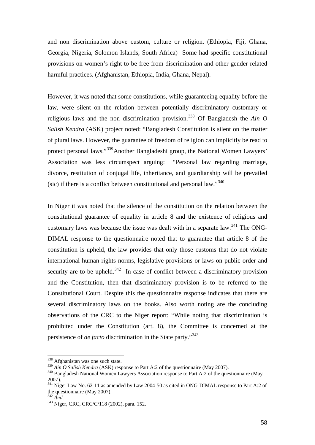and non discrimination above custom, culture or religion. (Ethiopia, Fiji, Ghana, Georgia, Nigeria, Solomon Islands, South Africa) Some had specific constitutional provisions on women's right to be free from discrimination and other gender related harmful practices. (Afghanistan, Ethiopia, India, Ghana, Nepal).

However, it was noted that some constitutions, while guaranteeing equality before the law, were silent on the relation between potentially discriminatory customary or religious laws and the non discrimination provision.<sup>338</sup> Of Bangladesh the *Ain O Salish Kendra* (ASK) project noted: "Bangladesh Constitution is silent on the matter of plural laws. However, the guarantee of freedom of religion can implicitly be read to protect personal laws."339Another Bangladeshi group, the National Women Lawyers' Association was less circumspect arguing: "Personal law regarding marriage, divorce, restitution of conjugal life, inheritance, and guardianship will be prevailed (sic) if there is a conflict between constitutional and personal law."<sup>340</sup>

In Niger it was noted that the silence of the constitution on the relation between the constitutional guarantee of equality in article 8 and the existence of religious and customary laws was because the issue was dealt with in a separate law.<sup>341</sup> The ONG-DIMAL response to the questionnaire noted that to guarantee that article 8 of the constitution is upheld, the law provides that only those customs that do not violate international human rights norms, legislative provisions or laws on public order and security are to be upheld.<sup>342</sup> In case of conflict between a discriminatory provision and the Constitution, then that discriminatory provision is to be referred to the Constitutional Court. Despite this the questionnaire response indicates that there are several discriminatory laws on the books. Also worth noting are the concluding observations of the CRC to the Niger report: "While noting that discrimination is prohibited under the Constitution (art. 8), the Committee is concerned at the persistence of *de facto* discrimination in the State party."<sup>343</sup>

<u>.</u>

<sup>&</sup>lt;sup>338</sup> Afghanistan was one such state.

<sup>&</sup>lt;sup>339</sup> *Ain O Salish Kendra* (ASK) response to Part A:2 of the questionnaire (May 2007).<br><sup>340</sup> Bangladesh National Women Lawyers Association response to Part A:2 of the questionnaire (May 2007).

<sup>&</sup>lt;sup>341</sup> Niger Law No. 62-11 as amended by Law 2004-50 as cited in ONG-DIMAL response to Part A:2 of the questionnaire (May 2007).<br> $342 \text{ Hid}$ 

<sup>&</sup>lt;sup>343</sup> Niger, CRC, CRC/C/118 (2002), para. 152.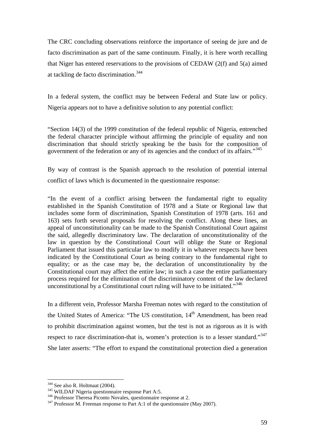The CRC concluding observations reinforce the importance of seeing de jure and de facto discrimination as part of the same continuum. Finally, it is here worth recalling that Niger has entered reservations to the provisions of CEDAW (2(f) and 5(a) aimed at tackling de facto discrimination.344

In a federal system, the conflict may be between Federal and State law or policy. Nigeria appears not to have a definitive solution to any potential conflict:

"Section 14(3) of the 1999 constitution of the federal republic of Nigeria, entrenched the federal character principle without affirming the principle of equality and non discrimination that should strictly speaking be the basis for the composition of government of the federation or any of its agencies and the conduct of its affairs."<sup>345</sup>

By way of contrast is the Spanish approach to the resolution of potential internal conflict of laws which is documented in the questionnaire response:

"In the event of a conflict arising between the fundamental right to equality established in the Spanish Constitution of 1978 and a State or Regional law that includes some form of discrimination, Spanish Constitution of 1978 (arts. 161 and 163) sets forth several proposals for resolving the conflict. Along these lines, an appeal of unconstitutionality can be made to the Spanish Constitutional Court against the said, allegedly discriminatory law. The declaration of unconstitutionality of the law in question by the Constitutional Court will oblige the State or Regional Parliament that issued this particular law to modify it in whatever respects have been indicated by the Constitutional Court as being contrary to the fundamental right to equality; or as the case may be, the declaration of unconstitutionality by the Constitutional court may affect the entire law; in such a case the entire parliamentary process required for the elimination of the discriminatory content of the law declared unconstitutional by a Constitutional court ruling will have to be initiated."<sup>346</sup>

In a different vein, Professor Marsha Freeman notes with regard to the constitution of the United States of America: "The US constitution,  $14<sup>th</sup>$  Amendment, has been read to prohibit discrimination against women, but the test is not as rigorous as it is with respect to race discrimination-that is, women's protection is to a lesser standard."<sup>347</sup> She later asserts: "The effort to expand the constitutional protection died a generation

<sup>&</sup>lt;sup>344</sup> See also R. Holtmaat (2004).

<sup>&</sup>lt;sup>345</sup> WILDAF Nigeria questionnaire response Part A:5.<br><sup>346</sup> Professor Theresa Piconto Novales, questionnaire response at 2.<br><sup>347</sup> Professor M. Freeman response to Part A:1 of the questionnaire (May 2007).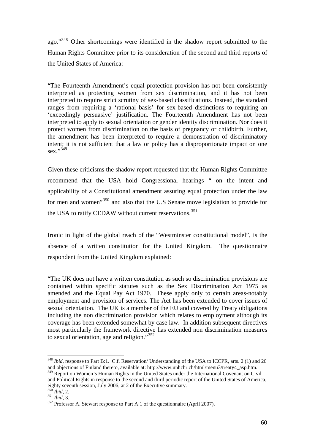ago."348 Other shortcomings were identified in the shadow report submitted to the Human Rights Committee prior to its consideration of the second and third reports of the United States of America:

"The Fourteenth Amendment's equal protection provision has not been consistently interpreted as protecting women from sex discrimination, and it has not been interpreted to require strict scrutiny of sex-based classifications. Instead, the standard ranges from requiring a 'rational basis' for sex-based distinctions to requiring an 'exceedingly persuasive' justification. The Fourteenth Amendment has not been interpreted to apply to sexual orientation or gender identity discrimination. Nor does it protect women from discrimination on the basis of pregnancy or childbirth. Further, the amendment has been interpreted to require a demonstration of discriminatory intent; it is not sufficient that a law or policy has a disproportionate impact on one sex."349

Given these criticisms the shadow report requested that the Human Rights Committee recommend that the USA hold Congressional hearings " on the intent and applicability of a Constitutional amendment assuring equal protection under the law for men and women"350 and also that the U.S Senate move legislation to provide for the USA to ratify CEDAW without current reservations.<sup>351</sup>

Ironic in light of the global reach of the "Westminster constitutional model", is the absence of a written constitution for the United Kingdom. The questionnaire respondent from the United Kingdom explained:

"The UK does not have a written constitution as such so discrimination provisions are contained within specific statutes such as the Sex Discrimination Act 1975 as amended and the Equal Pay Act 1970. These apply only to certain areas-notably employment and provision of services. The Act has been extended to cover issues of sexual orientation. The UK is a member of the EU and covered by Treaty obligations including the non discrimination provision which relates to employment although its coverage has been extended somewhat by case law. In addition subsequent directives most particularly the framework directive has extended non discrimination measures to sexual orientation, age and religion."<sup>352</sup>

<u>.</u>

<sup>&</sup>lt;sup>348</sup> *Ibid*, response to Part B:1. C.f. Reservation/ Understanding of the USA to ICCPR, arts. 2 (1) and 26 and objections of Finland thereto, available at: http://www.unhchr.ch/html/menu3/treaty4\_asp.htm. <sup>349</sup> Report on Women's Human Rights in the United States under the International Covenant on Civil

and Political Rights in response to the second and third periodic report of the United States of America, eighty seventh session, July 2006, at 2 of the Executive summary.<br><sup>350</sup> Ibid, 2.

<sup>350</sup> *Ibid*, 2. 351 *Ibid,* 3. 352 Professor A. Stewart response to Part A:1 of the questionnaire (April 2007).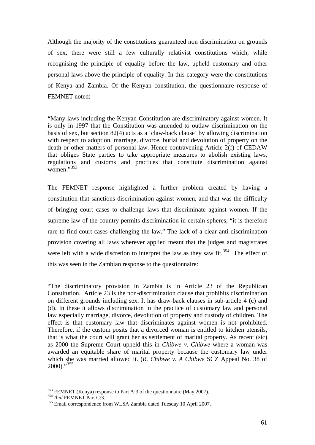Although the majority of the constitutions guaranteed non discrimination on grounds of sex, there were still a few culturally relativist constitutions which, while recognising the principle of equality before the law, upheld customary and other personal laws above the principle of equality. In this category were the constitutions of Kenya and Zambia. Of the Kenyan constitution, the questionnaire response of FEMNET noted:

"Many laws including the Kenyan Constitution are discriminatory against women. It is only in 1997 that the Constitution was amended to outlaw discrimination on the basis of sex, but section 82(4) acts as a 'claw-back clause' by allowing discrimination with respect to adoption, marriage, divorce, burial and devolution of property on the death or other matters of personal law. Hence contravening Article 2(f) of CEDAW that obliges State parties to take appropriate measures to abolish existing laws, regulations and customs and practices that constitute discrimination against women." $353$ 

The FEMNET response highlighted a further problem created by having a constitution that sanctions discrimination against women, and that was the difficulty of bringing court cases to challenge laws that discriminate against women. If the supreme law of the country permits discrimination in certain spheres, "it is therefore rare to find court cases challenging the law." The lack of a clear anti-discrimination provision covering all laws wherever applied meant that the judges and magistrates were left with a wide discretion to interpret the law as they saw fit.<sup>354</sup> The effect of this was seen in the Zambian response to the questionnaire:

"The discriminatory provision in Zambia is in Article 23 of the Republican Constitution. Article 23 is the non-discrimination clause that prohibits discrimination on different grounds including sex. It has draw-back clauses in sub-article 4 (c) and (d). In these it allows discrimination in the practice of customary law and personal law especially marriage, divorce, devolution of property and custody of children. The effect is that customary law that discriminates against women is not prohibited. Therefore, if the custom posits that a divorced woman is entitled to kitchen utensils, that is what the court will grant her as settlement of marital property. As recent (sic) as 2000 the Supreme Court upheld this in *Chibwe v. Chibwe* where a woman was awarded an equitable share of marital property because the customary law under which she was married allowed it. (*R. Chibwe v. A Chibwe* SCZ Appeal No. 38 of  $2000$ ."<sup>355</sup>

<sup>&</sup>lt;sup>353</sup> FEMNET (Kenya) response to Part A:3 of the questionnaire (May 2007).<br><sup>354</sup> *Ibid* FEMNET Part C:3.<br><sup>355</sup> Email correspondence from WLSA Zambia dated Tuesday 10 April 2007.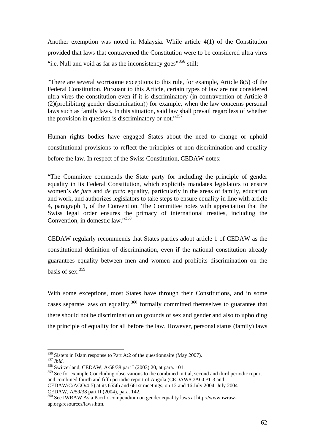Another exemption was noted in Malaysia. While article 4(1) of the Constitution provided that laws that contravened the Constitution were to be considered ultra vires "i.e. Null and void as far as the inconsistency goes"<sup>356</sup> still:

"There are several worrisome exceptions to this rule, for example, Article 8(5) of the Federal Constitution. Pursuant to this Article, certain types of law are not considered ultra vires the constitution even if it is discriminatory (in contravention of Article 8 (2)(prohibiting gender discrimination)) for example, when the law concerns personal laws such as family laws. In this situation, said law shall prevail regardless of whether the provision in question is discriminatory or not."<sup>357</sup>

Human rights bodies have engaged States about the need to change or uphold constitutional provisions to reflect the principles of non discrimination and equality before the law. In respect of the Swiss Constitution, CEDAW notes:

"The Committee commends the State party for including the principle of gender equality in its Federal Constitution, which explicitly mandates legislators to ensure women's *de jure* and *de facto* equality, particularly in the areas of family, education and work, and authorizes legislators to take steps to ensure equality in line with article 4, paragraph 1, of the Convention. The Committee notes with appreciation that the Swiss legal order ensures the primacy of international treaties, including the Convention, in domestic law."<sup>358</sup>

CEDAW regularly recommends that States parties adopt article 1 of CEDAW as the constitutional definition of discrimination, even if the national constitution already guarantees equality between men and women and prohibits discrimination on the basis of sex $^{359}$ 

With some exceptions, most States have through their Constitutions, and in some cases separate laws on equality, $360$  formally committed themselves to guarantee that there should not be discrimination on grounds of sex and gender and also to upholding the principle of equality for all before the law. However, personal status (family) laws

<sup>&</sup>lt;sup>356</sup> Sisters in Islam response to Part A:2 of the questionnaire (May 2007).<br><sup>357</sup> *Ibid.* <sup>358</sup> Switzerland, CEDAW, A/58/38 part I (2003) 20, at para. 101.

<sup>&</sup>lt;sup>359</sup> See for example Concluding observations to the combined initial, second and third periodic report and combined fourth and fifth periodic report of Angola (CEDAW/C/AGO/1-3 and

CEDAW/C/AGO/4-5) at its 655th and 661st meetings, on 12 and 16 July 2004, July 2004 CEDAW, A/59/38 part II (2004), para. 142.

<sup>360</sup> See IWRAW Asia Pacific compendium on gender equality laws at http://www.iwrawap.org/resources/laws.htm.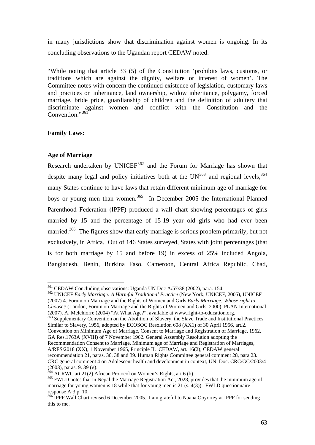in many jurisdictions show that discrimination against women is ongoing. In its concluding observations to the Ugandan report CEDAW noted:

"While noting that article 33 (5) of the Constitution 'prohibits laws, customs, or traditions which are against the dignity, welfare or interest of women'. The Committee notes with concern the continued existence of legislation, customary laws and practices on inheritance, land ownership, widow inheritance, polygamy, forced marriage, bride price, guardianship of children and the definition of adultery that discriminate against women and conflict with the Constitution and the Convention."361

# **Family Laws:**

## **Age of Marriage**

Research undertaken by UNICE $F^{362}$  and the Forum for Marriage has shown that despite many legal and policy initiatives both at the  $UN^{363}$  and regional levels.<sup>364</sup> many States continue to have laws that retain different minimum age of marriage for boys or young men than women.<sup>365</sup> In December 2005 the International Planned Parenthood Federation (IPPF) produced a wall chart showing percentages of girls married by 15 and the percentage of 15-19 year old girls who had ever been married.<sup>366</sup> The figures show that early marriage is serious problem primarily, but not exclusively, in Africa. Out of 146 States surveyed, States with joint percentages (that is for both marriage by 15 and before 19) in excess of 25% included Angola, Bangladesh, Benin, Burkina Faso, Cameroon, Central Africa Republic, Chad,

<sup>362</sup> UNICEF Early Marriage: A Harmful Traditional Practice (New York, UNICEF, 2005), UNICEF (2007) 4. Forum on Marriage and the Rights of Women and Girls *Early Marriage: Whose right to Choose?* (London, Forum on Marriage and the Rights of Women and Girls, 2000). PLAN International (2007). A. Melchiorre (2004) "At What Age?", available at www.right-to-education.org.

<sup>363</sup> Supplementary Convention on the Abolition of Slavery, the Slave Trade and Institutional Practices Similar to Slavery, 1956, adopted by ECOSOC Resolution 608 (XX1) of 30 April 1956, art.2. Convention on Minimum Age of Marriage, Consent to Marriage and Registration of Marriage, 1962,

GA Res.1763A (XVIII) of 7 November 1962. General Assembly Resolution adopting the Recommendation Consent to Marriage, Minimum age of Marriage and Registration of Marriages, A/RES/2018 (XX), 1 November 1965, Principle II. CEDAW, art. 16(2); CEDAW general recommendation 21, paras. 36, 38 and 39. Human Rights Committee general comment 28, para.23. CRC general comment 4 on Adolescent health and development in context, UN. Doc. CRC/GC/2003/4

<sup>&</sup>lt;sup>361</sup> CEDAW Concluding observations: Uganda UN Doc A/57/38 (2002), para, 154.

 $(2003)$ , paras. 9. 39 (g).<br><sup>364</sup> ACRWC art 21(2) African Protocol on Women's Rights, art 6 (b).

 $365$  FWLD notes that in Nepal the Marriage Registration Act, 2028, provides that the minimum age of marriage for young women is 18 while that for young men is 21 (s. 4(3)). FWLD questionnaire response A:3 p. 10.

<sup>&</sup>lt;sup>366</sup> IPPF Wall Chart revised 6 December 2005. I am grateful to Naana Ooyortey at IPPF for sending this to me.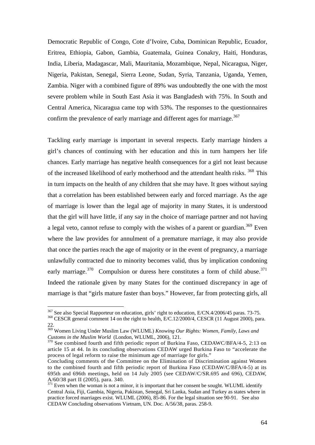Democratic Republic of Congo, Cote d'Ivoire, Cuba, Dominican Republic, Ecuador, Eritrea, Ethiopia, Gabon, Gambia, Guatemala, Guinea Conakry, Haiti, Honduras, India, Liberia, Madagascar, Mali, Mauritania, Mozambique, Nepal, Nicaragua, Niger, Nigeria, Pakistan, Senegal, Sierra Leone, Sudan, Syria, Tanzania, Uganda, Yemen, Zambia. Niger with a combined figure of 89% was undoubtedly the one with the most severe problem while in South East Asia it was Bangladesh with 75%. In South and Central America, Nicaragua came top with 53%. The responses to the questionnaires confirm the prevalence of early marriage and different ages for marriage.<sup>367</sup>

Tackling early marriage is important in several respects. Early marriage hinders a girl's chances of continuing with her education and this in turn hampers her life chances. Early marriage has negative health consequences for a girl not least because of the increased likelihood of early motherhood and the attendant health risks. <sup>368</sup> This in turn impacts on the health of any children that she may have. It goes without saying that a correlation has been established between early and forced marriage. As the age of marriage is lower than the legal age of majority in many States, it is understood that the girl will have little, if any say in the choice of marriage partner and not having a legal veto, cannot refuse to comply with the wishes of a parent or guardian.<sup>369</sup> Even where the law provides for annulment of a premature marriage, it may also provide that once the parties reach the age of majority or in the event of pregnancy, a marriage unlawfully contracted due to minority becomes valid, thus by implication condoning early marriage.<sup>370</sup> Compulsion or duress here constitutes a form of child abuse.<sup>371</sup> Indeed the rationale given by many States for the continued discrepancy in age of marriage is that "girls mature faster than boys." However, far from protecting girls, all

<sup>&</sup>lt;sup>367</sup> See also Special Rapporteur on education, girls' right to education, E/CN.4/2006/45 paras. 73-75.<br><sup>368</sup> CESCR general comment 14 on the right to health, E/C.12/2000/4, CESCR (11 August 2000), para. 22.

<sup>369</sup> Women Living Under Muslim Law (WLUML) *Knowing Our Rights: Women, Family, Laws and Customs in the Muslim World* (London, WLUML, 2006), 121.<br><sup>370</sup> See combined fourth and fifth periodic report of Burkina Faso, CEDAWC/BFA/4-5, 2:13 on

article 15 at 44. In its concluding observations CEDAW urged Burkina Faso to "accelerate the process of legal reform to raise the minimum age of marriage for girls."

Concluding comments of the Committee on the Elimination of Discrimination against Women to the combined fourth and fifth periodic report of Burkina Faso (CEDAW/C/BFA/4-5) at its 695th and 696th meetings, held on 14 July 2005 (see CEDAW/C/SR.695 and 696), CEDAW, A/60/38 part II (2005), para. 340.

 $371$  Even when the woman is not a minor, it is important that her consent be sought. WLUML identify Central Asia, Fiji, Gambia, Nigeria, Pakistan, Senegal, Sri Lanka, Sudan and Turkey as states where in practice forced marriages exist. WLUML (2006), 85-86. For the legal situation see 90-91. See also CEDAW Concluding observations Vietnam, UN. Doc. A/56/38, paras. 258-9.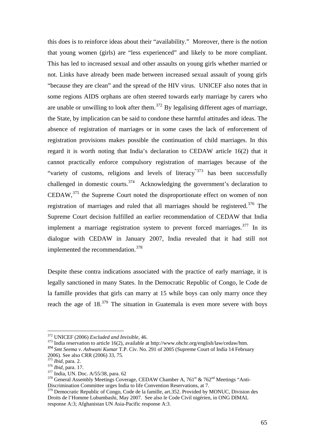this does is to reinforce ideas about their "availability." Moreover, there is the notion that young women (girls) are "less experienced" and likely to be more compliant. This has led to increased sexual and other assaults on young girls whether married or not. Links have already been made between increased sexual assault of young girls "because they are clean" and the spread of the HIV virus. UNICEF also notes that in some regions AIDS orphans are often steered towards early marriage by carers who are unable or unwilling to look after them.<sup>372</sup> By legalising different ages of marriage, the State, by implication can be said to condone these harmful attitudes and ideas. The absence of registration of marriages or in some cases the lack of enforcement of registration provisions makes possible the continuation of child marriages. In this regard it is worth noting that India's declaration to CEDAW article 16(2) that it cannot practically enforce compulsory registration of marriages because of the "variety of customs, religions and levels of literacy"<sup>373</sup> has been successfully challenged in domestic courts.<sup>374</sup> Acknowledging the government's declaration to CEDAW,375 the Supreme Court noted the disproportionate effect on women of non registration of marriages and ruled that all marriages should be registered.<sup>376</sup> The Supreme Court decision fulfilled an earlier recommendation of CEDAW that India implement a marriage registration system to prevent forced marriages.<sup>377</sup> In its dialogue with CEDAW in January 2007, India revealed that it had still not implemented the recommendation.<sup>378</sup>

Despite these contra indications associated with the practice of early marriage, it is legally sanctioned in many States. In the Democratic Republic of Congo, le Code de la famille provides that girls can marry at 15 while boys can only marry once they reach the age of  $18^{379}$  The situation in Guatemala is even more severe with boys

<sup>372</sup> UNICEF (2006) *Excluded and Invisible,* 46. 373 India reservation to article 16(2), available at http://www.ohchr.org/english/law/cedaw/htm. **<sup>374</sup>** *Smt Seema v. Ashwani Kumar* T.P. Civ. No. 291 of 2005 (Supreme Court of India 14 February 2006). See also CRR (2006) 33, 75.<br><sup>375</sup> Ibid, para. 2.

<sup>&</sup>lt;sup>376</sup> *Ibid*, para. 17.<br><sup>377</sup> India, UN. Doc. A/55/38, para. 62<br><sup>378</sup> General Assembly Meetings Coverage, CEDAW Chamber A, 761<sup>st</sup> & 762<sup>nd</sup> Meetings "Anti-Discrimination Committee urges India to life Convention Reservations, at 7.

<sup>&</sup>lt;sup>379</sup> Democratic Republic of Congo, Code de la famille, art.352. Provided by MONUC, Division des Droits de l'Homme Lubumbashi, May 2007. See also le Code Civil nigérien, in ONG DIMAL response A:3; Afghanistan UN Asia-Pacific response A:3.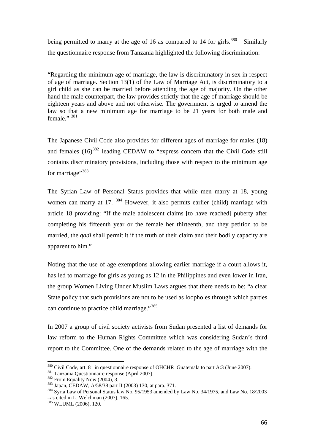being permitted to marry at the age of 16 as compared to 14 for girls.<sup>380</sup> Similarly the questionnaire response from Tanzania highlighted the following discrimination:

"Regarding the minimum age of marriage, the law is discriminatory in sex in respect of age of marriage. Section 13(1) of the Law of Marriage Act, is discriminatory to a girl child as she can be married before attending the age of majority. On the other hand the male counterpart, the law provides strictly that the age of marriage should be eighteen years and above and not otherwise. The government is urged to amend the law so that a new minimum age for marriage to be 21 years for both male and female." 381

The Japanese Civil Code also provides for different ages of marriage for males (18) and females  $(16)^{382}$  leading CEDAW to "express concern that the Civil Code still contains discriminatory provisions, including those with respect to the minimum age for marriage"<sup>383</sup>

The Syrian Law of Personal Status provides that while men marry at 18, young women can marry at 17. <sup>384</sup> However, it also permits earlier (child) marriage with article 18 providing: "If the male adolescent claims [to have reached] puberty after completing his fifteenth year or the female her thirteenth, and they petition to be married, the *qadi* shall permit it if the truth of their claim and their bodily capacity are apparent to him."

Noting that the use of age exemptions allowing earlier marriage if a court allows it, has led to marriage for girls as young as 12 in the Philippines and even lower in Iran, the group Women Living Under Muslim Laws argues that there needs to be: "a clear State policy that such provisions are not to be used as loopholes through which parties can continue to practice child marriage."<sup>385</sup>

In 2007 a group of civil society activists from Sudan presented a list of demands for law reform to the Human Rights Committee which was considering Sudan's third report to the Committee. One of the demands related to the age of marriage with the

<sup>&</sup>lt;sup>380</sup> Civil Code, art. 81 in questionnaire response of OHCHR Guatemala to part A:3 (June 2007).

<sup>&</sup>lt;sup>381</sup> Tanzania Questionnaire response (April 2007).<br><sup>382</sup> From Equality Now (2004), 3.<br><sup>383</sup> Japan, CEDAW, A/58/38 part II (2003) 130, at para. 371.<br><sup>384</sup> Syria Law of Personal Status law No. 95/1953 amended by Law No. 34 –as cited in L. Welchman (2007), 165.

<sup>&</sup>lt;sup>385</sup> WLUML (2006), 120.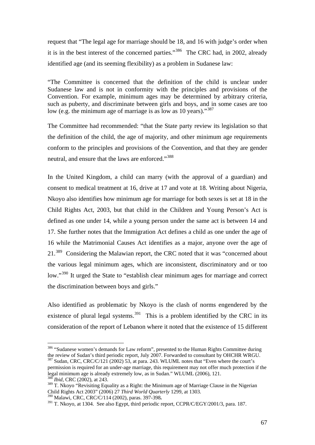request that "The legal age for marriage should be 18, and 16 with judge's order when it is in the best interest of the concerned parties."386 The CRC had, in 2002, already identified age (and its seeming flexibility) as a problem in Sudanese law:

"The Committee is concerned that the definition of the child is unclear under Sudanese law and is not in conformity with the principles and provisions of the Convention. For example, minimum ages may be determined by arbitrary criteria, such as puberty, and discriminate between girls and boys, and in some cases are too low (e.g. the minimum age of marriage is as low as 10 years)."<sup>387</sup>

The Committee had recommended: "that the State party review its legislation so that the definition of the child, the age of majority, and other minimum age requirements conform to the principles and provisions of the Convention, and that they are gender neutral, and ensure that the laws are enforced."<sup>388</sup>

In the United Kingdom, a child can marry (with the approval of a guardian) and consent to medical treatment at 16, drive at 17 and vote at 18. Writing about Nigeria, Nkoyo also identifies how minimum age for marriage for both sexes is set at 18 in the Child Rights Act, 2003, but that child in the Children and Young Person's Act is defined as one under 14, while a young person under the same act is between 14 and 17. She further notes that the Immigration Act defines a child as one under the age of 16 while the Matrimonial Causes Act identifies as a major, anyone over the age of 21.389 Considering the Malawian report, the CRC noted that it was "concerned about the various legal minimum ages, which are inconsistent, discriminatory and or too low."<sup>390</sup> It urged the State to "establish clear minimum ages for marriage and correct the discrimination between boys and girls."

Also identified as problematic by Nkoyo is the clash of norms engendered by the existence of plural legal systems.<sup>391</sup> This is a problem identified by the CRC in its consideration of the report of Lebanon where it noted that the existence of 15 different

<sup>&</sup>lt;sup>386</sup> "Sudanese women's demands for Law reform", presented to the Human Rights Committee during the review of Sudan's third periodic report, July 2007. Forwarded to consultant by OHCHR WRGU.

 $387$  Sudan, CRC, CRC/C/121 (2002) 53, at para. 243. WLUML notes that "Even where the court's permission is required for an under-age marriage, this requirement may not offer much protection if the legal minimum age is already extremely low, as in Sudan." WLUML (2006), 121. *Ibid, CRC (2002), at 243.* 

 $389$  T. Nkoyo "Revisiting Equality as a Right: the Minimum age of Marriage Clause in the Nigerian Child Rights Act 2003" (2006) 27 *Third World Quarterly* 1299, at 1303.

<sup>&</sup>lt;sup>391</sup> T. Nkoyo, at 1304. See also Egypt, third periodic report, CCPR/C/EGY/2001/3, para. 187.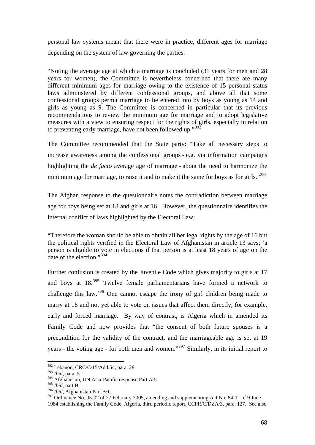personal law systems meant that there were in practice, different ages for marriage depending on the system of law governing the parties.

"Noting the average age at which a marriage is concluded (31 years for men and 28 years for women), the Committee is nevertheless concerned that there are many different minimum ages for marriage owing to the existence of 15 personal status laws administered by different confessional groups, and above all that some confessional groups permit marriage to be entered into by boys as young as 14 and girls as young as 9. The Committee is concerned in particular that its previous recommendations to review the minimum age for marriage and to adopt legislative measures with a view to ensuring respect for the rights of girls, especially in relation to preventing early marriage, have not been followed up."<sup>392</sup>

The Committee recommended that the State party: "Take all necessary steps to increase awareness among the confessional groups - e.g. via information campaigns highlighting the *de facto* average age of marriage - about the need to harmonize the minimum age for marriage, to raise it and to make it the same for boys as for girls."<sup>393</sup>

The Afghan response to the questionnaire notes the contradiction between marriage age for boys being set at 18 and girls at 16. However, the questionnaire identifies the internal conflict of laws highlighted by the Electoral Law:

"Therefore the woman should be able to obtain all her legal rights by the age of 16 but the political rights verified in the Electoral Law of Afghanistan in article 13 says; 'a person is eligible to vote in elections if that person is at least 18 years of age on the date of the election."<sup>394</sup>

Further confusion is created by the Juvenile Code which gives majority to girls at 17 and boys at  $18^{395}$  Twelve female parliamentarians have formed a network to challenge this law.396 One cannot escape the irony of girl children being made to marry at 16 and not yet able to vote on issues that affect them directly, for example, early and forced marriage. By way of contrast, is Algeria which in amended its Family Code and now provides that "the consent of both future spouses is a precondition for the validity of the contract, and the marriageable age is set at 19 years - the voting age - for both men and women."<sup>397</sup> Similarly, in its initial report to

1

<sup>396</sup> *Ibid,* Afghanistan Part B:1.

 $392$  Lebanon, CRC/C/15/Add.54, para. 28.

<sup>393</sup> *Ibid,* para. 51.

<sup>&</sup>lt;sup>394</sup> Afghanistan, UN Asia-Pacific response Part A:5.

<sup>395</sup> *Ibid,* part B:1.

<sup>&</sup>lt;sup>397</sup> Ordinance No. 05-02 of 27 February 2005, amending and supplementing Act No. 84-11 of 9 June 1984 establishing the Family Code, Algeria, third periodic report, CCPR/C/DZA/3, para. 127. See also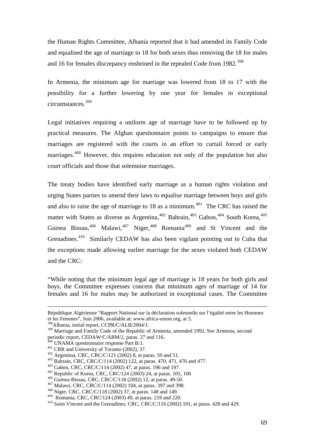the Human Rights Committee, Albania reported that it had amended its Family Code and equalised the age of marriage to 18 for both sexes thus removing the 18 for males and 16 for females discrepancy enshrined in the repealed Code from 1982.<sup>398</sup>

In Armenia, the minimum age for marriage was lowered from 18 to 17 with the possibility for a further lowering by one year for females in exceptional circumstances.<sup>399</sup>

Legal initiatives requiring a uniform age of marriage have to be followed up by practical measures. The Afghan questionnaire points to campaigns to ensure that marriages are registered with the courts in an effort to curtail forced or early marriages.<sup>400</sup> However, this requires education not only of the population but also court officials and those that solemnise marriages.

The treaty bodies have identified early marriage as a human rights violation and urging States parties to amend their laws to equalise marriage between boys and girls and also to raise the age of marriage to  $18$  as a minimum.<sup>401</sup> The CRC has raised the matter with States as diverse as Argentina, $402$  Bahrain, $403$  Gabon,  $404$  South Korea,  $405$ Guinea Bissau,<sup>406</sup> Malawi,<sup>407</sup> Niger,<sup>408</sup> Romania<sup>409</sup> and St Vincent and the Grenadines.410 Similarly CEDAW has also been vigilant pointing out to Cuba that the exceptions made allowing earlier marriage for the sexes violated both CEDAW and the CRC:

"While noting that the minimum legal age of marriage is 18 years for both girls and boys, the Committee expresses concern that minimum ages of marriage of 14 for females and 16 for males may be authorized in exceptional cases. The Committee

République Algérienne "Rapport National sur la déclaration solennelle sur l'égalité entre les Hommes et les Femmes", Juin 2006, available at: www.africa-union.org, at 5.

<sup>398</sup>Albania, initial report, CCPR/C/ALB/2004/1.

<sup>&</sup>lt;sup>399</sup> Marriage and Family Code of the Republic of Armenia, amended 1992. See Armenia, second periodic report, CEDAW/C/ARM/2, paras. 27 and 116.<br><sup>400</sup> UNAMA questionnaire response Part B:1.

<sup>&</sup>lt;sup>401</sup> CRR and University of Toronto (2002), 37.<br><sup>402</sup> Argentina, CRC, CRC/C/121 (2002) 8, at paras. 50 and 51.<br><sup>403</sup> Bahrain, CRC, CRC/C/114 (2002) 122, at paras. 470, 471, 476 and 477.<br><sup>403</sup> Gabon, CRC, CRC/C/114 (2002)

 $410$  Saint Vincent and the Grenadines, CRC, CRC/C/116 (2002) 101, at paras. 428 and 429.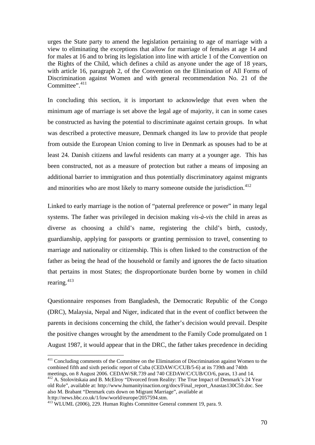urges the State party to amend the legislation pertaining to age of marriage with a view to eliminating the exceptions that allow for marriage of females at age 14 and for males at 16 and to bring its legislation into line with article 1 of the Convention on the Rights of the Child, which defines a child as anyone under the age of 18 years, with article 16, paragraph 2, of the Convention on the Elimination of All Forms of Discrimination against Women and with general recommendation No. 21 of the Committee". 411

In concluding this section, it is important to acknowledge that even when the minimum age of marriage is set above the legal age of majority, it can in some cases be constructed as having the potential to discriminate against certain groups. In what was described a protective measure, Denmark changed its law to provide that people from outside the European Union coming to live in Denmark as spouses had to be at least 24. Danish citizens and lawful residents can marry at a younger age. This has been constructed, not as a measure of protection but rather a means of imposing an additional barrier to immigration and thus potentially discriminatory against migrants and minorities who are most likely to marry someone outside the jurisdiction.<sup>412</sup>

Linked to early marriage is the notion of "paternal preference or power" in many legal systems. The father was privileged in decision making *vis-à-vis* the child in areas as diverse as choosing a child's name, registering the child's birth, custody, guardianship, applying for passports or granting permission to travel, consenting to marriage and nationality or citizenship. This is often linked to the construction of the father as being the head of the household or family and ignores the de facto situation that pertains in most States; the disproportionate burden borne by women in child rearing.<sup>413</sup>

Questionnaire responses from Bangladesh, the Democratic Republic of the Congo (DRC), Malaysia, Nepal and Niger, indicated that in the event of conflict between the parents in decisions concerning the child, the father's decision would prevail. Despite the positive changes wrought by the amendment to the Family Code promulgated on 1 August 1987, it would appear that in the DRC, the father takes precedence in deciding

<u>.</u>

<sup>&</sup>lt;sup>411</sup> Concluding comments of the Committee on the Elimination of Discrimination against Women to the combined fifth and sixth periodic report of Cuba (CEDAW/C/CUB/5-6) at its 739th and 740th meetings, on 8 August 2006. CEDAW/SR.739 and 740 CEDAW/C/CUB/CO/6, paras, 13 and 14.

<sup>&</sup>lt;sup>412</sup> A. Stolovitskaia and B. McElroy "Divorced from Reality: The True Impact of Denmark's 24 Year old Rule", available at: http://www.humanityinaction.org/docs/Final\_report\_Anastas130C50.doc. See also M. Brabant "Denmark cuts down on Migrant Marriage", available at h:ttp://news.bbc.co.uk/1/low/world/europe/2057594.stm.

<sup>&</sup>lt;sup>413</sup> WLUML (2006), 229. Human Rights Committee General comment 19, para. 9.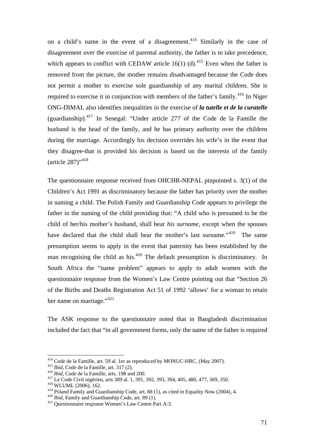on a child's name in the event of a disagreement.<sup>414</sup> Similarly in the case of disagreement over the exercise of parental authority, the father is to take precedence, which appears to conflict with CEDAW article 16(1) (d).<sup>415</sup> Even when the father is removed from the picture, the mother remains disadvantaged because the Code does not permit a mother to exercise sole guardianship of any marital children. She is required to exercise it in conjunction with members of the father's family.<sup>416</sup> In Niger ONG-DIMAL also identifies inequalities in the exercise of *la tutelle et de la curatelle*  (guardianship).<sup>417</sup> In Senegal: "Under article 277 of the Code de la Famille the husband is the head of the family, and he has primary authority over the children during the marriage. Accordingly his decision overrides his wife's in the event that they disagree-that is provided his decision is based on the interests of the family (article 287)",418

The questionnaire response received from OHCHR-NEPAL pinpointed s. 3(1) of the Children's Act 1991 as discriminatory because the father has priority over the mother in naming a child. The Polish Family and Guardianship Code appears to privilege the father in the naming of the child providing that: "A child who is presumed to be the child of her/his mother's husband, shall bear *his surname,* except when the spouses have declared that the child shall bear the mother's last surname."<sup>419</sup> The same presumption seems to apply in the event that paternity has been established by the man recognising the child as his.<sup>420</sup> The default presumption is discriminatory. In South Africa the "name problem" appears to apply to adult women with the questionnaire response from the Women's Law Centre pointing out that "Section 26 of the Births and Deaths Registration Act 51 of 1992 'allows' for a woman to retain her name on marriage."<sup>421</sup>

The ASK response to the questionnaire noted that in Bangladesh discrimination included the fact that "in all government forms, only the name of the father is required

<u>.</u>

<sup>&</sup>lt;sup>414</sup> Code de la Famille, art. 59 al. 1er as reproduced by MONUC-HRC, (May 2007).<br><sup>415</sup> *Ibid*, Code de la Famille, art. 317 (2).<br><sup>416</sup> *Ibid*, Code de la Famille, arts. 198 and 200.<br><sup>417</sup> Le Code Civil nigérien, arts 389

<sup>&</sup>lt;sup>419</sup> Poland Family and Guardianship Code, art. 88 (1), as cited in Equality Now (2004), 4.<br><sup>420</sup> *Ibid*, Family and Guardianship Code, art. 89 (1).<br><sup>421</sup> Ouestionnaire response Women's Law Centre Part A:3.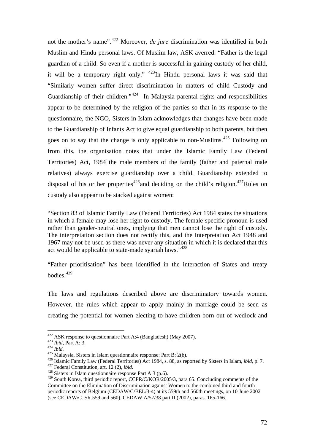not the mother's name".422 Moreover, *de jure* discrimination was identified in both Muslim and Hindu personal laws. Of Muslim law, ASK averred: "Father is the legal guardian of a child. So even if a mother is successful in gaining custody of her child, it will be a temporary right only."  $423$ In Hindu personal laws it was said that "Similarly women suffer direct discrimination in matters of child Custody and Guardianship of their children."<sup>424</sup> In Malaysia parental rights and responsibilities appear to be determined by the religion of the parties so that in its response to the questionnaire, the NGO, Sisters in Islam acknowledges that changes have been made to the Guardianship of Infants Act to give equal guardianship to both parents, but then goes on to say that the change is only applicable to non-Muslims.<sup>425</sup> Following on from this, the organisation notes that under the Islamic Family Law (Federal Territories) Act, 1984 the male members of the family (father and paternal male relatives) always exercise guardianship over a child. Guardianship extended to disposal of his or her properties<sup>426</sup> and deciding on the child's religion.<sup>427</sup>Rules on custody also appear to be stacked against women:

"Section 83 of Islamic Family Law (Federal Territories) Act 1984 states the situations in which a female may lose her right to custody. The female-specific pronoun is used rather than gender-neutral ones, implying that men cannot lose the right of custody. The interpretation section does not rectify this, and the Interpretation Act 1948 and 1967 may not be used as there was never any situation in which it is declared that this act would be applicable to state-made syariah laws."<sup>428</sup>

"Father prioritisation" has been identified in the interaction of States and treaty bodies.<sup>429</sup>

The laws and regulations described above are discriminatory towards women. However, the rules which appear to apply mainly in marriage could be seen as creating the potential for women electing to have children born out of wedlock and

 $422$  ASK response to questionnaire Part A:4 (Bangladesh) (May 2007).

<sup>&</sup>lt;sup>423</sup> Ibid, Part A: 3.<br><sup>425</sup> Malaysia, Sisters in Islam questionnaire response: Part B: 2(b).<br><sup>425</sup> Malaysia, Sisters in Islam questionnaire response: Part B: 2(b).<br><sup>426</sup> Islamic Family Law (Federal Territories) Act 1984,

<sup>&</sup>lt;sup>429</sup> South Korea, third periodic report, CCPR/C/KOR/2005/3, para 65. Concluding comments of the Committee on the Elimination of Discrimination against Women to the combined third and fourth periodic reports of Belgium (CEDAW/C/BEL/3-4) at its 559th and 560th meetings, on 10 June 2002 (see CEDAW/C. SR.559 and 560), CEDAW A/57/38 part II (2002), paras. 165-166.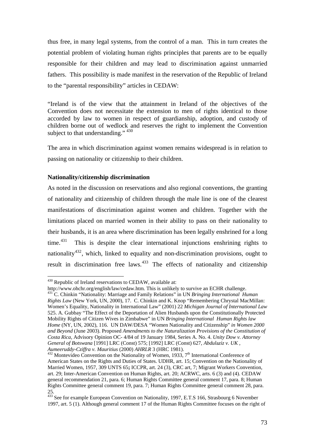thus free, in many legal systems, from the control of a man. This in turn creates the potential problem of violating human rights principles that parents are to be equally responsible for their children and may lead to discrimination against unmarried fathers. This possibility is made manifest in the reservation of the Republic of Ireland to the "parental responsibility" articles in CEDAW:

"Ireland is of the view that the attainment in Ireland of the objectives of the Convention does not necessitate the extension to men of rights identical to those accorded by law to women in respect of guardianship, adoption, and custody of children borne out of wedlock and reserves the right to implement the Convention subject to that understanding." <sup>430</sup>

The area in which discrimination against women remains widespread is in relation to passing on nationality or citizenship to their children.

# **Nationality/citizenship discrimination**

As noted in the discussion on reservations and also regional conventions, the granting of nationality and citizenship of children through the male line is one of the clearest manifestations of discrimination against women and children. Together with the limitations placed on married women in their ability to pass on their nationality to their husbands, it is an area where discrimination has been legally enshrined for a long time.<sup>431</sup> This is despite the clear international injunctions enshrining rights to nationality<sup>432</sup>, which, linked to equality and non-discrimination provisions, ought to result in discrimination free laws.<sup>433</sup> The effects of nationality and citizenship

 $430$  Republic of Ireland reservations to CEDAW, available at:

http://www.ohchr.org/english/law/cedaw.htm. This is unlikely to survive an ECHR challenge.

<sup>431</sup> C. Chinkin "Nationality: Marriage and Family Relations" in UN *Bringing International Human Rights Law* (New York, UN, 2000), 17.C. Chinkin and K. Knop "Remembering Chrystal MacMillan: Women's Equality, Nationality in International Law" (2001) 22 *Michigan Journal of International Law* 525. A. Gubbay "The Effect of the Deportation of Alien Husbands upon the Constitutionally Protected Mobility Rights of Citizen Wives in Zimbabwe" in UN *Bringing International Human Rights law Home* (NY, UN, 2002), 116. UN DAW/DESA "Women Nationality and Citizenship" *in Women 2000 and Beyond* (June 2003). Proposed *Amendments to the Naturalization Provisions of the Constitution of Costa Rica,* Advisory Opinion OC- 4/84 of 19 January 1984, Series A. No. 4. *Unity Dow v. Attorney General of Botswana* [1991] LRC (Const) 575; [1992] LRC (Const) 627, *Abdul*a*ziz v. UK* ,

<sup>&</sup>lt;sup>432</sup> Montevideo Convention on the Nationality of Women, 1933, 7<sup>th</sup> International Conference of American States on the Rights and Duties of States. UDHR, art. 15; Convention on the Nationality of Married Women, 1957, 309 UNTS 65**;** ICCPR, art. 24 (3), CRC art, 7; Migrant Workers Convention, art. 29; Inter-American Convention on Human Rights, art. 20; ACRWC, arts. 6 (3) and (4). CEDAW general recommendation 21, para. 6; Human Rights Committee general comment 17, para. 8; Human Rights Committee general comment 19, para. 7; Human Rights Committee general comment 28, para. 25.

<sup>&</sup>lt;sup>433</sup> See for example European Convention on Nationality, 1997, E.T.S 166, Strasbourg 6 November 1997, art. 5 (1). Although general comment 17 of the Human Rights Committee focuses on the right of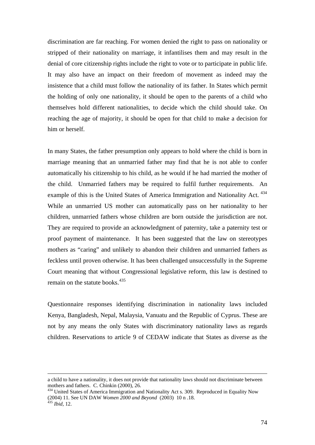discrimination are far reaching. For women denied the right to pass on nationality or stripped of their nationality on marriage, it infantilises them and may result in the denial of core citizenship rights include the right to vote or to participate in public life. It may also have an impact on their freedom of movement as indeed may the insistence that a child must follow the nationality of its father. In States which permit the holding of only one nationality, it should be open to the parents of a child who themselves hold different nationalities, to decide which the child should take. On reaching the age of majority, it should be open for that child to make a decision for him or herself.

In many States, the father presumption only appears to hold where the child is born in marriage meaning that an unmarried father may find that he is not able to confer automatically his citizenship to his child, as he would if he had married the mother of the child. Unmarried fathers may be required to fulfil further requirements. An example of this is the United States of America Immigration and Nationality Act.<sup>434</sup> While an unmarried US mother can automatically pass on her nationality to her children, unmarried fathers whose children are born outside the jurisdiction are not. They are required to provide an acknowledgment of paternity, take a paternity test or proof payment of maintenance. It has been suggested that the law on stereotypes mothers as "caring" and unlikely to abandon their children and unmarried fathers as feckless until proven otherwise. It has been challenged unsuccessfully in the Supreme Court meaning that without Congressional legislative reform, this law is destined to remain on the statute books.<sup>435</sup>

Questionnaire responses identifying discrimination in nationality laws included Kenya, Bangladesh, Nepal, Malaysia, Vanuatu and the Republic of Cyprus. These are not by any means the only States with discriminatory nationality laws as regards children. Reservations to article 9 of CEDAW indicate that States as diverse as the

a child to have a nationality, it does not provide that nationality laws should not discriminate between mothers and fathers. C. Chinkin (2000), 26.<br><sup>434</sup> United States of America Immigration and Nationality Act s. 309. Reproduced in Equality Now

<sup>(2004) 11.</sup> See UN DAW *Women 2000 and Beyond* (2003) 10 n .18. 435 *Ibid,* 12.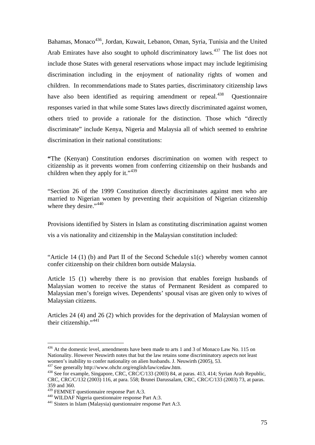Bahamas, Monaco<sup>436</sup>, Jordan, Kuwait, Lebanon, Oman, Syria, Tunisia and the United Arab Emirates have also sought to uphold discriminatory laws.<sup>437</sup> The list does not include those States with general reservations whose impact may include legitimising discrimination including in the enjoyment of nationality rights of women and children. In recommendations made to States parties, discriminatory citizenship laws have also been identified as requiring amendment or repeal.<sup>438</sup> Ouestionnaire responses varied in that while some States laws directly discriminated against women, others tried to provide a rationale for the distinction. Those which "directly discriminate" include Kenya, Nigeria and Malaysia all of which seemed to enshrine discrimination in their national constitutions:

**"**The (Kenyan) Constitution endorses discrimination on women with respect to citizenship as it prevents women from conferring citizenship on their husbands and children when they apply for it." $439$ 

"Section 26 of the 1999 Constitution directly discriminates against men who are married to Nigerian women by preventing their acquisition of Nigerian citizenship where they desire."<sup>440</sup>

Provisions identified by Sisters in Islam as constituting discrimination against women vis a vis nationality and citizenship in the Malaysian constitution included:

"Article 14 (1) (b) and Part II of the Second Schedule  $s1(c)$  whereby women cannot confer citizenship on their children born outside Malaysia.

Article 15 (1) whereby there is no provision that enables foreign husbands of Malaysian women to receive the status of Permanent Resident as compared to Malaysian men's foreign wives. Dependents' spousal visas are given only to wives of Malaysian citizens.

Articles 24 (4) and 26 (2) which provides for the deprivation of Malaysian women of their citizenship."<sup>441</sup>

<sup>&</sup>lt;sup>436</sup> At the domestic level, amendments have been made to arts 1 and 3 of Monaco Law No. 115 on Nationality. However Neuwirth notes that but the law retains some discriminatory aspects not least women's inability to confer nationality on alien husbands. J. Neuwirth (2005), 53.<br><sup>437</sup> See generally http://www.ohchr.org/english/law/cedaw.htm.

 $438$  See for example, Singapore, CRC, CRC/C/133 (2003) 84, at paras. 413, 414; Syrian Arab Republic, CRC, CRC/C/132 (2003) 116, at para. 558; Brunei Darussalam, CRC, CRC/C/133 (2003) 73, at paras. 359 and 360.<br><sup>439</sup> FEMNET questionnaire response Part A:3.

<sup>440</sup> WILDAF Nigeria questionnaire response Part A:3.<br><sup>441</sup> Sisters in Islam (Malaysia) questionnaire response Part A:3.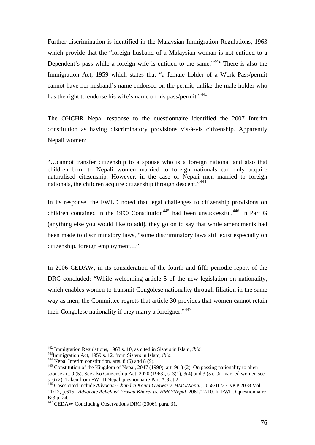Further discrimination is identified in the Malaysian Immigration Regulations, 1963 which provide that the "foreign husband of a Malaysian woman is not entitled to a Dependent's pass while a foreign wife is entitled to the same."<sup>442</sup> There is also the Immigration Act, 1959 which states that "a female holder of a Work Pass/permit cannot have her husband's name endorsed on the permit, unlike the male holder who has the right to endorse his wife's name on his pass/permit."<sup>443</sup>

The OHCHR Nepal response to the questionnaire identified the 2007 Interim constitution as having discriminatory provisions vis-à-vis citizenship. Apparently Nepali women:

"…cannot transfer citizenship to a spouse who is a foreign national and also that children born to Nepali women married to foreign nationals can only acquire naturalised citizenship. However, in the case of Nepali men married to foreign nationals, the children acquire citizenship through descent."<sup>444</sup>

In its response, the FWLD noted that legal challenges to citizenship provisions on children contained in the 1990 Constitution<sup>445</sup> had been unsuccessful.<sup>446</sup> In Part G (anything else you would like to add), they go on to say that while amendments had been made to discriminatory laws, "some discriminatory laws still exist especially on citizenship, foreign employment…"

In 2006 CEDAW, in its consideration of the fourth and fifth periodic report of the DRC concluded: "While welcoming article 5 of the new legislation on nationality, which enables women to transmit Congolese nationality through filiation in the same way as men, the Committee regrets that article 30 provides that women cannot retain their Congolese nationality if they marry a foreigner."<sup>447</sup>

<sup>&</sup>lt;sup>442</sup> Immigration Regulations, 1963 s. 10, as cited in Sisters in Islam, *ibid.*<br><sup>443</sup> Immigration Act, 1959 s. 12, from Sisters in Islam, *ibid.*<br><sup>444</sup> Nepal Interim constitution, arts. 8 (6) and 8 (9).<br><sup>445</sup> Constitutio spouse art. 9 (5). See also Citizenship Act, 2020 (1963), s.  $3(1)$ ,  $3(4)$  and  $3(5)$ . On married women see s. 6 (2). Taken from FWLD Nepal questionnaire Part A:3 at 2.

<sup>446</sup> Cases cited include *Advocate Chandra Kanta Gyawai v. HMG/Nepal,* 2058/10/25 NKP 2058 Vol. 11/12, p.615. *Advocate Achchuyt Prasad Kharel vs. HMG/Nepal* 2061/12/10. In FWLD questionnaire B:3 p. 24.

<sup>&</sup>lt;sup>447</sup> CEDAW Concluding Observations DRC (2006), para. 31.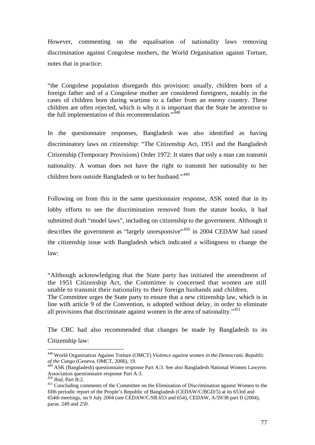However, commenting on the equalisation of nationality laws removing discrimination against Congolese mothers, the World Organisation against Torture, notes that in practice:

"the Congolese population disregards this provision: usually, children born of a foreign father and of a Congolese mother are considered foreigners, notably in the cases of children born during wartime to a father from an enemy country. These children are often rejected, which is why it is important that the State be attentive to the full implementation of this recommendation."<sup>448</sup>

In the questionnaire responses, Bangladesh was also identified as having discriminatory laws on citizenship: "The Citizenship Act, 1951 and the Bangladesh Citizenship (Temporary Provisions) Order 1972: It states that only a man can transmit nationality. A woman does not have the right to transmit her nationality to her children born outside Bangladesh or to her husband."<sup>449</sup>

Following on from this in the same questionnaire response, ASK noted that in its lobby efforts to see the discrimination removed from the statute books, it had submitted draft "model laws", including on citizenship to the government. Although it describes the government as "largely unresponsive"<sup>450</sup> in 2004 CEDAW had raised the citizenship issue with Bangladesh which indicated a willingness to change the law:

"Although acknowledging that the State party has initiated the amendment of the 1951 Citizenship Act, the Committee is concerned that women are still unable to transmit their nationality to their foreign husbands and children.

The Committee urges the State party to ensure that a new citizenship law, which is in line with article 9 of the Convention, is adopted without delay, in order to eliminate all provisions that discriminate against women in the area of nationality."<sup>451</sup>

The CRC had also recommended that changes be made by Bangladesh to its Citizenship law:

<sup>448</sup> World Organisation Against Torture (OMCT) *Violence against women in the Democratic Republic of the Congo* (Geneva, OMCT, 2006), 19.

<sup>449</sup> ASK (Bangladesh) questionnaire response Part A:3. See also Bangladesh National Women Lawyers Association questionnaire response Part A:3.<br><sup>450</sup> Ibid. Part B:2.

<sup>&</sup>lt;sup>451</sup> Concluding comments of the Committee on the Elimination of Discrimination against Women to the fifth periodic report of the People's Republic of Bangladesh (CEDAW/C/BGD/5) at its 653rd and 654th meetings, on 9 July 2004 (see CEDAW/C/SR.653 and 654), CEDAW, A/59/38 part II (2004), paras. 249 and 250.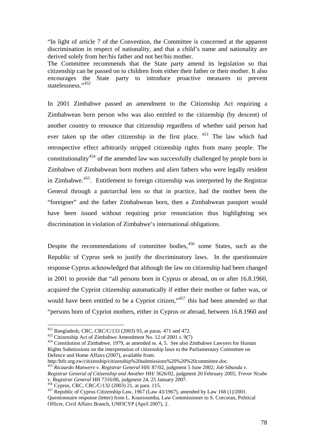"In light of article 7 of the Convention, the Committee is concerned at the apparent discrimination in respect of nationality, and that a child's name and nationality are derived solely from her/his father and not her/his mother.

The Committee recommends that the State party amend its legislation so that citizenship can be passed on to children from either their father or their mother. It also encourages the State party to introduce proactive measures to prevent statelessness."452

In 2001 Zimbabwe passed an amendment to the Citizenship Act requiring a Zimbabwean born person who was also entitled to the citizenship (by descent) of another country to renounce that citizenship regardless of whether said person had ever taken up the other citizenship in the first place.  $453$  The law which had retrospective effect arbitrarily stripped citizenship rights from many people. The constitutionality<sup>454</sup> of the amended law was successfully challenged by people born in Zimbabwe of Zimbabwean born mothers and alien fathers who were legally resident in Zimbabwe.455. Entitlement to foreign citizenship was interpreted by the Registrar General through a patriarchal lens so that in practice, had the mother been the "foreigner" and the father Zimbabwean born, then a Zimbabwean passport would have been issued without requiring prior renunciation thus highlighting sex discrimination in violation of Zimbabwe's international obligations.

Despite the recommendations of committee bodies,  $456$  some States, such as the Republic of Cyprus seek to justify the discriminatory laws. In the questionnaire response Cyprus acknowledged that although the law on citizenship had been changed in 2001 to provide that "all persons born in Cyprus or abroad, on or after 16.8.1960, acquired the Cypriot citizenship automatically if either their mother or father was, or would have been entitled to be a Cypriot citizen,"<sup>457</sup> this had been amended so that "persons born of Cypriot mothers, either in Cyprus or abroad, between 16.8.1960 and

<sup>452</sup> Bangladesh, CRC, CRC/C/133 (2003) 93, at paras. 471 and 472.<br><sup>453</sup> Citizenship Act of Zimbabwe Amendment No. 12 of 2001 s. 9(7)<br><sup>454</sup> Constitution of Zimbabwe, 1979, as amended ss. 4, 5. See also Zimbabwe Lawyers fo Rights Submissions on the interpretation of citizenship laws to the Parliamentary Committee on Defence and Home Affairs (2007), available from:

http:/hrlr.org.zw/citizenship/citizenship%20submissions%20%20%20committee.doc.

<sup>455</sup> *Ricaurdo Manwere v. Registrar General* HH/ 87/02, judgment 5 June 2002; *Job Sibanda v. Registrar General of Citizenship and Another* HH/ 3626/02, judgment 20 February 2005; *Trevor Ncube v. Registraric General General General* Herecal Andrews, CRC, CRC/C/132 (2003) 21, at para. 115.<br><sup>457</sup> Republic of Cyprus Citizenship Law, 1967 (Law 43/1967), amended by Law 168 (1)/2001.

Questionnaire response (letter) from L. Koursoumba, Law Commissioner to S. Corcoran, Political Officer, Civil Affairs Branch, UNFICYP (April 2007), 2.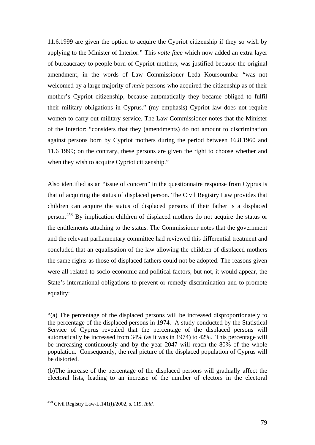11.6.1999 are given the option to acquire the Cypriot citizenship if they so wish by applying to the Minister of Interior." This *volte face* which now added an extra layer of bureaucracy to people born of Cypriot mothers, was justified because the original amendment, in the words of Law Commissioner Leda Koursoumba: "was not welcomed by a large majority of *male* persons who acquired the citizenship as of their mother's Cypriot citizenship, because automatically they became obliged to fulfil their military obligations in Cyprus." (my emphasis) Cypriot law does not require women to carry out military service. The Law Commissioner notes that the Minister of the Interior: "considers that they (amendments) do not amount to discrimination against persons born by Cypriot mothers during the period between 16.8.1960 and 11.6 1999; on the contrary, these persons are given the right to choose whether and when they wish to acquire Cypriot citizenship."

Also identified as an "issue of concern" in the questionnaire response from Cyprus is that of acquiring the status of displaced person. The Civil Registry Law provides that children can acquire the status of displaced persons if their father is a displaced person.458 By implication children of displaced mothers do not acquire the status or the entitlements attaching to the status. The Commissioner notes that the government and the relevant parliamentary committee had reviewed this differential treatment and concluded that an equalisation of the law allowing the children of displaced mothers the same rights as those of displaced fathers could not be adopted. The reasons given were all related to socio-economic and political factors, but not, it would appear, the State's international obligations to prevent or remedy discrimination and to promote equality:

"(a) The percentage of the displaced persons will be increased disproportionately to the percentage of the displaced persons in 1974. A study conducted by the Statistical Service of Cyprus revealed that the percentage of the displaced persons will automatically be increased from 34% (as it was in 1974) to 42%. This percentage will be increasing continuously and by the year 2047 will reach the 80% of the whole population. Consequently**,** the real picture of the displaced population of Cyprus will be distorted.

(b)The increase of the percentage of the displaced persons will gradually affect the electoral lists, leading to an increase of the number of electors in the electoral

<sup>458</sup> Civil Registry Law-L.141(I)/2002, s. 119. *Ibid.*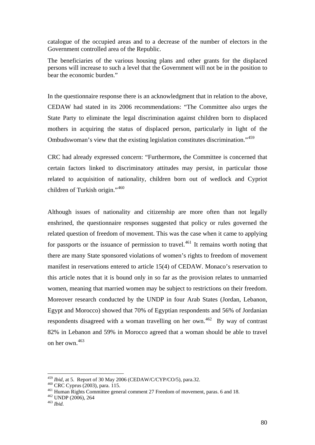catalogue of the occupied areas and to a decrease of the number of electors in the Government controlled area of the Republic.

The beneficiaries of the various housing plans and other grants for the displaced persons will increase to such a level that the Government will not be in the position to bear the economic burden."

In the questionnaire response there is an acknowledgment that in relation to the above, CEDAW had stated in its 2006 recommendations: "The Committee also urges the State Party to eliminate the legal discrimination against children born to displaced mothers in acquiring the status of displaced person, particularly in light of the Ombudswoman's view that the existing legislation constitutes discrimination."<sup>459</sup>

CRC had already expressed concern: "Furthermore**,** the Committee is concerned that certain factors linked to discriminatory attitudes may persist, in particular those related to acquisition of nationality, children born out of wedlock and Cypriot children of Turkish origin."<sup>460</sup>

Although issues of nationality and citizenship are more often than not legally enshrined, the questionnaire responses suggested that policy or rules governed the related question of freedom of movement. This was the case when it came to applying for passports or the issuance of permission to travel.<sup>461</sup> It remains worth noting that there are many State sponsored violations of women's rights to freedom of movement manifest in reservations entered to article 15(4) of CEDAW. Monaco's reservation to this article notes that it is bound only in so far as the provision relates to unmarried women, meaning that married women may be subject to restrictions on their freedom. Moreover research conducted by the UNDP in four Arab States (Jordan, Lebanon, Egypt and Morocco) showed that 70% of Egyptian respondents and 56% of Jordanian respondents disagreed with a woman travelling on her own.<sup>462</sup> By way of contrast 82% in Lebanon and 59% in Morocco agreed that a woman should be able to travel on her own.<sup>463</sup>

<sup>&</sup>lt;sup>459</sup> Ibid. at 5. Report of 30 May 2006 (CEDAW/C/CYP/CO/5), para.32.

<sup>&</sup>lt;sup>460</sup> CRC Cyprus (2003), para. 115.<br><sup>461</sup> Human Rights Committee general comment 27 Freedom of movement, paras. 6 and 18.<br><sup>462</sup> UNDP (2006), 264<br><sup>463</sup> Ibid.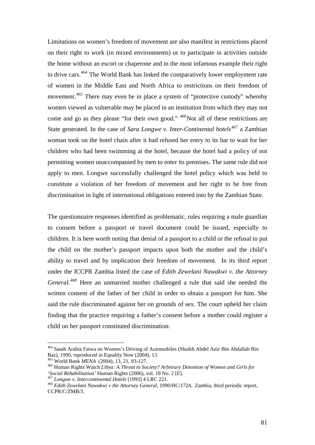Limitations on women's freedom of movement are also manifest in restrictions placed on their right to work (in mixed environments) or to participate in activities outside the home without an escort or chaperone and in the most infamous example their right to drive cars.<sup>464</sup> The World Bank has linked the comparatively lower employment rate of women in the Middle East and North Africa to restrictions on their freedom of movement.<sup>465</sup> There may even be in place a system of "protective custody" whereby women viewed as vulnerable may be placed in an institution from which they may not come and go as they please "for their own good." <sup>466</sup>Not all of these restrictions are State generated. In the case of *Sara Longwe v. Inter-Continental hotels<sup>467</sup>* a Zambian woman took on the hotel chain after it had refused her entry to its bar to wait for her children who had been swimming at the hotel, because the hotel had a policy of not permitting women unaccompanied by men to enter its premises. The same rule did not apply to men. Longwe successfully challenged the hotel policy which was held to constitute a violation of her freedom of movement and her right to be free from discrimination in light of international obligations entered into by the Zambian State.

The questionnaire responses identified as problematic, rules requiring a male guardian to consent before a passport or travel document could be issued, especially to children. It is here worth noting that denial of a passport to a child or the refusal to put the child on the mother's passport impacts upon both the mother and the child's ability to travel and by implication their freedom of movement. In its third report under the ICCPR Zambia listed the case of *Edith Zewelani Nawakwi v. the Attorney General.<sup>468</sup>* Here an unmarried mother challenged a rule that said she needed the written consent of the father of her child in order to obtain a passport for him. She said the rule discriminated against her on grounds of sex. The court upheld her claim finding that the practice requiring a father's consent before a mother could register a child on her passport constituted discrimination:

<sup>464</sup> Saudi Arabia Fatwa on Women's Driving of Automobiles (Shaikh Abdel Aziz Bin Abdallah Bin Baz), 1990, reproduced in Equality Now (2004), 13.

<sup>&</sup>lt;sup>465</sup> World Bank *MENA* (2004), 13, 21, 93-127.<br><sup>466</sup> Human Rights Watch *Libya: A Threat to Society? Arbitrary Detention of Women and Girls for 'Social Rehabilitation'* Human Rights (2006), vol. 18 No. 2 [E].

 $^{467}$  Longwe v. Intercontinental Hotels [1993] 4 LRC 221.<br><sup>468</sup> Edith Zewelani Nawakwi v the Attorney General, 1990/HC/1724. Zambia, third periodic report, CCPR/C/ZMB/3.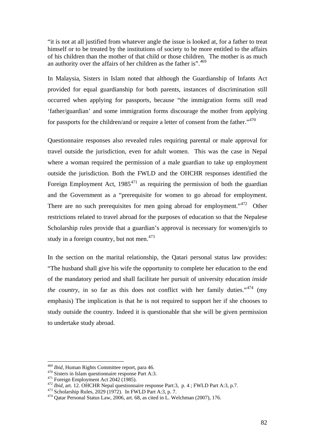"it is not at all justified from whatever angle the issue is looked at, for a father to treat himself or to be treated by the institutions of society to be more entitled to the affairs of his children than the mother of that child or those children. The mother is as much an authority over the affairs of her children as the father is".<sup>469</sup>

In Malaysia, Sisters in Islam noted that although the Guardianship of Infants Act provided for equal guardianship for both parents, instances of discrimination still occurred when applying for passports, because "the immigration forms still read 'father/guardian' and some immigration forms discourage the mother from applying for passports for the children/and or require a letter of consent from the father." $470$ 

Questionnaire responses also revealed rules requiring parental or male approval for travel outside the jurisdiction, even for adult women. This was the case in Nepal where a woman required the permission of a male guardian to take up employment outside the jurisdiction. Both the FWLD and the OHCHR responses identified the Foreign Employment Act,  $1985^{471}$  as requiring the permission of both the guardian and the Government as a "prerequisite for women to go abroad for employment. There are no such prerequisites for men going abroad for employment."<sup>472</sup> Other restrictions related to travel abroad for the purposes of education so that the Nepalese Scholarship rules provide that a guardian's approval is necessary for women/girls to study in a foreign country, but not men.<sup>473</sup>

In the section on the marital relationship, the Qatari personal status law provides: "The husband shall give his wife the opportunity to complete her education to the end of the mandatory period and shall facilitate her pursuit of university education *inside the country*, in so far as this does not conflict with her family duties."<sup>474</sup> (my emphasis) The implication is that he is not required to support her if she chooses to study outside the country. Indeed it is questionable that she will be given permission to undertake study abroad.

<sup>&</sup>lt;sup>469</sup> Ibid, Human Rights Committee report, para 46.

<sup>&</sup>lt;sup>470</sup> Sisters in Islam questionnaire response Part A:3.<br>
<sup>471</sup> Foreign Employment Act 2042 (1985).<br>
<sup>472</sup> *Ibid*, art. 12. OHCHR Nepal questionnaire response Part:3, p. 4; FWLD Part A:3, p.7.<br>
<sup>473</sup> Scholarship Rules, 202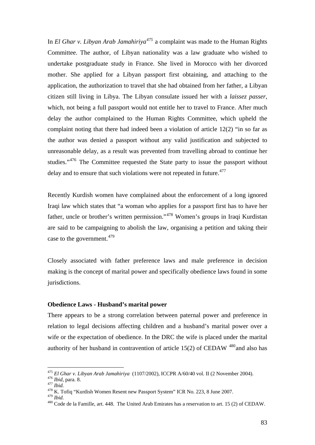In *El Ghar v. Libyan Arab Jamahiriya<sup>475</sup>* a complaint was made to the Human Rights Committee. The author, of Libyan nationality was a law graduate who wished to undertake postgraduate study in France. She lived in Morocco with her divorced mother. She applied for a Libyan passport first obtaining, and attaching to the application, the authorization to travel that she had obtained from her father, a Libyan citizen still living in Libya. The Libyan consulate issued her with a *laissez passer,*  which, not being a full passport would not entitle her to travel to France. After much delay the author complained to the Human Rights Committee, which upheld the complaint noting that there had indeed been a violation of article 12(2) "in so far as the author was denied a passport without any valid justification and subjected to unreasonable delay, as a result was prevented from travelling abroad to continue her studies."<sup>476</sup> The Committee requested the State party to issue the passport without delay and to ensure that such violations were not repeated in future.<sup>477</sup>

Recently Kurdish women have complained about the enforcement of a long ignored Iraqi law which states that "a woman who applies for a passport first has to have her father, uncle or brother's written permission."478 Women's groups in Iraqi Kurdistan are said to be campaigning to abolish the law, organising a petition and taking their case to the government.<sup>479</sup>

Closely associated with father preference laws and male preference in decision making is the concept of marital power and specifically obedience laws found in some jurisdictions.

## **Obedience Laws - Husband's marital power**

There appears to be a strong correlation between paternal power and preference in relation to legal decisions affecting children and a husband's marital power over a wife or the expectation of obedience. In the DRC the wife is placed under the marital authority of her husband in contravention of article  $15(2)$  of CEDAW  $480$  and also has

<sup>&</sup>lt;sup>475</sup> *El Ghar v. Libyan Arab Jamahiriya* (1107/2002), ICCPR A/60/40 vol. II (2 November 2004).<br><sup>476</sup> *Ibid*. para. 8.<br><sup>478</sup> K. Tofiq "Kurdish Women Resent new Passport System" ICR No. 223, 8 June 2007.

<sup>479</sup> *Ibid.*<br><sup>479</sup> *Ibid.* 480 Code de la Famille, art. 448. The United Arab Emirates has a reservation to art. 15 (2) of CEDAW.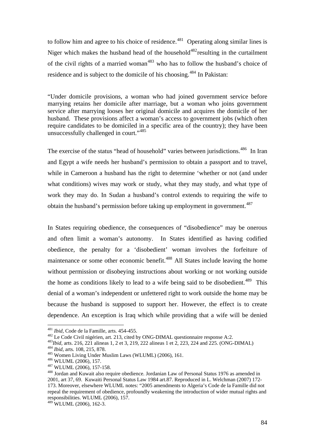to follow him and agree to his choice of residence.<sup>481</sup> Operating along similar lines is Niger which makes the husband head of the household<sup>482</sup> resulting in the curtailment of the civil rights of a married woman<sup>483</sup> who has to follow the husband's choice of residence and is subject to the domicile of his choosing.<sup>484</sup> In Pakistan:

"Under domicile provisions, a woman who had joined government service before marrying retains her domicile after marriage, but a woman who joins government service after marrying looses her original domicile and acquires the domicile of her husband. These provisions affect a woman's access to government jobs (which often require candidates to be domiciled in a specific area of the country); they have been unsuccessfully challenged in court."<sup>485</sup>

The exercise of the status "head of household" varies between jurisdictions.<sup>486</sup> In Iran and Egypt a wife needs her husband's permission to obtain a passport and to travel, while in Cameroon a husband has the right to determine 'whether or not (and under what conditions) wives may work or study, what they may study, and what type of work they may do. In Sudan a husband's control extends to requiring the wife to obtain the husband's permission before taking up employment in government.<sup>487</sup>

In States requiring obedience, the consequences of "disobedience" may be onerous and often limit a woman's autonomy. In States identified as having codified obedience, the penalty for a 'disobedient' woman involves the forfeiture of maintenance or some other economic benefit.<sup>488</sup> All States include leaving the home without permission or disobeying instructions about working or not working outside the home as conditions likely to lead to a wife being said to be disobedient.<sup>489</sup> This denial of a woman's independent or unfettered right to work outside the home may be because the husband is supposed to support her. However, the effect is to create dependence. An exception is Iraq which while providing that a wife will be denied

<sup>&</sup>lt;sup>481</sup> *Ibid*, Code de la Famille, arts. 454-455.<br><sup>482</sup> Le Code Civil nigérien, art. 213, cited by ONG-DIMAL questionnaire response A:2.<br><sup>483</sup>*Ibid*, arts. 216, 221 alineas 1, 2 et 3, 219, 222 alineas 1 et 2, 223, 224 and

<sup>2001,</sup> art 37, 69. Kuwaiti Personal Status Law 1984 art.87. Reproduced in L. Welchman (2007) 172- 173. Moreover, elsewhere WLUML notes: "2005 amendments to Algeria's Code de la Famille did not repeal the requirement of obedience, profoundly weakening the introduction of wider mutual rights and responsibilities. WLUML (2006), 157.

 $489$  WLUML (2006), 162-3.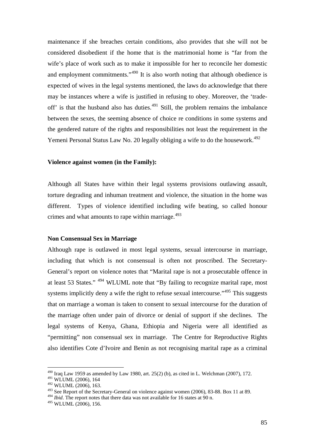maintenance if she breaches certain conditions, also provides that she will not be considered disobedient if the home that is the matrimonial home is "far from the wife's place of work such as to make it impossible for her to reconcile her domestic and employment commitments."<sup>490</sup> It is also worth noting that although obedience is expected of wives in the legal systems mentioned, the laws do acknowledge that there may be instances where a wife is justified in refusing to obey. Moreover, the 'tradeoff' is that the husband also has duties. $491$  Still, the problem remains the imbalance between the sexes, the seeming absence of choice re conditions in some systems and the gendered nature of the rights and responsibilities not least the requirement in the Yemeni Personal Status Law No. 20 legally obliging a wife to do the housework.<sup>492</sup>

#### **Violence against women (in the Family):**

Although all States have within their legal systems provisions outlawing assault, torture degrading and inhuman treatment and violence, the situation in the home was different. Types of violence identified including wife beating, so called honour crimes and what amounts to rape within marriage.<sup>493</sup>

#### **Non Consensual Sex in Marriage**

Although rape is outlawed in most legal systems, sexual intercourse in marriage, including that which is not consensual is often not proscribed. The Secretary-General's report on violence notes that "Marital rape is not a prosecutable offence in at least 53 States." 494 WLUML note that "By failing to recognize marital rape, most systems implicitly deny a wife the right to refuse sexual intercourse."<sup>495</sup> This suggests that on marriage a woman is taken to consent to sexual intercourse for the duration of the marriage often under pain of divorce or denial of support if she declines. The legal systems of Kenya, Ghana, Ethiopia and Nigeria were all identified as "permitting" non consensual sex in marriage. The Centre for Reproductive Rights also identifies Cote d'Ivoire and Benin as not recognising marital rape as a criminal

 $490$  Iraq Law 1959 as amended by Law 1980, art. 25(2) (b), as cited in L. Welchman (2007), 172.

<sup>491</sup> WLUML (2006), 164

<sup>492</sup> WLUML (2006), 163.

<sup>493</sup> See Report of the Secretary-General on violence against women (2006), 83-88. Box 11 at 89.

<sup>&</sup>lt;sup>494</sup> *Ibid*. The report notes that there data was not available for 16 states at 90 n.

<sup>495</sup> WLUML (2006), 156.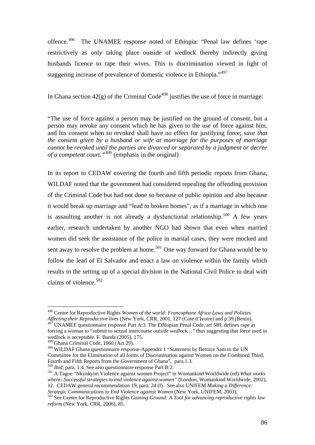offence.496 The UNAMEE response noted of Ethiopia: "Penal law defines 'rape restrictively as only taking place outside of wedlock thereby indirectly giving husbands licence to rape their wives. This is discrimination viewed in light of staggering increase of prevalence of domestic violence in Ethiopia."<sup>497</sup>

In Ghana section  $42(g)$  of the Criminal Code<sup>498</sup> justifies the use of force in marriage:

"The use of force against a person may be justified on the ground of consent, but a person may revoke any consent which he has given to the use of force against him, and his consent when so revoked shall have no effect for justifying force; *save that the consent given by a husband or wife at marriage for the purposes of marriage cannot be revoked until the parties are divorced or separated by a judgment or decree of a competent court."<sup>499</sup>* (emphasis in the original)

In its report to CEDAW covering the fourth and fifth periodic reports from Ghana, WILDAF noted that the government had considered repealing the offending provision of the Criminal Code but had not done so because of public opinion and also because it would break up marriage and "lead to broken homes", as if a marriage in which one is assaulting another is not already a dysfunctional relationship.<sup>500</sup> A few years earlier, research undertaken by another NGO had shown that even when married women did seek the assistance of the police in marital cases, they were mocked and sent away to resolve the problem at home.<sup>501</sup> One way forward for Ghana would be to follow the lead of El Salvador and enact a law on violence within the family which results in the setting up of a special division in the National Civil Police to deal with claims of violence.<sup>502</sup>

<sup>496</sup> Centre for Reproductive Rights *Women of the world: Francophone Africa Laws and Policies Affecting their Reproductive lives* (New York, CRR, 2001, 127 (Cote d'Ivoire) and p.39 (Benin).

UNAMEE questionnaire response Part A:3. The Ethiopian Penal Code, art 589, defines rape as forcing a woman to "submit to sexual intercourse *outside wedlock…"* thus suggesting that force used in wedlock is acceptable. F. Banda (2005), 175.

<sup>498</sup> Ghana Criminal Code, 1960 (Act 29).

<sup>&</sup>lt;sup>499</sup> WILDAF Ghana questionnaire response-Appendix 1 "Statement by Bernice Sam to the UN Committee for the Elimination of all forms of Discrimination against Women on the Combined Third, Fourth and Fifth Reports from the Government of Ghana", para.1.3.<br><sup>500</sup> *Ibid*, para. 1:4. See also questionnaire response Part B:2.

<sup>&</sup>lt;sup>501</sup> A Tagoe "Nkynkyim Violence against women Project" in Womankind Worldwide (ed) *What works where: Successful strategies to end violence against women"* (London, Womankind Worldwide, 2002), 12. CEDAW general recommendation 19, para. 24 (f). See also UNIFEM *Making a Difference:* 

*Strategic Communications to End Violence against Women (New York, UNIFEM, 2003).*<br><sup>502</sup> See Center for Reproductive Rights *Gaining Ground: A Tool for advancing reproductive rights law reform* (New York, CRR, 2006), 85.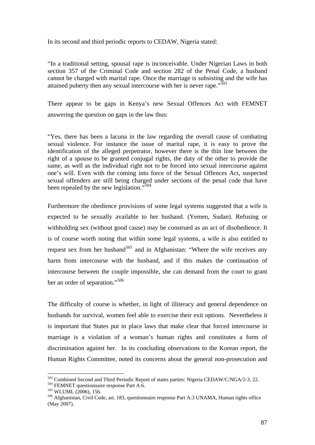In its second and third periodic reports to CEDAW, Nigeria stated:

"In a traditional setting, spousal rape is inconceivable. Under Nigerian Laws in both section 357 of the Criminal Code and section 282 of the Penal Code, a husband cannot be charged with marital rape. Once the marriage is subsisting and the wife has attained puberty then any sexual intercourse with her is never rape." $\frac{503}{603}$ 

There appear to be gaps in Kenya's new Sexual Offences Act with FEMNET answering the question on gaps in the law thus:

"Yes, there has been a lacuna in the law regarding the overall cause of combating sexual violence. For instance the issue of marital rape, it is easy to prove the identification of the alleged perpetrator, however there is the thin line between the right of a spouse to be granted conjugal rights, the duty of the other to provide the same, as well as the individual right not to be forced into sexual intercourse against one's will. Even with the coming into force of the Sexual Offences Act, suspected sexual offenders are still being charged under sections of the penal code that have been repealed by the new legislation."<sup>504</sup>

Furthermore the obedience provisions of some legal systems suggested that a wife is expected to be sexually available to her husband. (Yemen, Sudan). Refusing or withholding sex (without good cause) may be construed as an act of disobedience. It is of course worth noting that within some legal systems, a wife is also entitled to request sex from her husband<sup>505</sup> and in Afghanistan: "Where the wife receives any harm from intercourse with the husband, and if this makes the continuation of intercourse between the couple impossible, she can demand from the court to grant her an order of separation."<sup>506</sup>

The difficulty of course is whether, in light of illiteracy and general dependence on husbands for survival, women feel able to exercise their exit options. Nevertheless it is important that States put in place laws that make clear that forced intercourse in marriage is a violation of a woman's human rights and constitutes a form of discrimination against her. In its concluding observations to the Korean report, the Human Rights Committee, noted its concerns about the general non-prosecution and

<sup>&</sup>lt;sup>503</sup> Combined Second and Third Periodic Report of states parties: Nigeria CEDAW/C/NGA/2-3, 22.

<sup>&</sup>lt;sup>504</sup> FEMNET questionnaire response Part A:6.<br><sup>505</sup> WLUML (2006), 156.<br><sup>506</sup> Afghanistan, Civil Code, art. 183, questionnaire response Part A:3 UNAMA, Human rights office (May 2007).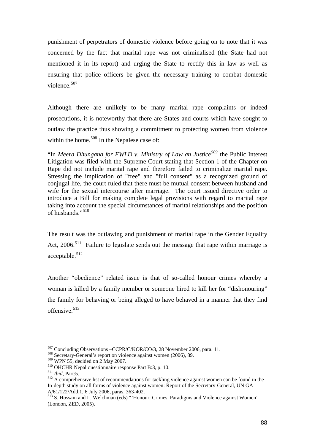punishment of perpetrators of domestic violence before going on to note that it was concerned by the fact that marital rape was not criminalised (the State had not mentioned it in its report) and urging the State to rectify this in law as well as ensuring that police officers be given the necessary training to combat domestic violence.<sup>507</sup>

Although there are unlikely to be many marital rape complaints or indeed prosecutions, it is noteworthy that there are States and courts which have sought to outlaw the practice thus showing a commitment to protecting women from violence within the home.<sup>508</sup> In the Nepalese case of:

"In *Meera Dhungana for FWLD v. Ministry of Law an Justice<sup>509</sup>* the Public Interest Litigation was filed with the Supreme Court stating that Section 1 of the Chapter on Rape did not include marital rape and therefore failed to criminalize marital rape. Stressing the implication of "free" and "full consent" as a recognized ground of conjugal life, the court ruled that there must be mutual consent between husband and wife for the sexual intercourse after marriage. The court issued directive order to introduce a Bill for making complete legal provisions with regard to marital rape taking into account the special circumstances of marital relationships and the position of husbands."<sup>510</sup>

The result was the outlawing and punishment of marital rape in the Gender Equality Act, 2006.<sup>511</sup> Failure to legislate sends out the message that rape within marriage is acceptable.<sup>512</sup>

Another "obedience" related issue is that of so-called honour crimes whereby a woman is killed by a family member or someone hired to kill her for "dishonouring" the family for behaving or being alleged to have behaved in a manner that they find offensive.513

<sup>&</sup>lt;sup>507</sup> Concluding Observations –CCPR/C/KOR/CO/3, 28 November 2006, para. 11.<br><sup>508</sup> Secretary-General's report on violence against women (2006), 89.<br><sup>509</sup> WPN 55, decided on 2 May 2007.

<sup>&</sup>lt;sup>510</sup> OHCHR Nepal questionnaire response Part B:3, p. 10.<br><sup>511</sup> *Ibid*, Part:5.<br><sup>512</sup> A comprehensive list of recommendations for tackling violence against women can be found in the In-depth study on all forms of violence against women: Report of the Secretary-General, UN GA A/61/122/Add.1, 6 July 2006, paras. 363-402.

<sup>513</sup> S. Hossain and L. Welchman (eds) "'Honour: Crimes, Paradigms and Violence against Women" (London, ZED, 2005).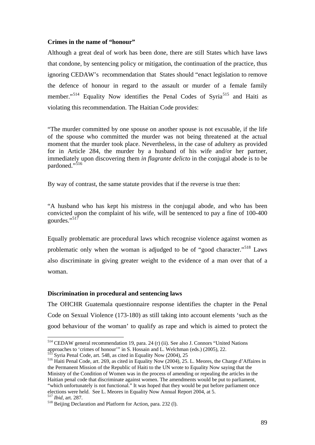#### **Crimes in the name of "honour"**

Although a great deal of work has been done, there are still States which have laws that condone, by sentencing policy or mitigation, the continuation of the practice, thus ignoring CEDAW's recommendation that States should "enact legislation to remove the defence of honour in regard to the assault or murder of a female family member."<sup>514</sup> Equality Now identifies the Penal Codes of Syria<sup>515</sup> and Haiti as violating this recommendation. The Haitian Code provides:

"The murder committed by one spouse on another spouse is not excusable, if the life of the spouse who committed the murder was not being threatened at the actual moment that the murder took place. Nevertheless, in the case of adultery as provided for in Article 284, the murder by a husband of his wife and/or her partner, immediately upon discovering them *in flagrante delicto* in the conjugal abode is to be pardoned."<sup>516</sup>

By way of contrast, the same statute provides that if the reverse is true then:

"A husband who has kept his mistress in the conjugal abode, and who has been convicted upon the complaint of his wife, will be sentenced to pay a fine of 100-400 gourdes."<sup>517</sup>

Equally problematic are procedural laws which recognise violence against women as problematic only when the woman is adjudged to be of "good character."518 Laws also discriminate in giving greater weight to the evidence of a man over that of a woman.

#### **Discrimination in procedural and sentencing laws**

The OHCHR Guatemala questionnaire response identifies the chapter in the Penal Code on Sexual Violence (173-180) as still taking into account elements 'such as the good behaviour of the woman' to qualify as rape and which is aimed to protect the

<u>.</u>

<sup>514</sup> CEDAW general recommendation 19, para. 24 (r) (ii). See also J. Connors "United Nations approaches to 'crimes of honour'' in S. Hossain and L. Welchman (eds.) (2005), 22.<br>
<sup>515</sup> Syria Penal Code, art. 548, as cited in Equality Now (2004), 25<br>
<sup>516</sup> Haiti Penal Code, art. 269, as cited in Equality Now (2004),

the Permanent Mission of the Republic of Haiti to the UN wrote to Equality Now saying that the Ministry of the Condition of Women was in the process of amending or repealing the articles in the Haitian penal code that discriminate against women. The amendments would be put to parliament, "which unfortunately is not functional." It was hoped that they would be put before parliament once elections were held. See L. Meores in Equality Now Annual Report 2004, at 5.<br><sup>517</sup> *Ibid*, art. 287.<br><sup>518</sup> Beijing Declaration and Platform for Action, para. 232 (l).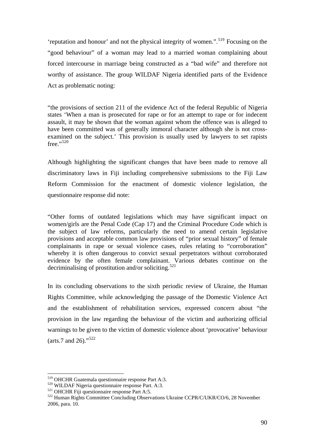'reputation and honour' and not the physical integrity of women.".519 Focusing on the "good behaviour" of a woman may lead to a married woman complaining about forced intercourse in marriage being constructed as a "bad wife" and therefore not worthy of assistance. The group WILDAF Nigeria identified parts of the Evidence Act as problematic noting:

"the provisions of section 211 of the evidence Act of the federal Republic of Nigeria states 'When a man is prosecuted for rape or for an attempt to rape or for indecent assault, it may be shown that the woman against whom the offence was is alleged to have been committed was of generally immoral character although she is not crossexamined on the subject.' This provision is usually used by lawyers to set rapists  $free.$ <sup>520</sup>

Although highlighting the significant changes that have been made to remove all discriminatory laws in Fiji including comprehensive submissions to the Fiji Law Reform Commission for the enactment of domestic violence legislation, the questionnaire response did note:

"Other forms of outdated legislations which may have significant impact on women/girls are the Penal Code (Cap 17) and the Criminal Procedure Code which is the subject of law reforms, particularly the need to amend certain legislative provisions and acceptable common law provisions of "prior sexual history" of female complainants in rape or sexual violence cases, rules relating to "corroboration" whereby it is often dangerous to convict sexual perpetrators without corroborated evidence by the often female complainant. Various debates continue on the decriminalising of prostitution and/or soliciting.<sup>521</sup>

In its concluding observations to the sixth periodic review of Ukraine, the Human Rights Committee, while acknowledging the passage of the Domestic Violence Act and the establishment of rehabilitation services, expressed concern about "the provision in the law regarding the behaviour of the victim and authorizing official warnings to be given to the victim of domestic violence about 'provocative' behaviour (arts.7 and 26)."<sup>522</sup>

<sup>&</sup>lt;sup>519</sup> OHCHR Guatemala questionnaire response Part A:3.

<sup>&</sup>lt;sup>520</sup> WILDAF Nigeria questionnaire response Part. A:3.<br><sup>521</sup> OHCHR Fiji questionnaire response Part A:5.<br><sup>522</sup> Human Rights Committee Concluding Observations Ukraine CCPR/C/UKR/CO/6, 28 November 2006, para. 10.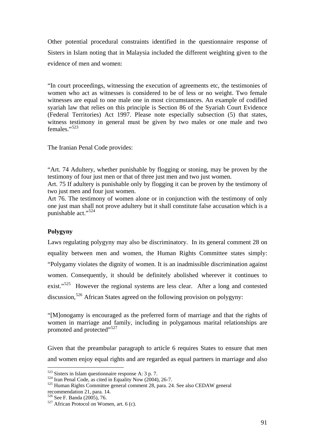Other potential procedural constraints identified in the questionnaire response of Sisters in Islam noting that in Malaysia included the different weighting given to the evidence of men and women:

"In court proceedings, witnessing the execution of agreements etc, the testimonies of women who act as witnesses is considered to be of less or no weight. Two female witnesses are equal to one male one in most circumstances. An example of codified syariah law that relies on this principle is Section 86 of the Syariah Court Evidence (Federal Territories) Act 1997. Please note especially subsection (5) that states, witness testimony in general must be given by two males or one male and two females."<sup>523</sup>

The Iranian Penal Code provides:

"Art. 74 Adultery, whether punishable by flogging or stoning, may be proven by the testimony of four just men or that of three just men and two just women.

Art. 75 If adultery is punishable only by flogging it can be proven by the testimony of two just men and four just women.

Art 76. The testimony of women alone or in conjunction with the testimony of only one just man shall not prove adultery but it shall constitute false accusation which is a punishable act."<sup>524</sup>

# **Polygyny**

Laws regulating polygyny may also be discriminatory. In its general comment 28 on equality between men and women, the Human Rights Committee states simply: "Polygamy violates the dignity of women. It is an inadmissible discrimination against women. Consequently, it should be definitely abolished wherever it continues to exist."<sup>525</sup> However the regional systems are less clear. After a long and contested discussion,<sup>526</sup> African States agreed on the following provision on polygyny:

"[M]onogamy is encouraged as the preferred form of marriage and that the rights of women in marriage and family, including in polygamous marital relationships are promoted and protected"<sup>527</sup>

Given that the preambular paragraph to article 6 requires States to ensure that men and women enjoy equal rights and are regarded as equal partners in marriage and also

 $523$  Sisters in Islam questionnaire response A: 3 p. 7.

 $524$  Iran Penal Code, as cited in Equality Now (2004), 26-7.<br> $525$  Human Rights Committee general comment 28, para. 24. See also CEDAW general recommendation 21, para. 14.<br> $526$  See F. Banda (2005), 76.

 $527$  African Protocol on Women, art. 6 (c).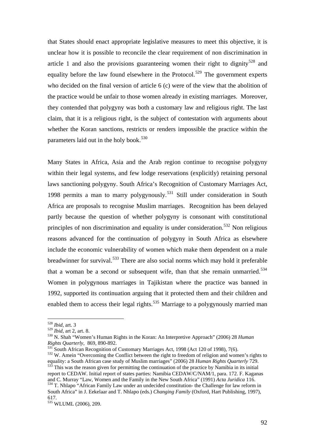that States should enact appropriate legislative measures to meet this objective, it is unclear how it is possible to reconcile the clear requirement of non discrimination in article 1 and also the provisions guaranteeing women their right to dignity<sup>528</sup> and equality before the law found elsewhere in the Protocol.<sup>529</sup> The government experts who decided on the final version of article 6 (c) were of the view that the abolition of the practice would be unfair to those women already in existing marriages. Moreover, they contended that polygyny was both a customary law and religious right. The last claim, that it is a religious right, is the subject of contestation with arguments about whether the Koran sanctions, restricts or renders impossible the practice within the parameters laid out in the holy book.<sup>530</sup>

Many States in Africa, Asia and the Arab region continue to recognise polygyny within their legal systems, and few lodge reservations (explicitly) retaining personal laws sanctioning polygyny. South Africa's Recognition of Customary Marriages Act, 1998 permits a man to marry polygynously.<sup>531</sup> Still under consideration in South Africa are proposals to recognise Muslim marriages. Recognition has been delayed partly because the question of whether polygyny is consonant with constitutional principles of non discrimination and equality is under consideration.<sup>532</sup> Non religious reasons advanced for the continuation of polygyny in South Africa as elsewhere include the economic vulnerability of women which make them dependent on a male breadwinner for survival.<sup>533</sup> There are also social norms which may hold it preferable that a woman be a second or subsequent wife, than that she remain unmarried.<sup>534</sup> Women in polygynous marriages in Tajikistan where the practice was banned in 1992, supported its continuation arguing that it protected them and their children and enabled them to access their legal rights.<sup>535</sup> Marriage to a polygynously married man

<u>.</u>

<sup>528</sup> *Ibid,* art. 3

<sup>&</sup>lt;sup>529</sup> *Ibid*, art 2, art. 8.<br><sup>530</sup> N. Shah "Women's Human Rights in the Koran: An Interpretive Approach" (2006) 28 *Human Rights Quarterly,* 869, 890-892.

<sup>&</sup>lt;sup>531</sup> South African Recognition of Customary Marriages Act, 1998 (Act 120 of 1998), 7(6).<br><sup>532</sup> W. Amein "Overcoming the Conflict between the right to freedom of religion and women's rights to<br>equality: a South African ca <sup>533</sup> This was the reason given for permitting the continuation of the practice by Namibia in its initial

report to CEDAW. Initial report of states parties: Namibia CEDAW/C/NAM/1, para. 172. F. Kaganas and C. Murrav "Law. Women and the Family in the New South Africa" (1991) Acta Juridica 116. <sup>534</sup> T. Nhlapo "African Family Law under an undecided constitution- the Challenge for law reform in South Africa" in J. Eekelaar and T. Nhlapo (eds.) *Changing Family* (Oxford, Hart Publishing, 1997), 617.

<sup>535</sup> WLUML (2006), 209.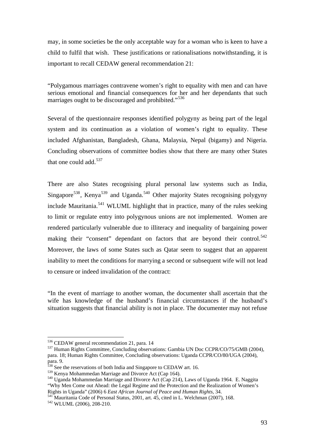may, in some societies be the only acceptable way for a woman who is keen to have a child to fulfil that wish. These justifications or rationalisations notwithstanding, it is important to recall CEDAW general recommendation 21:

"Polygamous marriages contravene women's right to equality with men and can have serious emotional and financial consequences for her and her dependants that such marriages ought to be discouraged and prohibited."<sup>536</sup>

Several of the questionnaire responses identified polygyny as being part of the legal system and its continuation as a violation of women's right to equality. These included Afghanistan, Bangladesh, Ghana, Malaysia, Nepal (bigamy) and Nigeria. Concluding observations of committee bodies show that there are many other States that one could add.<sup>537</sup>

There are also States recognising plural personal law systems such as India, Singapore<sup>538</sup>, Kenya<sup>539</sup> and Uganda.<sup>540</sup> Other majority States recognising polygyny include Mauritania.<sup>541</sup> WLUML highlight that in practice, many of the rules seeking to limit or regulate entry into polygynous unions are not implemented. Women are rendered particularly vulnerable due to illiteracy and inequality of bargaining power making their "consent" dependant on factors that are beyond their control.<sup>542</sup> Moreover, the laws of some States such as Qatar seem to suggest that an apparent inability to meet the conditions for marrying a second or subsequent wife will not lead to censure or indeed invalidation of the contract:

"In the event of marriage to another woman, the documenter shall ascertain that the wife has knowledge of the husband's financial circumstances if the husband's situation suggests that financial ability is not in place. The documenter may not refuse

<sup>536</sup> CEDAW general recommendation 21, para. 14

<sup>537</sup> Human Rights Committee, Concluding observations: Gambia UN Doc CCPR/CO/75/GMB (2004), para. 18; Human Rights Committee, Concluding observations: Uganda CCPR/CO/80/UGA (2004), para. 9.

<sup>&</sup>lt;sup>538</sup> See the reservations of both India and Singapore to CEDAW art. 16.

<sup>539</sup> Kenya Mohammedan Marriage and Divorce Act (Cap 164).<br>540 Uganda Mohammedan Marriage and Divorce Act (Cap 214), Laws of Uganda 1964. E. Naggita "Why Men Come out Ahead: the Legal Regime and the Protection and the Realization of Women's

Rights in Uganda" (2006) 6 *East African Journal of Peace and Human Rights,* 34. 541 Mauritania Code of Personal Status, 2001, art. 45, cited in L. Welchman (2007), 168. 542 WLUML (2006), 208-210.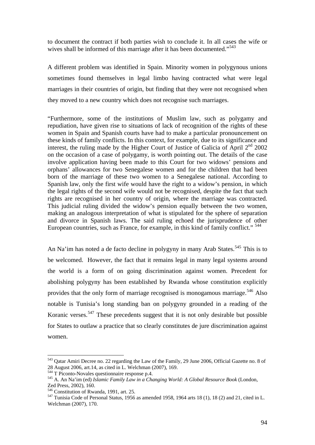to document the contract if both parties wish to conclude it. In all cases the wife or wives shall be informed of this marriage after it has been documented."<sup>543</sup>

A different problem was identified in Spain. Minority women in polygynous unions sometimes found themselves in legal limbo having contracted what were legal marriages in their countries of origin, but finding that they were not recognised when they moved to a new country which does not recognise such marriages.

"Furthermore, some of the institutions of Muslim law, such as polygamy and repudiation, have given rise to situations of lack of recognition of the rights of these women in Spain and Spanish courts have had to make a particular pronouncement on these kinds of family conflicts. In this context, for example, due to its significance and interest, the ruling made by the Higher Court of Justice of Galicia of April  $2<sup>nd</sup>$  2002 on the occasion of a case of polygamy, is worth pointing out. The details of the case involve application having been made to this Court for two widows' pensions and orphans' allowances for two Senegalese women and for the children that had been born of the marriage of these two women to a Senegalese national. According to Spanish law, only the first wife would have the right to a widow's pension, in which the legal rights of the second wife would not be recognised, despite the fact that such rights are recognised in her country of origin, where the marriage was contracted. This judicial ruling divided the widow's pension equally between the two women, making an analogous interpretation of what is stipulated for the sphere of separation and divorce in Spanish laws. The said ruling echoed the jurisprudence of other European countries, such as France, for example, in this kind of family conflict."<sup>544</sup>

An Na'im has noted a de facto decline in polygyny in many Arab States.<sup>545</sup> This is to be welcomed. However, the fact that it remains legal in many legal systems around the world is a form of on going discrimination against women. Precedent for abolishing polygyny has been established by Rwanda whose constitution explicitly provides that the only form of marriage recognised is monogamous marriage.<sup>546</sup> Also notable is Tunisia's long standing ban on polygyny grounded in a reading of the Koranic verses.547 These precedents suggest that it is not only desirable but possible for States to outlaw a practice that so clearly constitutes de jure discrimination against women.

<u>.</u>

<sup>543</sup> Qatar Amiri Decree no. 22 regarding the Law of the Family, 29 June 2006, Official Gazette no. 8 of 28 August 2006, art.14, as cited in L. Welchman (2007), 169.<br><sup>544</sup> T Piconto-Novales questionnaire response p.4.

<sup>&</sup>lt;sup>545</sup> A. An Na'im (ed) *Islamic Family Law in a Changing World: A Global Resource Book* (London, Zed Press, 2002), 160.<br><sup>546</sup> Constitution of Rwanda, 1991, art. 25.

 $<sup>547</sup>$  Tunisia Code of Personal Status, 1956 as amended 1958, 1964 arts 18 (1), 18 (2) and 21, cited in L.</sup> Welchman (2007), 170.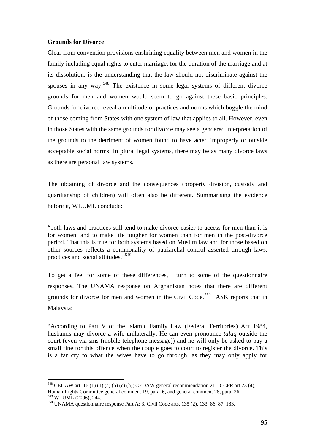## **Grounds for Divorce**

1

Clear from convention provisions enshrining equality between men and women in the family including equal rights to enter marriage, for the duration of the marriage and at its dissolution, is the understanding that the law should not discriminate against the spouses in any way.<sup>548</sup> The existence in some legal systems of different divorce grounds for men and women would seem to go against these basic principles. Grounds for divorce reveal a multitude of practices and norms which boggle the mind of those coming from States with one system of law that applies to all. However, even in those States with the same grounds for divorce may see a gendered interpretation of the grounds to the detriment of women found to have acted improperly or outside acceptable social norms. In plural legal systems, there may be as many divorce laws as there are personal law systems.

The obtaining of divorce and the consequences (property division, custody and guardianship of children) will often also be different. Summarising the evidence before it, WLUML conclude:

"both laws and practices still tend to make divorce easier to access for men than it is for women, and to make life tougher for women than for men in the post-divorce period. That this is true for both systems based on Muslim law and for those based on other sources reflects a commonality of patriarchal control asserted through laws, practices and social attitudes."<sup>549</sup>

To get a feel for some of these differences, I turn to some of the questionnaire responses. The UNAMA response on Afghanistan notes that there are different grounds for divorce for men and women in the Civil Code.<sup>550</sup> ASK reports that in Malaysia:

"According to Part V of the Islamic Family Law (Federal Territories) Act 1984, husbands may divorce a wife unilaterally. He can even pronounce *talaq* outside the court (even via sms (mobile telephone message)) and he will only be asked to pay a small fine for this offence when the couple goes to court to register the divorce. This is a far cry to what the wives have to go through, as they may only apply for

 $548$  CEDAW art. 16 (1) (1) (a) (b) (c) (h); CEDAW general recommendation 21; ICCPR art 23 (4); Human Rights Committee general comment 19, para. 6, and general comment 28, para. 26.

 $550$  UNAMA questionnaire response Part A: 3, Civil Code arts. 135 (2), 133, 86, 87, 183.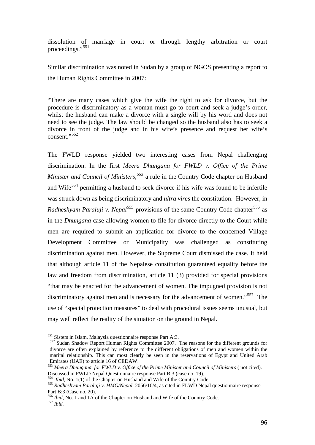dissolution of marriage in court or through lengthy arbitration or court proceedings."<sup>551</sup>

Similar discrimination was noted in Sudan by a group of NGOS presenting a report to the Human Rights Committee in 2007:

"There are many cases which give the wife the right to ask for divorce, but the procedure is discriminatory as a woman must go to court and seek a judge's order, whilst the husband can make a divorce with a single will by his word and does not need to see the judge. The law should be changed so the husband also has to seek a divorce in front of the judge and in his wife's presence and request her wife's consent."<sup>552</sup>

The FWLD response yielded two interesting cases from Nepal challenging discrimination. In the first *Meera Dhungana for FWLD v. Office of the Prime Minister and Council of Ministers*,<sup>553</sup> a rule in the Country Code chapter on Husband and Wife<sup>554</sup> permitting a husband to seek divorce if his wife was found to be infertile was struck down as being discriminatory and *ultra vires* the constitution. However, in *Radheshyam Paraluji v. Nepal*<sup>555</sup> provisions of the same Country Code chapter<sup>556</sup> as in the *Dhungana* case allowing women to file for divorce directly to the Court while men are required to submit an application for divorce to the concerned Village Development Committee or Municipality was challenged as constituting discrimination against men. However, the Supreme Court dismissed the case. It held that although article 11 of the Nepalese constitution guaranteed equality before the law and freedom from discrimination, article 11 (3) provided for special provisions "that may be enacted for the advancement of women. The impugned provision is not discriminatory against men and is necessary for the advancement of women."<sup>557</sup> The use of "special protection measures" to deal with procedural issues seems unusual, but may well reflect the reality of the situation on the ground in Nepal.

<sup>551</sup> Sisters in Islam, Malaysia questionnaire response Part A:3.

<sup>552</sup> Sudan Shadow Report Human Rights Committee 2007. The reasons for the different grounds for divorce are often explained by reference to the different obligations of men and women within the marital relationship. This can most clearly be seen in the reservations of Egypt and United Arab Emirates (UAE) to article 16 of CEDAW.

<sup>553</sup> *Meera Dhungana for FWLD v. Office of the Prime Minister and Council of Ministers* ( not cited). Discussed in FWLD Nepal Questionnaire response Part B:3 (case no. 19).<br><sup>554</sup> *Ibid*. No. 1(1) of the Chapter on Husband and Wife of the Country Code.

<sup>&</sup>lt;sup>555</sup> Radheshyam Paraluji v. HMG/Nepal, 2056/10/4, as cited in FLWD Nepal questionnaire response Part B:3 (Case no. 20).

<sup>556</sup> *Ibid,* No. 1 and 1A of the Chapter on Husband and Wife of the Country Code. 557 *Ibid.*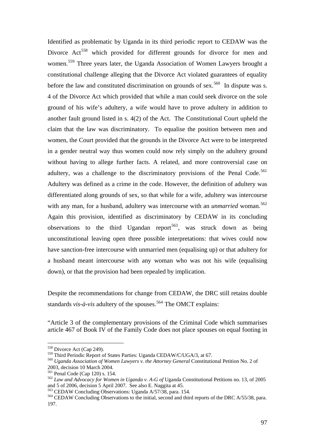Identified as problematic by Uganda in its third periodic report to CEDAW was the Divorce Act<sup>558</sup> which provided for different grounds for divorce for men and women.559 Three years later, the Uganda Association of Women Lawyers brought a constitutional challenge alleging that the Divorce Act violated guarantees of equality before the law and constituted discrimination on grounds of sex.<sup>560</sup> In dispute was s. 4 of the Divorce Act which provided that while a man could seek divorce on the sole ground of his wife's adultery, a wife would have to prove adultery in addition to another fault ground listed in s. 4(2) of the Act. The Constitutional Court upheld the claim that the law was discriminatory. To equalise the position between men and women, the Court provided that the grounds in the Divorce Act were to be interpreted in a gender neutral way thus women could now rely simply on the adultery ground without having to allege further facts. A related, and more controversial case on adultery, was a challenge to the discriminatory provisions of the Penal Code.<sup>561</sup> Adultery was defined as a crime in the code. However, the definition of adultery was differentiated along grounds of sex, so that while for a wife, adultery was intercourse with any man, for a husband, adultery was intercourse with an *unmarried* woman.<sup>562</sup> Again this provision, identified as discriminatory by CEDAW in its concluding observations to the third Ugandan report<sup>563</sup>, was struck down as being unconstitutional leaving open three possible interpretations: that wives could now have sanction-free intercourse with unmarried men (equalising up) or that adultery for a husband meant intercourse with any woman who was not his wife (equalising down), or that the provision had been repealed by implication.

Despite the recommendations for change from CEDAW, the DRC still retains double standards *vis-à-vis* adultery of the spouses.<sup>564</sup> The OMCT explains:

"Article 3 of the complementary provisions of the Criminal Code which summarises article 467 of Book IV of the Family Code does not place spouses on equal footing in

<sup>558</sup> Divorce Act (Cap 249).

<sup>559</sup> Third Periodic Report of States Parties: Uganda CEDAW/C/UGA/3, at 67. <sup>560</sup> *Uganda Association of Women Lawyers v. the Attorney General* Constitutional Petition No. 2 of 2003, decision 10 March 2004.<br>
<sup>561</sup> Penal Code (Cap 120) s. 154.

<sup>&</sup>lt;sup>562</sup> Law and Advocacy for Women in Uganda v. A-G of Uganda Constitutional Petitions no. 13, of 2005 and 5 of 2006. decision 5 April 2007. See also E. Naggita at 45.

<sup>&</sup>lt;sup>563</sup> CEDAW Concluding Observations: Uganda A/57/38, para. 154.<br><sup>564</sup> CEDAW Concluding Observations to the initial, second and third reports of the DRC A/55/38, para. 197.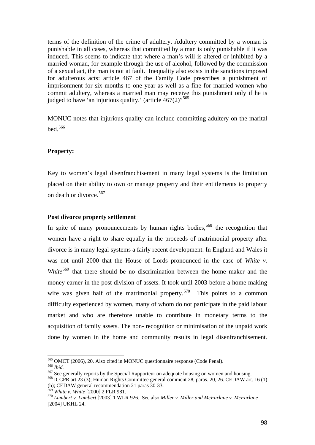terms of the definition of the crime of adultery. Adultery committed by a woman is punishable in all cases, whereas that committed by a man is only punishable if it was induced. This seems to indicate that where a man's will is altered or inhibited by a married woman, for example through the use of alcohol, followed by the commission of a sexual act, the man is not at fault. Inequality also exists in the sanctions imposed for adulterous acts: article 467 of the Family Code prescribes a punishment of imprisonment for six months to one year as well as a fine for married women who commit adultery, whereas a married man may receive this punishment only if he is judged to have 'an injurious quality.' (article  $467(2)$ <sup>565</sup>

MONUC notes that injurious quality can include committing adultery on the marital bed.<sup>566</sup>

### **Property:**

Key to women's legal disenfranchisement in many legal systems is the limitation placed on their ability to own or manage property and their entitlements to property on death or divorce.<sup>567</sup>

# **Post divorce property settlement**

In spite of many pronouncements by human rights bodies,<sup>568</sup> the recognition that women have a right to share equally in the proceeds of matrimonial property after divorce is in many legal systems a fairly recent development. In England and Wales it was not until 2000 that the House of Lords pronounced in the case of *White v. White*<sup>569</sup> that there should be no discrimination between the home maker and the money earner in the post division of assets. It took until 2003 before a home making wife was given half of the matrimonial property.<sup>570</sup> This points to a common difficulty experienced by women, many of whom do not participate in the paid labour market and who are therefore unable to contribute in monetary terms to the acquisition of family assets. The non- recognition or minimisation of the unpaid work done by women in the home and community results in legal disenfranchisement.

<u>.</u>

<sup>&</sup>lt;sup>565</sup> OMCT (2006), 20. Also cited in MONUC questionnaire response (Code Penal).<br><sup>566</sup> *Ibid.*<br><sup>567</sup> See generally reports by the Special Rapporteur on adequate housing on women and housing.<br><sup>568</sup> ICCPR art 23 (3); Human R (h); CEDAW general recommendation 21 paras 30-33.<br> $^{569}$  White v. White [2000] 2 FLR 981.

<sup>569</sup> *White v. White* [2000] 2 FLR 981. 570 *Lambert v. Lambert* [2003] 1 WLR 926. See also *Miller v. Miller and McFarlane v. McFarlane* [2004] UKHL 24.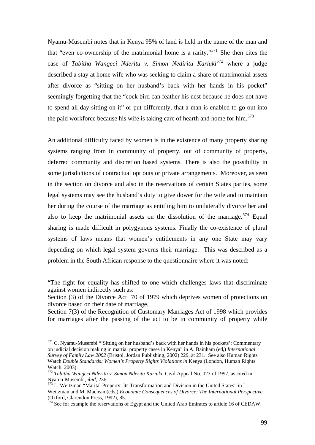Nyamu-Musembi notes that in Kenya 95% of land is held in the name of the man and that "even co-ownership of the matrimonial home is a rarity."<sup>571</sup> She then cites the case of *Tabitha Wangeci Nderitu v. Simon Nediritu Kariuki<sup>572</sup>* where a judge described a stay at home wife who was seeking to claim a share of matrimonial assets after divorce as "sitting on her husband's back with her hands in his pocket" seemingly forgetting that the "cock bird can feather his nest because he does not have to spend all day sitting on it" or put differently, that a man is enabled to go out into the paid workforce because his wife is taking care of hearth and home for him.<sup>573</sup>

An additional difficulty faced by women is in the existence of many property sharing systems ranging from in community of property, out of community of property, deferred community and discretion based systems. There is also the possibility in some jurisdictions of contractual opt outs or private arrangements. Moreover, as seen in the section on divorce and also in the reservations of certain States parties, some legal systems may see the husband's duty to give dower for the wife and to maintain her during the course of the marriage as entitling him to unilaterally divorce her and also to keep the matrimonial assets on the dissolution of the marriage.<sup>574</sup> Equal sharing is made difficult in polygynous systems. Finally the co-existence of plural systems of laws means that women's entitlements in any one State may vary depending on which legal system governs their marriage. This was described as a problem in the South African response to the questionnaire where it was noted:

Section 7(3) of the Recognition of Customary Marriages Act of 1998 which provides for marriages after the passing of the act to be in community of property while

<u>.</u>

<sup>&</sup>quot;The fight for equality has shifted to one which challenges laws that discriminate against women indirectly such as:

Section (3) of the Divorce Act 70 of 1979 which deprives women of protections on divorce based on their date of marriage,

 $<sup>571</sup>$  C. Nyamu-Musembi "'Sitting on her husband's back with her hands in his pockets': Commentary</sup> on judicial decision making in martial property cases in Kenya" in A. Bainham (ed,) *International Survey of Family Law 2002* (Bristol, Jordan Publishing, 2002) 229, at 231. See also Human Rights Watch *Double Standards: Women's Property Rights Violations in* Kenya (London, Human Rights Watch, 2003).

<sup>572</sup> *Tabitha Wangeci Nderitu v. Simon Nderitu Kariuki,* Civil Appeal No. 023 of 1997, as cited in Nyamu-Musembi, *ibid*, 236.<br><sup>573</sup> L. Weitzman "Marital Property: Its Transformation and Division in the United States" in L.

Weitzman and M. Maclean (eds.) *Economic Consequences of Divorce: The International Perspective* (Oxford, Clarendon Press, 1992), 85.

 $574$  See for example the reservations of Egypt and the United Arab Emirates to article 16 of CEDAW.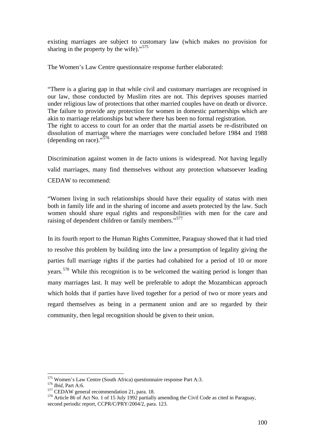existing marriages are subject to customary law (which makes no provision for sharing in the property by the wife)."<sup>575</sup>

The Women's Law Centre questionnaire response further elaborated:

"There is a glaring gap in that while civil and customary marriages are recognised in our law, those conducted by Muslim rites are not. This deprives spouses married under religious law of protections that other married couples have on death or divorce. The failure to provide any protection for women in domestic partnerships which are akin to marriage relationships but where there has been no formal registration. The right to access to court for an order that the martial assets be re-distributed on dissolution of marriage where the marriages were concluded before 1984 and 1988 (depending on race)."576

Discrimination against women in de facto unions is widespread. Not having legally valid marriages, many find themselves without any protection whatsoever leading CEDAW to recommend:

"Women living in such relationships should have their equality of status with men both in family life and in the sharing of income and assets protected by the law. Such women should share equal rights and responsibilities with men for the care and raising of dependent children or family members."<sup>577</sup>

In its fourth report to the Human Rights Committee, Paraguay showed that it had tried to resolve this problem by building into the law a presumption of legality giving the parties full marriage rights if the parties had cohabited for a period of 10 or more years.578 While this recognition is to be welcomed the waiting period is longer than many marriages last. It may well be preferable to adopt the Mozambican approach which holds that if parties have lived together for a period of two or more years and regard themselves as being in a permanent union and are so regarded by their community, then legal recognition should be given to their union.

<sup>575</sup> Women's Law Centre (South Africa) questionnaire response Part A:3.

<sup>&</sup>lt;sup>576</sup> *Ibid*, Part A:6.<br><sup>577</sup> CEDAW general recommendation 21, para. 18.<br><sup>578</sup> Article 86 of Act No. 1 of 15 July 1992 partially amending the Civil Code as cited in Paraguay. second periodic report, CCPR/C/PRY/2004/2, para. 123.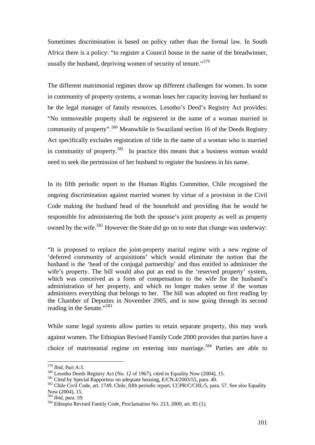Sometimes discrimination is based on policy rather than the formal law. In South Africa there is a policy: "to register a Council house in the name of the breadwinner, usually the husband, depriving women of security of tenure."<sup>579</sup>

The different matrimonial regimes throw up different challenges for women. In some in community of property systems, a woman loses her capacity leaving her husband to be the legal manager of family resources. Lesotho's Deed's Registry Act provides: "No immoveable property shall be registered in the name of a woman married in community of property".580 Meanwhile in Swaziland section 16 of the Deeds Registry Act specifically excludes registration of title in the name of a woman who is married in community of property.<sup>581</sup> In practice this means that a business woman would need to seek the permission of her husband to register the business in his name.

In its fifth periodic report to the Human Rights Committee, Chile recognised the ongoing discrimination against married women by virtue of a provision in the Civil Code making the husband head of the household and providing that he would be responsible for administering the both the spouse's joint property as well as property owned by the wife.<sup>582</sup> However the State did go on to note that change was underway:

"It is proposed to replace the joint-property marital regime with a new regime of 'deferred community of acquisitions' which would eliminate the notion that the husband is the 'head of the conjugal partnership' and thus entitled to administer the wife's property. The bill would also put an end to the 'reserved property' system, which was conceived as a form of compensation to the wife for the husband's administration of her property, and which no longer makes sense if the woman administers everything that belongs to her. The bill was adopted on first reading by the Chamber of Deputies in November 2005, and is now going through its second reading in the Senate."<sup>583</sup>

While some legal systems allow parties to retain separate property, this may work against women. The Ethiopian Revised Family Code 2000 provides that parties have a choice of matrimonial regime on entering into marriage.584 Parties are able to

<sup>&</sup>lt;sup>579</sup> *Ibid*, Part A:3.

<sup>&</sup>lt;sup>580</sup> Lesotho Deeds Registry Act (No. 12 of 1967), cited in Equality Now (2004), 15.<br><sup>581</sup> Cited by Special Rapporteur on adequate housing, E/CN.4/2003/55, para. 40.<br><sup>582</sup> Chile Civil Code, art. 1749. Chile, fifth periodic Now (2004), 15.<br><sup>583</sup> *Ibid*, para. 59.

<sup>&</sup>lt;sup>584</sup> Ethiopia Revised Family Code, Proclamation No. 213, 2000, art. 85 (1).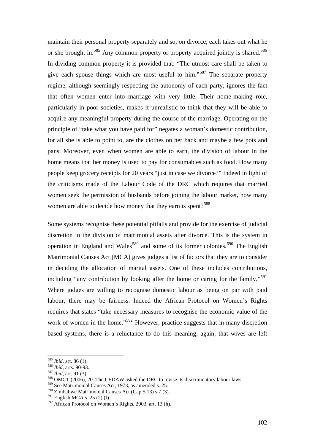maintain their personal property separately and so, on divorce, each takes out what he or she brought in.<sup>585</sup> Any common property or property acquired jointly is shared.<sup>586</sup> In dividing common property it is provided that: "The utmost care shall be taken to give each spouse things which are most useful to him."587 The separate property regime, although seemingly respecting the autonomy of each party, ignores the fact that often women enter into marriage with very little. Their home-making role, particularly in poor societies, makes it unrealistic to think that they will be able to acquire any meaningful property during the course of the marriage. Operating on the principle of "take what you have paid for" negates a woman's domestic contribution, for all she is able to point to, are the clothes on her back and maybe a few pots and pans. Moreover, even when women are able to earn, the division of labour in the home means that her money is used to pay for consumables such as food. How many people keep grocery receipts for 20 years "just in case we divorce?" Indeed in light of the criticisms made of the Labour Code of the DRC which requires that married women seek the permission of husbands before joining the labour market, how many women are able to decide how money that they earn is spent?<sup>588</sup>

Some systems recognise these potential pitfalls and provide for the exercise of judicial discretion in the division of matrimonial assets after divorce. This is the system in operation in England and Wales<sup>589</sup> and some of its former colonies.<sup>590</sup> The English Matrimonial Causes Act (MCA) gives judges a list of factors that they are to consider in deciding the allocation of marital assets. One of these includes contributions, including "any contribution by looking after the home or caring for the family."<sup>591</sup> Where judges are willing to recognise domestic labour as being on par with paid labour, there may be fairness. Indeed the African Protocol on Women's Rights requires that states "take necessary measures to recognise the economic value of the work of women in the home."<sup>592</sup> However, practice suggests that in many discretion based systems, there is a reluctance to do this meaning, again, that wives are left

<u>.</u>

<sup>&</sup>lt;sup>585</sup> *Ibid*, art. 86 (1).<br><sup>586</sup> *Ibid*, arts. 90-93.<br><sup>587</sup> *Ibid*, art. 91 (3).<br><sup>588</sup> OMCT (2006), 20. The CEDAW asked the DRC to revise its discriminatory labour laws.

<sup>589</sup> See Matrimonial Causes Act, 1973, as amended s. 25.

<sup>590</sup> Zimbabwe Matrimonial Causes Act (Cap 5:13) s.7 (3).

 $591$  English MCA s. 25 (2) (f).

<sup>592</sup> African Protocol on Women's Rights, 2003, art. 13 (h).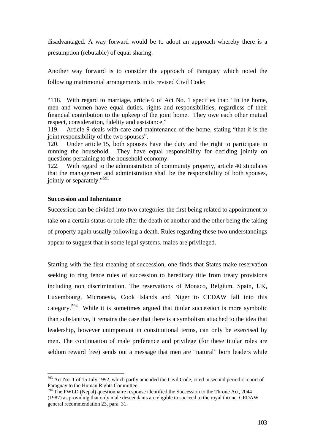disadvantaged. A way forward would be to adopt an approach whereby there is a presumption (rebutable) of equal sharing.

Another way forward is to consider the approach of Paraguay which noted the following matrimonial arrangements in its revised Civil Code:

"118. With regard to marriage, article 6 of Act No. 1 specifies that: "In the home, men and women have equal duties, rights and responsibilities, regardless of their financial contribution to the upkeep of the joint home. They owe each other mutual respect, consideration, fidelity and assistance."

119. Article 9 deals with care and maintenance of the home, stating "that it is the joint responsibility of the two spouses".

120. Under article 15, both spouses have the duty and the right to participate in running the household. They have equal responsibility for deciding jointly on questions pertaining to the household economy.

122. With regard to the administration of community property, article 40 stipulates that the management and administration shall be the responsibility of both spouses, jointly or separately."<sup>593</sup>

#### **Succession and Inheritance**

<u>.</u>

Succession can be divided into two categories-the first being related to appointment to take on a certain status or role after the death of another and the other being the taking of property again usually following a death. Rules regarding these two understandings appear to suggest that in some legal systems, males are privileged.

Starting with the first meaning of succession, one finds that States make reservation seeking to ring fence rules of succession to hereditary title from treaty provisions including non discrimination. The reservations of Monaco, Belgium, Spain, UK, Luxembourg, Micronesia, Cook Islands and Niger to CEDAW fall into this category.<sup>594</sup> While it is sometimes argued that titular succession is more symbolic than substantive, it remains the case that there is a symbolism attached to the idea that leadership, however unimportant in constitutional terms, can only be exercised by men. The continuation of male preference and privilege (for these titular roles are seldom reward free) sends out a message that men are "natural" born leaders while

<sup>&</sup>lt;sup>593</sup> Act No. 1 of 15 July 1992, which partly amended the Civil Code, cited in second periodic report of Paraguay to the Human Rights Committee.

<sup>&</sup>lt;sup>594</sup> The FWLD (Nepal) questionnaire response identified the Succession to the Throne Act, 2044 (1987) as providing that only male descendants are eligible to succeed to the royal throne. CEDAW general recommendation 23, para. 31.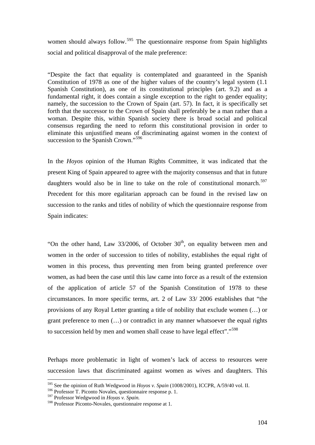women should always follow.<sup>595</sup> The questionnaire response from Spain highlights social and political disapproval of the male preference:

"Despite the fact that equality is contemplated and guaranteed in the Spanish Constitution of 1978 as one of the higher values of the country's legal system (1.1 Spanish Constitution), as one of its constitutional principles (art. 9.2) and as a fundamental right, it does contain a single exception to the right to gender equality; namely, the succession to the Crown of Spain (art. 57). In fact, it is specifically set forth that the successor to the Crown of Spain shall preferably be a man rather than a woman. Despite this, within Spanish society there is broad social and political consensus regarding the need to reform this constitutional provision in order to eliminate this unjustified means of discriminating against women in the context of succession to the Spanish Crown."<sup>596</sup>

In the *Hoyos* opinion of the Human Rights Committee, it was indicated that the present King of Spain appeared to agree with the majority consensus and that in future daughters would also be in line to take on the role of constitutional monarch.<sup>597</sup> Precedent for this more egalitarian approach can be found in the revised law on succession to the ranks and titles of nobility of which the questionnaire response from Spain indicates:

"On the other hand, Law  $33/2006$ , of October  $30<sup>th</sup>$ , on equality between men and women in the order of succession to titles of nobility, establishes the equal right of women in this process, thus preventing men from being granted preference over women, as had been the case until this law came into force as a result of the extension of the application of article 57 of the Spanish Constitution of 1978 to these circumstances. In more specific terms, art. 2 of Law 33/ 2006 establishes that "the provisions of any Royal Letter granting a title of nobility that exclude women (…) or grant preference to men (…) or contradict in any manner whatsoever the equal rights to succession held by men and women shall cease to have legal effect"."<sup>598</sup>

Perhaps more problematic in light of women's lack of access to resources were succession laws that discriminated against women as wives and daughters. This

<sup>595</sup> See the opinion of Ruth Wedgwood in *Hoyos v. Spain* (1008/2001), ICCPR, A/59/40 vol. II.

<sup>596</sup> Professor T. Piconto Novales, questionnaire response p. 1.

<sup>597</sup> Professor Wedgwood in *Hoyas v. Spain.* 

<sup>598</sup> Professor Piconto-Novales, questionnaire response at 1.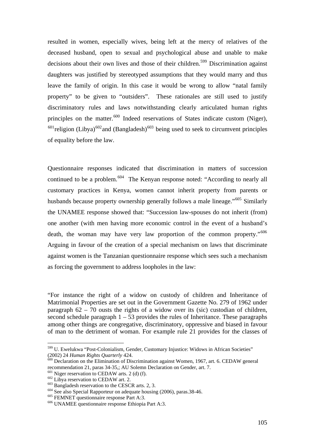resulted in women, especially wives, being left at the mercy of relatives of the deceased husband, open to sexual and psychological abuse and unable to make decisions about their own lives and those of their children.<sup>599</sup> Discrimination against daughters was justified by stereotyped assumptions that they would marry and thus leave the family of origin. In this case it would be wrong to allow "natal family property" to be given to "outsiders". These rationales are still used to justify discriminatory rules and laws notwithstanding clearly articulated human rights principles on the matter. $600$  Indeed reservations of States indicate custom (Niger),  $601$ religion (Libya)<sup>602</sup> and (Bangladesh)<sup>603</sup> being used to seek to circumvent principles of equality before the law.

Questionnaire responses indicated that discrimination in matters of succession continued to be a problem.<sup>604</sup> The Kenyan response noted: "According to nearly all customary practices in Kenya, women cannot inherit property from parents or husbands because property ownership generally follows a male lineage."<sup>605</sup> Similarly the UNAMEE response showed that: "Succession law-spouses do not inherit (from) one another (with men having more economic control in the event of a husband's death, the woman may have very law proportion of the common property."<sup>606</sup> Arguing in favour of the creation of a special mechanism on laws that discriminate against women is the Tanzanian questionnaire response which sees such a mechanism as forcing the government to address loopholes in the law:

"For instance the right of a widow on custody of children and Inheritance of Matrimonial Properties are set out in the Government Gazette No. 279 of 1962 under paragraph  $62 - 70$  ousts the rights of a widow over its (sic) custodian of children, second schedule paragraph  $1 - 53$  provides the rules of Inheritance. These paragraphs among other things are congregative, discriminatory, oppressive and biased in favour of man to the detriment of woman. For example rule 21 provides for the classes of

<sup>599</sup> U. Ewelukwa "Post-Colonialism, Gender, Customary Injustice: Widows in African Societies" (2002) 24 *Human Rights Quarterly* 424.<br><sup>600</sup> Declaration on the Elimination of Discrimination against Women, 1967, art. 6. CEDAW general

recommendation 21, paras 34-35,; AU Solemn Declaration on Gender, art. 7.<br><sup>601</sup> Niger reservation to CEDAW arts. 2 (d) (f).<br><sup>602</sup> Libya reservation to CEDAW art. 2.<br><sup>603</sup> Bangladesh reservation to the CESCR arts. 2, 3.<br><sup>6</sup>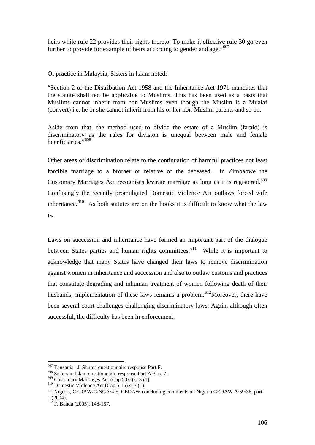heirs while rule 22 provides their rights thereto. To make it effective rule 30 go even further to provide for example of heirs according to gender and age."<sup>607</sup>

Of practice in Malaysia, Sisters in Islam noted:

"Section 2 of the Distribution Act 1958 and the Inheritance Act 1971 mandates that the statute shall not be applicable to Muslims. This has been used as a basis that Muslims cannot inherit from non-Muslims even though the Muslim is a Mualaf (convert) i.e. he or she cannot inherit from his or her non-Muslim parents and so on.

Aside from that, the method used to divide the estate of a Muslim (faraid) is discriminatory as the rules for division is unequal between male and female beneficiaries."<sup>608</sup>

Other areas of discrimination relate to the continuation of harmful practices not least forcible marriage to a brother or relative of the deceased. In Zimbabwe the Customary Marriages Act recognises levirate marriage as long as it is registered.<sup>609</sup> Confusingly the recently promulgated Domestic Violence Act outlaws forced wife inheritance. $610$  As both statutes are on the books it is difficult to know what the law is.

Laws on succession and inheritance have formed an important part of the dialogue between States parties and human rights committees.<sup>611</sup> While it is important to acknowledge that many States have changed their laws to remove discrimination against women in inheritance and succession and also to outlaw customs and practices that constitute degrading and inhuman treatment of women following death of their husbands, implementation of these laws remains a problem.<sup>612</sup>Moreover, there have been several court challenges challenging discriminatory laws. Again, although often successful, the difficulty has been in enforcement.

<sup>&</sup>lt;sup>607</sup> Tanzania - J. Shuma questionnaire response Part F.

<sup>&</sup>lt;sup>608</sup> Sisters in Islam questionnaire response Part A:3 p. 7.<br><sup>609</sup> Customary Marriages Act (Cap 5:07) s. 3 (1).

<sup>&</sup>lt;sup>610</sup> Domestic Violence Act (Cap 5:16) s. 3 (1).  $\frac{610}{10}$  Domestic Violence Act (Cap 5:16) s. 3 (1). <sup>611</sup> Nigeria, CEDAW/C/NGA/4-5, CEDAW concluding comments on Nigeria CEDAW A/59/38, part.  $1 (2004)$ .

 $612$  F. Banda (2005), 148-157.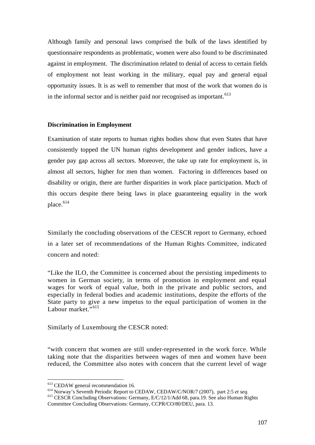Although family and personal laws comprised the bulk of the laws identified by questionnaire respondents as problematic, women were also found to be discriminated against in employment. The discrimination related to denial of access to certain fields of employment not least working in the military, equal pay and general equal opportunity issues. It is as well to remember that most of the work that women do is in the informal sector and is neither paid nor recognised as important.<sup>613</sup>

### **Discrimination in Employment**

Examination of state reports to human rights bodies show that even States that have consistently topped the UN human rights development and gender indices, have a gender pay gap across all sectors. Moreover, the take up rate for employment is, in almost all sectors, higher for men than women. Factoring in differences based on disability or origin, there are further disparities in work place participation. Much of this occurs despite there being laws in place guaranteeing equality in the work place.<sup>614</sup>

Similarly the concluding observations of the CESCR report to Germany, echoed in a later set of recommendations of the Human Rights Committee, indicated concern and noted:

"Like the ILO, the Committee is concerned about the persisting impediments to women in German society, in terms of promotion in employment and equal wages for work of equal value, both in the private and public sectors, and especially in federal bodies and academic institutions, despite the efforts of the State party to give a new impetus to the equal participation of women in the Labour market."<sup>615</sup>

Similarly of Luxembourg the CESCR noted:

"with concern that women are still under-represented in the work force. While taking note that the disparities between wages of men and women have been reduced, the Committee also notes with concern that the current level of wage

 $613$  CEDAW general recommendation 16.

<sup>&</sup>lt;sup>614</sup> Norway's Seventh Periodic Report to CEDAW, CEDAW/C/NOR/7 (2007), part 2:5 *et seq.* <sup>615</sup> CESCR Concluding Observations: Germany, E/C/12/1/Add 68, para.19. See also Human Rights Committee Concluding Observations: Germany, CCPR/CO/80/DEU, para. 13.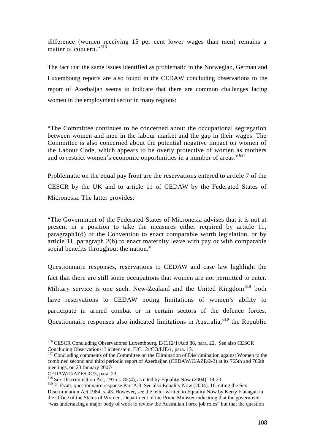difference (women receiving 15 per cent lower wages than men) remains a matter of concern."<sup>616</sup>

The fact that the same issues identified as problematic in the Norwegian, German and Luxembourg reports are also found in the CEDAW concluding observations to the report of Azerbaijan seems to indicate that there are common challenges facing women in the employment sector in many regions:

"The Committee continues to be concerned about the occupational segregation between women and men in the labour market and the gap in their wages. The Committee is also concerned about the potential negative impact on women of the Labour Code, which appears to be overly protective of women as mothers and to restrict women's economic opportunities in a number of areas."<sup>617</sup>

Problematic on the equal pay front are the reservations entered to article 7 of the CESCR by the UK and to article 11 of CEDAW by the Federated States of Micronesia. The latter provides:

"The Government of the Federated States of Micronesia advises that it is not at present in a position to take the measures either required by article 11, paragraph1(d) of the Convention to enact comparable worth legislation, or by article 11, paragraph 2(b) to enact maternity leave with pay or with comparable social benefits throughout the nation."

Questionnaire responses, reservations to CEDAW and case law highlight the fact that there are still some occupations that women are not permitted to enter. Military service is one such. New-Zealand and the United Kingdom<sup>618</sup> both have reservations to CEDAW noting limitations of women's ability to participate in armed combat or in certain sectors of the defence forces. Questionnaire responses also indicated limitations in Australia,  $619$  the Republic

<u>.</u>

<sup>616</sup> CESCR Concluding Observations: Luxembourg, E/C.12/1/Add 86, para. 22. See also CESCR Concluding Observations: Lichtenstein, E/C.12//CO/LIE/1, para. 13.

<sup>&</sup>lt;sup>617</sup> Concluding comments of the Committee on the Elimination of Discrimination against Women to the combined second and third periodic report of Azerbaijan (CEDAW/C/AZE/2-3) at its 765th and 766th meetings, on 23 January 2007/

CEDAW/C/AZE/CO/3, para. 23.

 $618$  Sex Discrimination Act, 1975 s. 85(4), as cited by Equality Now (2004), 19-20.

 $619$  E. Evatt, questionnaire response Part A:3. See also Equality Now (2004), 16, citing the Sex Discrimination Act 1984, s. 43. However, see the letter written to Equality Now by Kerry Flanagan in the Office of the Status of Women, Department of the Prime Minister indicating that the government "was undertaking a major body of work to review the Australian Force job roles" but that the question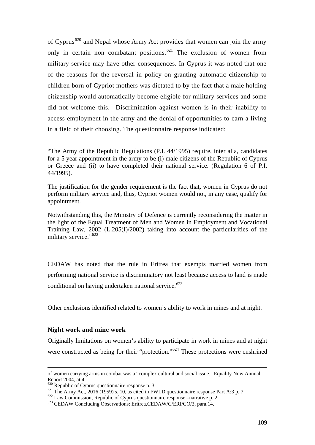of Cyprus<sup>620</sup> and Nepal whose Army Act provides that women can join the army only in certain non combatant positions.<sup>621</sup> The exclusion of women from military service may have other consequences. In Cyprus it was noted that one of the reasons for the reversal in policy on granting automatic citizenship to children born of Cypriot mothers was dictated to by the fact that a male holding citizenship would automatically become eligible for military services and some did not welcome this. Discrimination against women is in their inability to access employment in the army and the denial of opportunities to earn a living in a field of their choosing. The questionnaire response indicated:

"The Army of the Republic Regulations (P.I. 44/1995) require, inter alia, candidates for a 5 year appointment in the army to be (i) male citizens of the Republic of Cyprus or Greece and (ii) to have completed their national service. (Regulation 6 of P.I. 44/1995).

The justification for the gender requirement is the fact that**,** women in Cyprus do not perform military service and, thus, Cypriot women would not, in any case, qualify for appointment.

Notwithstanding this, the Ministry of Defence is currently reconsidering the matter in the light of the Equal Treatment of Men and Women in Employment and Vocational Training Law, 2002 (L.205(I)/2002) taking into account the particularities of the military service."<sup>622</sup>

CEDAW has noted that the rule in Eritrea that exempts married women from performing national service is discriminatory not least because access to land is made conditional on having undertaken national service. $623$ 

Other exclusions identified related to women's ability to work in mines and at night.

#### **Night work and mine work**

Originally limitations on women's ability to participate in work in mines and at night were constructed as being for their "protection."<sup>624</sup> These protections were enshrined

of women carrying arms in combat was a "complex cultural and social issue." Equality Now Annual Report 2004, at 4.<br>
<sup>620</sup> Republic of Cyprus questionnaire response p. 3.

<sup>&</sup>lt;sup>621</sup> The Army Act, 2016 (1959) s. 10, as cited in FWLD questionnaire response Part A:3 p. 7.<br><sup>622</sup> Law Commission, Republic of Cyprus questionnaire response –narrative p. 2.<br><sup>623</sup> CEDAW Concluding Observations: Eritrea,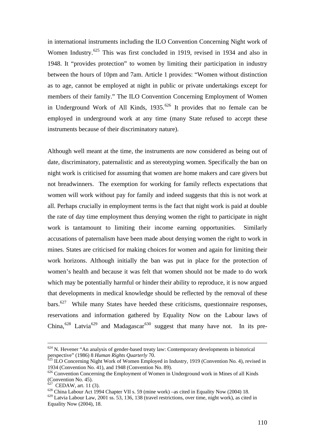in international instruments including the ILO Convention Concerning Night work of Women Industry.<sup>625</sup> This was first concluded in 1919, revised in 1934 and also in 1948. It "provides protection" to women by limiting their participation in industry between the hours of 10pm and 7am. Article 1 provides: "Women without distinction as to age, cannot be employed at night in public or private undertakings except for members of their family." The ILO Convention Concerning Employment of Women in Underground Work of All Kinds,  $1935$ .<sup>626</sup> It provides that no female can be employed in underground work at any time (many State refused to accept these instruments because of their discriminatory nature).

Although well meant at the time, the instruments are now considered as being out of date, discriminatory, paternalistic and as stereotyping women. Specifically the ban on night work is criticised for assuming that women are home makers and care givers but not breadwinners. The exemption for working for family reflects expectations that women will work without pay for family and indeed suggests that this is not work at all. Perhaps crucially in employment terms is the fact that night work is paid at double the rate of day time employment thus denying women the right to participate in night work is tantamount to limiting their income earning opportunities. Similarly accusations of paternalism have been made about denying women the right to work in mines. States are criticised for making choices for women and again for limiting their work horizons. Although initially the ban was put in place for the protection of women's health and because it was felt that women should not be made to do work which may be potentially harmful or hinder their ability to reproduce, it is now argued that developments in medical knowledge should be reflected by the removal of these  $bars$ <sup>627</sup> While many States have heeded these criticisms, questionnaire responses, reservations and information gathered by Equality Now on the Labour laws of China,<sup>628</sup> Latvia<sup>629</sup> and Madagascar<sup>630</sup> suggest that many have not. In its pre-

 $624$  N. Hevener "An analysis of gender-based treaty law: Contemporary developments in historical perspective" (1986) 8 *Human Rights Quarterly* 70.<br><sup>625</sup> ILO Concerning Night Work of Women Employed in Industry, 1919 (Convention No. 4), revised in

<sup>1934 (</sup>Convention No. 41), and 1948 (Convention No. 89).

<sup>&</sup>lt;sup>626</sup> Convention Concerning the Employment of Women in Underground work in Mines of all Kinds (Convention No. 45).<br> $627$  CEDAW, art. 11 (3).

 $628$  China Labour Act 1994 Chapter VII s. 59 (mine work) –as cited in Equality Now (2004) 18.

<sup>629</sup> Latvia Labour Law, 2001 ss. 53, 136, 138 (travel restrictions, over time, night work), as cited in Equality Now (2004), 18.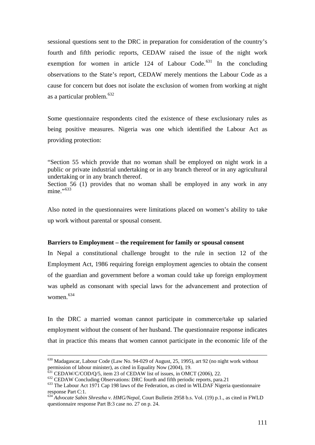sessional questions sent to the DRC in preparation for consideration of the country's fourth and fifth periodic reports, CEDAW raised the issue of the night work exemption for women in article 124 of Labour Code.<sup>631</sup> In the concluding observations to the State's report, CEDAW merely mentions the Labour Code as a cause for concern but does not isolate the exclusion of women from working at night as a particular problem.<sup>632</sup>

Some questionnaire respondents cited the existence of these exclusionary rules as being positive measures. Nigeria was one which identified the Labour Act as providing protection:

"Section 55 which provide that no woman shall be employed on night work in a public or private industrial undertaking or in any branch thereof or in any agricultural undertaking or in any branch thereof.

Section 56 (1) provides that no woman shall be employed in any work in any mine."<sup>633</sup>

Also noted in the questionnaires were limitations placed on women's ability to take up work without parental or spousal consent.

#### **Barriers to Employment – the requirement for family or spousal consent**

In Nepal a constitutional challenge brought to the rule in section 12 of the Employment Act, 1986 requiring foreign employment agencies to obtain the consent of the guardian and government before a woman could take up foreign employment was upheld as consonant with special laws for the advancement and protection of women.<sup>634</sup>

In the DRC a married woman cannot participate in commerce/take up salaried employment without the consent of her husband. The questionnaire response indicates that in practice this means that women cannot participate in the economic life of the

 <sup>630</sup> Madagascar, Labour Code (Law No. 94-029 of August, 25, 1995), art 92 (no night work without permission of labour minister), as cited in Equality Now (2004), 19.<br>  $^{631}$  CEDAW/C/COD/O/5, item 23 of CEDAW list of issues, in OMCT (2006), 22.

<sup>632</sup> CEDAW Concluding Observations: DRC fourth and fifth periodic reports, para.21<br><sup>633</sup> The Labour Act 1971 Cap 198 laws of the Federation, as cited in WILDAF Nigeria questionnaire response Part C:1.

<sup>634</sup> *Advocate Sabin Shrestha v. HMG/Nepal,* Court Bulletin 2958 b.s. Vol. (19) p.1., as cited in FWLD questionnaire response Part B:3 case no. 27 on p. 24.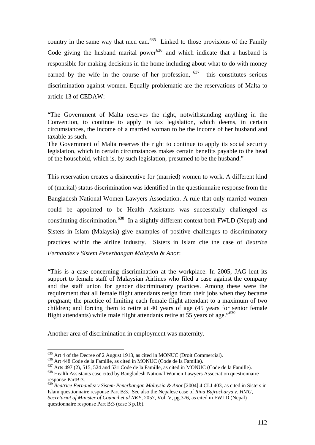country in the same way that men can**.** 635 Linked to those provisions of the Family Code giving the husband marital power<sup>636</sup> and which indicate that a husband is responsible for making decisions in the home including about what to do with money earned by the wife in the course of her profession,  $637$  this constitutes serious discrimination against women. Equally problematic are the reservations of Malta to article 13 of CEDAW:

"The Government of Malta reserves the right, notwithstanding anything in the Convention, to continue to apply its tax legislation, which deems, in certain circumstances, the income of a married woman to be the income of her husband and taxable as such.

The Government of Malta reserves the right to continue to apply its social security legislation, which in certain circumstances makes certain benefits payable to the head of the household, which is, by such legislation, presumed to be the husband."

This reservation creates a disincentive for (married) women to work. A different kind of (marital) status discrimination was identified in the questionnaire response from the Bangladesh National Women Lawyers Association. A rule that only married women could be appointed to be Health Assistants was successfully challenged as constituting discrimination.<sup>638</sup> In a slightly different context both FWLD (Nepal) and Sisters in Islam (Malaysia) give examples of positive challenges to discriminatory practices within the airline industry. Sisters in Islam cite the case of *Beatrice Fernandez v Sistem Penerbangan Malaysia & Anor*:

"This is a case concerning discrimination at the workplace. In 2005, JAG lent its support to female staff of Malaysian Airlines who filed a case against the company and the staff union for gender discriminatory practices. Among these were the requirement that all female flight attendants resign from their jobs when they became pregnant; the practice of limiting each female flight attendant to a maximum of two children; and forcing them to retire at 40 years of age (45 years for senior female flight attendants) while male flight attendants retire at 55 years of age."<sup>639</sup>

Another area of discrimination in employment was maternity.

<sup>&</sup>lt;sup>635</sup> Art 4 of the Decree of 2 August 1913, as cited in MONUC (Droit Commercial).<br><sup>636</sup> Art 448 Code de la Famille, as cited in MONUC (Code de la Famille).<br><sup>637</sup> Arts 497 (2), 515, 524 and 531 Code de la Famille, as cited response PartB:3.

<sup>639</sup> *Beatrice Fernandez v Sistem Penerbangan Malaysia & Anor* [2004] 4 CLJ 403, as cited in Sisters in Islam questionnaire response Part B:3. See also the Nepalese case of *Rina Bajracharya v. HMG, Secretariat of Minister of Council et al NKP*, 2057, Vol. V, pg.376, as cited in FWLD (Nepal) questionnaire response Part B:3 (case 3 p.16).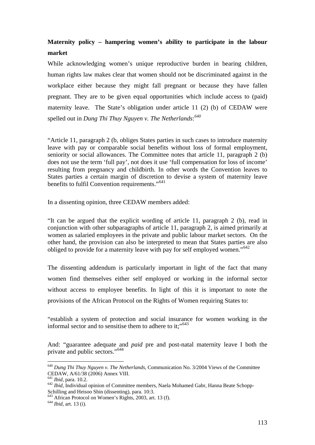# **Maternity policy – hampering women's ability to participate in the labour market**

While acknowledging women's unique reproductive burden in bearing children, human rights law makes clear that women should not be discriminated against in the workplace either because they might fall pregnant or because they have fallen pregnant. They are to be given equal opportunities which include access to (paid) maternity leave. The State's obligation under article 11 (2) (b) of CEDAW were spelled out in *Dung Thi Thuy Nguyen v. The Netherlands*: *640*

"Article 11, paragraph 2 (b, obliges States parties in such cases to introduce maternity leave with pay or comparable social benefits without loss of formal employment, seniority or social allowances. The Committee notes that article 11, paragraph 2 (b) does not use the term 'full pay', not does it use 'full compensation for loss of income' resulting from pregnancy and childbirth. In other words the Convention leaves to States parties a certain margin of discretion to devise a system of maternity leave benefits to fulfil Convention requirements."<sup>641</sup>

In a dissenting opinion, three CEDAW members added:

"It can be argued that the explicit wording of article 11, paragraph 2 (b), read in conjunction with other subparagraphs of article 11, paragraph 2, is aimed primarily at women as salaried employees in the private and public labour market sectors. On the other hand, the provision can also be interpreted to mean that States parties are also obliged to provide for a maternity leave with pay for self employed women."642

The dissenting addendum is particularly important in light of the fact that many women find themselves either self employed or working in the informal sector without access to employee benefits. In light of this it is important to note the provisions of the African Protocol on the Rights of Women requiring States to:

"establish a system of protection and social insurance for women working in the informal sector and to sensitise them to adhere to it: $"$ <sup>643</sup>

And: "guarantee adequate and *paid* pre and post-natal maternity leave I both the private and public sectors."<sup>644</sup>

<sup>640</sup> *Dung Thi Thuy Nguyen v. The Netherlands,* Communication No. 3/2004 Views of the Committee CEDAW, A/61/38 (2006) Annex VIII.<br><sup>641</sup> Ibid. para. 10.2.

<sup>&</sup>lt;sup>642</sup> *Ibid*, Individual opinion of Committee members, Naela Mohamed Gabr, Hanna Beate Schopp-Schilling and Heisoo Shin (dissenting), para. 10:3.

<sup>643</sup> African Protocol on Women's Rights, 2003, art. 13 (f). 644 *Ibid*, art. 13 (i).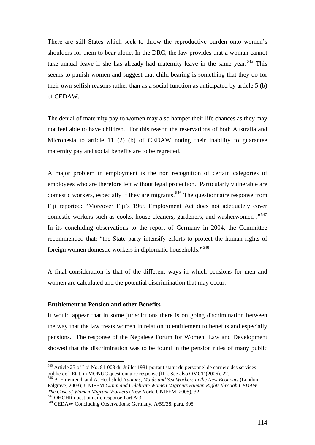There are still States which seek to throw the reproductive burden onto women's shoulders for them to bear alone. In the DRC, the law provides that a woman cannot take annual leave if she has already had maternity leave in the same year.<sup>645</sup> This seems to punish women and suggest that child bearing is something that they do for their own selfish reasons rather than as a social function as anticipated by article 5 (b) of CEDAW**.** 

The denial of maternity pay to women may also hamper their life chances as they may not feel able to have children. For this reason the reservations of both Australia and Micronesia to article 11 (2) (b) of CEDAW noting their inability to guarantee maternity pay and social benefits are to be regretted.

A major problem in employment is the non recognition of certain categories of employees who are therefore left without legal protection. Particularly vulnerable are domestic workers, especially if they are migrants.<sup>646</sup> The questionnaire response from Fiji reported: "Moreover Fiji's 1965 Employment Act does not adequately cover domestic workers such as cooks, house cleaners, gardeners, and washerwomen ."<sup>647</sup> In its concluding observations to the report of Germany in 2004, the Committee recommended that: "the State party intensify efforts to protect the human rights of foreign women domestic workers in diplomatic households."<sup>648</sup>

A final consideration is that of the different ways in which pensions for men and women are calculated and the potential discrimination that may occur.

#### **Entitlement to Pension and other Benefits**

It would appear that in some jurisdictions there is on going discrimination between the way that the law treats women in relation to entitlement to benefits and especially pensions. The response of the Nepalese Forum for Women, Law and Development showed that the discrimination was to be found in the pension rules of many public

<sup>645</sup> Article 25 of Loi No. 81-003 du Juillet 1981 portant statut du personnel de carrière des services public de l'Etat, in MONUC questionnaire response (III). See also OMCT (2006), 22.

<sup>646</sup> B. Ehrenreich and A. Hochshild *Nannies, Maids and Sex Workers in the New Economy* (London, Palgrave, 2003); UNIFEM *Claim and Celebrate Women Migrants Human Rights through CEDAW:* 

<sup>&</sup>lt;sup>647</sup> OHCHR questionnaire response Part A:3.<br><sup>648</sup> CEDAW Concluding Observations: Germany, A/59/38, para. 395.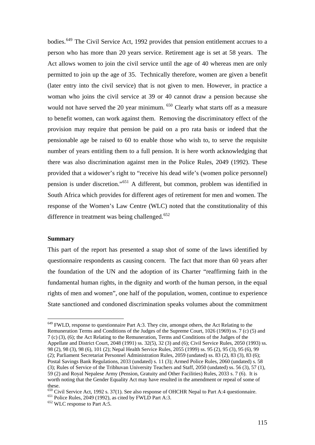bodies.649 The Civil Service Act, 1992 provides that pension entitlement accrues to a person who has more than 20 years service. Retirement age is set at 58 years. The Act allows women to join the civil service until the age of 40 whereas men are only permitted to join up the age of 35. Technically therefore, women are given a benefit (later entry into the civil service) that is not given to men. However, in practice a woman who joins the civil service at 39 or 40 cannot draw a pension because she would not have served the 20 year minimum. <sup>650</sup> Clearly what starts off as a measure to benefit women, can work against them. Removing the discriminatory effect of the provision may require that pension be paid on a pro rata basis or indeed that the pensionable age be raised to 60 to enable those who wish to, to serve the requisite number of years entitling them to a full pension. It is here worth acknowledging that there was also discrimination against men in the Police Rules, 2049 (1992). These provided that a widower's right to "receive his dead wife's (women police personnel) pension is under discretion."651 A different, but common, problem was identified in South Africa which provides for different ages of retirement for men and women. The response of the Women's Law Centre (WLC) noted that the constitutionality of this difference in treatment was being challenged.<sup>652</sup>

#### **Summary**

<u>.</u>

This part of the report has presented a snap shot of some of the laws identified by questionnaire respondents as causing concern. The fact that more than 60 years after the foundation of the UN and the adoption of its Charter "reaffirming faith in the fundamental human rights, in the dignity and worth of the human person, in the equal rights of men and women", one half of the population, women, continue to experience State sanctioned and condoned discrimination speaks volumes about the commitment

<sup>649</sup> FWLD, response to questionnaire Part A:3. They cite, amongst others, the Act Relating to the Remuneration Terms and Conditions of the Judges of the Supreme Court, 1026 (1969) ss. 7 (c) (5) and 7 (c) (3), (6); the Act Relating to the Remuneration, Terms and Conditions of the Judges of the Appellate and District Court, 2048 (1991) ss. 32(5), 32 (3) and (6); Civil Service Rules, 2050 (1993) ss. 98 (2), 98 (3), 98 (6), 101 (2); Nepal Health Service Rules, 2055 (1999) ss. 95 (2), 95 (3), 95 (6), 99 (2); Parliament Secretariat Personnel Administration Rules, 2059 (undated) ss. 83 (2), 83 (3), 83 (6); Postal Savings Bank Regulations, 2033 (undated) s. 11 (3); Armed Police Rules, 2060 (undated) s. 58 (3); Rules of Service of the Tribhuvan University Teachers and Staff, 2050 (undated) ss. 56 (3), 57 (1), 59 (2) and Royal Nepalese Army (Pension, Gratuity and Other Facilities) Rules, 2033 s. 7 (6). It is worth noting that the Gender Equality Act may have resulted in the amendment or repeal of some of these.

<sup>&</sup>lt;sup>650</sup> Civil Service Act, 1992 s. 37(1). See also response of OHCHR Nepal to Part A:4 questionnaire.<br><sup>651</sup> Police Rules, 2049 (1992), as cited by FWLD Part A:3.<br><sup>652</sup> WLC response to Part A:5.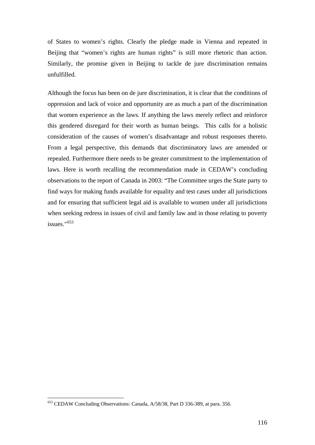of States to women's rights. Clearly the pledge made in Vienna and repeated in Beijing that "women's rights are human rights" is still more rhetoric than action. Similarly, the promise given in Beijing to tackle de jure discrimination remains unfulfilled.

Although the focus has been on de jure discrimination, it is clear that the conditions of oppression and lack of voice and opportunity are as much a part of the discrimination that women experience as the laws. If anything the laws merely reflect and reinforce this gendered disregard for their worth as human beings. This calls for a holistic consideration of the causes of women's disadvantage and robust responses thereto. From a legal perspective, this demands that discriminatory laws are amended or repealed. Furthermore there needs to be greater commitment to the implementation of laws. Here is worth recalling the recommendation made in CEDAW's concluding observations to the report of Canada in 2003: "The Committee urges the State party to find ways for making funds available for equality and test cases under all jurisdictions and for ensuring that sufficient legal aid is available to women under all jurisdictions when seeking redress in issues of civil and family law and in those relating to poverty issues."<sup>653</sup>

<sup>653</sup> CEDAW Concluding Observations: Canada, A/58/38, Part D 336-389, at para. 356.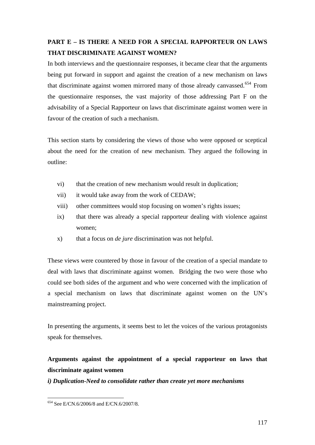# **PART E – IS THERE A NEED FOR A SPECIAL RAPPORTEUR ON LAWS THAT DISCRIMINATE AGAINST WOMEN?**

In both interviews and the questionnaire responses, it became clear that the arguments being put forward in support and against the creation of a new mechanism on laws that discriminate against women mirrored many of those already canvassed.<sup>654</sup> From the questionnaire responses, the vast majority of those addressing Part F on the advisability of a Special Rapporteur on laws that discriminate against women were in favour of the creation of such a mechanism.

This section starts by considering the views of those who were opposed or sceptical about the need for the creation of new mechanism. They argued the following in outline:

- vi) that the creation of new mechanism would result in duplication;
- vii) it would take away from the work of CEDAW;
- viii) other committees would stop focusing on women's rights issues;
- ix) that there was already a special rapporteur dealing with violence against women;
- x) that a focus on *de jure* discrimination was not helpful.

These views were countered by those in favour of the creation of a special mandate to deal with laws that discriminate against women. Bridging the two were those who could see both sides of the argument and who were concerned with the implication of a special mechanism on laws that discriminate against women on the UN's mainstreaming project.

In presenting the arguments, it seems best to let the voices of the various protagonists speak for themselves.

# **Arguments against the appointment of a special rapporteur on laws that discriminate against women**

*i) Duplication-Need to consolidate rather than create yet more mechanisms* 

<sup>1</sup> 654 See E/CN.6/2006/8 and E/CN.6/2007/8.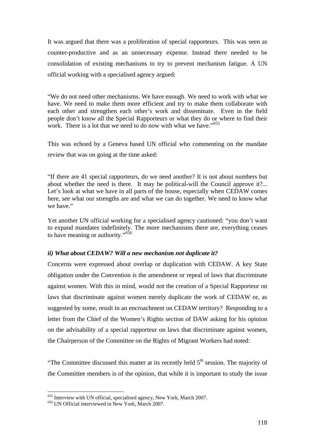It was argued that there was a proliferation of special rapporteurs. This was seen as counter-productive and as an unnecessary expense. Instead there needed to be consolidation of existing mechanisms to try to prevent mechanism fatigue. A UN official working with a specialised agency argued:

"We do not need other mechanisms. We have enough. We need to work with what we have. We need to make them more efficient and try to make them collaborate with each other and strengthen each other's work and disseminate. Even in the field people don't know all the Special Rapporteurs or what they do or where to find their work. There is a lot that we need to do now with what we have."<sup>655</sup>

This was echoed by a Geneva based UN official who commenting on the mandate review that was on going at the time asked:

"If there are 41 special rapporteurs, do we need another? It is not about numbers but about whether the need is there. It may be political-will the Council approve it?... Let's look at what we have in all parts of the house, especially when CEDAW comes here, see what our strengths are and what we can do together. We need to know what we have."

Yet another UN official working for a specialised agency cautioned: "you don't want to expand mandates indefinitely. The more mechanisms there are, everything ceases to have meaning or authority."<sup>656</sup>

### *ii) What about CEDAW? Will a new mechanism not duplicate it?*

Concerns were expressed about overlap or duplication with CEDAW. A key State obligation under the Convention is the amendment or repeal of laws that discriminate against women. With this in mind, would not the creation of a Special Rapporteur on laws that discriminate against women merely duplicate the work of CEDAW or, as suggested by some, result in an encroachment on CEDAW territory? Responding to a letter from the Chief of the Women's Rights section of DAW asking for his opinion on the advisability of a special rapporteur on laws that discriminate against women, the Chairperson of the Committee on the Rights of Migrant Workers had noted:

"The Committee discussed this matter at its recently held  $5<sup>th</sup>$  session. The majority of the Committee members is of the opinion, that while it is important to study the issue

<u>.</u>

 $655$  Interview with UN official, specialised agency, New York, March 2007.  $656$  UN Official interviewed in New York, March 2007.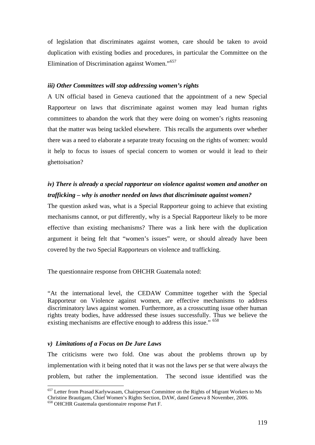of legislation that discriminates against women, care should be taken to avoid duplication with existing bodies and procedures, in particular the Committee on the Elimination of Discrimination against Women."<sup>657</sup>

#### *iii) Other Committees will stop addressing women's rights*

A UN official based in Geneva cautioned that the appointment of a new Special Rapporteur on laws that discriminate against women may lead human rights committees to abandon the work that they were doing on women's rights reasoning that the matter was being tackled elsewhere. This recalls the arguments over whether there was a need to elaborate a separate treaty focusing on the rights of women: would it help to focus to issues of special concern to women or would it lead to their ghettoisation?

# *iv) There is already a special rapporteur on violence against women and another on trafficking – why is another needed on laws that discriminate against women?*

The question asked was, what is a Special Rapporteur going to achieve that existing mechanisms cannot, or put differently, why is a Special Rapporteur likely to be more effective than existing mechanisms? There was a link here with the duplication argument it being felt that "women's issues" were, or should already have been covered by the two Special Rapporteurs on violence and trafficking.

The questionnaire response from OHCHR Guatemala noted:

"At the international level, the CEDAW Committee together with the Special Rapporteur on Violence against women, are effective mechanisms to address discriminatory laws against women. Furthermore, as a crosscutting issue other human rights treaty bodies, have addressed these issues successfully. Thus we believe the existing mechanisms are effective enough to address this issue." <sup>658</sup>

#### *v) Limitations of a Focus on De Jure Laws*

The criticisms were two fold. One was about the problems thrown up by implementation with it being noted that it was not the laws per se that were always the problem, but rather the implementation. The second issue identified was the

<sup>657</sup> Letter from Prasad Karlywasam, Chairperson Committee on the Rights of Migrant Workers to Ms Christine Brautigam, Chief Women's Rights Section, DAW, dated Geneva 8 November, 2006.

<sup>658</sup> OHCHR Guatemala questionnaire response Part F.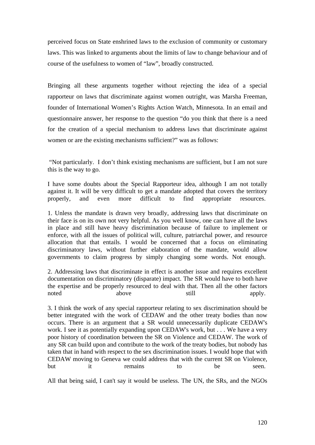perceived focus on State enshrined laws to the exclusion of community or customary laws. This was linked to arguments about the limits of law to change behaviour and of course of the usefulness to women of "law", broadly constructed.

Bringing all these arguments together without rejecting the idea of a special rapporteur on laws that discriminate against women outright, was Marsha Freeman, founder of International Women's Rights Action Watch, Minnesota. In an email and questionnaire answer, her response to the question "do you think that there is a need for the creation of a special mechanism to address laws that discriminate against women or are the existing mechanisms sufficient?" was as follows:

 "Not particularly. I don't think existing mechanisms are sufficient, but I am not sure this is the way to go.

I have some doubts about the Special Rapporteur idea, although I am not totally against it. It will be very difficult to get a mandate adopted that covers the territory properly, and even more difficult to find appropriate resources.

1. Unless the mandate is drawn very broadly, addressing laws that discriminate on their face is on its own not very helpful. As you well know, one can have all the laws in place and still have heavy discrimination because of failure to implement or enforce, with all the issues of political will, culture, patriarchal power, and resource allocation that that entails. I would be concerned that a focus on eliminating discriminatory laws, without further elaboration of the mandate, would allow governments to claim progress by simply changing some words. Not enough.

2. Addressing laws that discriminate in effect is another issue and requires excellent documentation on discriminatory (disparate) impact. The SR would have to both have the expertise and be properly resourced to deal with that. Then all the other factors noted above still apply.

3. I think the work of any special rapporteur relating to sex discrimination should be better integrated with the work of CEDAW and the other treaty bodies than now occurs. There is an argument that a SR would unnecessarily duplicate CEDAW's work. I see it as potentially expanding upon CEDAW's work, but . . . We have a very poor history of coordination between the SR on Violence and CEDAW. The work of any SR can build upon and contribute to the work of the treaty bodies, but nobody has taken that in hand with respect to the sex discrimination issues. I would hope that with CEDAW moving to Geneva we could address that with the current SR on Violence, but it remains to be seen.

All that being said, I can't say it would be useless. The UN, the SRs, and the NGOs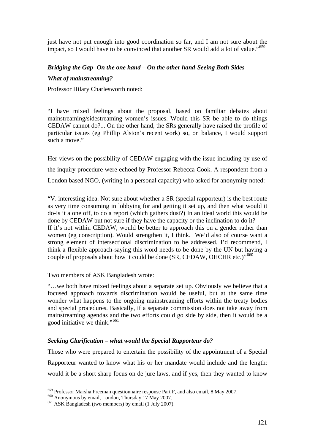just have not put enough into good coordination so far, and I am not sure about the impact, so I would have to be convinced that another SR would add a lot of value."<sup>659</sup>

## *Bridging the Gap- On the one hand – On the other hand-Seeing Both Sides*

### *What of mainstreaming?*

Professor Hilary Charlesworth noted:

"I have mixed feelings about the proposal, based on familiar debates about mainstreaming/sidestreaming women's issues. Would this SR be able to do things CEDAW cannot do?... On the other hand, the SRs generally have raised the profile of particular issues (eg Phillip Alston's recent work) so, on balance, I would support such a move."

Her views on the possibility of CEDAW engaging with the issue including by use of the inquiry procedure were echoed by Professor Rebecca Cook. A respondent from a London based NGO, (writing in a personal capacity) who asked for anonymity noted:

"V. interesting idea. Not sure about whether a SR (special rapporteur) is the best route as very time consuming in lobbying for and getting it set up, and then what would it do-is it a one off, to do a report (which gathers dust?) In an ideal world this would be done by CEDAW but not sure if they have the capacity or the inclination to do it? If it's not within CEDAW, would be better to approach this on a gender rather than women (eg conscription). Would strengthen it, I think. We'd also of course want a strong element of intersectional discrimination to be addressed. I'd recommend, I think a flexible approach-saying this word needs to be done by the UN but having a couple of proposals about how it could be done (SR, CEDAW, OHCHR etc.)"<sup>660</sup>

Two members of ASK Bangladesh wrote:

"…we both have mixed feelings about a separate set up. Obviously we believe that a focused approach towards discrimination would be useful, but at the same time wonder what happens to the ongoing mainstreaming efforts within the treaty bodies and special procedures. Basically, if a separate commission does not take away from mainstreaming agendas and the two efforts could go side by side, then it would be a good initiative we think."<sup>661</sup>

## *Seeking Clarification – what would the Special Rapporteur do?*

Those who were prepared to entertain the possibility of the appointment of a Special Rapporteur wanted to know what his or her mandate would include and the length: would it be a short sharp focus on de jure laws, and if yes, then they wanted to know

<sup>&</sup>lt;sup>659</sup> Professor Marsha Freeman questionnaire response Part F, and also email, 8 May 2007.<br><sup>660</sup> Anonymous by email, London, Thursday 17 May 2007.<br><sup>661</sup> ASK Bangladesh (two members) by email (1 July 2007).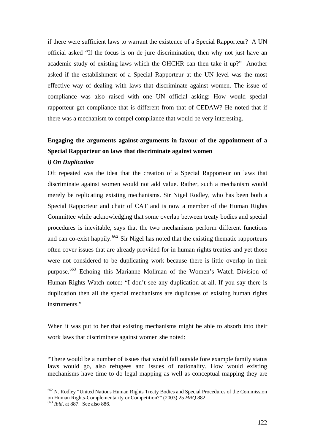if there were sufficient laws to warrant the existence of a Special Rapporteur? A UN official asked "If the focus is on de jure discrimination, then why not just have an academic study of existing laws which the OHCHR can then take it up?" Another asked if the establishment of a Special Rapporteur at the UN level was the most effective way of dealing with laws that discriminate against women. The issue of compliance was also raised with one UN official asking: How would special rapporteur get compliance that is different from that of CEDAW? He noted that if there was a mechanism to compel compliance that would be very interesting.

# **Engaging the arguments against-arguments in favour of the appointment of a Special Rapporteur on laws that discriminate against women**

#### *i) On Duplication*

Oft repeated was the idea that the creation of a Special Rapporteur on laws that discriminate against women would not add value. Rather, such a mechanism would merely be replicating existing mechanisms. Sir Nigel Rodley, who has been both a Special Rapporteur and chair of CAT and is now a member of the Human Rights Committee while acknowledging that some overlap between treaty bodies and special procedures is inevitable, says that the two mechanisms perform different functions and can co-exist happily.<sup>662</sup> Sir Nigel has noted that the existing thematic rapporteurs often cover issues that are already provided for in human rights treaties and yet those were not considered to be duplicating work because there is little overlap in their purpose.<sup>663</sup> Echoing this Marianne Mollman of the Women's Watch Division of Human Rights Watch noted: "I don't see any duplication at all. If you say there is duplication then all the special mechanisms are duplicates of existing human rights instruments."

When it was put to her that existing mechanisms might be able to absorb into their work laws that discriminate against women she noted:

"There would be a number of issues that would fall outside fore example family status laws would go, also refugees and issues of nationality. How would existing mechanisms have time to do legal mapping as well as conceptual mapping they are

<sup>662</sup> N. Rodley "United Nations Human Rights Treaty Bodies and Special Procedures of the Commission on Human Rights-Complementarity or Competition?" (2003) 25 *HRQ* 882. 663 *Ibid,* at 887. See also 886.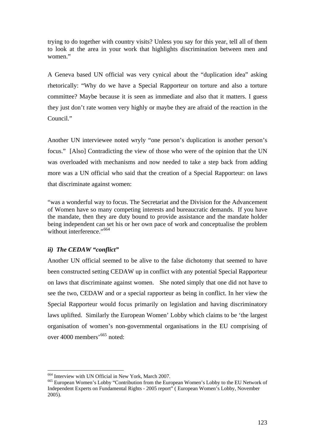trying to do together with country visits? Unless you say for this year, tell all of them to look at the area in your work that highlights discrimination between men and women."

A Geneva based UN official was very cynical about the "duplication idea" asking rhetorically: "Why do we have a Special Rapporteur on torture and also a torture committee? Maybe because it is seen as immediate and also that it matters. I guess they just don't rate women very highly or maybe they are afraid of the reaction in the Council."

Another UN interviewee noted wryly "one person's duplication is another person's focus." [Also] Contradicting the view of those who were of the opinion that the UN was overloaded with mechanisms and now needed to take a step back from adding more was a UN official who said that the creation of a Special Rapporteur: on laws that discriminate against women:

"was a wonderful way to focus. The Secretariat and the Division for the Advancement of Women have so many competing interests and bureaucratic demands. If you have the mandate, then they are duty bound to provide assistance and the mandate holder being independent can set his or her own pace of work and conceptualise the problem without interference."<sup>664</sup>

## *ii) The CEDAW "conflict"*

<u>.</u>

Another UN official seemed to be alive to the false dichotomy that seemed to have been constructed setting CEDAW up in conflict with any potential Special Rapporteur on laws that discriminate against women. She noted simply that one did not have to see the two, CEDAW and or a special rapporteur as being in conflict. In her view the Special Rapporteur would focus primarily on legislation and having discriminatory laws uplifted. Similarly the European Women' Lobby which claims to be 'the largest organisation of women's non-governmental organisations in the EU comprising of over 4000 members'665 noted:

<sup>&</sup>lt;sup>664</sup> Interview with UN Official in New York, March 2007.<br><sup>665</sup> European Women's Lobby "Contribution from the European Women's Lobby to the EU Network of Independent Experts on Fundamental Rights - 2005 report" ( European Women's Lobby, November 2005).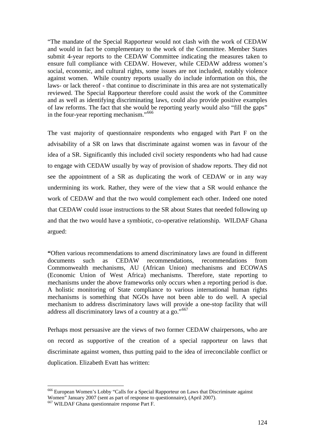"The mandate of the Special Rapporteur would not clash with the work of CEDAW and would in fact be complementary to the work of the Committee. Member States submit 4-year reports to the CEDAW Committee indicating the measures taken to ensure full compliance with CEDAW. However, while CEDAW address women's social, economic, and cultural rights, some issues are not included, notably violence against women. While country reports usually do include information on this, the laws- or lack thereof - that continue to discriminate in this area are not systematically reviewed. The Special Rapporteur therefore could assist the work of the Committee and as well as identifying discriminating laws, could also provide positive examples of law reforms. The fact that she would be reporting yearly would also "fill the gaps" in the four-year reporting mechanism."<sup>666</sup>

The vast majority of questionnaire respondents who engaged with Part F on the advisability of a SR on laws that discriminate against women was in favour of the idea of a SR. Significantly this included civil society respondents who had had cause to engage with CEDAW usually by way of provision of shadow reports. They did not see the appointment of a SR as duplicating the work of CEDAW or in any way undermining its work. Rather, they were of the view that a SR would enhance the work of CEDAW and that the two would complement each other. Indeed one noted that CEDAW could issue instructions to the SR about States that needed following up and that the two would have a symbiotic, co-operative relationship. WILDAF Ghana argued:

**"**Often various recommendations to amend discriminatory laws are found in different documents such as CEDAW recommendations, recommendations from Commonwealth mechanisms, AU (African Union) mechanisms and ECOWAS (Economic Union of West Africa) mechanisms. Therefore, state reporting to mechanisms under the above frameworks only occurs when a reporting period is due. A holistic monitoring of State compliance to various international human rights mechanisms is something that NGOs have not been able to do well. A special mechanism to address discriminatory laws will provide a one-stop facility that will address all discriminatory laws of a country at a go."<sup>667</sup>

Perhaps most persuasive are the views of two former CEDAW chairpersons, who are on record as supportive of the creation of a special rapporteur on laws that discriminate against women, thus putting paid to the idea of irreconcilable conflict or duplication. Elizabeth Evatt has written:

<sup>666</sup> European Women's Lobby "Calls for a Special Rapporteur on Laws that Discriminate against Women" January 2007 (sent as part of response to questionnaire), (April 2007).

<sup>667</sup> WILDAF Ghana questionnaire response Part F.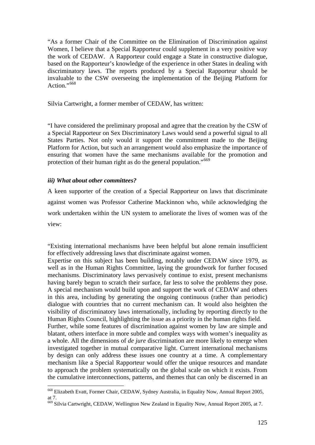"As a former Chair of the Committee on the Elimination of Discrimination against Women, I believe that a Special Rapporteur could supplement in a very positive way the work of CEDAW. A Rapporteur could engage a State in constructive dialogue, based on the Rapporteur's knowledge of the experience in other States in dealing with discriminatory laws. The reports produced by a Special Rapporteur should be invaluable to the CSW overseeing the implementation of the Beijing Platform for Action."<sup>668</sup>

Silvia Cartwright, a former member of CEDAW, has written:

"I have considered the preliminary proposal and agree that the creation by the CSW of a Special Rapporteur on Sex Discriminatory Laws would send a powerful signal to all States Parties. Not only would it support the commitment made to the Beijing Platform for Action, but such an arrangement would also emphasize the importance of ensuring that women have the same mechanisms available for the promotion and protection of their human right as do the general population."<sup>669</sup>

### *iii) What about other committees?*

1

A keen supporter of the creation of a Special Rapporteur on laws that discriminate against women was Professor Catherine Mackinnon who, while acknowledging the work undertaken within the UN system to ameliorate the lives of women was of the view:

"Existing international mechanisms have been helpful but alone remain insufficient for effectively addressing laws that discriminate against women.

Expertise on this subject has been building, notably under CEDAW since 1979, as well as in the Human Rights Committee, laying the groundwork for further focused mechanisms. Discriminatory laws pervasively continue to exist, present mechanisms having barely begun to scratch their surface, far less to solve the problems they pose. A special mechanism would build upon and support the work of CEDAW and others in this area, including by generating the ongoing continuous (rather than periodic) dialogue with countries that no current mechanism can. It would also heighten the visibility of discriminatory laws internationally, including by reporting directly to the Human Rights Council, highlighting the issue as a priority in the human rights field.

Further, while some features of discrimination against women by law are simple and blatant, others interface in more subtle and complex ways with women's inequality as a whole. All the dimensions of *de jure* discrimination are more likely to emerge when investigated together in mutual comparative light. Current international mechanisms by design can only address these issues one country at a time. A complementary mechanism like a Special Rapporteur would offer the unique resources and mandate to approach the problem systematically on the global scale on which it exists. From the cumulative interconnections, patterns, and themes that can only be discerned in an

<sup>668</sup> Elizabeth Evatt, Former Chair, CEDAW, Sydney Australia, in Equality Now, Annual Report 2005, at 7.

<sup>669</sup> Silvia Cartwright, CEDAW, Wellington New Zealand in Equality Now, Annual Report 2005, at 7.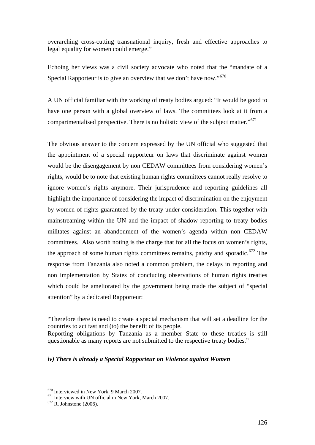overarching cross-cutting transnational inquiry, fresh and effective approaches to legal equality for women could emerge."

Echoing her views was a civil society advocate who noted that the "mandate of a Special Rapporteur is to give an overview that we don't have now."<sup>670</sup>

A UN official familiar with the working of treaty bodies argued: "It would be good to have one person with a global overview of laws. The committees look at it from a compartmentalised perspective. There is no holistic view of the subject matter."<sup>671</sup>

The obvious answer to the concern expressed by the UN official who suggested that the appointment of a special rapporteur on laws that discriminate against women would be the disengagement by non CEDAW committees from considering women's rights, would be to note that existing human rights committees cannot really resolve to ignore women's rights anymore. Their jurisprudence and reporting guidelines all highlight the importance of considering the impact of discrimination on the enjoyment by women of rights guaranteed by the treaty under consideration. This together with mainstreaming within the UN and the impact of shadow reporting to treaty bodies militates against an abandonment of the women's agenda within non CEDAW committees. Also worth noting is the charge that for all the focus on women's rights, the approach of some human rights committees remains, patchy and sporadic.<sup>672</sup> The response from Tanzania also noted a common problem, the delays in reporting and non implementation by States of concluding observations of human rights treaties which could be ameliorated by the government being made the subject of "special attention" by a dedicated Rapporteur:

### *iv) There is already a Special Rapporteur on Violence against Women*

<sup>&</sup>quot;Therefore there is need to create a special mechanism that will set a deadline for the countries to act fast and (to) the benefit of its people.

Reporting obligations by Tanzania as a member State to these treaties is still questionable as many reports are not submitted to the respective treaty bodies."

<sup>&</sup>lt;sup>670</sup> Interviewed in New York, 9 March 2007.<br><sup>671</sup> Interview with UN official in New York, March 2007.<br><sup>672</sup> R. Johnstone (2006).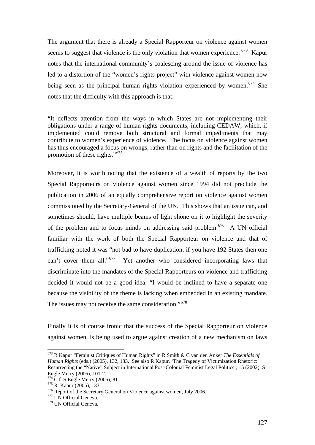The argument that there is already a Special Rapporteur on violence against women seems to suggest that violence is the only violation that women experience. <sup>673</sup> Kapur notes that the international community's coalescing around the issue of violence has led to a distortion of the "women's rights project" with violence against women now being seen as the principal human rights violation experienced by women.<sup>674</sup> She notes that the difficulty with this approach is that:

"It deflects attention from the ways in which States are not implementing their obligations under a range of human rights documents, including CEDAW, which, if implemented could remove both structural and formal impediments that may contribute to women's experience of violence. The focus on violence against women has thus encouraged a focus on wrongs, rather than on rights and the facilitation of the promotion of these rights."<sup>675</sup>

Moreover, it is worth noting that the existence of a wealth of reports by the two Special Rapporteurs on violence against women since 1994 did not preclude the publication in 2006 of an equally comprehensive report on violence against women commissioned by the Secretary-General of the UN. This shows that an issue can, and sometimes should, have multiple beams of light shone on it to highlight the severity of the problem and to focus minds on addressing said problem.<sup>676</sup> A UN official familiar with the work of both the Special Rapporteur on violence and that of trafficking noted it was "not bad to have duplication; if you have 192 States then one can't cover them all."<sup>677</sup> Yet another who considered incorporating laws that discriminate into the mandates of the Special Rapporteurs on violence and trafficking decided it would not be a good idea: "I would be inclined to have a separate one because the visibility of the theme is lacking when embedded in an existing mandate. The issues may not receive the same consideration."<sup>678</sup>

Finally it is of course ironic that the success of the Special Rapporteur on violence against women, is being used to argue against creation of a new mechanism on laws

<sup>673</sup> R Kapur "Feminist Critiques of Human Rights" in R Smith & C van den Anker *The Essentials of Human Rights* (eds.) (2005), 132, 133. See also R Kapur, 'The Tragedy of Victimization Rhetoric: Resurrecting the "Native" Subject in International Post-Colonial Feminist Legal Politics', 15 (2002); S Engle Merry (2006), 101-2.<br><sup>674</sup> C.f. S Engle Merry (2006), 81.

<sup>&</sup>lt;sup>675</sup> R. Kapur (2005), 133. <sup>676</sup> Report of the Secretary General on Violence against women, July 2006.<br><sup>677</sup> UN Official Geneva. <sup>678</sup> UN Official Geneva.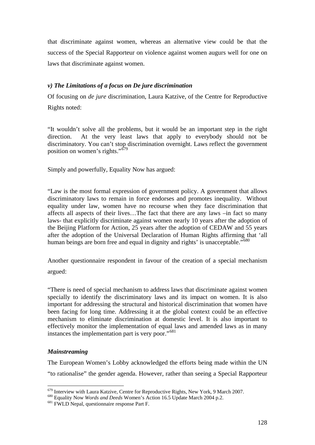that discriminate against women, whereas an alternative view could be that the success of the Special Rapporteur on violence against women augurs well for one on laws that discriminate against women.

### *v) The Limitations of a focus on De jure discrimination*

Of focusing on *de jure* discrimination, Laura Katzive, of the Centre for Reproductive Rights noted:

"It wouldn't solve all the problems, but it would be an important step in the right direction. At the very least laws that apply to everybody should not be discriminatory. You can't stop discrimination overnight. Laws reflect the government position on women's rights."<sup>679</sup>

Simply and powerfully, Equality Now has argued:

"Law is the most formal expression of government policy. A government that allows discriminatory laws to remain in force endorses and promotes inequality. Without equality under law, women have no recourse when they face discrimination that affects all aspects of their lives…The fact that there are any laws –in fact so many laws- that explicitly discriminate against women nearly 10 years after the adoption of the Beijing Platform for Action, 25 years after the adoption of CEDAW and 55 years after the adoption of the Universal Declaration of Human Rights affirming that 'all human beings are born free and equal in dignity and rights' is unacceptable.<sup>5680</sup>

Another questionnaire respondent in favour of the creation of a special mechanism argued:

"There is need of special mechanism to address laws that discriminate against women specially to identify the discriminatory laws and its impact on women. It is also important for addressing the structural and historical discrimination that women have been facing for long time. Addressing it at the global context could be an effective mechanism to eliminate discrimination at domestic level. It is also important to effectively monitor the implementation of equal laws and amended laws as in many instances the implementation part is very poor."<sup>681</sup>

### *Mainstreaming*

1

The European Women's Lobby acknowledged the efforts being made within the UN "to rationalise" the gender agenda. However, rather than seeing a Special Rapporteur

<sup>679</sup> Interview with Laura Katzive, Centre for Reproductive Rights, New York, 9 March 2007. 680 Equality Now *Words and Deeds* Women's Action 16.5 Update March 2004 p.2. 681 FWLD Nepal, questionnaire response Part F.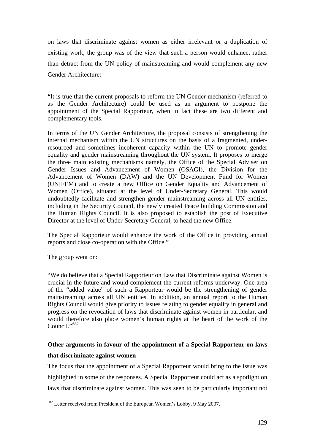on laws that discriminate against women as either irrelevant or a duplication of existing work, the group was of the view that such a person would enhance, rather than detract from the UN policy of mainstreaming and would complement any new Gender Architecture:

"It is true that the current proposals to reform the UN Gender mechanism (referred to as the Gender Architecture) could be used as an argument to postpone the appointment of the Special Rapporteur, when in fact these are two different and complementary tools.

In terms of the UN Gender Architecture, the proposal consists of strengthening the internal mechanism within the UN structures on the basis of a fragmented, underresourced and sometimes incoherent capacity within the UN to promote gender equality and gender mainstreaming throughout the UN system. It proposes to merge the three main existing mechanisms namely, the Office of the Special Adviser on Gender Issues and Advancement of Women (OSAGI), the Division for the Advancement of Women (DAW) and the UN Development Fund for Women (UNIFEM) and to create a new Office on Gender Equality and Advancement of Women (Office), situated at the level of Under-Secretary General. This would undoubtedly facilitate and strengthen gender mainstreaming across all UN entities, including in the Security Council, the newly created Peace building Commission and the Human Rights Council. It is also proposed to establish the post of Executive Director at the level of Under-Secretary General, to head the new Office.

The Special Rapporteur would enhance the work of the Office in providing annual reports and close co-operation with the Office."

The group went on:

1

"We do believe that a Special Rapporteur on Law that Discriminate against Women is crucial in the future and would complement the current reforms underway. One area of the "added value" of such a Rapporteur would be the strengthening of gender mainstreaming across all UN entities. In addition, an annual report to the Human Rights Council would give priority to issues relating to gender equality in general and progress on the revocation of laws that discriminate against women in particular, and would therefore also place women's human rights at the heart of the work of the Council<sup>"682</sup>

# **Other arguments in favour of the appointment of a Special Rapporteur on laws that discriminate against women**

The focus that the appointment of a Special Rapporteur would bring to the issue was highlighted in some of the responses. A Special Rapporteur could act as a spotlight on laws that discriminate against women. This was seen to be particularly important not

<sup>&</sup>lt;sup>682</sup> Letter received from President of the European Women's Lobby, 9 May 2007.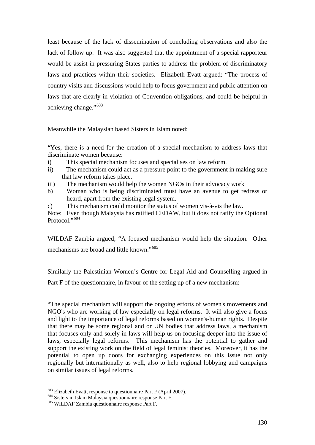least because of the lack of dissemination of concluding observations and also the lack of follow up. It was also suggested that the appointment of a special rapporteur would be assist in pressuring States parties to address the problem of discriminatory laws and practices within their societies. Elizabeth Evatt argued: "The process of country visits and discussions would help to focus government and public attention on laws that are clearly in violation of Convention obligations, and could be helpful in achieving change."<sup>683</sup>

Meanwhile the Malaysian based Sisters in Islam noted:

"Yes, there is a need for the creation of a special mechanism to address laws that discriminate women because:

- i) This special mechanism focuses and specialises on law reform.
- ii) The mechanism could act as a pressure point to the government in making sure that law reform takes place.
- iii) The mechanism would help the women NGOs in their advocacy work
- b) Woman who is being discriminated must have an avenue to get redress or heard, apart from the existing legal system.
- c) This mechanism could monitor the status of women vis-à-vis the law.

Note: Even though Malaysia has ratified CEDAW, but it does not ratify the Optional Protocol."<sup>684</sup>

WILDAF Zambia argued; "A focused mechanism would help the situation. Other mechanisms are broad and little known."<sup>685</sup>

Similarly the Palestinian Women's Centre for Legal Aid and Counselling argued in Part F of the questionnaire, in favour of the setting up of a new mechanism:

"The special mechanism will support the ongoing efforts of women's movements and NGO's who are working of law especially on legal reforms. It will also give a focus and light to the importance of legal reforms based on women's-human rights. Despite that there may be some regional and or UN bodies that address laws, a mechanism that focuses only and solely in laws will help us on focusing deeper into the issue of laws, especially legal reforms. This mechanism has the potential to gather and support the existing work on the field of legal feminist theories. Moreover, it has the potential to open up doors for exchanging experiences on this issue not only regionally but internationally as well, also to help regional lobbying and campaigns on similar issues of legal reforms.

<sup>&</sup>lt;sup>683</sup> Elizabeth Evatt, response to questionnaire Part F (April 2007).<br><sup>684</sup> Sisters in Islam Malaysia questionnaire response Part F.<br><sup>685</sup> WILDAF Zambia questionnaire response Part F.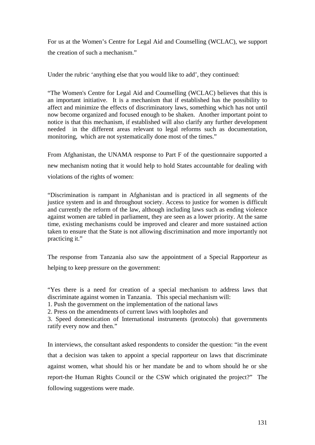For us at the Women's Centre for Legal Aid and Counselling (WCLAC), we support the creation of such a mechanism."

Under the rubric 'anything else that you would like to add', they continued:

"The Women's Centre for Legal Aid and Counselling (WCLAC) believes that this is an important initiative. It is a mechanism that if established has the possibility to affect and minimize the effects of discriminatory laws, something which has not until now become organized and focused enough to be shaken. Another important point to notice is that this mechanism, if established will also clarify any further development needed in the different areas relevant to legal reforms such as documentation, monitoring, which are not systematically done most of the times."

From Afghanistan, the UNAMA response to Part F of the questionnaire supported a new mechanism noting that it would help to hold States accountable for dealing with violations of the rights of women:

"Discrimination is rampant in Afghanistan and is practiced in all segments of the justice system and in and throughout society. Access to justice for women is difficult and currently the reform of the law, although including laws such as ending violence against women are tabled in parliament, they are seen as a lower priority. At the same time, existing mechanisms could be improved and clearer and more sustained action taken to ensure that the State is not allowing discrimination and more importantly not practicing it."

The response from Tanzania also saw the appointment of a Special Rapporteur as helping to keep pressure on the government:

"Yes there is a need for creation of a special mechanism to address laws that discriminate against women in Tanzania. This special mechanism will:

1. Push the government on the implementation of the national laws

2. Press on the amendments of current laws with loopholes and

3. Speed domestication of International instruments (protocols) that governments ratify every now and then."

In interviews, the consultant asked respondents to consider the question: "in the event that a decision was taken to appoint a special rapporteur on laws that discriminate against women, what should his or her mandate be and to whom should he or she report-the Human Rights Council or the CSW which originated the project?" The following suggestions were made.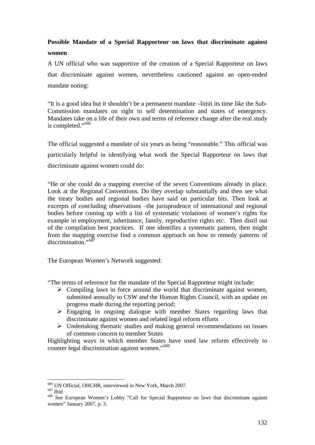# **Possible Mandate of a Special Rapporteur on laws that discriminate against women**

A UN official who was supportive of the creation of a Special Rapporteur on laws that discriminate against women, nevertheless cautioned against an open-ended mandate noting:

"It is a good idea but it shouldn't be a permanent mandate –limit its time like the Sub-Commission mandates on right to self determination and states of emergency. Mandates take on a life of their own and terms of reference change after the real study is completed."<sup>686</sup>

The official suggested a mandate of six years as being "reasonable." This official was particularly helpful in identifying what work the Special Rapporteur on laws that discriminate against women could do:

"He or she could do a mapping exercise of the seven Conventions already in place. Look at the Regional Conventions. Do they overlap substantially and then see what the treaty bodies and regional bodies have said on particular bits. Then look at excerpts of concluding observations –the jurisprudence of international and regional bodies before coming up with a list of systematic violations of women's rights for example in employment, inheritance, family, reproductive rights etc. Then distil out of the compilation best practices. If one identifies a systematic pattern, then might from the mapping exercise find a common approach on how to remedy patterns of discrimination."<sup>687</sup>

The European Women's Network suggested:

"The terms of reference for the mandate of the Special Rapporteur might include:

- $\triangleright$  Compiling laws in force around the world that discriminate against women, submitted annually to CSW and the Human Rights Council, with an update on progress made during the reporting period;
- $\triangleright$  Engaging in ongoing dialogue with member States regarding laws that discriminate against women and related legal reform efforts
- $\triangleright$  Undertaking thematic studies and making general recommendations on issues of common concern to member States

Highlighting ways in which member States have used law reform effectively to counter legal discrimination against women."<sup>688</sup>

<sup>686</sup> UN Official, OHCHR, interviewed in New York, March 2007.

<sup>687</sup> Ibid.<br><sup>688</sup> See European Women's Lobby "Call for Special Rapporteur on laws that discriminate against women" January 2007, p. 3.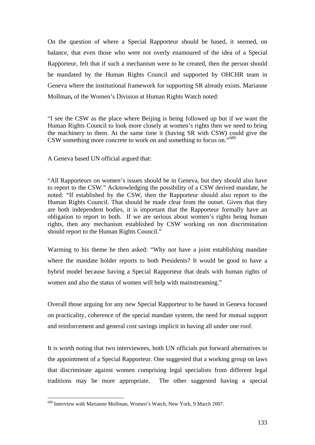On the question of where a Special Rapporteur should be based, it seemed, on balance, that even those who were not overly enamoured of the idea of a Special Rapporteur, felt that if such a mechanism were to be created, then the person should be mandated by the Human Rights Council and supported by OHCHR team in Geneva where the institutional framework for supporting SR already exists. Marianne Mollman**,** of the Women's Division at Human Rights Watch noted:

"I see the CSW as the place where Beijing is being followed up but if we want the Human Rights Council to look more closely at women's rights then we need to bring the machinery to them. At the same time it (having SR with CSW) could give the CSW something more concrete to work on and something to focus on."689

A Geneva based UN official argued that:

"All Rapporteurs on women's issues should be in Geneva, but they should also have to report to the CSW." Acknowledging the possibility of a CSW derived mandate, he noted: "If established by the CSW, then the Rapporteur should also report to the Human Rights Council. That should be made clear from the outset. Given that they are both independent bodies, it is important that the Rapporteur formally have an obligation to report to both. If we are serious about women's rights being human rights, then any mechanism established by CSW working on non discrimination should report to the Human Rights Council."

Warming to his theme he then asked: "Why not have a joint establishing mandate where the mandate holder reports to both Presidents? It would be good to have a hybrid model because having a Special Rapporteur that deals with human rights of women and also the status of women will help with mainstreaming."

Overall those arguing for any new Special Rapporteur to be based in Geneva focused on practicality, coherence of the special mandate system, the need for mutual support and reinforcement and general cost savings implicit in having all under one roof.

It is worth noting that two interviewees, both UN officials put forward alternatives to the appointment of a Special Rapporteur. One suggested that a working group on laws that discriminate against women comprising legal specialists from different legal traditions may be more appropriate. The other suggested having a special

<sup>689</sup> Interview with Marianne Mollman, Women's Watch, New York, 9 March 2007.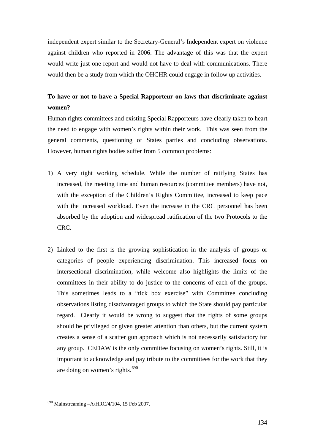independent expert similar to the Secretary-General's Independent expert on violence against children who reported in 2006. The advantage of this was that the expert would write just one report and would not have to deal with communications. There would then be a study from which the OHCHR could engage in follow up activities.

# **To have or not to have a Special Rapporteur on laws that discriminate against women?**

Human rights committees and existing Special Rapporteurs have clearly taken to heart the need to engage with women's rights within their work. This was seen from the general comments, questioning of States parties and concluding observations. However, human rights bodies suffer from 5 common problems:

- 1) A very tight working schedule. While the number of ratifying States has increased, the meeting time and human resources (committee members) have not, with the exception of the Children's Rights Committee, increased to keep pace with the increased workload. Even the increase in the CRC personnel has been absorbed by the adoption and widespread ratification of the two Protocols to the CRC.
- 2) Linked to the first is the growing sophistication in the analysis of groups or categories of people experiencing discrimination. This increased focus on intersectional discrimination, while welcome also highlights the limits of the committees in their ability to do justice to the concerns of each of the groups. This sometimes leads to a "tick box exercise" with Committee concluding observations listing disadvantaged groups to which the State should pay particular regard. Clearly it would be wrong to suggest that the rights of some groups should be privileged or given greater attention than others, but the current system creates a sense of a scatter gun approach which is not necessarily satisfactory for any group. CEDAW is the only committee focusing on women's rights. Still, it is important to acknowledge and pay tribute to the committees for the work that they are doing on women's rights.<sup>690</sup>

 $690$  Mainstreaming  $-A/HRC/4/104$ , 15 Feb 2007.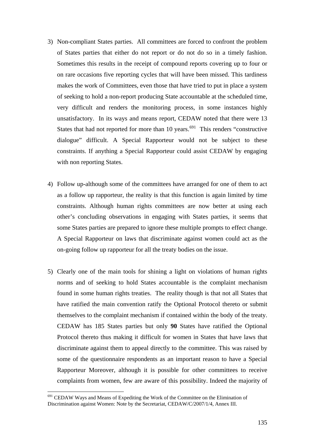- 3) Non-compliant States parties. All committees are forced to confront the problem of States parties that either do not report or do not do so in a timely fashion. Sometimes this results in the receipt of compound reports covering up to four or on rare occasions five reporting cycles that will have been missed. This tardiness makes the work of Committees, even those that have tried to put in place a system of seeking to hold a non-report producing State accountable at the scheduled time, very difficult and renders the monitoring process, in some instances highly unsatisfactory. In its ways and means report, CEDAW noted that there were 13 States that had not reported for more than 10 years.<sup>691</sup> This renders "constructive" dialogue" difficult. A Special Rapporteur would not be subject to these constraints. If anything a Special Rapporteur could assist CEDAW by engaging with non reporting States.
- 4) Follow up-although some of the committees have arranged for one of them to act as a follow up rapporteur, the reality is that this function is again limited by time constraints. Although human rights committees are now better at using each other's concluding observations in engaging with States parties, it seems that some States parties are prepared to ignore these multiple prompts to effect change. A Special Rapporteur on laws that discriminate against women could act as the on-going follow up rapporteur for all the treaty bodies on the issue.
- 5) Clearly one of the main tools for shining a light on violations of human rights norms and of seeking to hold States accountable is the complaint mechanism found in some human rights treaties. The reality though is that not all States that have ratified the main convention ratify the Optional Protocol thereto or submit themselves to the complaint mechanism if contained within the body of the treaty. CEDAW has 185 States parties but only **90** States have ratified the Optional Protocol thereto thus making it difficult for women in States that have laws that discriminate against them to appeal directly to the committee. This was raised by some of the questionnaire respondents as an important reason to have a Special Rapporteur Moreover, although it is possible for other committees to receive complaints from women, few are aware of this possibility. Indeed the majority of

<u>.</u>

<sup>&</sup>lt;sup>691</sup> CEDAW Ways and Means of Expediting the Work of the Committee on the Elimination of Discrimination against Women: Note by the Secretariat, CEDAW/C/2007/1/4, Annex III.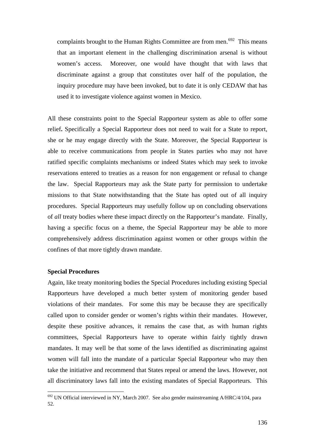complaints brought to the Human Rights Committee are from men.<sup>692</sup> This means that an important element in the challenging discrimination arsenal is without women's access. Moreover, one would have thought that with laws that discriminate against a group that constitutes over half of the population, the inquiry procedure may have been invoked, but to date it is only CEDAW that has used it to investigate violence against women in Mexico.

All these constraints point to the Special Rapporteur system as able to offer some relief**.** Specifically a Special Rapporteur does not need to wait for a State to report, she or he may engage directly with the State. Moreover, the Special Rapporteur is able to receive communications from people in States parties who may not have ratified specific complaints mechanisms or indeed States which may seek to invoke reservations entered to treaties as a reason for non engagement or refusal to change the law. Special Rapporteurs may ask the State party for permission to undertake missions to that State notwithstanding that the State has opted out of all inquiry procedures. Special Rapporteurs may usefully follow up on concluding observations of *all* treaty bodies where these impact directly on the Rapporteur's mandate. Finally, having a specific focus on a theme, the Special Rapporteur may be able to more comprehensively address discrimination against women or other groups within the confines of that more tightly drawn mandate.

#### **Special Procedures**

<u>.</u>

Again, like treaty monitoring bodies the Special Procedures including existing Special Rapporteurs have developed a much better system of monitoring gender based violations of their mandates. For some this may be because they are specifically called upon to consider gender or women's rights within their mandates. However, despite these positive advances, it remains the case that, as with human rights committees, Special Rapporteurs have to operate within fairly tightly drawn mandates. It may well be that some of the laws identified as discriminating against women will fall into the mandate of a particular Special Rapporteur who may then take the initiative and recommend that States repeal or amend the laws. However, not all discriminatory laws fall into the existing mandates of Special Rapporteurs. This

 $692$  UN Official interviewed in NY, March 2007. See also gender mainstreaming A/HRC/4/104, para 52.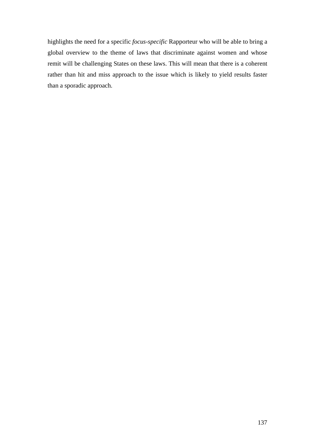highlights the need for a specific *focus-specific* Rapporteur who will be able to bring a global overview to the theme of laws that discriminate against women and whose remit will be challenging States on these laws. This will mean that there is a coherent rather than hit and miss approach to the issue which is likely to yield results faster than a sporadic approach.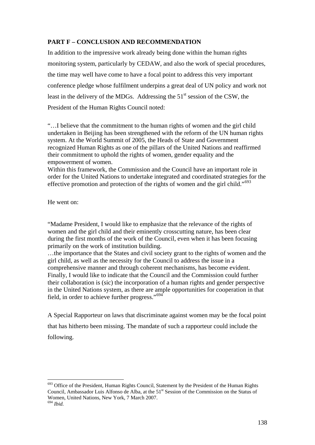### **PART F – CONCLUSION AND RECOMMENDATION**

In addition to the impressive work already being done within the human rights monitoring system, particularly by CEDAW, and also the work of special procedures, the time may well have come to have a focal point to address this very important conference pledge whose fulfilment underpins a great deal of UN policy and work not least in the delivery of the MDGs. Addressing the  $51<sup>st</sup>$  session of the CSW, the President of the Human Rights Council noted:

"…I believe that the commitment to the human rights of women and the girl child undertaken in Beijing has been strengthened with the reform of the UN human rights system. At the World Summit of 2005, the Heads of State and Government recognized Human Rights as one of the pillars of the United Nations and reaffirmed their commitment to uphold the rights of women, gender equality and the empowerment of women.

Within this framework, the Commission and the Council have an important role in order for the United Nations to undertake integrated and coordinated strategies for the effective promotion and protection of the rights of women and the girl child."<sup>693</sup>

He went on:

"Madame President, I would like to emphasize that the relevance of the rights of women and the girl child and their eminently crosscutting nature, has been clear during the first months of the work of the Council, even when it has been focusing primarily on the work of institution building.

…the importance that the States and civil society grant to the rights of women and the girl child, as well as the necessity for the Council to address the issue in a comprehensive manner and through coherent mechanisms, has become evident. Finally, I would like to indicate that the Council and the Commission could further their collaboration is (sic) the incorporation of a human rights and gender perspective in the United Nations system, as there are ample opportunities for cooperation in that field, in order to achieve further progress."<sup>694</sup>

A Special Rapporteur on laws that discriminate against women may be the focal point that has hitherto been missing. The mandate of such a rapporteur could include the following.

1

<sup>&</sup>lt;sup>693</sup> Office of the President, Human Rights Council, Statement by the President of the Human Rights Council, Ambassador Luis Alfonso de Alba, at the 51<sup>st</sup> Session of the Commission on the Status of Women, United Nations, New York, 7 March 2007.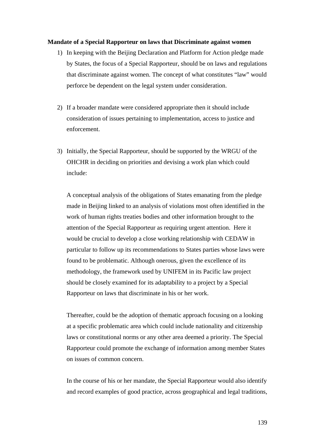#### **Mandate of a Special Rapporteur on laws that Discriminate against women**

- 1) In keeping with the Beijing Declaration and Platform for Action pledge made by States, the focus of a Special Rapporteur, should be on laws and regulations that discriminate against women. The concept of what constitutes "law" would perforce be dependent on the legal system under consideration.
- 2) If a broader mandate were considered appropriate then it should include consideration of issues pertaining to implementation, access to justice and enforcement.
- 3) Initially, the Special Rapporteur, should be supported by the WRGU of the OHCHR in deciding on priorities and devising a work plan which could include:

A conceptual analysis of the obligations of States emanating from the pledge made in Beijing linked to an analysis of violations most often identified in the work of human rights treaties bodies and other information brought to the attention of the Special Rapporteur as requiring urgent attention. Here it would be crucial to develop a close working relationship with CEDAW in particular to follow up its recommendations to States parties whose laws were found to be problematic. Although onerous, given the excellence of its methodology, the framework used by UNIFEM in its Pacific law project should be closely examined for its adaptability to a project by a Special Rapporteur on laws that discriminate in his or her work.

Thereafter, could be the adoption of thematic approach focusing on a looking at a specific problematic area which could include nationality and citizenship laws or constitutional norms or any other area deemed a priority. The Special Rapporteur could promote the exchange of information among member States on issues of common concern.

In the course of his or her mandate, the Special Rapporteur would also identify and record examples of good practice, across geographical and legal traditions,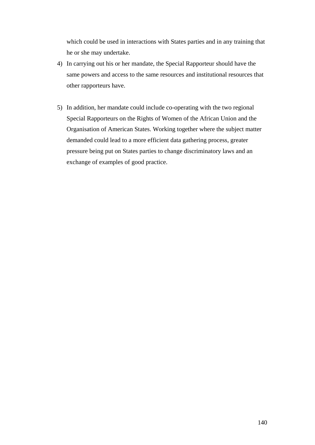which could be used in interactions with States parties and in any training that he or she may undertake.

- 4) In carrying out his or her mandate, the Special Rapporteur should have the same powers and access to the same resources and institutional resources that other rapporteurs have.
- 5) In addition, her mandate could include co-operating with the two regional Special Rapporteurs on the Rights of Women of the African Union and the Organisation of American States. Working together where the subject matter demanded could lead to a more efficient data gathering process, greater pressure being put on States parties to change discriminatory laws and an exchange of examples of good practice.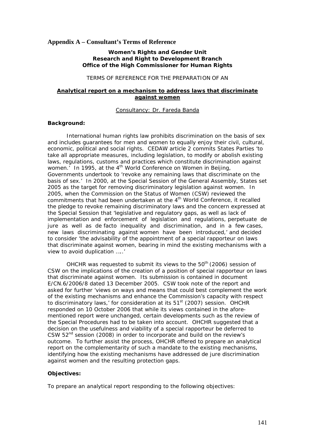#### **Appendix A – Consultant's Terms of Reference**

#### **Women's Rights and Gender Unit Research and Right to Development Branch Office of the High Commissioner for Human Rights**

#### TERMS OF REFERENCE FOR THE PREPARATION OF AN

### **Analytical report on a mechanism to address laws that discriminate against women**

### Consultancy: Dr. Fareda Banda

#### **Background:**

 International human rights law prohibits discrimination on the basis of sex and includes guarantees for men and women to equally enjoy their civil, cultural, economic, political and social rights. CEDAW article 2 commits States Parties 'to take all appropriate measures, including legislation, to modify or abolish existing laws, regulations, customs and practices which constitute discrimination against women.' In 1995, at the  $4<sup>th</sup>$  World Conference on Women in Beijing, Governments undertook to 'revoke any remaining laws that discriminate on the basis of sex.' In 2000, at the Special Session of the General Assembly, States set 2005 as the target for removing discriminatory legislation against women. In 2005, when the Commission on the Status of Women (CSW) reviewed the commitments that had been undertaken at the  $4<sup>th</sup>$  World Conference, it recalled the pledge to revoke remaining discriminatory laws and the concern expressed at the Special Session that 'legislative and regulatory gaps, as well as lack of implementation and enforcement of legislation and regulations, perpetuate *de jure* as well as *de facto* inequality and discrimination, and in a few cases, new laws discriminating against women have been introduced,' and decided to consider 'the advisability of the appointment of a special rapporteur on laws that discriminate against women, bearing in mind the existing mechanisms with a view to avoid duplication …..'

OHCHR was requested to submit its views to the 50<sup>th</sup> (2006) session of CSW on the implications of the creation of a position of special rapporteur on laws that discriminate against women. Its submission is contained in document E/CN.6/2006/8 dated 13 December 2005. CSW took note of the report and asked for further 'views on ways and means that could best complement the work of the existing mechanisms and enhance the Commission's capacity with respect to discriminatory laws,' for consideration at its 51<sup>st</sup> (2007) session. OHCHR responded on 10 October 2006 that while its views contained in the aforementioned report were unchanged, certain developments such as the review of the Special Procedures had to be taken into account. OHCHR suggested that a decision on the usefulness and viability of a special rapporteur be deferred to CSW 52nd session (2008) in order to incorporate and build on the review's outcome. To further assist the process, OHCHR offered to prepare an analytical report on the complementarity of such a mandate to the existing mechanisms, identifying how the existing mechanisms have addressed *de jure* discrimination against women and the resulting protection gaps.

### **Objectives:**

To prepare an analytical report responding to the following objectives: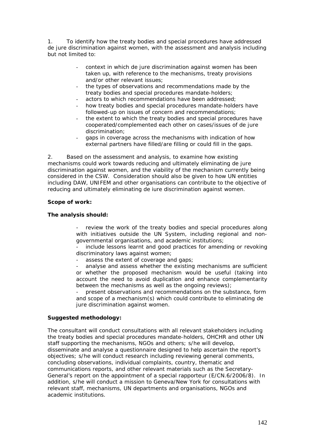1. To identify how the treaty bodies and special procedures have addressed *de jure* discrimination against women, with the assessment and analysis including but not limited to:

- context in which *de jure* discrimination against women has been taken up, with reference to the mechanisms, treaty provisions and/or other relevant issues;
- the types of observations and recommendations made by the treaty bodies and special procedures mandate-holders;
- actors to which recommendations have been addressed;
- how treaty bodies and special procedures mandate-holders have followed-up on issues of concern and recommendations;
- the extent to which the treaty bodies and special procedures have cooperated/complemented each other on cases/issues of *de jure* discrimination;
- gaps in coverage across the mechanisms with indication of how external partners have filled/are filling or could fill in the gaps.

2. Based on the assessment and analysis, to examine how existing mechanisms could work towards reducing and ultimately eliminating *de jure* discrimination against women, and the viability of the mechanism currently being considered in the CSW. Consideration should also be given to how UN entities including DAW, UNIFEM and other organisations can contribute to the objective of reducing and ultimately eliminating *de iure* discrimination against women.

### **Scope of work:**

### **The analysis should:**

- review the work of the treaty bodies and special procedures along with initiatives outside the UN System, including regional and nongovernmental organisations, and academic institutions;

- include lessons learnt and good practices for amending or revoking discriminatory laws against women;

assess the extent of coverage and gaps;

analyse and assess whether the existing mechanisms are sufficient or whether the proposed mechanism would be useful (taking into account the need to avoid duplication and enhance complementarity between the mechanisms as well as the ongoing reviews);

- present observations and recommendations on the substance, form and scope of a mechanism(s) which could contribute to eliminating *de jure* discrimination against women.

### **Suggested methodology:**

The consultant will conduct consultations with all relevant stakeholders including the treaty bodies and special procedures mandate-holders, OHCHR and other UN staff supporting the mechanisms, NGOs and others; s/he will develop, disseminate and analyse a questionnaire designed to help ascertain the report's objectives; s/he will conduct research including reviewing general comments, concluding observations, individual complaints, country, thematic and communications reports, and other relevant materials such as the Secretary-General's report on the appointment of a special rapporteur (E/CN.6/2006/8). In addition, s/he will conduct a mission to Geneva/New York for consultations with relevant staff, mechanisms, UN departments and organisations, NGOs and academic institutions.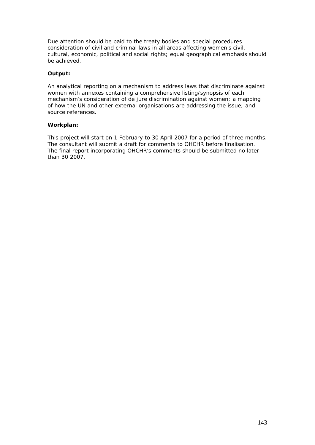Due attention should be paid to the treaty bodies and special procedures consideration of civil and criminal laws in all areas affecting women's civil, cultural, economic, political and social rights; equal geographical emphasis should be achieved.

### **Output:**

An analytical reporting on a mechanism to address laws that discriminate against women with annexes containing a comprehensive listing/synopsis of each mechanism's consideration of *de jure* discrimination against women; a mapping of how the UN and other external organisations are addressing the issue; and source references.

### **Workplan:**

This project will start on 1 February to 30 April 2007 for a period of three months. The consultant will submit a draft for comments to OHCHR before finalisation. The final report incorporating OHCHR's comments should be submitted no later than 30 2007.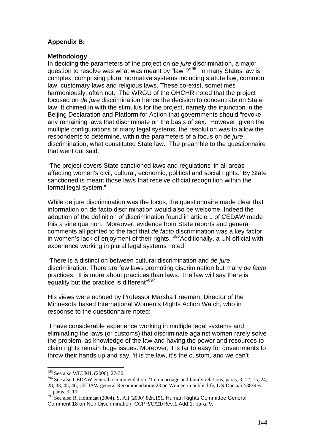### **Appendix B:**

### **Methodology**

In deciding the parameters of the project on *de jure* discrimination, a major question to resolve was what was meant by "law"?<sup>695</sup> In many States law is complex, comprising plural normative systems including statute law, common law, customary laws and religious laws. These co-exist, sometimes harmoniously, often not. The WRGU of the OHCHR noted that the project focused on *de jure* discrimination hence the decision to concentrate on State law. It chimed in with the stimulus for the project, namely the injunction in the Beijing Declaration and Platform for Action that governments should "revoke any remaining laws that discriminate on the basis of sex." However, given the multiple configurations of many legal systems, the resolution was to allow the respondents to determine, within the parameters of a focus on *de jure* discrimination, what constituted State law. The preamble to the questionnaire that went out said:

"The project covers State sanctioned laws and regulations 'in all areas affecting women's civil, cultural, economic, political and social rights.' By State sanctioned is meant those laws that receive official recognition within the formal legal system."

While de jure discrimination was the focus, the questionnaire made clear that information on de facto discrimination would also be welcome. Indeed the adoption of the definition of discrimination found in article 1 of CEDAW made this a sine qua non. Moreover, evidence from State reports and general comments all pointed to the fact that *de facto* discrimination was a key factor in women's lack of enjoyment of their rights. <sup>696</sup>Additionally, a UN official with experience working in plural legal systems noted:

"There is a distinction between cultural discrimination and *de jure* discrimination. There are few laws promoting discrimination but many *de facto*  practices. It is more about practices than laws. The law will say there is equality but the practice is different"<sup>697</sup>

His views were echoed by Professor Marsha Freeman, Director of the Minnesota based International Women's Rights Action Watch, who in response to the questionnaire noted:

"I have considerable experience working in multiple legal systems and eliminating the laws (or customs) that discriminate against women rarely solve the problem, as knowledge of the law and having the power and resources to claim rights remain huge issues. Moreover, it is far to easy for governments to throw their hands up and say, 'it is the law, it's the custom, and we can't

 $695$  See also WLUML (2006), 27-30.

<sup>&</sup>lt;sup>696</sup> See also CEDAW general recommendation 21 on marriage and family relations, paras, 3, 12, 15, 24, 28, 33, 45, 46; CEDAW general Recommendation 23 on Women in public life, UN Doc a/52/38/Rev. 1, paras, 9, 10. 697 See also R. Holtmaat (2004). S. Ali (2000) 82n.151**.** Human Rights Committee General

Comment 18 on Non-Discrimination, CCPR/C/21/Rev.1.Add.1, para. 9.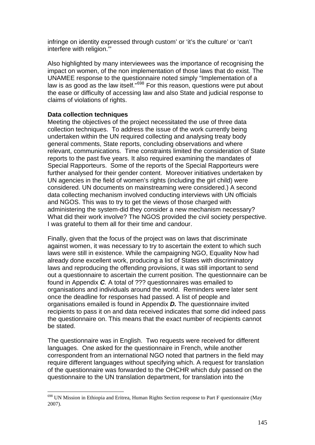infringe on identity expressed through custom' or 'it's the culture' or 'can't interfere with religion.'"

Also highlighted by many interviewees was the importance of recognising the impact on women, of the non implementation of those laws that do exist. The UNAMEE response to the questionnaire noted simply "Implementation of a law is as good as the law itself."698 For this reason, questions were put about the ease or difficulty of accessing law and also State and judicial response to claims of violations of rights.

### **Data collection techniques**

Meeting the objectives of the project necessitated the use of three data collection techniques. To address the issue of the work currently being undertaken within the UN required collecting and analysing treaty body general comments, State reports, concluding observations and where relevant, communications. Time constraints limited the consideration of State reports to the past five years. It also required examining the mandates of Special Rapporteurs. Some of the reports of the Special Rapporteurs were further analysed for their gender content. Moreover initiatives undertaken by UN agencies in the field of women's rights (including the girl child) were considered. UN documents on mainstreaming were considered.) A second data collecting mechanism involved conducting interviews with UN officials and NGOS. This was to try to get the views of those charged with administering the system-did they consider a new mechanism necessary? What did their work involve? The NGOS provided the civil society perspective. I was grateful to them all for their time and candour.

Finally, given that the focus of the project was on laws that discriminate against women, it was necessary to try to ascertain the extent to which such laws were still in existence. While the campaigning NGO, Equality Now had already done excellent work, producing a list of States with discriminatory laws and reproducing the offending provisions, it was still important to send out a questionnaire to ascertain the current position. The questionnaire can be found in Appendix *C.* A total of ??? questionnaires was emailed to organisations and individuals around the world. Reminders were later sent once the deadline for responses had passed. A list of people and organisations emailed is found in Appendix *D.* The questionnaire invited recipients to pass it on and data received indicates that some did indeed pass the questionnaire on. This means that the exact number of recipients cannot be stated.

The questionnaire was in English. Two requests were received for different languages. One asked for the questionnaire in French, while another correspondent from an international NGO noted that partners in the field may require different languages without specifying which. A request for translation of the questionnaire was forwarded to the OHCHR which duly passed on the questionnaire to the UN translation department, for translation into the

<sup>&</sup>lt;u>.</u> <sup>698</sup> UN Mission in Ethiopia and Eritrea, Human Rights Section response to Part F questionnaire (May 2007).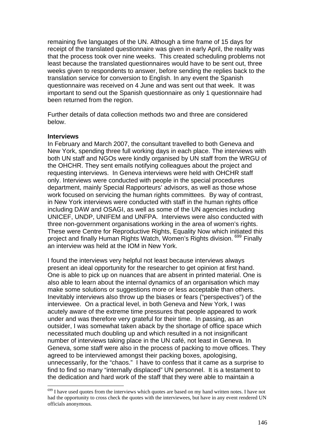remaining five languages of the UN. Although a time frame of 15 days for receipt of the translated questionnaire was given in early April, the reality was that the process took over nine weeks. This created scheduling problems not least because the translated questionnaires would have to be sent out, three weeks given to respondents to answer, before sending the replies back to the translation service for conversion to English. In any event the Spanish questionnaire was received on 4 June and was sent out that week. It was important to send out the Spanish questionnaire as only 1 questionnaire had been returned from the region.

Further details of data collection methods two and three are considered below.

### **Interviews**

1

In February and March 2007, the consultant travelled to both Geneva and New York, spending three full working days in each place. The interviews with both UN staff and NGOs were kindly organised by UN staff from the WRGU of the OHCHR. They sent emails notifying colleagues about the project and requesting interviews. In Geneva interviews were held with OHCHR staff only. Interviews were conducted with people in the special procedures department, mainly Special Rapporteurs' advisors, as well as those whose work focused on servicing the human rights committees. By way of contrast, in New York interviews were conducted with staff in the human rights office including DAW and OSAGI, as well as some of the UN agencies including UNICEF, UNDP, UNIFEM and UNFPA. Interviews were also conducted with three non-government organisations working in the area of women's rights. These were Centre for Reproductive Rights, Equality Now which initiated this project and finally Human Rights Watch, Women's Rights division. 699 Finally an interview was held at the IOM in New York.

I found the interviews very helpful not least because interviews always present an ideal opportunity for the researcher to get opinion at first hand. One is able to pick up on nuances that are absent in printed material. One is also able to learn about the internal dynamics of an organisation which may make some solutions or suggestions more or less acceptable than others. Inevitably interviews also throw up the biases or fears ("perspectives") of the interviewee. On a practical level, in both Geneva and New York, I was acutely aware of the extreme time pressures that people appeared to work under and was therefore very grateful for their time. In passing, as an outsider, I was somewhat taken aback by the shortage of office space which necessitated much doubling up and which resulted in a not insignificant number of interviews taking place in the UN café, not least in Geneva. In Geneva, some staff were also in the process of packing to move offices. They agreed to be interviewed amongst their packing boxes, apologising, unnecessarily, for the "chaos." I have to confess that it came as a surprise to find to find so many "internally displaced" UN personnel. It is a testament to the dedication and hard work of the staff that they were able to maintain a

 $699$  I have used quotes from the interviews which quotes are based on my hand written notes. I have not had the opportunity to cross check the quotes with the interviewees, but have in any event rendered UN officials anonymous.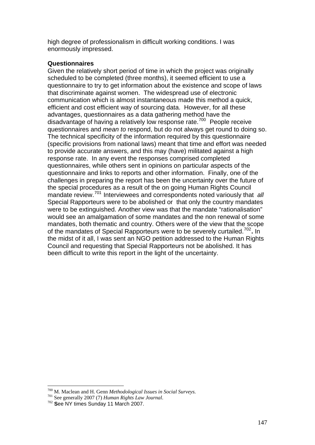high degree of professionalism in difficult working conditions. I was enormously impressed.

## **Questionnaires**

Given the relatively short period of time in which the project was originally scheduled to be completed (three months), it seemed efficient to use a questionnaire to try to get information about the existence and scope of laws that discriminate against women. The widespread use of electronic communication which is almost instantaneous made this method a quick, efficient and cost efficient way of sourcing data. However, for all these advantages, questionnaires as a data gathering method have the disadvantage of having a relatively low response rate.700 People receive questionnaires and *mean to* respond, but do not always get round to doing so. The technical specificity of the information required by this questionnaire (specific provisions from national laws) meant that time and effort was needed to provide accurate answers, and this may (have) militated against a high response rate. In any event the responses comprised completed questionnaires, while others sent in opinions on particular aspects of the questionnaire and links to reports and other information. Finally, one of the challenges in preparing the report has been the uncertainty over the future of the special procedures as a result of the on going Human Rights Council mandate review.<sup>701</sup> Interviewees and correspondents noted variously that *all* Special Rapporteurs were to be abolished or that only the country mandates were to be extinguished. Another view was that the mandate "rationalisation" would see an amalgamation of some mandates and the non renewal of some mandates, both thematic and country. Others were of the view that the scope of the mandates of Special Rapporteurs were to be severely curtailed.<sup>702</sup>**.** In the midst of it all, I was sent an NGO petition addressed to the Human Rights Council and requesting that Special Rapporteurs not be abolished. It has been difficult to write this report in the light of the uncertainty.

1

<sup>700</sup> M. Maclean and H. Genn *Methodological Issues in Social Surveys.* 701 See generally 2007 (7) *Human Rights Law Journal*. <sup>702</sup> **S**ee NY times Sunday 11 March 2007.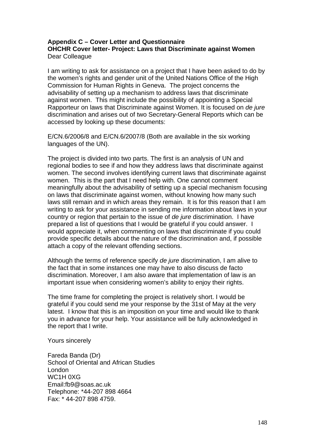### **Appendix C – Cover Letter and Questionnaire OHCHR Cover letter- Project: Laws that Discriminate against Women**  Dear Colleague

I am writing to ask for assistance on a project that I have been asked to do by the women's rights and gender unit of the United Nations Office of the High Commission for Human Rights in Geneva. The project concerns the advisability of setting up a mechanism to address laws that discriminate against women. This might include the possibility of appointing a Special Rapporteur on laws that Discriminate against Women. It is focused on *de jure*  discrimination and arises out of two Secretary-General Reports which can be accessed by looking up these documents:

E/CN.6/2006/8 and E/CN.6/2007/8 (Both are available in the six working languages of the UN).

The project is divided into two parts. The first is an analysis of UN and regional bodies to see if and how they address laws that discriminate against women. The second involves identifying current laws that discriminate against women. This is the part that I need help with. One cannot comment meaningfully about the advisability of setting up a special mechanism focusing on laws that discriminate against women, without knowing how many such laws still remain and in which areas they remain. It is for this reason that I am writing to ask for your assistance in sending me information about laws in your country or region that pertain to the issue of *de jure* discrimination. I have prepared a list of questions that I would be grateful if you could answer. I would appreciate it, when commenting on laws that discriminate if you could provide specific details about the nature of the discrimination and, if possible attach a copy of the relevant offending sections.

Although the terms of reference specify *de jure* discrimination, I am alive to the fact that in some instances one may have to also discuss de facto discrimination. Moreover, I am also aware that implementation of law is an important issue when considering women's ability to enjoy their rights.

The time frame for completing the project is relatively short. I would be grateful if you could send me your response by the 31st of May at the very latest. I know that this is an imposition on your time and would like to thank you in advance for your help. Your assistance will be fully acknowledged in the report that I write.

Yours sincerely

Fareda Banda (Dr) School of Oriental and African Studies London WC1H 0XG Email:fb9@soas.ac.uk Telephone: \*44-207 898 4664 Fax: \* 44-207 898 4759.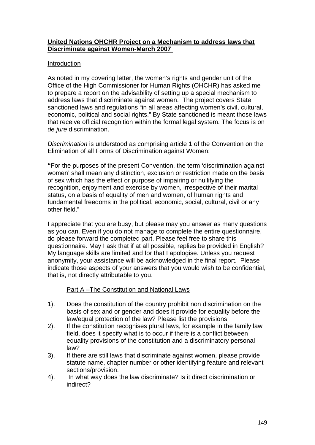### **United Nations OHCHR Project on a Mechanism to address laws that Discriminate against Women-March 2007**

### Introduction

As noted in my covering letter, the women's rights and gender unit of the Office of the High Commissioner for Human Rights (OHCHR) has asked me to prepare a report on the advisability of setting up a special mechanism to address laws that discriminate against women. The project covers State sanctioned laws and regulations "in all areas affecting women's civil, cultural, economic, political and social rights." By State sanctioned is meant those laws that receive official recognition within the formal legal system. The focus is on *de jure* discrimination.

*Discrimination* is understood as comprising article 1 of the Convention on the Elimination of all Forms of Discrimination against Women:

**"**For the purposes of the present Convention, the term 'discrimination against women' shall mean any distinction, exclusion or restriction made on the basis of sex which has the effect or purpose of impairing or nullifying the recognition, enjoyment and exercise by women, irrespective of their marital status, on a basis of equality of men and women, of human rights and fundamental freedoms in the political, economic, social, cultural, civil or any other field."

I appreciate that you are busy, but please may you answer as many questions as you can. Even if you do not manage to complete the entire questionnaire, do please forward the completed part. Please feel free to share this questionnaire. May I ask that if at all possible, replies be provided in English? My language skills are limited and for that I apologise. Unless you request anonymity, your assistance will be acknowledged in the final report. Please indicate those aspects of your answers that you would wish to be confidential, that is, not directly attributable to you.

# Part A –The Constitution and National Laws

- 1). Does the constitution of the country prohibit non discrimination on the basis of sex and or gender and does it provide for equality before the law/equal protection of the law? Please list the provisions.
- 2). If the constitution recognises plural laws, for example in the family law field, does it specify what is to occur if there is a conflict between equality provisions of the constitution and a discriminatory personal law?
- 3). If there are still laws that discriminate against women, please provide statute name, chapter number or other identifying feature and relevant sections/provision.
- 4). In what way does the law discriminate? Is it direct discrimination or indirect?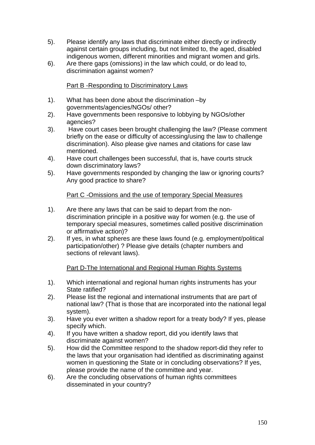- 5). Please identify any laws that discriminate either directly or indirectly against certain groups including, but not limited to, the aged, disabled indigenous women, different minorities and migrant women and girls.
- 6). Are there gaps (omissions) in the law which could, or do lead to, discrimination against women?

Part B -Responding to Discriminatory Laws

- 1). What has been done about the discrimination –by governments/agencies/NGOs/ other?
- 2). Have governments been responsive to lobbying by NGOs/other agencies?
- 3). Have court cases been brought challenging the law? (Please comment briefly on the ease or difficulty of accessing/using the law to challenge discrimination). Also please give names and citations for case law mentioned.
- 4). Have court challenges been successful, that is, have courts struck down discriminatory laws?
- 5). Have governments responded by changing the law or ignoring courts? Any good practice to share?

# Part C -Omissions and the use of temporary Special Measures

- 1). Are there any laws that can be said to depart from the nondiscrimination principle in a positive way for women (e.g. the use of temporary special measures, sometimes called positive discrimination or affirmative action)?
- 2). If yes, in what spheres are these laws found (e.g. employment/political participation/other) ? Please give details (chapter numbers and sections of relevant laws).

# Part D-The International and Regional Human Rights Systems

- 1). Which international and regional human rights instruments has your State ratified?
- 2). Please list the regional and international instruments that are part of national law? (That is those that are incorporated into the national legal system).
- 3). Have you ever written a shadow report for a treaty body? If yes, please specify which.
- 4). If you have written a shadow report, did you identify laws that discriminate against women?
- 5). How did the Committee respond to the shadow report-did they refer to the laws that your organisation had identified as discriminating against women in questioning the State or in concluding observations? If yes, please provide the name of the committee and year.
- 6). Are the concluding observations of human rights committees disseminated in your country?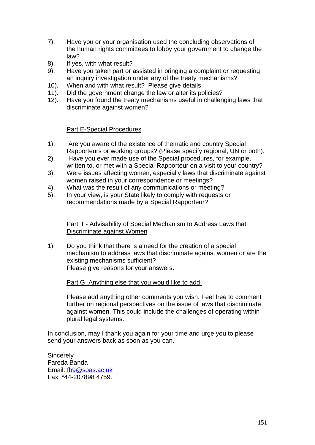- 7). Have you or your organisation used the concluding observations of the human rights committees to lobby your government to change the law?
- 8). If yes, with what result?
- 9). Have you taken part or assisted in bringing a complaint or requesting an inquiry investigation under any of the treaty mechanisms?
- 10). When and with what result? Please give details.
- 11). Did the government change the law or alter its policies?
- 12). Have you found the treaty mechanisms useful in challenging laws that discriminate against women?

### Part E-Special Procedures

- 1). Are you aware of the existence of thematic and country Special Rapporteurs or working groups? (Please specify regional, UN or both).
- 2). Have you ever made use of the Special procedures, for example, written to, or met with a Special Rapporteur on a visit to your country?
- 3). Were issues affecting women, especially laws that discriminate against women raised in your correspondence or meetings?
- 4). What was the result of any communications or meeting?
- 5). In your view, is your State likely to comply with requests or recommendations made by a Special Rapporteur?

Part F- Advisability of Special Mechanism to Address Laws that Discriminate against Women

1) Do you think that there is a need for the creation of a special mechanism to address laws that discriminate against women or are the existing mechanisms sufficient? Please give reasons for your answers.

Part G–Anything else that you would like to add.

Please add anything other comments you wish. Feel free to comment further on regional perspectives on the issue of laws that discriminate against women. This could include the challenges of operating within plural legal systems.

In conclusion, may I thank you again for your time and urge you to please send your answers back as soon as you can.

**Sincerely** Fareda Banda Email: fb9@soas.ac.uk Fax: \*44-207898 4759.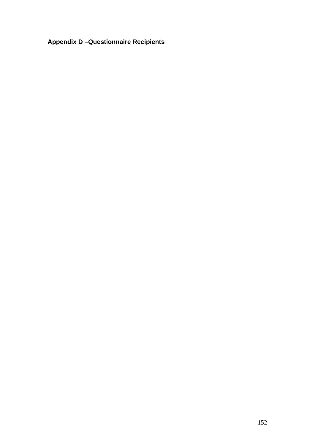# **Appendix D –Questionnaire Recipients**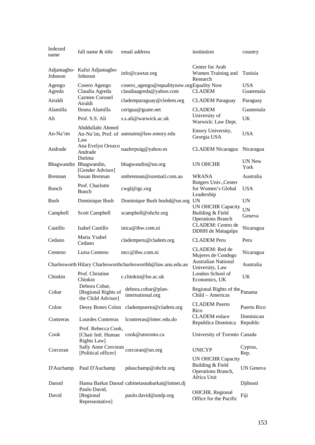| Indexed<br>name  | full name & title                                          | email address                                                        | institution                                                                       | country                 |
|------------------|------------------------------------------------------------|----------------------------------------------------------------------|-----------------------------------------------------------------------------------|-------------------------|
| Johnson          | Adjamagbo- Kafui Adjamagbo-<br>Johnson                     | info@cawtar.org                                                      | Center for Arab<br>Women Training and<br>Research                                 | Tunisia                 |
| Agengo<br>Agreda | Cosero Agengo<br>Claudia Agreda                            | cosero_agengo@equalitynow.orgEquality Now<br>claudiaagreda@yahoo.com | <b>CLADEM</b>                                                                     | <b>USA</b><br>Guatemala |
| Airaldi          | Carmen Coronel<br>Airaldi                                  | clademparaguay@cledem.org                                            | <b>CLADEM</b> Paraguay                                                            | Paraguay                |
| Alamilla         | Ileana Alamilla                                            | cerigua@guate.net                                                    | <b>CLADEM</b>                                                                     | Gautemala               |
| Ali              | Prof. S.S. Ali                                             | s.s.ali@warwick.ac.uk                                                | University of<br>Warwick: Law Dept.                                               | UK                      |
| An-Na'im         | Abddullahi Ahmed<br>Law                                    | An-Na'im, Prof. of aannaim@law.emory.edu                             | Emory University,<br>Georgia USA                                                  | <b>USA</b>              |
| Andrade          | Ana Evelyn Orozco<br>Andrade                               | naaferpuig@yahoo.es                                                  | <b>CLADEM</b> Nicaragua                                                           | Nicaragua               |
|                  | Dutima<br>Bhagwandin Bhagwandin,<br>[Gender Advisor]       | bhagwandin@un.org                                                    | UN OHCHR                                                                          | <b>UN New</b><br>York   |
| <b>Brennan</b>   | Susan Brennan                                              | smbrennan@ozemail.com.au                                             | <b>WRANA</b>                                                                      | Australia               |
| Bunch            | Prof. Charlotte<br>Bunch                                   | cwgl@igc.org                                                         | Rutgers Univ., Center<br>for Women's Global<br>Leadership                         | <b>USA</b>              |
| Bush             | Dominique Bush                                             | Dominique Bush bushd@un.org UN                                       |                                                                                   | <b>UN</b>               |
| Campbell         | Scott Campbell                                             | scampbell@ohchr.org                                                  | <b>UN OHCHR Capacity</b><br>Building & Field<br><b>Operations Branch</b>          | <b>UN</b><br>Geneva     |
| Castillo         | Isabel Castillo                                            | inica@ibw.com.ni                                                     | CLADEM: Centro de<br>DDHH de Matagalpa                                            | Nicaragua               |
| Cedano           | Maria Ysabel<br>Cedano                                     | clademperu@cladem.org                                                | <b>CLADEM</b> Peru                                                                | Peru                    |
| Centeno          | Luisa Centeno                                              | mcc@ibw.com.ni                                                       | CLADEM: Red de<br>Mujeres de Condego                                              | Nicaragua               |
|                  |                                                            | Charlesworth Hilary Charlesworthcharlesworthh@law.anu.edu.au         | <b>Australian National</b><br>University, Law                                     | Australia               |
| Chinkin          | Prof. Christine<br>Chinkin                                 | c.chinkin@lse.ac.uk                                                  | London School of<br>Economics, UK                                                 | UK                      |
| Cobar            | Debora Cobar,<br>[Regional Rights of<br>the Child Advisor] | debora.cobar@plan-<br>international.org                              | Regional Rights of the Panama<br>Child - Americas                                 |                         |
| Colon            | Dessy Bones Colon                                          | cladempuerto@cladem.org                                              | <b>CLADEM</b> Puerto<br>Rico                                                      | Puerto Rico             |
| Contreras        | Lourdes Contreras                                          | lcontreras@intec.edu.do                                              | <b>CLADEM</b> enlace<br>Republica Dominica                                        | Dominican<br>Republic   |
| Cook             | Prof. Rebecca Cook,<br>[Chair Intl. Human<br>Rights Law]   | cook@utoronto.ca                                                     | University of Toronto Canada                                                      |                         |
| Corcoran         | Sally Anne Corcoran<br>[Political officer]                 | corcoran@un.org                                                      | <b>UNICYP</b>                                                                     | Cyprus,<br>Rep.         |
| D'Auchamp        | Paul D'Auchamp                                             | pdauchamp@ohchr.org                                                  | <b>UN OHCHR Capacity</b><br>Building & Field<br>Operations Branch,<br>Africa Unit | UN Geneva               |
| Daoud            | Paulo David,                                               | Hansa Barkat Daoud cabinetasnabarkat@intnet.dj                       |                                                                                   | Djibouti                |
| David            | [Regional<br>Representative]                               | paulo.david@undp.org                                                 | OHCHR, Regional<br>Office for the Pacific                                         | Fiji                    |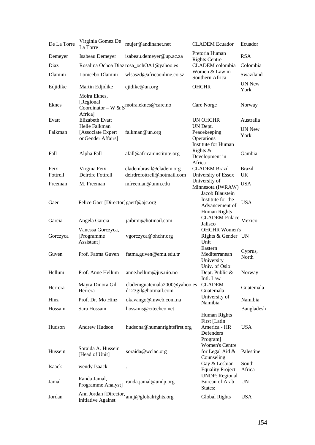| De La Torre      | Virginia Gomez De<br>La Torre                  | mujer@andinanet.net                                    | <b>CLADEM</b> Ecuador                                                  | Ecuador               |
|------------------|------------------------------------------------|--------------------------------------------------------|------------------------------------------------------------------------|-----------------------|
| Demeyer          | Isabeau Demeyer                                | isabeau.demeyer@up.ac.za                               | Pretoria Human<br><b>Rights Centre</b>                                 | <b>RSA</b>            |
| Diaz             |                                                | Rosalina Ochoa Diaz rosa_ochOA1@yahoo.es               | CLADEM colombia                                                        | Colombia              |
| Dlamini          | Lomcebo Dlamini                                | wlsaszd@africaonline.co.sz                             | Women & Law in<br>Southern Africa                                      | Swaziland             |
| Edjidike         | Martin Edjidike                                | ejidike@un.org                                         | <b>OHCHR</b>                                                           | <b>UN New</b><br>York |
| <b>Eknes</b>     | Moira Eknes,<br>[Regional<br>Africa]           | Coordinator – W & $S$ <sup>moira.eknes@care.no</sup>   | Care Norge                                                             | Norway                |
| Evatt            | <b>Elizabeth Evatt</b><br>Helle Falkman        |                                                        | UN OHCHR                                                               | Australia             |
| Falkman          | [Associate Expert<br>onGender Affairs]         | falkman@un.org                                         | UN Dept.<br>Peacekeeping<br>Operations<br>Institute for Human          | <b>UN New</b><br>York |
| Fall             | Alpha Fall                                     | afall@africaninstitute.org                             | Rights $&$<br>Development in<br>Africa                                 | Gambia                |
| Feix<br>Fottrell | Virgina Feix<br>Deirdre Fottrell               | cladembrasil@cladem.org<br>deirdrefottrell@hotmail.com | <b>CLADEM Brazil</b><br>University of Essex                            | Brazil<br>UK          |
| Freeman          | M. Freeman                                     | mfreeman@umn.edu                                       | University of<br>Minnesota (IWRAW)                                     | <b>USA</b>            |
|                  |                                                |                                                        | Jacob Blaustein                                                        |                       |
| Gaer             | Felice Gaer [Director]gaerf@ajc.org            |                                                        | Institute for the<br>Advancement of<br>Human Rights                    | <b>USA</b>            |
| Garcia           | Angela Garcia                                  | jaibimi@hotmail.com                                    | <b>CLADEM</b> Enlace<br>Jalisco                                        | Mexico                |
| Gorczyca         | Vanessa Gorczyca,<br>[Programme]<br>Assistant] | vgorczyca@ohchr.org                                    | <b>OHCHR Women's</b><br>Rights & Gender UN<br>Unit                     |                       |
| Guven            | Prof. Fatma Guven                              | fatma.guven@emu.edu.tr                                 | Eastern<br>Mediterranean<br>University                                 | Cyprus,<br>North      |
| Hellum           | Prof. Anne Hellum                              | anne.hellum@jus.uio.no                                 | Univ. of Oslo:<br>Dept. Public &<br>Intl. Law                          | Norway                |
| Herrera          | Mayra Dinora Gil<br>Herrera                    | clademguatemala2000@yahoo.es<br>d123gil@hotmail.com    | <b>CLADEM</b><br>Guatemala                                             | Guatemala             |
| Hinz             | Prof. Dr. Mo Hinz                              | okavango@mweb.com.na                                   | University of<br>Namibia                                               | Namibia               |
| Hossain          | Sara Hossain                                   | hossains@citechco.net                                  |                                                                        | Bangladesh            |
| Hudson           | Andrew Hudson                                  | hudsona@humanrightsfirst.org                           | Human Rights<br>First [Latin]<br>America - HR<br>Defenders<br>Program] | <b>USA</b>            |
| Hussein          | Soraida A. Hussein<br>[Head of Unit]           | soraida@wclac.org                                      | <b>Women's Centre</b><br>for Legal Aid &<br>Counseling                 | Palestine             |
| Isaack           | wendy Isaack                                   |                                                        | Gay & Lesbian<br><b>Equality Project</b>                               | South<br>Africa       |
| Jamal            | Randa Jamal,<br>Programme Analyst]             | randa.jamal@undp.org                                   | <b>UNDP:</b> Regional<br>Bureau of Arab<br>States:                     | UN                    |
| Jordan           | <b>Initiative Against</b>                      | Ann Jordan [Director, annj@globalrights.org            | Global Rights                                                          | <b>USA</b>            |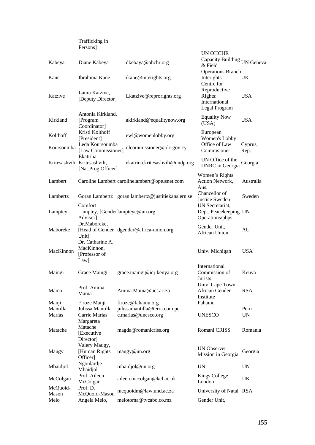|                    | Trafficking in<br>Persons]                              |                                                     |                                                             |                   |
|--------------------|---------------------------------------------------------|-----------------------------------------------------|-------------------------------------------------------------|-------------------|
|                    |                                                         |                                                     | <b>UN OHCHR</b>                                             |                   |
| Kabeya             | Diane Kabeya                                            | dkebaya@ohchr.org                                   | Capacity Building UN Geneva<br>$\&$ Field                   |                   |
| Kane               | Ibrahima Kane                                           | ikane@interights.org                                | <b>Operations Branch</b><br>Interights<br>Centre for        | UK                |
| Katzive            | Laura Katzive,<br>[Deputy Director]                     | Lkatzive@reprorights.org                            | Reproductive<br>Rights:<br>International<br>Legal Program   | <b>USA</b>        |
| Kirkland           | Antonia Kirkland,<br>[Program<br>Coordinator]           | akirkland@equalitynow.org                           | <b>Equality Now</b><br>(USA)                                | <b>USA</b>        |
| Kolthoff           | Kristi Kolthoff<br>[President]                          | ewl@womenlobby.org                                  | European<br>Women's Lobby                                   |                   |
| Koursoumba         | Leda Koursoumba<br>[Law Commissioner]<br>Ekatrina       | olcommissioner@olc.gov.cy                           | Office of Law<br>Commisioner                                | Cyprus,<br>Rep.   |
|                    | Kritesashvili Kritesashvili,<br>[Nat.Prog.Officer]      | ekatrina.kritesashvili@undp.org                     | UN Office of the<br><b>UNRC</b> in Georgia                  | Georgia           |
| Lambert            |                                                         | Caroline Lambert carolinelambert@optusnet.com       | Women's Rights<br>Action Network,<br>Aus.                   | Australia         |
| Lambertz           |                                                         | Goran Lambertz goran.lambertz@justitiekanslern.se   | Chancellor of<br>Justice Sweden                             | Sweden            |
| Lamptey            | Comfort<br>Advisor]                                     | Lamptey, [Genderlampteyc@un.org                     | UN Secretariat,<br>Dept. Peacekeeping UN<br>Operations/pbps |                   |
| Maboreke           | Dr.Maboreke,<br>Unit]                                   | [Head of Gender dgender@africa-union.org            | Gender Unit,<br>African Union                               | AU                |
| MacKinnon          | Dr. Catharine A.<br>MacKinnon,<br>[Professor of<br>Law] |                                                     | Univ. Michigan                                              | <b>USA</b>        |
| Maingi             | Grace Maingi                                            | grace.maingi@icj-kenya.org                          | International<br>Commission of<br>Jurists                   | Kenya             |
| Mama               | Prof. Amina<br>Mama                                     | Amina.Mama@uct.ac.za                                | Univ. Cape Town,<br>African Gender<br>Institute             | <b>RSA</b>        |
| Manji              | Firoze Manji                                            | firoze@fahamu.org                                   | Fahamu                                                      |                   |
| Mantilla<br>Marias | Julissa Mantilla<br>Carrie Marias<br>Margareta          | julissamantilla@terra.com.pe<br>c.marias@unesco.org | <b>UNESCO</b>                                               | Peru<br><b>UN</b> |
| Matache            | Matache<br>[Executive                                   | magda@romanicriss.org                               | Romani CRISS                                                | Romania           |
| Maugy              | Director<br>Valery Maugy,<br>[Human Rights<br>Officer]  | maugy@un.org                                        | <b>UN Observer</b><br>Mission in Georgia                    | Georgia           |
| Mbaidjol           | Ngonlardje<br>Mbaidjol                                  | mbaidjol@un.org                                     | <b>UN</b>                                                   | <b>UN</b>         |
| McColgan           | Prof. Aileen<br>McColgan                                | aileen.mccolgan@kcl.ac.uk                           | <b>Kings College</b><br>London                              | UK                |
| McQuoid-           | Prof. DJ                                                | mcquoidm@law.und.ac.za                              | University of Natal RSA                                     |                   |
| Mason<br>Melo      | McQuoid-Mason<br>Angela Melo,                           | melotoma@tvcabo.co.mz                               | Gender Unit,                                                |                   |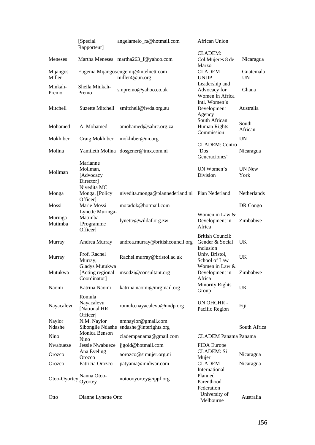|                     | [Special<br>Rapporteur]                               | angelamelo_rs@hotmail.com                                     | <b>African Union</b>                                    |                        |
|---------------------|-------------------------------------------------------|---------------------------------------------------------------|---------------------------------------------------------|------------------------|
| Meneses             |                                                       | Martha Meneses martha263_f@yahoo.com                          | <b>CLADEM:</b><br>Col.Mujeres 8 de                      | Nicaragua              |
| Mijangos<br>Miller  |                                                       | Eugenia Mijangos eugemij@intelnett.com<br>miller4@un.org      | Marzo<br><b>CLADEM</b><br><b>UNDP</b>                   | Guatemala<br><b>UN</b> |
| Minkah-<br>Premo    | Sheila Minkah-<br>Premo                               | smpremo@yahoo.co.uk                                           | Leadership and<br>Advocacy for<br>Women in Africa       | Ghana                  |
| Mitchell            | <b>Suzette Mitchell</b>                               | smitchell@iwda.org.au                                         | Intl. Women's<br>Development<br>Agency                  | Australia              |
| Mohamed             | A. Mohamed                                            | amohamed@sahrc.org.za                                         | South African<br>Human Rights<br>Commission             | South<br>African       |
| Mokhiber            | Craig Mokhiber                                        | mokhiber@un.org                                               |                                                         | <b>UN</b>              |
| Molina              |                                                       | Yamileth Molina dosgener@tmx.com.ni                           | <b>CLADEM: Centro</b><br>"Dos<br>Generaciones"          | Nicaragua              |
| Mollman             | Marianne<br>Mollman,<br>[Advocacy<br>Director]        |                                                               | UN Women's<br>Division                                  | <b>UN New</b><br>York  |
| Monga               | Nivedita MC<br>Monga, [Policy<br>Officer]             | nivedita.monga@plannederland.nl Plan Nederland                |                                                         | Netherlands            |
| Mossi               | Marie Mossi                                           | motadok@hotmail.com                                           |                                                         | DR Congo               |
| Muringa-<br>Mutimba | Lynette Muringa-<br>Matimba<br>[Programme<br>Officer] | lynette@wildaf.org.zw                                         | Women in Law &<br>Development in<br>Africa              | Zimbabwe               |
| Murray              | Andrea Murray                                         | andrea.murray@britishcouncil.org                              | <b>British Council:</b><br>Gender & Social<br>Inclusion | UK                     |
| Murray              | Prof. Rachel<br>Murray,                               | Rachel.murray@bristol.ac.uk                                   | Univ. Bristol,<br>School of Law                         | UK                     |
| Mutukwa             | Gladys Mutukwa<br>[Acting regional<br>Coordinator]    | msodzi@consultant.org                                         | Women in Law &<br>Development in<br>Africa              | Zimbabwe               |
| Naomi               | Katrina Naomi                                         | katrina.naomi@mrgmail.org                                     | <b>Minority Rights</b><br>Group                         | UK                     |
| Nayacalevu          | Romula<br>Nayacalevu<br>[National HR<br>Officer]      | romulo.nayacalevu@undp.org                                    | UN OHCHR -<br>Pacific Region                            | Fiji                   |
| Naylor<br>Ndashe    | N.M. Naylor                                           | nmnaylor@gmail.com<br>Sibongile Ndashe sndashe@interights.org |                                                         | South Africa           |
| Nino                | Monica Benson<br>Nino                                 | cladempanama@gmail.com                                        | <b>CLADEM Panama Panama</b>                             |                        |
| Nwabueze            | Jessie Nwabueze                                       | jjgold@hotmail.com                                            | FIDA Europe                                             |                        |
| Orozco              | Ana Eveling<br>Orozco                                 | aorozco@simujer.org.ni                                        | <b>CLADEM: Si</b><br>Mujer                              | Nicaragua              |
| Orozco              | Patricia Orozco                                       | patyama@midwar.com                                            | <b>CLADEM</b>                                           | Nicaragua              |
| Otoo-Oyortey        | Nanna Otoo-<br>Oyortey                                | notoooyortey@ippf.org                                         | International<br>Planned<br>Parenthood<br>Federation    |                        |
| Otto                | Dianne Lynette Otto                                   |                                                               | University of<br>Melbourne                              | Australia              |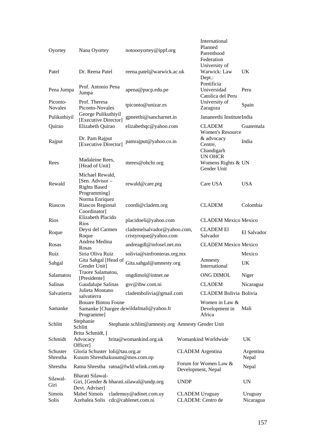| Oyortey                    | Nana Oyortey                                                                  | notoooyortey@ippf.org                                |                       | International<br>Planned<br>Parenthood<br>Federation<br>University of |                      |
|----------------------------|-------------------------------------------------------------------------------|------------------------------------------------------|-----------------------|-----------------------------------------------------------------------|----------------------|
| Patel                      | Dr. Reena Patel                                                               | reena.patel@warwick.ac.uk                            |                       | Warwick: Law<br>Dept.:                                                | <b>UK</b>            |
| Pena Jumpa                 | Prof. Antonio Pena<br>Jumpa                                                   | apena@pucp.edu.pe                                    |                       | Pontificia<br>Universidad<br>Catolica del Peru                        | Peru                 |
| Piconto-<br><b>Novales</b> | Prof. Theresa<br>Piconto-Novales                                              | tpiconto@unizar.es                                   |                       | University of<br>Zaragoza                                             | Spain                |
| Pulikuthiyil               | George Pulikuthiyil<br>[Executive Director]                                   | gpneethi@sancharnet.in                               |                       | Jananeethi InstituteIndia                                             |                      |
| Quirao                     | Elizabeth Quirao                                                              | elizabethqc@yahoo.com                                |                       | <b>CLADEM</b>                                                         | Guatemala            |
| Rajput                     | Dr. Pam Rajput<br>[Executive Director]                                        | pamrajput@yahoo.co.in                                |                       | <b>Women's Resource</b><br>& advocacy<br>Centre,<br>Chandigarh        | India                |
| Rees                       | Madaleine Rees,<br>[Head of Unit]                                             | mrees@ohchr.org                                      |                       | <b>UN OHCR</b><br>Womens Rights & UN<br>Gender Unit                   |                      |
| Rewald                     | Michael Rewald,<br>[Sen. Advisor –<br><b>Rights Based</b>                     | rewald@care.prg                                      |                       | Care USA                                                              | <b>USA</b>           |
| Riascos                    | Programming]<br>Norma Enriquez<br>Riascos Regional<br>Coordinator]            | coordi@cladem.org                                    |                       | <b>CLADEM</b>                                                         | Colombia             |
| <b>Rios</b>                | Elizabeth Placido<br>Rios                                                     | placidoeli@yahoo.com                                 |                       | <b>CLADEM Mexico Mexico</b>                                           |                      |
| Roque                      | Deysi del Carmen<br>Roque                                                     | clademelsalvador@yahoo.com,<br>cristyroque@yahoo.com |                       | <b>CLADEM EI</b><br>Salvador                                          | El Salvador          |
| Rosas                      | Andrea Medina<br>Rosas                                                        | andreagdl@infosel.net.mx                             |                       | <b>CLADEM Mexico Mexico</b>                                           |                      |
| Ruiz                       | Siria Oliva Ruiz                                                              | solivia@sinfronteras.org.mx                          |                       |                                                                       | Mexico               |
| Sahgal                     | Gita Sahgal [Head of<br>Gender Unit]                                          | Gita.sahgal@amnesty.org                              |                       | Amnesty<br>International                                              | UK                   |
| Salamatou                  | Traore Salamatou,<br>[Presidente]                                             | ongdimol@intnet.ne                                   |                       | ONG DIMOL                                                             | Niger                |
| Salinas                    | Gaudalupe Salinas                                                             | gsv@ibw.com.ni                                       |                       | <b>CLADEM</b>                                                         | Nicaragua            |
| Salvatierra                | Julieta Montano<br>salvatierra                                                | cladembolivia@gmail.com                              |                       | <b>CLADEM Bolivia Bolivia</b>                                         |                      |
| Samanke                    | <b>Bouare Bintou Foune</b><br>Programme]                                      | Samanke [Chargee dewildafmali@yahoo.fr               |                       | Women in Law &<br>Development in<br>Africa                            | Mali                 |
| Schlitt                    | Stephanie<br>Schlitt                                                          | Stephanie.schlitt@amnesty.org Amnesty Gender Unit    |                       |                                                                       |                      |
| Schmidt                    | Brita Schmidt, [<br>Advocacy                                                  | brita@womankind.org.uk                               |                       | Womankind Worldwide                                                   | UK                   |
| Schuster<br>Shrestha       | Officer]<br>Gloria Schuster loli@tau.org.ar<br>Kusum Shresthakusum@mos.com.np |                                                      |                       | <b>CLADEM</b> Argentina                                               | Argentina<br>Nepal   |
| Shrestha                   | Ratna Shrestha ratna@fwld.wlink.com.np                                        |                                                      |                       | Forum for Women Law &                                                 | Nepal                |
| Silawal-<br>Giri           | Bharati Silawal-<br>Giri, [Gender & bharati.silawal@undp.org                  |                                                      | <b>UNDP</b>           | Development, Nepal                                                    | <b>UN</b>            |
| Simois<br>Solis            | Devt. Adviser]<br>Mabel Simois<br>Azehalea Solis cdc@cablenet.com.ni          | clademuy@adinet.com.uy                               | <b>CLADEM</b> Uruguay | CLADEM: Centro de                                                     | Uruguay<br>Nicaragua |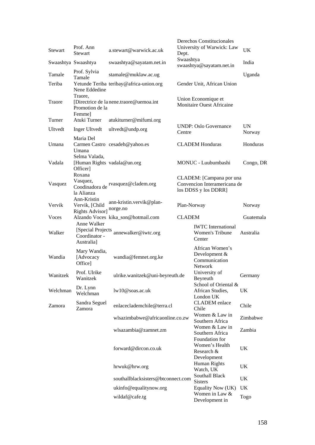| <b>Stewart</b> | Prof. Ann<br><b>Stewart</b>                                     | a.stewart@warwick.ac.uk                  | Dept.         | Derechos Constitucionales<br>University of Warwick: Law                          | UK                  |
|----------------|-----------------------------------------------------------------|------------------------------------------|---------------|----------------------------------------------------------------------------------|---------------------|
|                | Swaashtya Swaashtya                                             | swaashtya@sayatam.net.in                 | Swaashtya     | swaashtya@sayatam.net.in                                                         | India               |
| Tamale         | Prof. Sylvia<br>Tamale                                          | stamale@muklaw.ac.ug                     |               |                                                                                  | Uganda              |
| Teriba         | Nene Eddedine                                                   | Yetunde Teriba teribay@africa-union.org  |               | Gender Unit, African Union                                                       |                     |
| Traore         | Traore.<br>Promotion de la                                      | [Directrice de la nene.traore@uemoa.int] |               | Union Economique et<br>Monitaire Ouest Africaine                                 |                     |
| Turner         | <b>Femme</b><br>Atuki Turner                                    | atukiturner@mifumi.org                   |               |                                                                                  |                     |
| Ultvedt        | Inger Ultvedt                                                   | ultvedt@undp.org                         | Centre        | <b>UNDP: Oslo Governance</b>                                                     | <b>UN</b><br>Norway |
| Umana          | Maria Del<br>Umana                                              | Carmen Castro cesadeh@yahoo.es           |               | <b>CLADEM Honduras</b>                                                           | Honduras            |
| Vadala         | Selma Valada,<br>[Human Rights vadala@un.org<br>Officer]        |                                          |               | MONUC - Luubumbashi                                                              | Congo, DR           |
| Vasquez        | Roxana<br>Vasquez,<br>la Alianza                                | Coodinadora de rvasquez@cladem.org       |               | CLADEM: [Campana por una<br>Convencion Interamericana de<br>los DDSS y los DDRR] |                     |
| Vervik         | Ann-Kristin<br>Vervik, [Child<br>Rights Advisor]                | ann-kristin.vervik@plan-<br>norge.no     | Plan-Norway   |                                                                                  | Norway              |
| Voces          |                                                                 | Alzando Voces kika_son@hotmail.com       | <b>CLADEM</b> |                                                                                  | Guatemala           |
| Walker         | Anne Walker<br>[Special Projects<br>Coordinator -<br>Australia] | annewalker@iwtc.org                      |               | <b>IWTC</b> International<br>Women's Tribune<br>Center                           | Australia           |
| Wandia         | Mary Wandia,<br>[Advocacy<br>Office]                            | wandia@femnet.org.ke                     |               | African Women's<br>Development &<br>Communication<br><b>Network</b>              |                     |
| Wanitzek       | Prof. Ulrike<br>Wanitzek                                        | ulrike.wanitzek@uni-beyreuth.de          |               | University of<br>Beyreuth                                                        | Germany             |
| Welchman       | Dr. Lynn<br>Welchman                                            | lw10@soas.ac.uk                          |               | School of Oriental &<br>African Studies,<br>London UK                            | UK                  |
| Zamora         | Sandra Seguel<br>Zamora                                         | enlaceclademchile@terra.cl               |               | <b>CLADEM</b> enlace<br>Chile                                                    | Chile               |
|                |                                                                 | wlsazimbabwe@africaonline.co.zw          |               | Women & Law in<br>Southern Africa                                                | Zimbabwe            |
|                |                                                                 | wlsazambia@zamnet.zm                     |               | Women & Law in<br>Southern Africa<br>Foundation for                              | Zambia              |
|                |                                                                 | forward@dircon.co.uk                     |               | Women's Health<br>Research &<br>Development                                      | UK                  |
|                |                                                                 | hrwuk@hrw.org                            |               | Human Rights<br>Watch, UK                                                        | UK.                 |
|                |                                                                 | southallblacksisters@btconnect.com       |               | Southall Black<br><b>Sisters</b>                                                 | UK                  |
|                |                                                                 | ukinfo@equalitynow.org                   |               | Equality Now (UK)                                                                | UK                  |
|                |                                                                 | wildaf@cafe.tg                           |               | Women in Law &<br>Development in                                                 | Togo                |